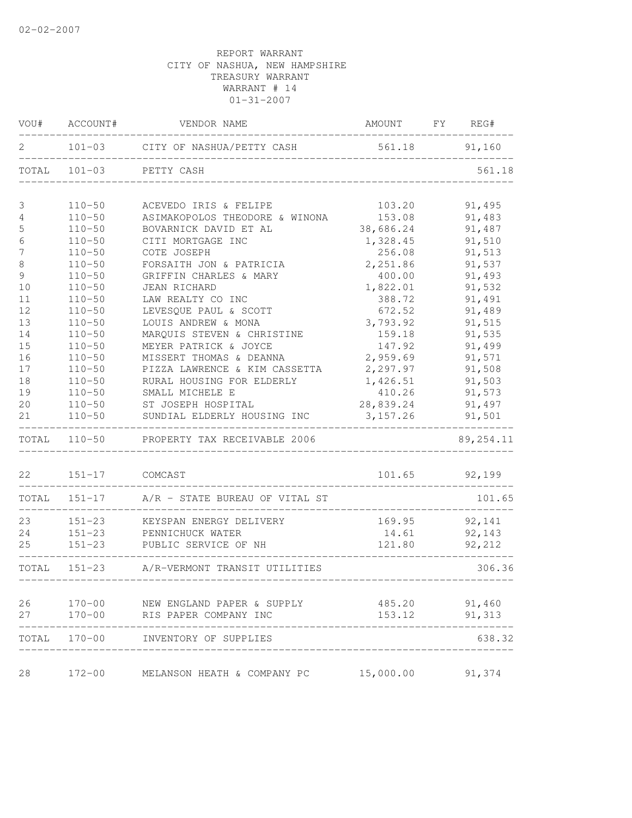|                  | VOU# ACCOUNT#         | VENDOR NAME                                    | AMOUNT FY REG# |               |
|------------------|-----------------------|------------------------------------------------|----------------|---------------|
| 2                |                       | 101-03 CITY OF NASHUA/PETTY CASH 561.18 91,160 |                |               |
|                  |                       | TOTAL 101-03 PETTY CASH                        |                | 561.18        |
| 3                | $110 - 50$            | ACEVEDO IRIS & FELIPE                          | 103.20         | 91,495        |
| 4                | $110 - 50$            | ASIMAKOPOLOS THEODORE & WINONA                 | 153.08         | 91,483        |
| 5                | $110 - 50$            | BOVARNICK DAVID ET AL                          | 38,686.24      | 91,487        |
| $\sqrt{6}$       | $110 - 50$            | CITI MORTGAGE INC                              | 1,328.45       | 91,510        |
| $\boldsymbol{7}$ | $110 - 50$            | COTE JOSEPH                                    | 256.08         | 91,513        |
| $\,8\,$          | $110 - 50$            | FORSAITH JON & PATRICIA                        | 2,251.86       | 91,537        |
| $\mathcal{G}$    | $110 - 50$            | GRIFFIN CHARLES & MARY                         | 400.00         | 91,493        |
| 10               | $110 - 50$            | <b>JEAN RICHARD</b>                            | 1,822.01       | 91,532        |
| 11               | $110 - 50$            | LAW REALTY CO INC                              | 388.72         | 91,491        |
| 12               | $110 - 50$            | LEVESQUE PAUL & SCOTT                          | 672.52         | 91,489        |
| 13               | $110 - 50$            | LOUIS ANDREW & MONA                            | 3,793.92       | 91,515        |
| 14               | $110 - 50$            | MARQUIS STEVEN & CHRISTINE                     | 159.18         | 91,535        |
| 15               | $110 - 50$            | MEYER PATRICK & JOYCE                          | 147.92         | 91,499        |
| 16               | $110 - 50$            | MISSERT THOMAS & DEANNA                        | 2,959.69       | 91,571        |
| 17               | $110 - 50$            | PIZZA LAWRENCE & KIM CASSETTA                  | 2,297.97       | 91,508        |
| 18               | $110 - 50$            | RURAL HOUSING FOR ELDERLY                      | 1,426.51       | 91,503        |
| 19               | $110 - 50$            | SMALL MICHELE E                                | 410.26         | 91,573        |
| 20               | $110 - 50$            | ST JOSEPH HOSPITAL                             | 28,839.24      | 91,497        |
| 21               | $110 - 50$            | SUNDIAL ELDERLY HOUSING INC                    | 3, 157.26      | 91,501        |
|                  |                       | TOTAL 110-50 PROPERTY TAX RECEIVABLE 2006      |                | 89, 254.11    |
| 22               | 151-17 COMCAST        |                                                |                | 101.65 92,199 |
|                  |                       | TOTAL 151-17 A/R - STATE BUREAU OF VITAL ST    |                | 101.65        |
| 23               | _____________________ | 151-23 KEYSPAN ENERGY DELIVERY                 |                | 169.95 92,141 |
| 24               |                       | 151-23 PENNICHUCK WATER                        |                | 14.61 92,143  |
| 25               |                       | 151-23 PUBLIC SERVICE OF NH                    | 121.80         | 92,212        |
|                  |                       | TOTAL 151-23 A/R-VERMONT TRANSIT UTILITIES     |                | 306.36        |
| 26               | $170 - 00$            | NEW ENGLAND PAPER & SUPPLY                     | 485.20         | 91,460        |
| 27               | $170 - 00$            | RIS PAPER COMPANY INC                          | 153.12         | 91,313        |
| TOTAL            | 170-00                | INVENTORY OF SUPPLIES                          |                | 638.32        |
| 28               | $172 - 00$            | MELANSON HEATH & COMPANY PC                    | 15,000.00      | 91,374        |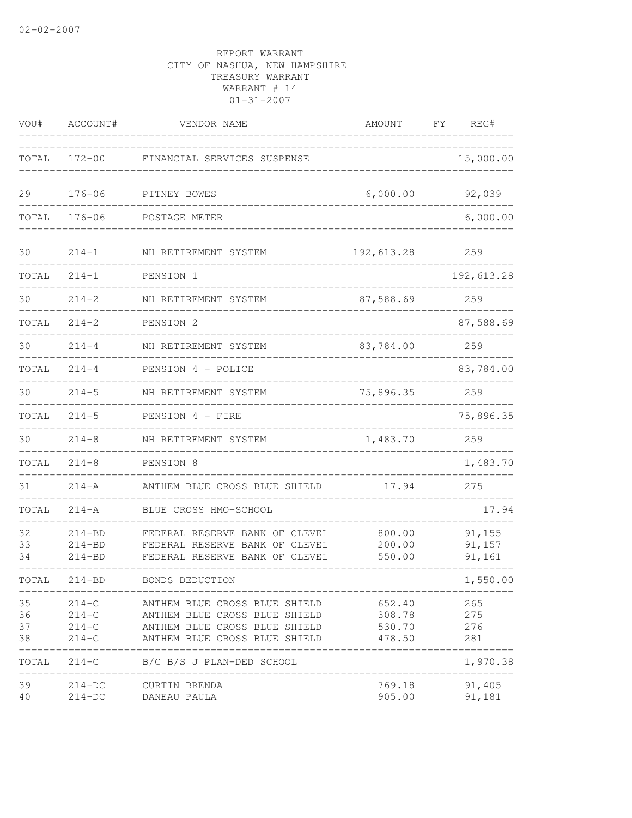| VOU#                 | ACCOUNT#                               | VENDOR NAME                                                                                                                            | AMOUNT                                | FΥ | REG#                       |
|----------------------|----------------------------------------|----------------------------------------------------------------------------------------------------------------------------------------|---------------------------------------|----|----------------------------|
| TOTAL                | $172 - 00$                             | FINANCIAL SERVICES SUSPENSE                                                                                                            |                                       |    | 15,000.00                  |
| 29                   | $176 - 06$                             | PITNEY BOWES                                                                                                                           | 6,000.00                              |    | 92,039                     |
| TOTAL                | $176 - 06$                             | POSTAGE METER                                                                                                                          |                                       |    | 6,000.00                   |
| 30                   | $214 - 1$                              | NH RETIREMENT SYSTEM                                                                                                                   | 192,613.28                            |    | 259                        |
| TOTAL                | $214 - 1$                              | PENSION 1                                                                                                                              |                                       |    | 192,613.28                 |
| 30                   | $214 - 2$                              | NH RETIREMENT SYSTEM                                                                                                                   | 87,588.69                             |    | 259                        |
| TOTAL                | $214 - 2$                              | PENSION <sub>2</sub>                                                                                                                   |                                       |    | 87,588.69                  |
| 30                   | $214 - 4$                              | NH RETIREMENT SYSTEM                                                                                                                   | 83,784.00                             |    | 259                        |
| TOTAL                | $214 - 4$                              | PENSION 4 - POLICE                                                                                                                     |                                       |    | 83,784.00                  |
| 30                   | $214 - 5$                              | NH RETIREMENT SYSTEM                                                                                                                   | 75,896.35                             |    | 259                        |
| TOTAL                | $214 - 5$                              | PENSION 4 - FIRE                                                                                                                       |                                       |    | 75,896.35                  |
| 30                   | $214 - 8$                              | NH RETIREMENT SYSTEM                                                                                                                   | 1,483.70                              |    | 259                        |
| TOTAL                | $214 - 8$                              | PENSION 8                                                                                                                              |                                       |    | 1,483.70                   |
| 31                   | $214 - A$                              | ANTHEM BLUE CROSS BLUE SHIELD                                                                                                          | 17.94                                 |    | 275                        |
| TOTAL                | $214 - A$                              | BLUE CROSS HMO-SCHOOL                                                                                                                  |                                       |    | 17.94                      |
| 32<br>33<br>34       | $214 - BD$<br>$214 - BD$<br>$214 - BD$ | FEDERAL RESERVE BANK OF CLEVEL<br>FEDERAL RESERVE BANK OF CLEVEL<br>FEDERAL RESERVE BANK OF CLEVEL                                     | 800.00<br>200.00<br>550.00            |    | 91,155<br>91,157<br>91,161 |
| TOTAL                | $214 - BD$                             | BONDS DEDUCTION                                                                                                                        |                                       |    | 1,550.00                   |
| 35<br>36<br>37<br>38 | $214-C$<br>$214-C$<br>$214-C$          | ANTHEM BLUE CROSS BLUE SHIELD<br>214-C ANTHEM BLUE CROSS BLUE SHIELD<br>ANTHEM BLUE CROSS BLUE SHIELD<br>ANTHEM BLUE CROSS BLUE SHIELD | 652.40<br>308.78<br>530.70<br>478.50  |    | 265<br>275<br>276<br>281   |
|                      |                                        | TOTAL 214-C B/C B/S J PLAN-DED SCHOOL                                                                                                  | _____________________________________ |    | 1,970.38                   |
| 39<br>40             |                                        | 214-DC CURTIN BRENDA<br>214-DC DANEAU PAULA                                                                                            | 905.00                                |    | 769.18 91,405<br>91,181    |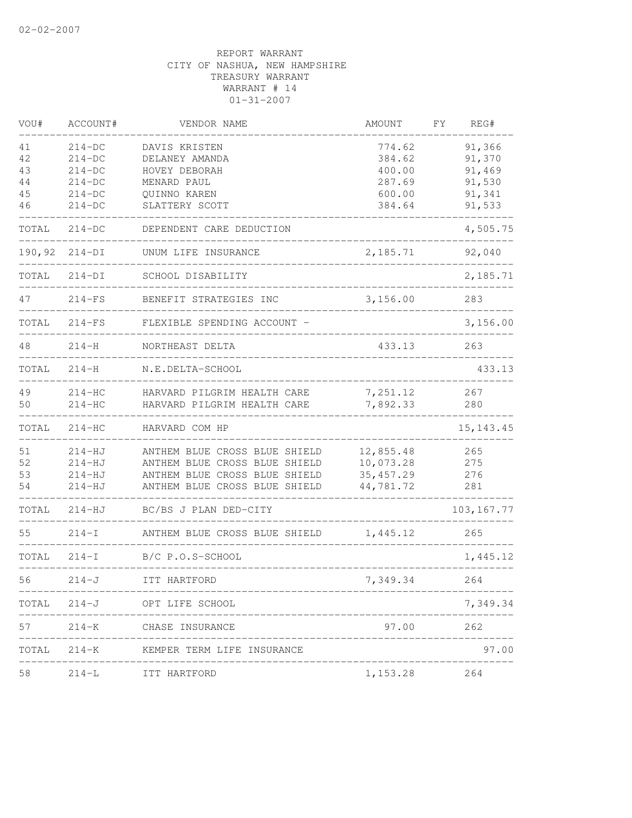| VOU#   | ACCOUNT#   | VENDOR NAME                                                   | <b>AMOUNT</b> | FΥ<br>REG#  |
|--------|------------|---------------------------------------------------------------|---------------|-------------|
| 41     | $214-DC$   | DAVIS KRISTEN                                                 | 774.62        | 91,366      |
| 42     | $214-DC$   | DELANEY AMANDA                                                | 384.62        | 91,370      |
| 43     | $214-DC$   | HOVEY DEBORAH                                                 | 400.00        | 91,469      |
| 44     | $214-DC$   | MENARD PAUL                                                   | 287.69        | 91,530      |
| 45     | $214-DC$   | OUINNO KAREN                                                  | 600.00        | 91,341      |
| 46     | $214-DC$   | SLATTERY SCOTT                                                | 384.64        | 91,533      |
| TOTAL  | $214-DC$   | DEPENDENT CARE DEDUCTION                                      |               | 4,505.75    |
| 190,92 | $214-DI$   | UNUM LIFE INSURANCE                                           | 2,185.71      | 92,040      |
| TOTAL  | $214-DI$   | SCHOOL DISABILITY                                             |               | 2,185.71    |
| 47     | $214-FS$   | BENEFIT STRATEGIES INC                                        | 3,156.00      | 283         |
| TOTAL  | $214-FS$   | FLEXIBLE SPENDING ACCOUNT -                                   |               | 3,156.00    |
| 48     | $214 - H$  | NORTHEAST DELTA                                               | 433.13        | 263         |
| TOTAL  | $214 - H$  | N.E.DELTA-SCHOOL                                              |               | 433.13      |
| 49     | $214-HC$   | HARVARD PILGRIM HEALTH CARE                                   | 7,251.12      | 267         |
| 50     | $214-HC$   | HARVARD PILGRIM HEALTH CARE                                   | 7,892.33      | 280         |
| TOTAL  | $214-HC$   | HARVARD COM HP                                                |               | 15, 143. 45 |
| 51     | $214-HJ$   | ANTHEM BLUE CROSS BLUE SHIELD                                 | 12,855.48     | 265         |
| 52     | $214-HJ$   | ANTHEM BLUE CROSS BLUE SHIELD                                 | 10,073.28     | 275         |
| 53     | $214-HJ$   | ANTHEM BLUE CROSS BLUE SHIELD                                 | 35, 457.29    | 276         |
| 54     | $214 - HJ$ | ANTHEM BLUE CROSS BLUE SHIELD                                 | 44,781.72     | 281         |
| TOTAL  | $214 - HJ$ | BC/BS J PLAN DED-CITY                                         |               | 103, 167.77 |
| 55     | $214-I$    | ANTHEM BLUE CROSS BLUE SHIELD                                 | 1,445.12      | 265         |
| TOTAL  | $214-I$    | B/C P.O.S-SCHOOL                                              |               | 1,445.12    |
| 56     | $214 - J$  | ITT HARTFORD                                                  | 7,349.34      | 264         |
|        |            | TOTAL 214-J OPT LIFE SCHOOL                                   |               | 7,349.34    |
| 57     | $214 - K$  | _______________________<br>CHASE INSURANCE                    | 97.00         | 262         |
| TOTAL  |            | _________________________<br>214-K KEMPER TERM LIFE INSURANCE |               | 97.00       |
| 58     |            | 214-L ITT HARTFORD                                            | 1,153.28      | 264         |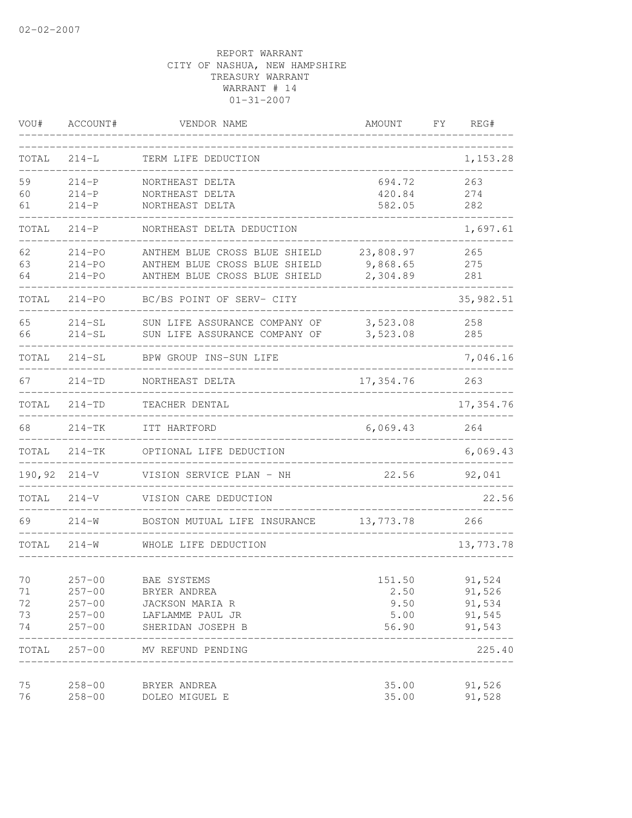| VOU#   | ACCOUNT#   | VENDOR NAME                   | AMOUNT    | FΥ | REG#      |
|--------|------------|-------------------------------|-----------|----|-----------|
| TOTAL  | $214 - L$  | TERM LIFE DEDUCTION           |           |    | 1,153.28  |
| 59     | $214 - P$  | NORTHEAST DELTA               | 694.72    |    | 263       |
| 60     | $214 - P$  | NORTHEAST DELTA               | 420.84    |    | 274       |
| 61     | $214-P$    | NORTHEAST DELTA               | 582.05    |    | 282       |
| TOTAL  | $214-P$    | NORTHEAST DELTA DEDUCTION     |           |    | 1,697.61  |
| 62     | $214 - PO$ | ANTHEM BLUE CROSS BLUE SHIELD | 23,808.97 |    | 265       |
| 63     | $214 - PQ$ | ANTHEM BLUE CROSS BLUE SHIELD | 9,868.65  |    | 275       |
| 64     | $214 - PO$ | ANTHEM BLUE CROSS BLUE SHIELD | 2,304.89  |    | 281       |
| TOTAL  | $214 - PO$ | BC/BS POINT OF SERV- CITY     |           |    | 35,982.51 |
| 65     | $214-SL$   | SUN LIFE ASSURANCE COMPANY OF | 3,523.08  |    | 258       |
| 66     | $214 - SL$ | SUN LIFE ASSURANCE COMPANY OF | 3,523.08  |    | 285       |
| TOTAL  | $214-SL$   | BPW GROUP INS-SUN LIFE        |           |    | 7,046.16  |
| 67     | $214 - TD$ | NORTHEAST DELTA               | 17,354.76 |    | 263       |
| TOTAL  | $214 - TD$ | TEACHER DENTAL                |           |    | 17,354.76 |
| 68     | $214-TK$   | ITT HARTFORD                  | 6,069.43  |    | 264       |
| TOTAL  | $214-TK$   | OPTIONAL LIFE DEDUCTION       |           |    | 6,069.43  |
| 190,92 | $214 - V$  | VISION SERVICE PLAN - NH      | 22.56     |    | 92,041    |
| TOTAL  | $214 - V$  | VISION CARE DEDUCTION         |           |    | 22.56     |
| 69     | $214 - W$  | BOSTON MUTUAL LIFE INSURANCE  | 13,773.78 |    | 266       |
| TOTAL  | $214 - W$  | WHOLE LIFE DEDUCTION          |           |    | 13,773.78 |
| 70     | $257 - 00$ | BAE SYSTEMS                   | 151.50    |    | 91,524    |
| 71     | $257 - 00$ | BRYER ANDREA                  | 2.50      |    | 91,526    |
| 72     | $257 - 00$ | JACKSON MARIA R               | 9.50      |    | 91,534    |
| 73     | $257 - 00$ | LAFLAMME PAUL JR              | 5.00      |    | 91,545    |
| 74     | $257 - 00$ | SHERIDAN JOSEPH B             | 56.90     |    | 91,543    |
| TOTAL  |            | 257-00 MV REFUND PENDING      |           |    | 225.40    |
| 75     | $258 - 00$ | BRYER ANDREA                  | 35.00     |    | 91,526    |
| 76     | $258 - 00$ | DOLEO MIGUEL E                | 35.00     |    | 91,528    |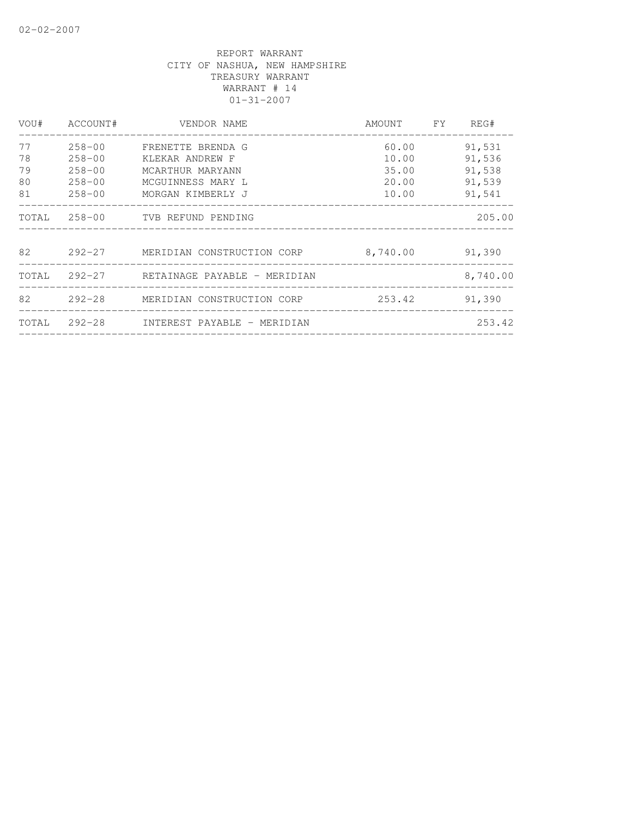| VOU#  | ACCOUNT#   | VENDOR NAME                               | AMOUNT FY | REG#     |
|-------|------------|-------------------------------------------|-----------|----------|
| 77    | $258 - 00$ | FRENETTE BRENDA G                         | 60.00     | 91,531   |
| 78    | $258 - 00$ | KLEKAR ANDREW F                           | 10.00     | 91,536   |
| 79    | $258 - 00$ | MCARTHUR MARYANN                          | 35.00     | 91,538   |
| 80    | $258 - 00$ | MCGUINNESS MARY L                         | 20.00     | 91,539   |
| 81    | $258 - 00$ | MORGAN KIMBERLY J                         | 10.00     | 91,541   |
| TOTAL |            | 258-00 TVB REFUND PENDING                 |           | 205.00   |
| 82    |            | 292-27     MERIDIAN CONSTRUCTION CORP     | 8,740.00  | 91,390   |
|       |            | TOTAL 292-27 RETAINAGE PAYABLE - MERIDIAN |           | 8,740.00 |
| 82    |            | 292-28 MERIDIAN CONSTRUCTION CORP         | 253.42    | 91,390   |
| TOTAL |            | 292-28     INTEREST PAYABLE - MERIDIAN    |           | 253.42   |
|       |            |                                           |           |          |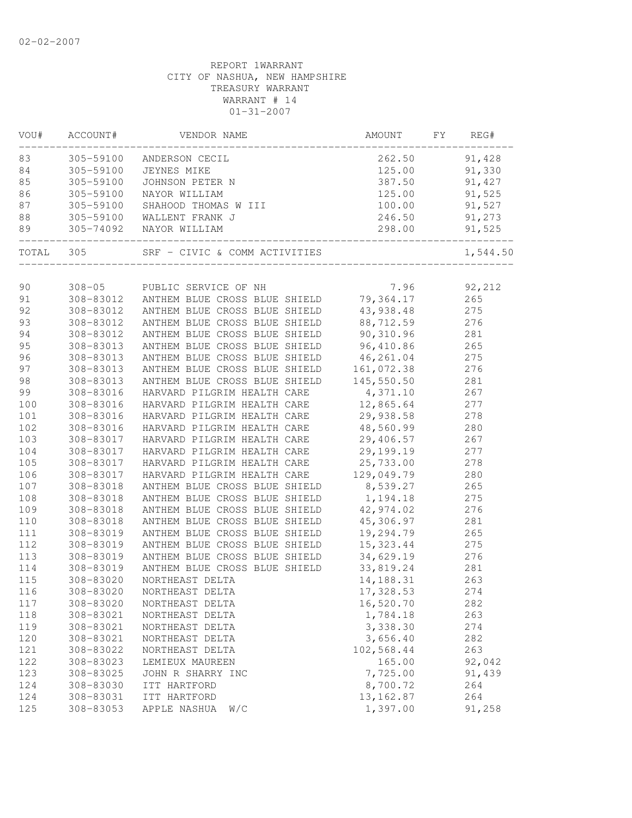| 91,428<br>83<br>305-59100<br>262.50<br>ANDERSON CECIL<br>84<br>305-59100<br>125.00<br>91,330<br>JEYNES MIKE<br>85<br>305-59100<br>387.50<br>91,427<br>JOHNSON PETER N<br>86<br>305-59100<br>125.00<br>91,525<br>NAYOR WILLIAM<br>91,527<br>87<br>305-59100<br>100.00<br>SHAHOOD THOMAS W III<br>88<br>305-59100 WALLENT FRANK J<br>305-74092 NAYOR WILLIAM<br>246.50<br>91,273<br>298.00<br>89<br>91,525<br>__________________<br>TOTAL 305<br>SRF - CIVIC & COMM ACTIVITIES<br>1,544.50<br>308-05 PUBLIC SERVICE OF NH<br>7.96 92,212<br>90<br>308-83012 ANTHEM BLUE CROSS BLUE SHIELD 79,364.17<br>91<br>265<br>92<br>43,938.48<br>308-83012 ANTHEM BLUE CROSS BLUE SHIELD<br>275<br>88,712.59<br>276<br>93<br>308-83012<br>ANTHEM BLUE CROSS BLUE SHIELD<br>90,310.96<br>94<br>308-83012<br>ANTHEM BLUE CROSS BLUE SHIELD<br>281<br>96,410.86<br>95<br>ANTHEM BLUE CROSS BLUE SHIELD<br>265<br>308-83013<br>96<br>46,261.04<br>308-83013<br>ANTHEM BLUE CROSS BLUE SHIELD<br>275<br>ANTHEM BLUE CROSS BLUE SHIELD<br>97<br>308-83013<br>161,072.38<br>276<br>98<br>308-83013<br>ANTHEM BLUE CROSS BLUE SHIELD<br>145,550.50<br>281<br>99<br>HARVARD PILGRIM HEALTH CARE<br>4,371.10<br>267<br>308-83016<br>100<br>HARVARD PILGRIM HEALTH CARE 12,865.64<br>277<br>308-83016<br>29,938.58<br>278<br>308-83016<br>HARVARD PILGRIM HEALTH CARE<br>48,560.99<br>308-83016<br>HARVARD PILGRIM HEALTH CARE<br>280<br>29,406.57<br>308-83017<br>HARVARD PILGRIM HEALTH CARE<br>267<br>29,199.19<br>277<br>308-83017<br>HARVARD PILGRIM HEALTH CARE<br>HARVARD PILGRIM HEALTH CARE<br>25,733.00<br>308-83017<br>278<br>HARVARD PILGRIM HEALTH CARE<br>129,049.79<br>308-83017<br>280<br>8,539.27<br>107<br>308-83018<br>ANTHEM BLUE CROSS BLUE SHIELD<br>265<br>308-83018<br>ANTHEM BLUE CROSS BLUE SHIELD<br>1, 194. 18<br>275<br>109<br>308-83018<br>ANTHEM BLUE CROSS BLUE SHIELD<br>42,974.02<br>276<br>45,306.97<br>ANTHEM BLUE CROSS BLUE SHIELD<br>281<br>308-83018<br>19,294.79<br>308-83019<br>ANTHEM BLUE CROSS BLUE SHIELD<br>265<br>15, 323.44<br>ANTHEM BLUE CROSS BLUE SHIELD<br>308-83019<br>275<br>34,629.19<br>308-83019<br>ANTHEM BLUE CROSS BLUE SHIELD<br>276<br>ANTHEM BLUE CROSS BLUE SHIELD<br>33,819.24<br>308-83019<br>281<br>308-83020<br>NORTHEAST DELTA<br>263<br>14,188.31<br>308-83020<br>NORTHEAST DELTA<br>17,328.53<br>274<br>16,520.70<br>308-83020<br>282<br>117<br>NORTHEAST DELTA<br>118<br>1,784.18<br>263<br>308-83021<br>NORTHEAST DELTA<br>3,338.30<br>119<br>308-83021<br>274<br>NORTHEAST DELTA<br>3,656.40<br>282<br>120<br>308-83021<br>NORTHEAST DELTA<br>102,568.44<br>121<br>263<br>308-83022<br>NORTHEAST DELTA<br>122<br>165.00<br>92,042<br>308-83023<br>LEMIEUX MAUREEN<br>7,725.00<br>123<br>308-83025<br>JOHN R SHARRY INC<br>91,439<br>8,700.72<br>124<br>308-83030<br>ITT HARTFORD<br>264<br>13, 162.87<br>124<br>308-83031<br>ITT HARTFORD<br>264<br>1,397.00<br>125<br>308-83053<br>APPLE NASHUA<br>W/C<br>91,258 | VOU# | ACCOUNT# | VENDOR NAME | AMOUNT | FY | REG# |
|------------------------------------------------------------------------------------------------------------------------------------------------------------------------------------------------------------------------------------------------------------------------------------------------------------------------------------------------------------------------------------------------------------------------------------------------------------------------------------------------------------------------------------------------------------------------------------------------------------------------------------------------------------------------------------------------------------------------------------------------------------------------------------------------------------------------------------------------------------------------------------------------------------------------------------------------------------------------------------------------------------------------------------------------------------------------------------------------------------------------------------------------------------------------------------------------------------------------------------------------------------------------------------------------------------------------------------------------------------------------------------------------------------------------------------------------------------------------------------------------------------------------------------------------------------------------------------------------------------------------------------------------------------------------------------------------------------------------------------------------------------------------------------------------------------------------------------------------------------------------------------------------------------------------------------------------------------------------------------------------------------------------------------------------------------------------------------------------------------------------------------------------------------------------------------------------------------------------------------------------------------------------------------------------------------------------------------------------------------------------------------------------------------------------------------------------------------------------------------------------------------------------------------------------------------------------------------------------------------------------------------------------------------------------------------------------------------------------------------------------------------------------------------------------------------------------------------------------------------------------------------------------------------------------------------------------------------------------|------|----------|-------------|--------|----|------|
|                                                                                                                                                                                                                                                                                                                                                                                                                                                                                                                                                                                                                                                                                                                                                                                                                                                                                                                                                                                                                                                                                                                                                                                                                                                                                                                                                                                                                                                                                                                                                                                                                                                                                                                                                                                                                                                                                                                                                                                                                                                                                                                                                                                                                                                                                                                                                                                                                                                                                                                                                                                                                                                                                                                                                                                                                                                                                                                                                                        |      |          |             |        |    |      |
|                                                                                                                                                                                                                                                                                                                                                                                                                                                                                                                                                                                                                                                                                                                                                                                                                                                                                                                                                                                                                                                                                                                                                                                                                                                                                                                                                                                                                                                                                                                                                                                                                                                                                                                                                                                                                                                                                                                                                                                                                                                                                                                                                                                                                                                                                                                                                                                                                                                                                                                                                                                                                                                                                                                                                                                                                                                                                                                                                                        |      |          |             |        |    |      |
|                                                                                                                                                                                                                                                                                                                                                                                                                                                                                                                                                                                                                                                                                                                                                                                                                                                                                                                                                                                                                                                                                                                                                                                                                                                                                                                                                                                                                                                                                                                                                                                                                                                                                                                                                                                                                                                                                                                                                                                                                                                                                                                                                                                                                                                                                                                                                                                                                                                                                                                                                                                                                                                                                                                                                                                                                                                                                                                                                                        |      |          |             |        |    |      |
|                                                                                                                                                                                                                                                                                                                                                                                                                                                                                                                                                                                                                                                                                                                                                                                                                                                                                                                                                                                                                                                                                                                                                                                                                                                                                                                                                                                                                                                                                                                                                                                                                                                                                                                                                                                                                                                                                                                                                                                                                                                                                                                                                                                                                                                                                                                                                                                                                                                                                                                                                                                                                                                                                                                                                                                                                                                                                                                                                                        |      |          |             |        |    |      |
|                                                                                                                                                                                                                                                                                                                                                                                                                                                                                                                                                                                                                                                                                                                                                                                                                                                                                                                                                                                                                                                                                                                                                                                                                                                                                                                                                                                                                                                                                                                                                                                                                                                                                                                                                                                                                                                                                                                                                                                                                                                                                                                                                                                                                                                                                                                                                                                                                                                                                                                                                                                                                                                                                                                                                                                                                                                                                                                                                                        |      |          |             |        |    |      |
|                                                                                                                                                                                                                                                                                                                                                                                                                                                                                                                                                                                                                                                                                                                                                                                                                                                                                                                                                                                                                                                                                                                                                                                                                                                                                                                                                                                                                                                                                                                                                                                                                                                                                                                                                                                                                                                                                                                                                                                                                                                                                                                                                                                                                                                                                                                                                                                                                                                                                                                                                                                                                                                                                                                                                                                                                                                                                                                                                                        |      |          |             |        |    |      |
|                                                                                                                                                                                                                                                                                                                                                                                                                                                                                                                                                                                                                                                                                                                                                                                                                                                                                                                                                                                                                                                                                                                                                                                                                                                                                                                                                                                                                                                                                                                                                                                                                                                                                                                                                                                                                                                                                                                                                                                                                                                                                                                                                                                                                                                                                                                                                                                                                                                                                                                                                                                                                                                                                                                                                                                                                                                                                                                                                                        |      |          |             |        |    |      |
|                                                                                                                                                                                                                                                                                                                                                                                                                                                                                                                                                                                                                                                                                                                                                                                                                                                                                                                                                                                                                                                                                                                                                                                                                                                                                                                                                                                                                                                                                                                                                                                                                                                                                                                                                                                                                                                                                                                                                                                                                                                                                                                                                                                                                                                                                                                                                                                                                                                                                                                                                                                                                                                                                                                                                                                                                                                                                                                                                                        |      |          |             |        |    |      |
|                                                                                                                                                                                                                                                                                                                                                                                                                                                                                                                                                                                                                                                                                                                                                                                                                                                                                                                                                                                                                                                                                                                                                                                                                                                                                                                                                                                                                                                                                                                                                                                                                                                                                                                                                                                                                                                                                                                                                                                                                                                                                                                                                                                                                                                                                                                                                                                                                                                                                                                                                                                                                                                                                                                                                                                                                                                                                                                                                                        |      |          |             |        |    |      |
|                                                                                                                                                                                                                                                                                                                                                                                                                                                                                                                                                                                                                                                                                                                                                                                                                                                                                                                                                                                                                                                                                                                                                                                                                                                                                                                                                                                                                                                                                                                                                                                                                                                                                                                                                                                                                                                                                                                                                                                                                                                                                                                                                                                                                                                                                                                                                                                                                                                                                                                                                                                                                                                                                                                                                                                                                                                                                                                                                                        |      |          |             |        |    |      |
|                                                                                                                                                                                                                                                                                                                                                                                                                                                                                                                                                                                                                                                                                                                                                                                                                                                                                                                                                                                                                                                                                                                                                                                                                                                                                                                                                                                                                                                                                                                                                                                                                                                                                                                                                                                                                                                                                                                                                                                                                                                                                                                                                                                                                                                                                                                                                                                                                                                                                                                                                                                                                                                                                                                                                                                                                                                                                                                                                                        |      |          |             |        |    |      |
|                                                                                                                                                                                                                                                                                                                                                                                                                                                                                                                                                                                                                                                                                                                                                                                                                                                                                                                                                                                                                                                                                                                                                                                                                                                                                                                                                                                                                                                                                                                                                                                                                                                                                                                                                                                                                                                                                                                                                                                                                                                                                                                                                                                                                                                                                                                                                                                                                                                                                                                                                                                                                                                                                                                                                                                                                                                                                                                                                                        |      |          |             |        |    |      |
|                                                                                                                                                                                                                                                                                                                                                                                                                                                                                                                                                                                                                                                                                                                                                                                                                                                                                                                                                                                                                                                                                                                                                                                                                                                                                                                                                                                                                                                                                                                                                                                                                                                                                                                                                                                                                                                                                                                                                                                                                                                                                                                                                                                                                                                                                                                                                                                                                                                                                                                                                                                                                                                                                                                                                                                                                                                                                                                                                                        |      |          |             |        |    |      |
|                                                                                                                                                                                                                                                                                                                                                                                                                                                                                                                                                                                                                                                                                                                                                                                                                                                                                                                                                                                                                                                                                                                                                                                                                                                                                                                                                                                                                                                                                                                                                                                                                                                                                                                                                                                                                                                                                                                                                                                                                                                                                                                                                                                                                                                                                                                                                                                                                                                                                                                                                                                                                                                                                                                                                                                                                                                                                                                                                                        |      |          |             |        |    |      |
|                                                                                                                                                                                                                                                                                                                                                                                                                                                                                                                                                                                                                                                                                                                                                                                                                                                                                                                                                                                                                                                                                                                                                                                                                                                                                                                                                                                                                                                                                                                                                                                                                                                                                                                                                                                                                                                                                                                                                                                                                                                                                                                                                                                                                                                                                                                                                                                                                                                                                                                                                                                                                                                                                                                                                                                                                                                                                                                                                                        |      |          |             |        |    |      |
|                                                                                                                                                                                                                                                                                                                                                                                                                                                                                                                                                                                                                                                                                                                                                                                                                                                                                                                                                                                                                                                                                                                                                                                                                                                                                                                                                                                                                                                                                                                                                                                                                                                                                                                                                                                                                                                                                                                                                                                                                                                                                                                                                                                                                                                                                                                                                                                                                                                                                                                                                                                                                                                                                                                                                                                                                                                                                                                                                                        |      |          |             |        |    |      |
|                                                                                                                                                                                                                                                                                                                                                                                                                                                                                                                                                                                                                                                                                                                                                                                                                                                                                                                                                                                                                                                                                                                                                                                                                                                                                                                                                                                                                                                                                                                                                                                                                                                                                                                                                                                                                                                                                                                                                                                                                                                                                                                                                                                                                                                                                                                                                                                                                                                                                                                                                                                                                                                                                                                                                                                                                                                                                                                                                                        |      |          |             |        |    |      |
|                                                                                                                                                                                                                                                                                                                                                                                                                                                                                                                                                                                                                                                                                                                                                                                                                                                                                                                                                                                                                                                                                                                                                                                                                                                                                                                                                                                                                                                                                                                                                                                                                                                                                                                                                                                                                                                                                                                                                                                                                                                                                                                                                                                                                                                                                                                                                                                                                                                                                                                                                                                                                                                                                                                                                                                                                                                                                                                                                                        |      |          |             |        |    |      |
|                                                                                                                                                                                                                                                                                                                                                                                                                                                                                                                                                                                                                                                                                                                                                                                                                                                                                                                                                                                                                                                                                                                                                                                                                                                                                                                                                                                                                                                                                                                                                                                                                                                                                                                                                                                                                                                                                                                                                                                                                                                                                                                                                                                                                                                                                                                                                                                                                                                                                                                                                                                                                                                                                                                                                                                                                                                                                                                                                                        |      |          |             |        |    |      |
|                                                                                                                                                                                                                                                                                                                                                                                                                                                                                                                                                                                                                                                                                                                                                                                                                                                                                                                                                                                                                                                                                                                                                                                                                                                                                                                                                                                                                                                                                                                                                                                                                                                                                                                                                                                                                                                                                                                                                                                                                                                                                                                                                                                                                                                                                                                                                                                                                                                                                                                                                                                                                                                                                                                                                                                                                                                                                                                                                                        |      |          |             |        |    |      |
|                                                                                                                                                                                                                                                                                                                                                                                                                                                                                                                                                                                                                                                                                                                                                                                                                                                                                                                                                                                                                                                                                                                                                                                                                                                                                                                                                                                                                                                                                                                                                                                                                                                                                                                                                                                                                                                                                                                                                                                                                                                                                                                                                                                                                                                                                                                                                                                                                                                                                                                                                                                                                                                                                                                                                                                                                                                                                                                                                                        | 101  |          |             |        |    |      |
|                                                                                                                                                                                                                                                                                                                                                                                                                                                                                                                                                                                                                                                                                                                                                                                                                                                                                                                                                                                                                                                                                                                                                                                                                                                                                                                                                                                                                                                                                                                                                                                                                                                                                                                                                                                                                                                                                                                                                                                                                                                                                                                                                                                                                                                                                                                                                                                                                                                                                                                                                                                                                                                                                                                                                                                                                                                                                                                                                                        | 102  |          |             |        |    |      |
|                                                                                                                                                                                                                                                                                                                                                                                                                                                                                                                                                                                                                                                                                                                                                                                                                                                                                                                                                                                                                                                                                                                                                                                                                                                                                                                                                                                                                                                                                                                                                                                                                                                                                                                                                                                                                                                                                                                                                                                                                                                                                                                                                                                                                                                                                                                                                                                                                                                                                                                                                                                                                                                                                                                                                                                                                                                                                                                                                                        | 103  |          |             |        |    |      |
|                                                                                                                                                                                                                                                                                                                                                                                                                                                                                                                                                                                                                                                                                                                                                                                                                                                                                                                                                                                                                                                                                                                                                                                                                                                                                                                                                                                                                                                                                                                                                                                                                                                                                                                                                                                                                                                                                                                                                                                                                                                                                                                                                                                                                                                                                                                                                                                                                                                                                                                                                                                                                                                                                                                                                                                                                                                                                                                                                                        | 104  |          |             |        |    |      |
|                                                                                                                                                                                                                                                                                                                                                                                                                                                                                                                                                                                                                                                                                                                                                                                                                                                                                                                                                                                                                                                                                                                                                                                                                                                                                                                                                                                                                                                                                                                                                                                                                                                                                                                                                                                                                                                                                                                                                                                                                                                                                                                                                                                                                                                                                                                                                                                                                                                                                                                                                                                                                                                                                                                                                                                                                                                                                                                                                                        | 105  |          |             |        |    |      |
|                                                                                                                                                                                                                                                                                                                                                                                                                                                                                                                                                                                                                                                                                                                                                                                                                                                                                                                                                                                                                                                                                                                                                                                                                                                                                                                                                                                                                                                                                                                                                                                                                                                                                                                                                                                                                                                                                                                                                                                                                                                                                                                                                                                                                                                                                                                                                                                                                                                                                                                                                                                                                                                                                                                                                                                                                                                                                                                                                                        | 106  |          |             |        |    |      |
|                                                                                                                                                                                                                                                                                                                                                                                                                                                                                                                                                                                                                                                                                                                                                                                                                                                                                                                                                                                                                                                                                                                                                                                                                                                                                                                                                                                                                                                                                                                                                                                                                                                                                                                                                                                                                                                                                                                                                                                                                                                                                                                                                                                                                                                                                                                                                                                                                                                                                                                                                                                                                                                                                                                                                                                                                                                                                                                                                                        |      |          |             |        |    |      |
|                                                                                                                                                                                                                                                                                                                                                                                                                                                                                                                                                                                                                                                                                                                                                                                                                                                                                                                                                                                                                                                                                                                                                                                                                                                                                                                                                                                                                                                                                                                                                                                                                                                                                                                                                                                                                                                                                                                                                                                                                                                                                                                                                                                                                                                                                                                                                                                                                                                                                                                                                                                                                                                                                                                                                                                                                                                                                                                                                                        | 108  |          |             |        |    |      |
|                                                                                                                                                                                                                                                                                                                                                                                                                                                                                                                                                                                                                                                                                                                                                                                                                                                                                                                                                                                                                                                                                                                                                                                                                                                                                                                                                                                                                                                                                                                                                                                                                                                                                                                                                                                                                                                                                                                                                                                                                                                                                                                                                                                                                                                                                                                                                                                                                                                                                                                                                                                                                                                                                                                                                                                                                                                                                                                                                                        |      |          |             |        |    |      |
|                                                                                                                                                                                                                                                                                                                                                                                                                                                                                                                                                                                                                                                                                                                                                                                                                                                                                                                                                                                                                                                                                                                                                                                                                                                                                                                                                                                                                                                                                                                                                                                                                                                                                                                                                                                                                                                                                                                                                                                                                                                                                                                                                                                                                                                                                                                                                                                                                                                                                                                                                                                                                                                                                                                                                                                                                                                                                                                                                                        | 110  |          |             |        |    |      |
|                                                                                                                                                                                                                                                                                                                                                                                                                                                                                                                                                                                                                                                                                                                                                                                                                                                                                                                                                                                                                                                                                                                                                                                                                                                                                                                                                                                                                                                                                                                                                                                                                                                                                                                                                                                                                                                                                                                                                                                                                                                                                                                                                                                                                                                                                                                                                                                                                                                                                                                                                                                                                                                                                                                                                                                                                                                                                                                                                                        | 111  |          |             |        |    |      |
|                                                                                                                                                                                                                                                                                                                                                                                                                                                                                                                                                                                                                                                                                                                                                                                                                                                                                                                                                                                                                                                                                                                                                                                                                                                                                                                                                                                                                                                                                                                                                                                                                                                                                                                                                                                                                                                                                                                                                                                                                                                                                                                                                                                                                                                                                                                                                                                                                                                                                                                                                                                                                                                                                                                                                                                                                                                                                                                                                                        | 112  |          |             |        |    |      |
|                                                                                                                                                                                                                                                                                                                                                                                                                                                                                                                                                                                                                                                                                                                                                                                                                                                                                                                                                                                                                                                                                                                                                                                                                                                                                                                                                                                                                                                                                                                                                                                                                                                                                                                                                                                                                                                                                                                                                                                                                                                                                                                                                                                                                                                                                                                                                                                                                                                                                                                                                                                                                                                                                                                                                                                                                                                                                                                                                                        | 113  |          |             |        |    |      |
|                                                                                                                                                                                                                                                                                                                                                                                                                                                                                                                                                                                                                                                                                                                                                                                                                                                                                                                                                                                                                                                                                                                                                                                                                                                                                                                                                                                                                                                                                                                                                                                                                                                                                                                                                                                                                                                                                                                                                                                                                                                                                                                                                                                                                                                                                                                                                                                                                                                                                                                                                                                                                                                                                                                                                                                                                                                                                                                                                                        | 114  |          |             |        |    |      |
|                                                                                                                                                                                                                                                                                                                                                                                                                                                                                                                                                                                                                                                                                                                                                                                                                                                                                                                                                                                                                                                                                                                                                                                                                                                                                                                                                                                                                                                                                                                                                                                                                                                                                                                                                                                                                                                                                                                                                                                                                                                                                                                                                                                                                                                                                                                                                                                                                                                                                                                                                                                                                                                                                                                                                                                                                                                                                                                                                                        | 115  |          |             |        |    |      |
|                                                                                                                                                                                                                                                                                                                                                                                                                                                                                                                                                                                                                                                                                                                                                                                                                                                                                                                                                                                                                                                                                                                                                                                                                                                                                                                                                                                                                                                                                                                                                                                                                                                                                                                                                                                                                                                                                                                                                                                                                                                                                                                                                                                                                                                                                                                                                                                                                                                                                                                                                                                                                                                                                                                                                                                                                                                                                                                                                                        | 116  |          |             |        |    |      |
|                                                                                                                                                                                                                                                                                                                                                                                                                                                                                                                                                                                                                                                                                                                                                                                                                                                                                                                                                                                                                                                                                                                                                                                                                                                                                                                                                                                                                                                                                                                                                                                                                                                                                                                                                                                                                                                                                                                                                                                                                                                                                                                                                                                                                                                                                                                                                                                                                                                                                                                                                                                                                                                                                                                                                                                                                                                                                                                                                                        |      |          |             |        |    |      |
|                                                                                                                                                                                                                                                                                                                                                                                                                                                                                                                                                                                                                                                                                                                                                                                                                                                                                                                                                                                                                                                                                                                                                                                                                                                                                                                                                                                                                                                                                                                                                                                                                                                                                                                                                                                                                                                                                                                                                                                                                                                                                                                                                                                                                                                                                                                                                                                                                                                                                                                                                                                                                                                                                                                                                                                                                                                                                                                                                                        |      |          |             |        |    |      |
|                                                                                                                                                                                                                                                                                                                                                                                                                                                                                                                                                                                                                                                                                                                                                                                                                                                                                                                                                                                                                                                                                                                                                                                                                                                                                                                                                                                                                                                                                                                                                                                                                                                                                                                                                                                                                                                                                                                                                                                                                                                                                                                                                                                                                                                                                                                                                                                                                                                                                                                                                                                                                                                                                                                                                                                                                                                                                                                                                                        |      |          |             |        |    |      |
|                                                                                                                                                                                                                                                                                                                                                                                                                                                                                                                                                                                                                                                                                                                                                                                                                                                                                                                                                                                                                                                                                                                                                                                                                                                                                                                                                                                                                                                                                                                                                                                                                                                                                                                                                                                                                                                                                                                                                                                                                                                                                                                                                                                                                                                                                                                                                                                                                                                                                                                                                                                                                                                                                                                                                                                                                                                                                                                                                                        |      |          |             |        |    |      |
|                                                                                                                                                                                                                                                                                                                                                                                                                                                                                                                                                                                                                                                                                                                                                                                                                                                                                                                                                                                                                                                                                                                                                                                                                                                                                                                                                                                                                                                                                                                                                                                                                                                                                                                                                                                                                                                                                                                                                                                                                                                                                                                                                                                                                                                                                                                                                                                                                                                                                                                                                                                                                                                                                                                                                                                                                                                                                                                                                                        |      |          |             |        |    |      |
|                                                                                                                                                                                                                                                                                                                                                                                                                                                                                                                                                                                                                                                                                                                                                                                                                                                                                                                                                                                                                                                                                                                                                                                                                                                                                                                                                                                                                                                                                                                                                                                                                                                                                                                                                                                                                                                                                                                                                                                                                                                                                                                                                                                                                                                                                                                                                                                                                                                                                                                                                                                                                                                                                                                                                                                                                                                                                                                                                                        |      |          |             |        |    |      |
|                                                                                                                                                                                                                                                                                                                                                                                                                                                                                                                                                                                                                                                                                                                                                                                                                                                                                                                                                                                                                                                                                                                                                                                                                                                                                                                                                                                                                                                                                                                                                                                                                                                                                                                                                                                                                                                                                                                                                                                                                                                                                                                                                                                                                                                                                                                                                                                                                                                                                                                                                                                                                                                                                                                                                                                                                                                                                                                                                                        |      |          |             |        |    |      |
|                                                                                                                                                                                                                                                                                                                                                                                                                                                                                                                                                                                                                                                                                                                                                                                                                                                                                                                                                                                                                                                                                                                                                                                                                                                                                                                                                                                                                                                                                                                                                                                                                                                                                                                                                                                                                                                                                                                                                                                                                                                                                                                                                                                                                                                                                                                                                                                                                                                                                                                                                                                                                                                                                                                                                                                                                                                                                                                                                                        |      |          |             |        |    |      |
|                                                                                                                                                                                                                                                                                                                                                                                                                                                                                                                                                                                                                                                                                                                                                                                                                                                                                                                                                                                                                                                                                                                                                                                                                                                                                                                                                                                                                                                                                                                                                                                                                                                                                                                                                                                                                                                                                                                                                                                                                                                                                                                                                                                                                                                                                                                                                                                                                                                                                                                                                                                                                                                                                                                                                                                                                                                                                                                                                                        |      |          |             |        |    |      |
|                                                                                                                                                                                                                                                                                                                                                                                                                                                                                                                                                                                                                                                                                                                                                                                                                                                                                                                                                                                                                                                                                                                                                                                                                                                                                                                                                                                                                                                                                                                                                                                                                                                                                                                                                                                                                                                                                                                                                                                                                                                                                                                                                                                                                                                                                                                                                                                                                                                                                                                                                                                                                                                                                                                                                                                                                                                                                                                                                                        |      |          |             |        |    |      |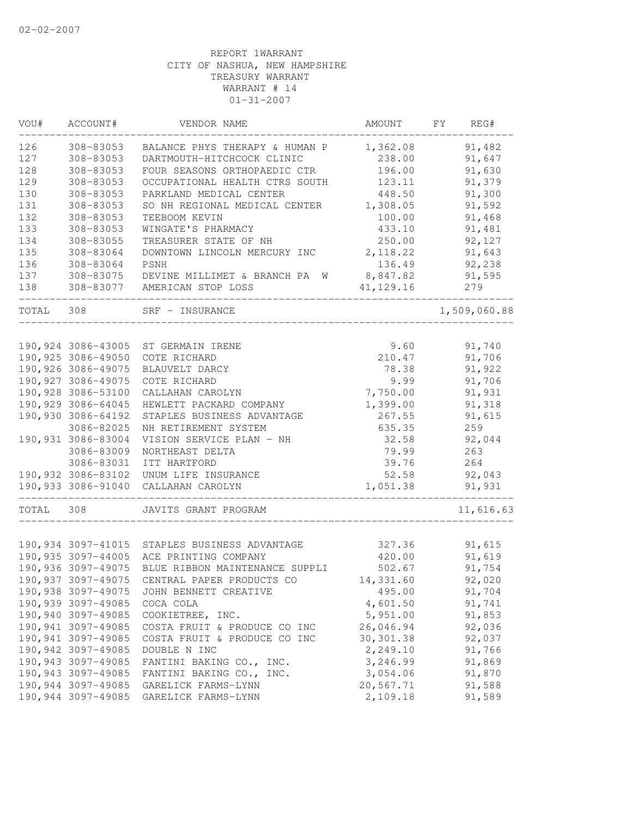| VOU#  | ACCOUNT#            | VENDOR NAME                                   | AMOUNT     | FY | REG#         |
|-------|---------------------|-----------------------------------------------|------------|----|--------------|
| 126   | 308-83053           | BALANCE PHYS THERAPY & HUMAN P                | 1,362.08   |    | 91,482       |
| 127   | 308-83053           | DARTMOUTH-HITCHCOCK CLINIC                    | 238.00     |    | 91,647       |
| 128   | 308-83053           | FOUR SEASONS ORTHOPAEDIC CTR                  | 196.00     |    | 91,630       |
| 129   | 308-83053           | OCCUPATIONAL HEALTH CTRS SOUTH                | 123.11     |    | 91,379       |
| 130   | 308-83053           | PARKLAND MEDICAL CENTER                       | 448.50     |    | 91,300       |
| 131   | 308-83053           | SO NH REGIONAL MEDICAL CENTER                 | 1,308.05   |    | 91,592       |
| 132   | 308-83053           | TEEBOOM KEVIN                                 | 100.00     |    | 91,468       |
| 133   | 308-83053           | WINGATE'S PHARMACY                            | 433.10     |    | 91,481       |
| 134   | 308-83055           | TREASURER STATE OF NH                         | 250.00     |    | 92,127       |
| 135   | 308-83064           | DOWNTOWN LINCOLN MERCURY INC                  | 2, 118.22  |    | 91,643       |
| 136   | 308-83064           | PSNH                                          | 136.49     |    | 92,238       |
| 137   | 308-83075           | DEVINE MILLIMET & BRANCH PA W                 | 8,847.82   |    | 91,595       |
| 138   |                     | 308-83077 AMERICAN STOP LOSS                  | 41, 129.16 |    | 279          |
| TOTAL | 308                 | SRF - INSURANCE                               |            |    | 1,509,060.88 |
|       |                     |                                               |            |    |              |
|       |                     | 190,924 3086-43005 ST GERMAIN IRENE           | 9.60       |    | 91,740       |
|       | 190,925 3086-49050  | COTE RICHARD                                  | 210.47     |    | 91,706       |
|       | 190,926 3086-49075  | BLAUVELT DARCY                                | 78.38      |    | 91,922       |
|       | 190, 927 3086-49075 | COTE RICHARD                                  | 9.99       |    | 91,706       |
|       | 190,928 3086-53100  | CALLAHAN CAROLYN                              | 7,750.00   |    | 91,931       |
|       | 190,929 3086-64045  | HEWLETT PACKARD COMPANY                       | 1,399.00   |    | 91,318       |
|       | 190,930 3086-64192  | STAPLES BUSINESS ADVANTAGE                    | 267.55     |    | 91,615       |
|       | 3086-82025          | NH RETIREMENT SYSTEM                          | 635.35     |    | 259          |
|       | 190,931 3086-83004  | VISION SERVICE PLAN - NH                      | 32.58      |    | 92,044       |
|       | 3086-83009          | NORTHEAST DELTA                               | 79.99      |    | 263          |
|       | 3086-83031          | ITT HARTFORD                                  | 39.76      |    | 264          |
|       | 190,932 3086-83102  | UNUM LIFE INSURANCE                           | 52.58      |    | 92,043       |
|       | 190,933 3086-91040  | CALLAHAN CAROLYN                              | 1,051.38   |    | 91,931       |
| TOTAL | 308                 | JAVITS GRANT PROGRAM                          |            |    | 11,616.63    |
|       |                     |                                               |            |    |              |
|       |                     | 190,934 3097-41015 STAPLES BUSINESS ADVANTAGE | 327.36     |    | 91,615       |
|       | 190,935 3097-44005  | ACE PRINTING COMPANY                          | 420.00     |    | 91,619       |
|       | 190,936 3097-49075  | BLUE RIBBON MAINTENANCE SUPPLI                | 502.67     |    | 91,754       |
|       |                     | 190,937 3097-49075 CENTRAL PAPER PRODUCTS CO  | 14,331.60  |    | 92,020       |
|       | 190,938 3097-49075  | JOHN BENNETT CREATIVE                         | 495.00     |    | 91,704       |
|       | 190,939 3097-49085  | COCA COLA                                     | 4,601.50   |    | 91,741       |
|       | 190,940 3097-49085  | COOKIETREE, INC.                              | 5,951.00   |    | 91,853       |
|       | 190,941 3097-49085  | COSTA FRUIT & PRODUCE CO INC                  | 26,046.94  |    | 92,036       |
|       | 190,941 3097-49085  | COSTA FRUIT & PRODUCE CO INC                  | 30, 301.38 |    | 92,037       |
|       | 190,942 3097-49085  | DOUBLE N INC                                  | 2,249.10   |    | 91,766       |
|       | 190,943 3097-49085  | FANTINI BAKING CO., INC.                      | 3,246.99   |    | 91,869       |
|       | 190,943 3097-49085  | FANTINI BAKING CO., INC.                      | 3,054.06   |    | 91,870       |
|       | 190,944 3097-49085  | GARELICK FARMS-LYNN                           | 20,567.71  |    | 91,588       |
|       | 190,944 3097-49085  | GARELICK FARMS-LYNN                           | 2,109.18   |    | 91,589       |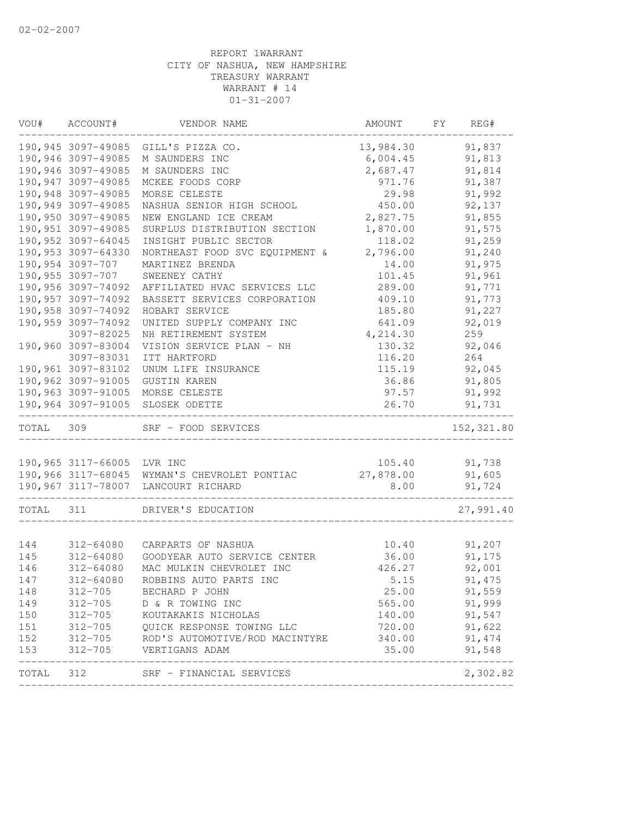| VOU#      | ACCOUNT#                   | VENDOR NAME                                                                          | AMOUNT    | FY | REG#       |
|-----------|----------------------------|--------------------------------------------------------------------------------------|-----------|----|------------|
|           |                            | 190,945 3097-49085 GILL'S PIZZA CO.                                                  | 13,984.30 |    | 91,837     |
|           | 190,946 3097-49085         | M SAUNDERS INC                                                                       | 6,004.45  |    | 91,813     |
|           | 190,946 3097-49085         | M SAUNDERS INC                                                                       | 2,687.47  |    | 91,814     |
|           | 190,947 3097-49085         | MCKEE FOODS CORP                                                                     | 971.76    |    | 91,387     |
|           | 190,948 3097-49085         | MORSE CELESTE                                                                        | 29.98     |    | 91,992     |
|           | 190,949 3097-49085         | NASHUA SENIOR HIGH SCHOOL                                                            | 450.00    |    | 92,137     |
|           | 190,950 3097-49085         | NEW ENGLAND ICE CREAM                                                                | 2,827.75  |    | 91,855     |
|           | 190,951 3097-49085         | SURPLUS DISTRIBUTION SECTION                                                         | 1,870.00  |    | 91,575     |
|           | 190,952 3097-64045         | INSIGHT PUBLIC SECTOR                                                                | 118.02    |    | 91,259     |
|           | 190,953 3097-64330         | NORTHEAST FOOD SVC EQUIPMENT &                                                       | 2,796.00  |    | 91,240     |
|           | 190,954 3097-707           | MARTINEZ BRENDA                                                                      | 14.00     |    | 91,975     |
|           | 190,955 3097-707           | SWEENEY CATHY                                                                        | 101.45    |    | 91,961     |
|           | 190,956 3097-74092         | AFFILIATED HVAC SERVICES LLC                                                         | 289.00    |    | 91,771     |
|           | 190,957 3097-74092         | BASSETT SERVICES CORPORATION                                                         | 409.10    |    | 91,773     |
|           | 190,958 3097-74092         | HOBART SERVICE                                                                       | 185.80    |    | 91,227     |
|           | 190,959 3097-74092         | UNITED SUPPLY COMPANY INC                                                            | 641.09    |    | 92,019     |
|           | 3097-82025                 | NH RETIREMENT SYSTEM                                                                 | 4,214.30  |    | 259        |
|           | 190,960 3097-83004         | VISION SERVICE PLAN - NH                                                             | 130.32    |    | 92,046     |
|           | 3097-83031                 | ITT HARTFORD                                                                         | 116.20    |    | 264        |
|           | 190,961 3097-83102         | UNUM LIFE INSURANCE                                                                  | 115.19    |    | 92,045     |
|           | 190,962 3097-91005         | <b>GUSTIN KAREN</b>                                                                  | 36.86     |    | 91,805     |
|           | 190,963 3097-91005         | MORSE CELESTE                                                                        | 97.57     |    | 91,992     |
|           | 190,964 3097-91005         | SLOSEK ODETTE                                                                        | 26.70     |    | 91,731     |
| TOTAL 309 |                            | SRF - FOOD SERVICES                                                                  |           |    | 152,321.80 |
|           |                            |                                                                                      |           |    |            |
|           | 190,965 3117-66005 LVR INC |                                                                                      | 105.40    |    | 91,738     |
|           |                            | 190,966 3117-68045 WYMAN'S CHEVROLET PONTIAC                                         | 27,878.00 |    | 91,605     |
|           |                            | 190,967 3117-78007 LANCOURT RICHARD<br>_______________________<br>__________________ | 8.00      |    | 91,724     |
| TOTAL     | 311                        | DRIVER'S EDUCATION                                                                   |           |    | 27,991.40  |
|           |                            |                                                                                      |           |    |            |
| 144       | 312-64080                  | CARPARTS OF NASHUA                                                                   | 10.40     |    | 91,207     |
| 145       | 312-64080                  | GOODYEAR AUTO SERVICE CENTER                                                         | 36.00     |    | 91,175     |
| 146       | 312-64080                  | MAC MULKIN CHEVROLET INC                                                             | 426.27    |    | 92,001     |
| 147       | 312-64080                  | ROBBINS AUTO PARTS INC                                                               | 5.15      |    | 91, 475    |
| 148       | 312-705                    | BECHARD P JOHN                                                                       | 25.00     |    | 91,559     |
| 149       | 312-705                    | D & R TOWING INC                                                                     | 565.00    |    | 91,999     |
| 150       | $312 - 705$                | KOUTAKAKIS NICHOLAS                                                                  | 140.00    |    | 91,547     |
| 151       | $312 - 705$                | QUICK RESPONSE TOWING LLC                                                            | 720.00    |    | 91,622     |
| 152       | 312-705                    | ROD'S AUTOMOTIVE/ROD MACINTYRE                                                       | 340.00    |    | 91, 474    |
| 153       | $312 - 705$                | VERTIGANS ADAM                                                                       | 35.00     |    | 91,548     |
| TOTAL     | 312                        | SRF - FINANCIAL SERVICES                                                             |           |    | 2,302.82   |
|           |                            |                                                                                      |           |    |            |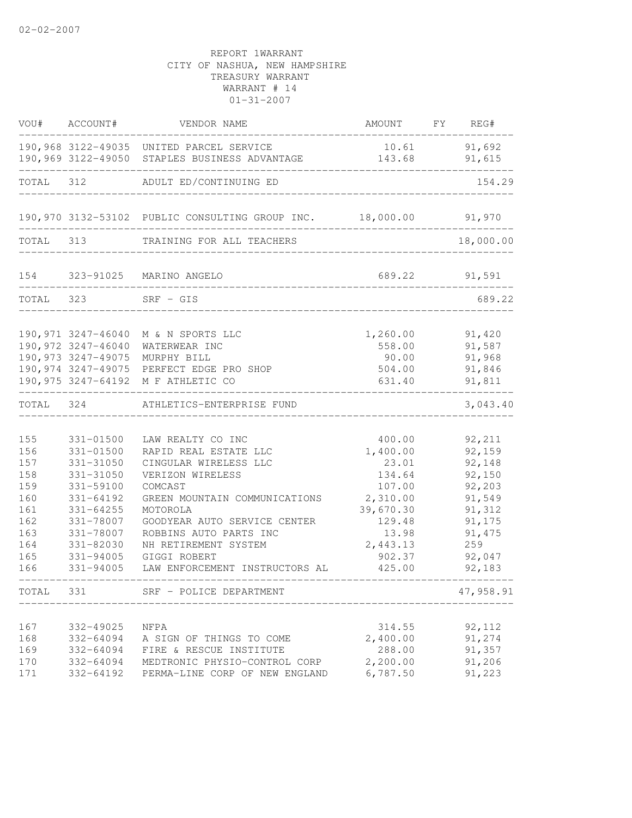|                                                                                  | VOU# ACCOUNT#                                                                                                                                                    | VENDOR NAME                                                                                                                                                                                                                                                                         | AMOUNT FY REG#                                                                                                                                             |                                                                                                                    |
|----------------------------------------------------------------------------------|------------------------------------------------------------------------------------------------------------------------------------------------------------------|-------------------------------------------------------------------------------------------------------------------------------------------------------------------------------------------------------------------------------------------------------------------------------------|------------------------------------------------------------------------------------------------------------------------------------------------------------|--------------------------------------------------------------------------------------------------------------------|
|                                                                                  |                                                                                                                                                                  | 190,968 3122-49035 UNITED PARCEL SERVICE<br>190,969 3122-49050 STAPLES BUSINESS ADVANTAGE                                                                                                                                                                                           | 10.61 91,692<br>143.68                                                                                                                                     | 91,615                                                                                                             |
| TOTAL 312                                                                        | __________________                                                                                                                                               | ADULT ED/CONTINUING ED                                                                                                                                                                                                                                                              |                                                                                                                                                            | 154.29                                                                                                             |
|                                                                                  |                                                                                                                                                                  | 190,970 3132-53102 PUBLIC CONSULTING GROUP INC. 18,000.00 91,970                                                                                                                                                                                                                    |                                                                                                                                                            |                                                                                                                    |
| TOTAL 313                                                                        |                                                                                                                                                                  | TRAINING FOR ALL TEACHERS                                                                                                                                                                                                                                                           |                                                                                                                                                            | 18,000.00                                                                                                          |
|                                                                                  |                                                                                                                                                                  | 154 323-91025 MARINO ANGELO                                                                                                                                                                                                                                                         | 689.22                                                                                                                                                     | 91,591                                                                                                             |
| TOTAL 323                                                                        |                                                                                                                                                                  | $SRF - GIS$                                                                                                                                                                                                                                                                         |                                                                                                                                                            | 689.22                                                                                                             |
|                                                                                  | 190,972 3247-46040<br>190,973 3247-49075                                                                                                                         | 190,971 3247-46040 M & N SPORTS LLC<br>WATERWEAR INC<br>MURPHY BILL<br>190,974 3247-49075 PERFECT EDGE PRO SHOP<br>190,975 3247-64192 M F ATHLETIC CO                                                                                                                               | 1,260.00<br>558.00<br>90.00<br>504.00<br>631.40                                                                                                            | 91,420<br>91,587<br>91,968<br>91,846<br>91,811                                                                     |
|                                                                                  |                                                                                                                                                                  | TOTAL 324 ATHLETICS-ENTERPRISE FUND                                                                                                                                                                                                                                                 |                                                                                                                                                            | 3,043.40                                                                                                           |
| 155<br>156<br>157<br>158<br>159<br>160<br>161<br>162<br>163<br>164<br>165<br>166 | 331-01500<br>$331 - 01500$<br>331-31050<br>331-31050<br>331-59100<br>331-64192<br>$331 - 64255$<br>331-78007<br>331-78007<br>331-82030<br>331-94005<br>331-94005 | LAW REALTY CO INC<br>RAPID REAL ESTATE LLC<br>CINGULAR WIRELESS LLC<br>VERIZON WIRELESS<br>COMCAST<br>GREEN MOUNTAIN COMMUNICATIONS<br>MOTOROLA<br>GOODYEAR AUTO SERVICE CENTER<br>ROBBINS AUTO PARTS INC<br>NH RETIREMENT SYSTEM<br>GIGGI ROBERT<br>LAW ENFORCEMENT INSTRUCTORS AL | 400.00<br>1,400.00<br>23.01<br>134.64<br>107.00<br>2,310.00<br>39,670.30<br>129.48<br>13.98<br>2,443.13<br>902.37<br>425.00<br>$\qquad \qquad - - - - - -$ | 92,211<br>92,159<br>92,148<br>92,150<br>92,203<br>91,549<br>91,312<br>91,175<br>91, 475<br>259<br>92,047<br>92,183 |
| TOTAL                                                                            | 331                                                                                                                                                              | SRF - POLICE DEPARTMENT                                                                                                                                                                                                                                                             |                                                                                                                                                            | 47,958.91                                                                                                          |
| 167<br>168<br>169<br>170<br>171                                                  | 332-49025<br>332-64094<br>332-64094<br>332-64094<br>332-64192                                                                                                    | NFPA<br>A SIGN OF THINGS TO COME<br>FIRE & RESCUE INSTITUTE<br>MEDTRONIC PHYSIO-CONTROL CORP<br>PERMA-LINE CORP OF NEW ENGLAND                                                                                                                                                      | 314.55<br>2,400.00<br>288.00<br>2,200.00<br>6,787.50                                                                                                       | 92,112<br>91,274<br>91,357<br>91,206<br>91,223                                                                     |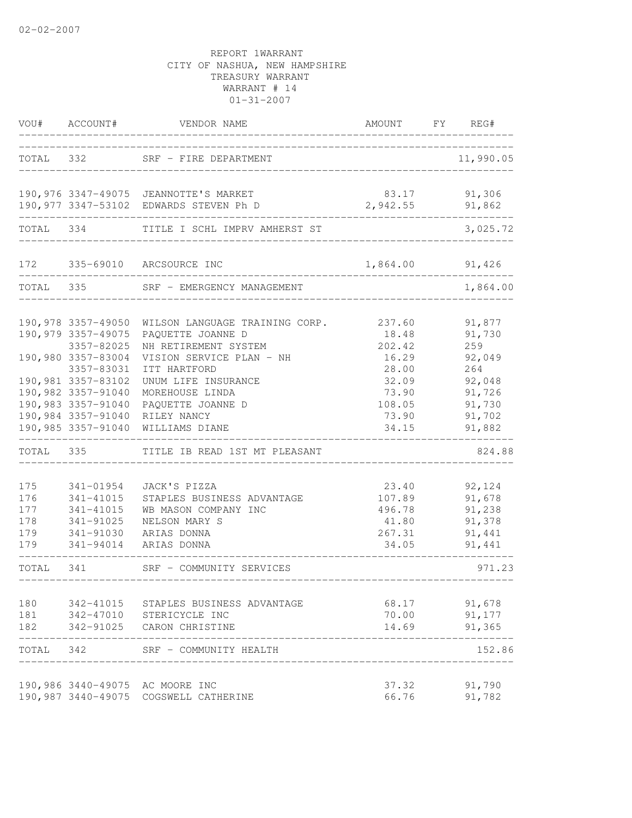| VOU#      | ACCOUNT#                         | VENDOR NAME                                                             | AMOUNT FY         | REG#               |
|-----------|----------------------------------|-------------------------------------------------------------------------|-------------------|--------------------|
| TOTAL     | 332                              | SRF - FIRE DEPARTMENT                                                   |                   | 11,990.05          |
|           |                                  | 190,976 3347-49075 JEANNOTTE'S MARKET                                   | 83.17             | 91,306             |
| TOTAL 334 |                                  | 190,977 3347-53102 EDWARDS STEVEN Ph D<br>TITLE I SCHL IMPRV AMHERST ST | 2,942.55          | 91,862<br>3,025.72 |
|           |                                  |                                                                         |                   |                    |
|           |                                  | 172 335-69010 ARCSOURCE INC                                             | 1,864.00          | 91,426             |
| TOTAL 335 |                                  | SRF - EMERGENCY MANAGEMENT                                              |                   | 1,864.00           |
|           | 190,978 3357-49050               | WILSON LANGUAGE TRAINING CORP.                                          | 237.60            | 91,877             |
|           | 190,979 3357-49075               | PAQUETTE JOANNE D                                                       | 18.48             | 91,730             |
|           | 3357-82025                       | NH RETIREMENT SYSTEM                                                    | 202.42            | 259                |
|           | 190,980 3357-83004<br>3357-83031 | VISION SERVICE PLAN - NH<br>ITT HARTFORD                                | 16.29<br>28.00    | 92,049<br>264      |
|           | 190,981 3357-83102               | UNUM LIFE INSURANCE                                                     | 32.09             | 92,048             |
|           | 190,982 3357-91040               | MOREHOUSE LINDA                                                         | 73.90             | 91,726             |
|           | 190,983 3357-91040               | PAQUETTE JOANNE D                                                       | 108.05            | 91,730             |
|           |                                  | 190,984 3357-91040 RILEY NANCY                                          | 73.90             | 91,702             |
|           | 190,985 3357-91040               | WILLIAMS DIANE                                                          | 34.15             | 91,882             |
| TOTAL 335 |                                  | TITLE IB READ 1ST MT PLEASANT                                           |                   | 824.88             |
| 175       | 341-01954                        | JACK'S PIZZA                                                            | 23.40             | 92,124             |
| 176       | 341-41015                        | STAPLES BUSINESS ADVANTAGE                                              | 107.89            | 91,678             |
| 177       | 341-41015                        | WB MASON COMPANY INC                                                    | 496.78            | 91,238             |
| 178       | 341-91025                        | NELSON MARY S                                                           | 41.80             | 91,378             |
| 179       | 341-91030                        | ARIAS DONNA                                                             | 267.31            | 91,441             |
| 179       | 341-94014                        | ARIAS DONNA                                                             | 34.05             | 91,441             |
| TOTAL     | 341                              | SRF - COMMUNITY SERVICES                                                | _________________ | 971.23             |
| 180       |                                  | 342-41015 STAPLES BUSINESS ADVANTAGE                                    |                   | 68.17 91,678       |
|           |                                  | 181 342-47010 STERICYCLE INC                                            | 70.00             | 91,177             |
|           |                                  | 182 342-91025 CARON CHRISTINE                                           | 14.69             | 91,365             |
| TOTAL 342 |                                  | SRF - COMMUNITY HEALTH                                                  |                   | 152.86             |
|           |                                  | 190,986 3440-49075 AC MOORE INC                                         | 37.32             | 91,790             |
|           |                                  | 190,987 3440-49075 COGSWELL CATHERINE                                   | 66.76             | 91,782             |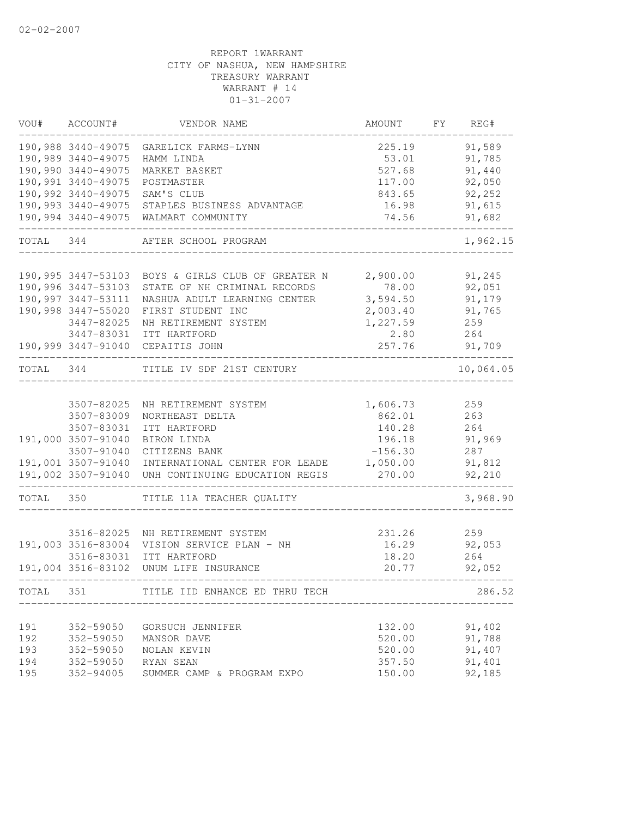| VOU#      | ACCOUNT#                                 | VENDOR NAME                                       | AMOUNT               | FY | REG#       |
|-----------|------------------------------------------|---------------------------------------------------|----------------------|----|------------|
|           |                                          | 190,988 3440-49075 GARELICK FARMS-LYNN            | 225.19               |    | 91,589     |
|           | 190,989 3440-49075                       | HAMM LINDA                                        | 53.01                |    | 91,785     |
|           | 190,990 3440-49075                       | MARKET BASKET                                     | 527.68               |    | 91,440     |
|           | 190,991 3440-49075                       | POSTMASTER                                        | 117.00               |    | 92,050     |
|           | 190,992 3440-49075                       | SAM'S CLUB                                        | 843.65               |    | 92,252     |
|           | 190,993 3440-49075                       | STAPLES BUSINESS ADVANTAGE                        | 16.98                |    | 91,615     |
|           | 190,994 3440-49075                       | WALMART COMMUNITY                                 | 74.56                |    | 91,682     |
| TOTAL 344 |                                          | AFTER SCHOOL PROGRAM                              |                      |    | 1,962.15   |
|           |                                          |                                                   |                      |    |            |
|           | 190,995 3447-53103                       | BOYS & GIRLS CLUB OF GREATER N                    | 2,900.00             |    | 91,245     |
|           | 190,996 3447-53103<br>190,997 3447-53111 | STATE OF NH CRIMINAL RECORDS                      | 78.00                |    | 92,051     |
|           |                                          | NASHUA ADULT LEARNING CENTER                      | 3,594.50             |    | 91,179     |
|           | 190,998 3447-55020<br>3447-82025         | FIRST STUDENT INC<br>NH RETIREMENT SYSTEM         | 2,003.40<br>1,227.59 |    | 91,765     |
|           |                                          | 3447-83031 ITT HARTFORD                           | 2.80                 |    | 259<br>264 |
|           |                                          | 190,999 3447-91040 CEPAITIS JOHN                  | 257.76               |    | 91,709     |
|           |                                          |                                                   |                      |    |            |
| TOTAL 344 |                                          | TITLE IV SDF 21ST CENTURY                         |                      |    | 10,064.05  |
|           | 3507-82025                               | NH RETIREMENT SYSTEM                              | 1,606.73             |    | 259        |
|           | 3507-83009                               | NORTHEAST DELTA                                   | 862.01               |    | 263        |
|           | 3507-83031                               | ITT HARTFORD                                      | 140.28               |    | 264        |
|           | 191,000 3507-91040                       | BIRON LINDA                                       | 196.18               |    | 91,969     |
|           | 3507-91040                               | CITIZENS BANK                                     | $-156.30$            |    | 287        |
|           |                                          | 191,001 3507-91040 INTERNATIONAL CENTER FOR LEADE | 1,050.00             |    | 91,812     |
|           | 191,002 3507-91040                       | UNH CONTINUING EDUCATION REGIS                    | 270.00               |    | 92,210     |
| TOTAL     | 350                                      | TITLE 11A TEACHER QUALITY                         |                      |    | 3,968.90   |
|           |                                          |                                                   |                      |    |            |
|           |                                          | 3516-82025 NH RETIREMENT SYSTEM                   | 231.26               |    | 259        |
|           | 191,003 3516-83004                       | VISION SERVICE PLAN - NH                          | 16.29                |    | 92,053     |
|           | 3516-83031                               | ITT HARTFORD                                      | 18.20                |    | 264        |
|           |                                          | 191,004 3516-83102 UNUM LIFE INSURANCE            | 20.77                |    | 92,052     |
| TOTAL     | 351                                      | TITLE IID ENHANCE ED THRU TECH                    |                      |    | 286.52     |
| 191       | 352-59050                                | GORSUCH JENNIFER                                  | 132.00               |    | 91,402     |
| 192       | 352-59050                                | MANSOR DAVE                                       | 520.00               |    | 91,788     |
| 193       | 352-59050                                | NOLAN KEVIN                                       | 520.00               |    | 91,407     |
| 194       | 352-59050                                | RYAN SEAN                                         | 357.50               |    | 91,401     |
| 195       | 352-94005                                | SUMMER CAMP & PROGRAM EXPO                        | 150.00               |    | 92,185     |
|           |                                          |                                                   |                      |    |            |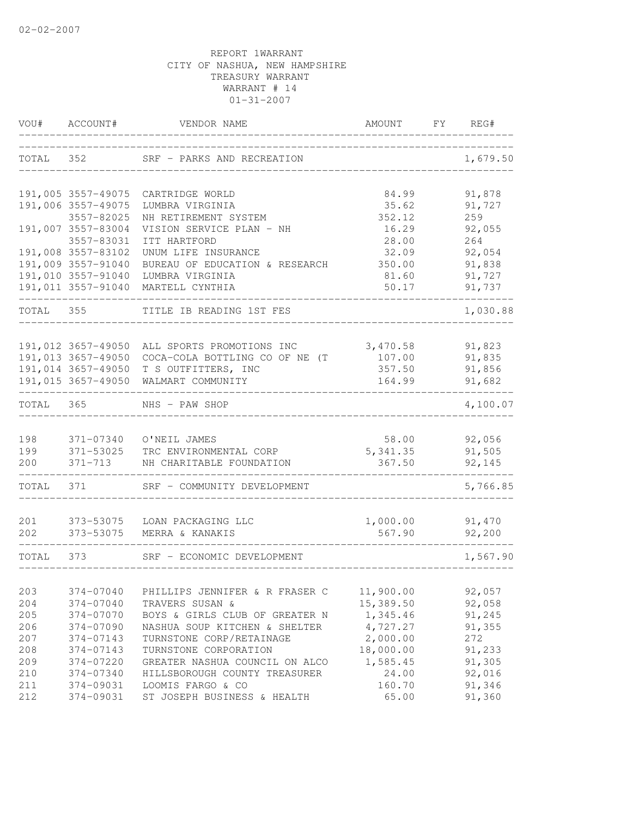| VOU#       | ACCOUNT#                                 | VENDOR NAME                                           | AMOUNT           | FY | REG#             |
|------------|------------------------------------------|-------------------------------------------------------|------------------|----|------------------|
| TOTAL      | 352                                      | SRF - PARKS AND RECREATION                            |                  |    | 1,679.50         |
|            | 191,005 3557-49075                       | CARTRIDGE WORLD                                       | 84.99            |    | 91,878           |
|            | 191,006 3557-49075                       | LUMBRA VIRGINIA                                       | 35.62            |    | 91,727           |
|            | 3557-82025                               | NH RETIREMENT SYSTEM                                  | 352.12           |    | 259              |
|            | 191,007 3557-83004                       | VISION SERVICE PLAN - NH                              | 16.29            |    | 92,055           |
|            | 3557-83031                               | ITT HARTFORD                                          | 28.00            |    | 264              |
|            | 191,008 3557-83102                       | UNUM LIFE INSURANCE                                   | 32.09            |    | 92,054           |
|            | 191,009 3557-91040                       | BUREAU OF EDUCATION & RESEARCH                        | 350.00           |    | 91,838           |
|            | 191,010 3557-91040                       | LUMBRA VIRGINIA                                       | 81.60            |    | 91,727           |
|            | 191,011 3557-91040                       | MARTELL CYNTHIA                                       | 50.17            |    | 91,737           |
| TOTAL      | 355                                      | TITLE IB READING 1ST FES                              |                  |    | 1,030.88         |
|            |                                          |                                                       |                  |    |                  |
|            | 191,012 3657-49050<br>191,013 3657-49050 | ALL SPORTS PROMOTIONS INC                             | 3,470.58         |    | 91,823<br>91,835 |
|            | 191,014 3657-49050                       | COCA-COLA BOTTLING CO OF NE (T<br>T S OUTFITTERS, INC | 107.00<br>357.50 |    | 91,856           |
|            | 191,015 3657-49050                       | WALMART COMMUNITY                                     | 164.99           |    | 91,682           |
|            |                                          |                                                       |                  |    |                  |
| TOTAL      | 365                                      | NHS - PAW SHOP                                        |                  |    | 4,100.07         |
| 198        | 371-07340                                | O'NEIL JAMES                                          | 58.00            |    | 92,056           |
| 199        | 371-53025                                | TRC ENVIRONMENTAL CORP                                | 5, 341.35        |    | 91,505           |
| 200        | 371-713                                  | NH CHARITABLE FOUNDATION                              | 367.50           |    | 92,145           |
| TOTAL      | 371                                      | SRF - COMMUNITY DEVELOPMENT                           |                  |    | 5,766.85         |
|            |                                          |                                                       |                  |    |                  |
| 201        | 373-53075                                | LOAN PACKAGING LLC                                    | 1,000.00         |    | 91,470           |
| 202        | 373-53075                                | MERRA & KANAKIS                                       | 567.90           |    | 92,200           |
| TOTAL      | 373                                      | SRF - ECONOMIC DEVELOPMENT                            |                  |    | 1,567.90         |
|            |                                          |                                                       |                  |    |                  |
| 203        | 374-07040                                | PHILLIPS JENNIFER & R FRASER C                        | 11,900.00        |    | 92,057           |
| 204        | 374-07040                                | TRAVERS SUSAN &                                       | 15,389.50        |    | 92,058           |
| 205        | 374-07070                                | BOYS & GIRLS CLUB OF GREATER N                        | 1,345.46         |    | 91,245           |
| 206        | 374-07090                                | NASHUA SOUP KITCHEN & SHELTER                         | 4,727.27         |    | 91,355           |
| 207        | 374-07143                                | TURNSTONE CORP/RETAINAGE                              | 2,000.00         |    | 272              |
| 208        | 374-07143                                | TURNSTONE CORPORATION                                 | 18,000.00        |    | 91,233           |
| 209        | 374-07220                                | GREATER NASHUA COUNCIL ON ALCO                        | 1,585.45         |    | 91,305           |
| 210        | 374-07340                                | HILLSBOROUGH COUNTY TREASURER                         | 24.00            |    | 92,016           |
| 211<br>212 | 374-09031<br>374-09031                   | LOOMIS FARGO & CO<br>ST JOSEPH BUSINESS & HEALTH      | 160.70<br>65.00  |    | 91,346<br>91,360 |
|            |                                          |                                                       |                  |    |                  |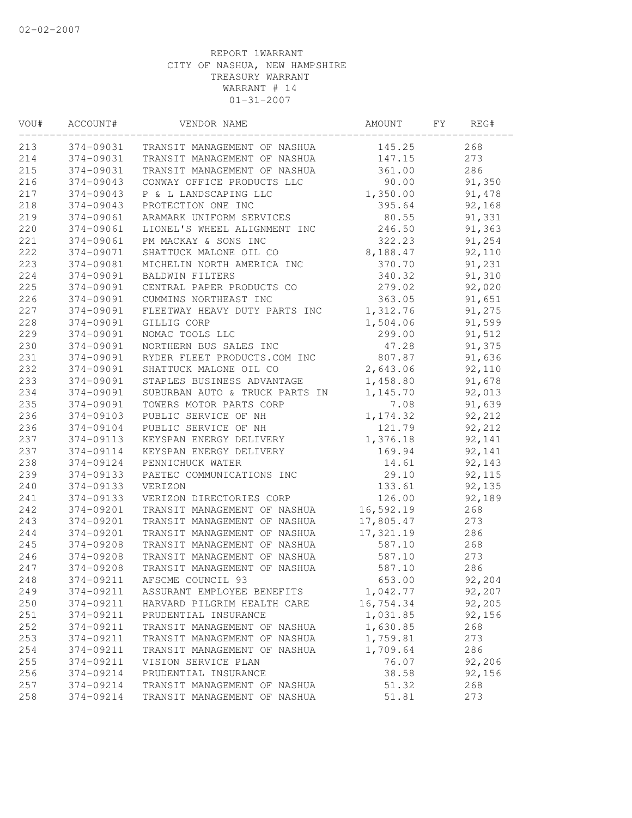| VOU# | ACCOUNT#  | VENDOR NAME                    | AMOUNT    | FY | REG#   |  |
|------|-----------|--------------------------------|-----------|----|--------|--|
| 213  | 374-09031 | TRANSIT MANAGEMENT OF NASHUA   | 145.25    |    | 268    |  |
| 214  | 374-09031 | TRANSIT MANAGEMENT OF NASHUA   | 147.15    |    | 273    |  |
| 215  | 374-09031 | TRANSIT MANAGEMENT OF NASHUA   | 361.00    |    | 286    |  |
| 216  | 374-09043 | CONWAY OFFICE PRODUCTS LLC     | 90.00     |    | 91,350 |  |
| 217  | 374-09043 | P & L LANDSCAPING LLC          | 1,350.00  |    | 91,478 |  |
| 218  | 374-09043 | PROTECTION ONE INC             | 395.64    |    | 92,168 |  |
| 219  | 374-09061 | ARAMARK UNIFORM SERVICES       | 80.55     |    | 91,331 |  |
| 220  | 374-09061 | LIONEL'S WHEEL ALIGNMENT INC   | 246.50    |    | 91,363 |  |
| 221  | 374-09061 | PM MACKAY & SONS INC           | 322.23    |    | 91,254 |  |
| 222  | 374-09071 | SHATTUCK MALONE OIL CO         | 8,188.47  |    | 92,110 |  |
| 223  | 374-09081 | MICHELIN NORTH AMERICA INC     | 370.70    |    | 91,231 |  |
| 224  | 374-09091 | <b>BALDWIN FILTERS</b>         | 340.32    |    | 91,310 |  |
| 225  | 374-09091 | CENTRAL PAPER PRODUCTS CO      | 279.02    |    | 92,020 |  |
| 226  | 374-09091 | CUMMINS NORTHEAST INC          | 363.05    |    | 91,651 |  |
| 227  | 374-09091 | FLEETWAY HEAVY DUTY PARTS INC  | 1,312.76  |    | 91,275 |  |
| 228  | 374-09091 | GILLIG CORP                    | 1,504.06  |    | 91,599 |  |
| 229  | 374-09091 | NOMAC TOOLS LLC                | 299.00    |    | 91,512 |  |
| 230  | 374-09091 | NORTHERN BUS SALES INC         | 47.28     |    | 91,375 |  |
| 231  | 374-09091 | RYDER FLEET PRODUCTS.COM INC   | 807.87    |    | 91,636 |  |
| 232  | 374-09091 | SHATTUCK MALONE OIL CO         | 2,643.06  |    | 92,110 |  |
| 233  | 374-09091 | STAPLES BUSINESS ADVANTAGE     | 1,458.80  |    | 91,678 |  |
| 234  | 374-09091 | SUBURBAN AUTO & TRUCK PARTS IN | 1,145.70  |    | 92,013 |  |
| 235  | 374-09091 | TOWERS MOTOR PARTS CORP        | 7.08      |    | 91,639 |  |
| 236  | 374-09103 | PUBLIC SERVICE OF NH           | 1,174.32  |    | 92,212 |  |
| 236  | 374-09104 | PUBLIC SERVICE OF NH           | 121.79    |    | 92,212 |  |
| 237  | 374-09113 | KEYSPAN ENERGY DELIVERY        | 1,376.18  |    | 92,141 |  |
| 237  | 374-09114 | KEYSPAN ENERGY DELIVERY        | 169.94    |    | 92,141 |  |
| 238  | 374-09124 | PENNICHUCK WATER               | 14.61     |    | 92,143 |  |
| 239  | 374-09133 | PAETEC COMMUNICATIONS INC      | 29.10     |    | 92,115 |  |
| 240  | 374-09133 | VERIZON                        | 133.61    |    | 92,135 |  |
| 241  | 374-09133 | VERIZON DIRECTORIES CORP       | 126.00    |    | 92,189 |  |
| 242  | 374-09201 | TRANSIT MANAGEMENT OF NASHUA   | 16,592.19 |    | 268    |  |
| 243  | 374-09201 | TRANSIT MANAGEMENT OF NASHUA   | 17,805.47 |    | 273    |  |
| 244  | 374-09201 | TRANSIT MANAGEMENT OF NASHUA   | 17,321.19 |    | 286    |  |
| 245  | 374-09208 | TRANSIT MANAGEMENT OF NASHUA   | 587.10    |    | 268    |  |
| 246  | 374-09208 | TRANSIT MANAGEMENT OF NASHUA   | 587.10    |    | 273    |  |
| 247  | 374-09208 | TRANSIT MANAGEMENT OF NASHUA   | 587.10    |    | 286    |  |
| 248  | 374-09211 | AFSCME COUNCIL 93              | 653.00    |    | 92,204 |  |
| 249  | 374-09211 | ASSURANT EMPLOYEE BENEFITS     | 1,042.77  |    | 92,207 |  |
| 250  | 374-09211 | HARVARD PILGRIM HEALTH CARE    | 16,754.34 |    | 92,205 |  |
| 251  | 374-09211 | PRUDENTIAL INSURANCE           | 1,031.85  |    | 92,156 |  |
| 252  | 374-09211 | TRANSIT MANAGEMENT OF NASHUA   | 1,630.85  |    | 268    |  |
| 253  | 374-09211 | TRANSIT MANAGEMENT OF NASHUA   | 1,759.81  |    | 273    |  |
| 254  | 374-09211 | TRANSIT MANAGEMENT OF NASHUA   | 1,709.64  |    | 286    |  |
| 255  | 374-09211 | VISION SERVICE PLAN            | 76.07     |    | 92,206 |  |
| 256  | 374-09214 | PRUDENTIAL INSURANCE           | 38.58     |    | 92,156 |  |
| 257  | 374-09214 | TRANSIT MANAGEMENT OF NASHUA   | 51.32     |    | 268    |  |
| 258  | 374-09214 | TRANSIT MANAGEMENT OF NASHUA   | 51.81     |    | 273    |  |
|      |           |                                |           |    |        |  |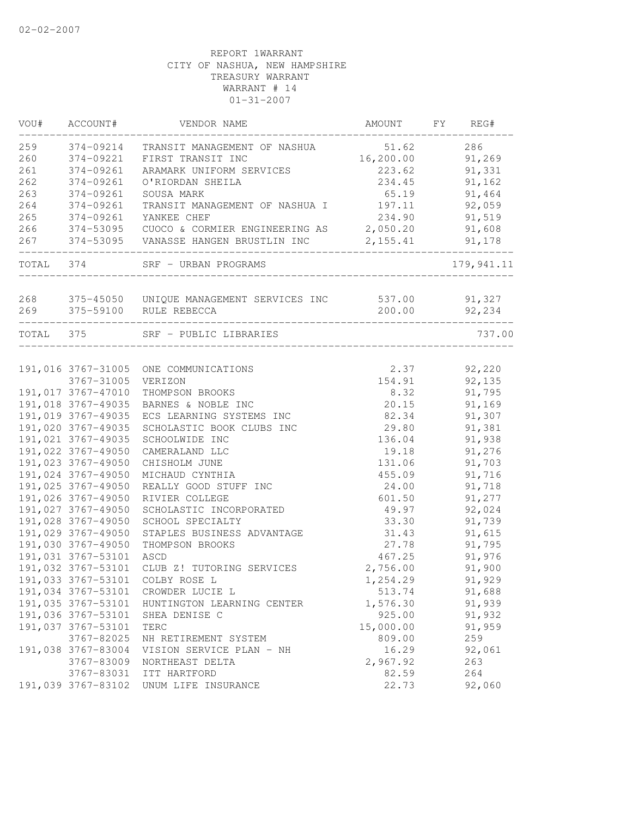| VOU#      | ACCOUNT#                                 | VENDOR NAME                                      | AMOUNT              | FY | REG#             |
|-----------|------------------------------------------|--------------------------------------------------|---------------------|----|------------------|
| 259       | 374-09214                                | TRANSIT MANAGEMENT OF NASHUA                     | 51.62               |    | 286              |
| 260       | 374-09221                                | FIRST TRANSIT INC                                | 16, 200.00          |    | 91,269           |
| 261       | 374-09261                                | ARAMARK UNIFORM SERVICES                         | 223.62              |    | 91,331           |
| 262       | 374-09261                                | O'RIORDAN SHEILA                                 | 234.45              |    | 91,162           |
| 263       | 374-09261                                | SOUSA MARK                                       | 65.19               |    | 91,464           |
| 264       | 374-09261                                | TRANSIT MANAGEMENT OF NASHUA I                   | 197.11              |    | 92,059           |
| 265       | 374-09261                                | YANKEE CHEF                                      | 234.90              |    | 91,519           |
| 266       | 374-53095                                | CUOCO & CORMIER ENGINEERING AS                   | 2,050.20            |    | 91,608           |
| 267       | 374-53095                                | VANASSE HANGEN BRUSTLIN INC                      | 2,155.41            |    | 91,178           |
| TOTAL 374 |                                          | SRF - URBAN PROGRAMS                             |                     |    | 179, 941.11      |
| 268       |                                          | 375-45050 UNIQUE MANAGEMENT SERVICES INC         | 537.00              |    | 91,327           |
| 269       |                                          | 375-59100 RULE REBECCA                           | 200.00              |    | 92,234           |
|           |                                          |                                                  |                     |    |                  |
| TOTAL 375 |                                          | SRF - PUBLIC LIBRARIES                           |                     |    | 737.00           |
|           |                                          |                                                  |                     |    |                  |
|           | 3767-31005                               | 191,016 3767-31005 ONE COMMUNICATIONS<br>VERIZON | 2.37<br>154.91      |    | 92,220<br>92,135 |
|           | 191,017 3767-47010                       | THOMPSON BROOKS                                  | 8.32                |    | 91,795           |
|           | 191,018 3767-49035                       | BARNES & NOBLE INC                               | 20.15               |    | 91,169           |
|           | 191,019 3767-49035                       | ECS LEARNING SYSTEMS INC                         | 82.34               |    | 91,307           |
|           | 191,020 3767-49035                       | SCHOLASTIC BOOK CLUBS INC                        | 29.80               |    | 91,381           |
|           | 191,021 3767-49035                       | SCHOOLWIDE INC                                   | 136.04              |    | 91,938           |
|           | 191,022 3767-49050                       | CAMERALAND LLC                                   | 19.18               |    | 91,276           |
|           | 191,023 3767-49050                       | CHISHOLM JUNE                                    | 131.06              |    | 91,703           |
|           | 191,024 3767-49050                       | MICHAUD CYNTHIA                                  | 455.09              |    | 91,716           |
|           | 191,025 3767-49050                       | REALLY GOOD STUFF INC                            | 24.00               |    | 91,718           |
|           | 191,026 3767-49050                       | RIVIER COLLEGE                                   | 601.50              |    | 91,277           |
|           | 191,027 3767-49050                       | SCHOLASTIC INCORPORATED                          | 49.97               |    | 92,024           |
|           | 191,028 3767-49050                       | SCHOOL SPECIALTY                                 | 33.30               |    | 91,739           |
|           | 191,029 3767-49050                       | STAPLES BUSINESS ADVANTAGE                       | 31.43               |    | 91,615           |
|           | 191,030 3767-49050                       | THOMPSON BROOKS                                  | 27.78               |    | 91,795           |
|           | 191,031 3767-53101                       | ASCD                                             | 467.25              |    | 91,976           |
|           | 191,032 3767-53101                       | CLUB Z! TUTORING SERVICES                        | 2,756.00            |    | 91,900           |
|           |                                          |                                                  |                     |    |                  |
|           | 191,033 3767-53101                       | COLBY ROSE L                                     | 1,254.29            |    | 91,929           |
|           |                                          | 191,034 3767-53101 CROWDER LUCIE L               | 513.74              |    | 91,688           |
|           | 191,035 3767-53101                       | HUNTINGTON LEARNING CENTER                       | 1,576.30            |    | 91,939           |
|           | 191,036 3767-53101<br>191,037 3767-53101 | SHEA DENISE C<br>TERC                            | 925.00<br>15,000.00 |    | 91,932           |
|           |                                          |                                                  |                     |    | 91,959           |
|           | 3767-82025                               | NH RETIREMENT SYSTEM                             | 809.00<br>16.29     |    | 259<br>92,061    |
|           | 191,038 3767-83004<br>3767-83009         | VISION SERVICE PLAN - NH<br>NORTHEAST DELTA      | 2,967.92            |    | 263              |
|           | 3767-83031                               |                                                  | 82.59               |    | 264              |
|           | 191,039 3767-83102                       | ITT HARTFORD<br>UNUM LIFE INSURANCE              | 22.73               |    | 92,060           |
|           |                                          |                                                  |                     |    |                  |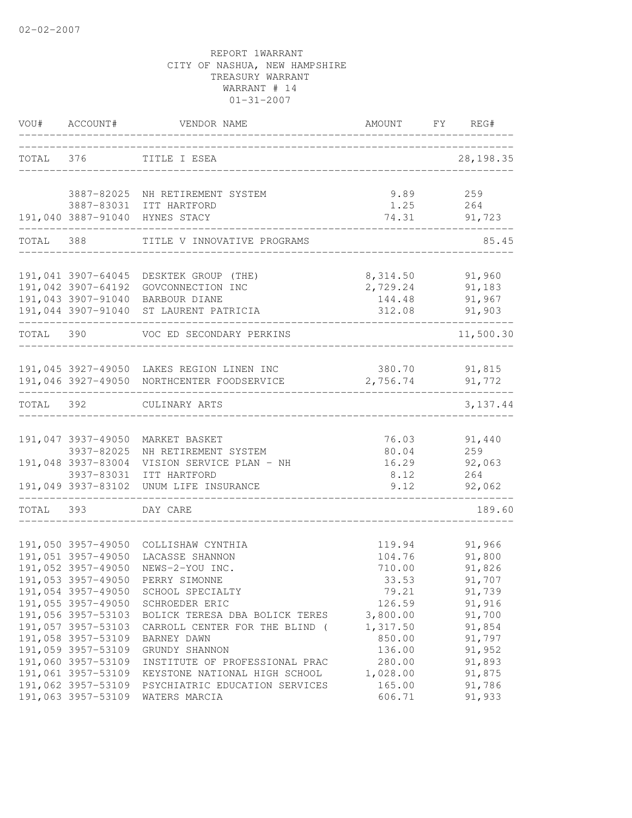| VOU#      | ACCOUNT#                                 | VENDOR NAME                                           |                                 | AMOUNT FY REG#   |
|-----------|------------------------------------------|-------------------------------------------------------|---------------------------------|------------------|
| TOTAL 376 |                                          | TITLE I ESEA                                          |                                 | 28, 198.35       |
|           |                                          | 3887-82025 NH RETIREMENT SYSTEM                       | 9.89                            | 259              |
|           |                                          | 3887-83031 ITT HARTFORD                               | 1.25                            | 264              |
|           |                                          | 191,040 3887-91040 HYNES STACY                        | 74.31<br>______________________ | 91,723           |
| TOTAL 388 |                                          | TITLE V INNOVATIVE PROGRAMS                           |                                 | 85.45            |
|           |                                          |                                                       |                                 |                  |
|           | 191,041 3907-64045                       | DESKTEK GROUP (THE)                                   |                                 | 8,314.50 91,960  |
|           | 191,042 3907-64192                       | GOVCONNECTION INC<br>191,043 3907-91040 BARBOUR DIANE | 2,729.24<br>144.48              | 91,183<br>91,967 |
|           |                                          | 191,044 3907-91040 ST LAURENT PATRICIA                | 312.08                          | 91,903           |
| TOTAL 390 |                                          | VOC ED SECONDARY PERKINS                              |                                 | 11,500.30        |
|           |                                          |                                                       |                                 |                  |
|           |                                          | 191,045 3927-49050 LAKES REGION LINEN INC             | 380.70                          | 91,815           |
|           |                                          | 191,046 3927-49050 NORTHCENTER FOODSERVICE            | 2,756.74                        | 91,772           |
| TOTAL 392 |                                          | CULINARY ARTS                                         |                                 | 3, 137.44        |
|           |                                          |                                                       |                                 |                  |
|           | 191,047 3937-49050                       | MARKET BASKET                                         | 76.03                           | 91,440           |
|           | 3937-82025                               | NH RETIREMENT SYSTEM                                  | 80.04                           | 259              |
|           | 191,048 3937-83004                       | VISION SERVICE PLAN - NH                              | 16.29                           | 92,063           |
|           | 3937-83031<br>191,049 3937-83102         | ITT HARTFORD<br>UNUM LIFE INSURANCE                   | 8.12<br>9.12                    | 264<br>92,062    |
|           |                                          |                                                       |                                 |                  |
| TOTAL 393 |                                          | DAY CARE                                              |                                 | 189.60           |
|           |                                          |                                                       |                                 |                  |
|           | 191,050 3957-49050<br>191,051 3957-49050 | COLLISHAW CYNTHIA                                     | 119.94                          | 91,966           |
|           | 191,052 3957-49050                       | LACASSE SHANNON<br>NEWS-2-YOU INC.                    | 104.76<br>710.00                | 91,800<br>91,826 |
|           | 191,053 3957-49050                       | PERRY SIMONNE                                         | 33.53                           | 91,707           |
|           | 191,054 3957-49050                       | SCHOOL SPECIALTY                                      | 79.21                           | 91,739           |
|           | 191,055 3957-49050                       | SCHROEDER ERIC                                        | 126.59                          | 91,916           |
|           | 191,056 3957-53103                       | BOLICK TERESA DBA BOLICK TERES                        | 3,800.00                        | 91,700           |
|           | 191,057 3957-53103                       | CARROLL CENTER FOR THE BLIND (                        | 1,317.50                        | 91,854           |
|           | 191,058 3957-53109                       | BARNEY DAWN                                           | 850.00                          | 91,797           |
|           | 191,059 3957-53109                       | GRUNDY SHANNON                                        | 136.00                          | 91,952           |
|           | 191,060 3957-53109                       | INSTITUTE OF PROFESSIONAL PRAC                        | 280.00                          | 91,893           |
|           | 191,061 3957-53109                       | KEYSTONE NATIONAL HIGH SCHOOL                         | 1,028.00                        | 91,875           |
|           | 191,062 3957-53109                       | PSYCHIATRIC EDUCATION SERVICES                        | 165.00                          | 91,786           |
|           | 191,063 3957-53109                       | WATERS MARCIA                                         | 606.71                          | 91,933           |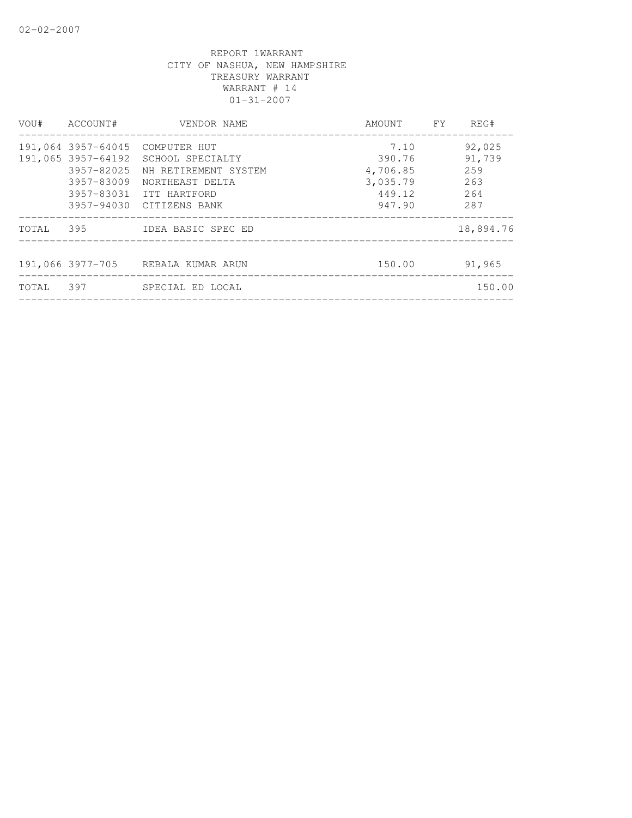|       | VOU# ACCOUNT#            | VENDOR NAME                                                                                                                                                              | AMOUNT FY                                                  | REG#                                         |
|-------|--------------------------|--------------------------------------------------------------------------------------------------------------------------------------------------------------------------|------------------------------------------------------------|----------------------------------------------|
|       | 3957-82025<br>3957-83009 | 191,064 3957-64045 COMPUTER HUT<br>191,065 3957-64192 SCHOOL SPECIALTY<br>NH RETIREMENT SYSTEM<br>NORTHEAST DELTA<br>3957-83031 ITT HARTFORD<br>3957-94030 CITIZENS BANK | 7.10<br>390.76<br>4,706.85<br>3,035.79<br>449.12<br>947.90 | 92,025<br>91,739<br>259<br>263<br>264<br>287 |
|       |                          | TOTAL 395 IDEA BASIC SPEC ED                                                                                                                                             |                                                            | 18,894.76                                    |
|       |                          | 191,066 3977-705 REBALA KUMAR ARUN<br>_______________________________                                                                                                    | 150.00                                                     | 91,965                                       |
| TOTAL | 397                      | SPECIAL ED LOCAL                                                                                                                                                         |                                                            | 150.00                                       |
|       |                          |                                                                                                                                                                          |                                                            |                                              |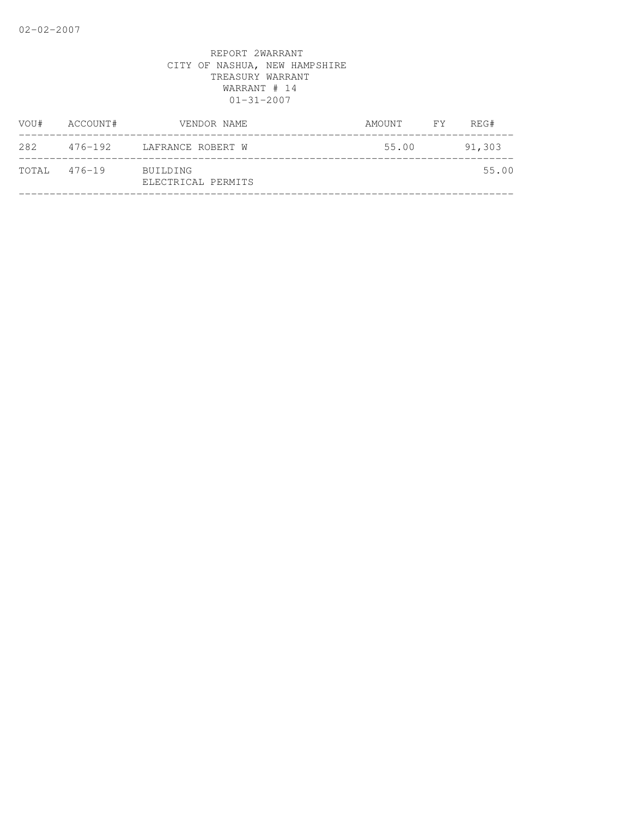| VOU#         | ACCOUNT# | VENDOR NAME                    | AMOUNT FY | REG#   |
|--------------|----------|--------------------------------|-----------|--------|
| 282          |          | 476-192 LAFRANCE ROBERT W      | 55.00     | 91,303 |
| TOTAL 476-19 |          | BUILDING<br>ELECTRICAL PERMITS |           | 55.00  |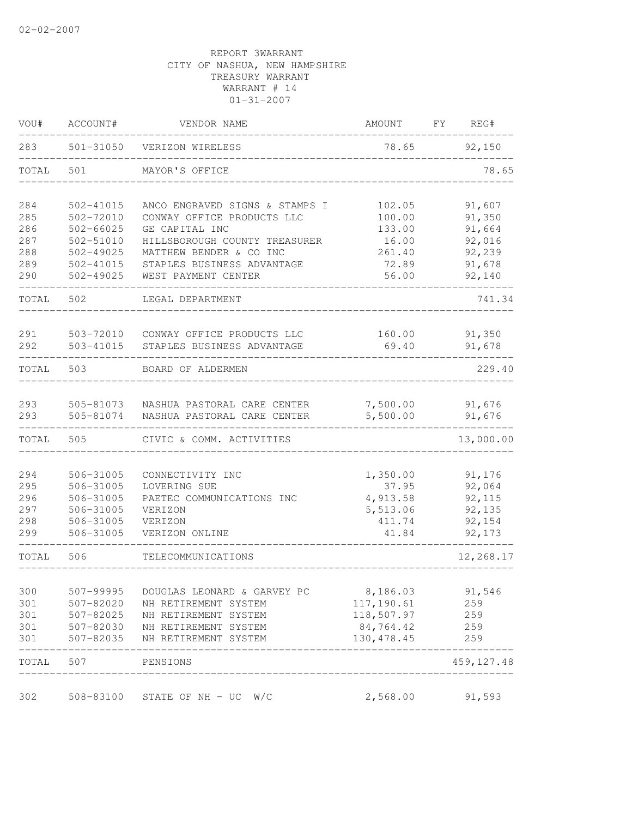| VOU#       | ACCOUNT#               | VENDOR NAME                                                | AMOUNT                 | FΥ | REG#             |
|------------|------------------------|------------------------------------------------------------|------------------------|----|------------------|
| 283        | 501-31050              | VERIZON WIRELESS                                           | 78.65                  |    | 92,150           |
| TOTAL      | 501                    | MAYOR'S OFFICE                                             |                        |    | 78.65            |
| 284        | 502-41015              | ANCO ENGRAVED SIGNS & STAMPS I                             | 102.05                 |    | 91,607           |
| 285        | 502-72010              | CONWAY OFFICE PRODUCTS LLC                                 | 100.00                 |    | 91,350           |
| 286        | $502 - 66025$          | GE CAPITAL INC                                             | 133.00                 |    | 91,664           |
| 287        | 502-51010              | HILLSBOROUGH COUNTY TREASURER                              | 16.00                  |    | 92,016           |
| 288        | 502-49025              | MATTHEW BENDER & CO INC                                    | 261.40                 |    | 92,239           |
| 289        | 502-41015              | STAPLES BUSINESS ADVANTAGE                                 | 72.89                  |    | 91,678           |
| 290        | $502 - 49025$          | WEST PAYMENT CENTER                                        | 56.00                  |    | 92,140           |
| TOTAL      | 502                    | LEGAL DEPARTMENT                                           |                        |    | 741.34           |
| 291        | 503-72010              | CONWAY OFFICE PRODUCTS LLC                                 | 160.00                 |    | 91,350           |
| 292        | 503-41015              | STAPLES BUSINESS ADVANTAGE                                 | 69.40                  |    | 91,678           |
| TOTAL      | 503                    | BOARD OF ALDERMEN                                          |                        |    | 229.40           |
|            |                        |                                                            |                        |    |                  |
| 293<br>293 | 505-81073<br>505-81074 | NASHUA PASTORAL CARE CENTER<br>NASHUA PASTORAL CARE CENTER | 7,500.00<br>5,500.00   |    | 91,676<br>91,676 |
| TOTAL      | 505                    | CIVIC & COMM. ACTIVITIES                                   |                        |    | 13,000.00        |
|            |                        |                                                            |                        |    |                  |
| 294        | 506-31005              | CONNECTIVITY INC                                           | 1,350.00               |    | 91,176           |
| 295        | 506-31005              | LOVERING SUE                                               | 37.95                  |    | 92,064           |
| 296        | 506-31005              | PAETEC COMMUNICATIONS INC                                  | 4,913.58               |    | 92,115           |
| 297        | 506-31005              | VERIZON                                                    | 5,513.06               |    | 92,135           |
| 298        | 506-31005              | VERIZON                                                    | 411.74                 |    | 92,154           |
| 299        | 506-31005              | VERIZON ONLINE                                             | 41.84                  |    | 92,173           |
| TOTAL      | 506                    | TELECOMMUNICATIONS                                         |                        |    | 12,268.17        |
| 300        | 507-99995              |                                                            |                        |    |                  |
| 301        | 507-82020              | DOUGLAS LEONARD & GARVEY PC<br>NH RETIREMENT SYSTEM        | 8,186.03<br>117,190.61 |    | 91,546<br>259    |
| 301        | 507-82025              | NH RETIREMENT SYSTEM                                       | 118,507.97             |    | 259              |
| 301        | 507-82030              | NH RETIREMENT SYSTEM                                       | 84,764.42              |    | 259              |
| 301        | 507-82035              | NH RETIREMENT SYSTEM                                       | 130, 478.45            |    | 259              |
| TOTAL      | 507                    | PENSIONS                                                   |                        |    | 459, 127.48      |
| 302        | 508-83100              |                                                            | 2,568.00               |    | 91,593           |
|            |                        | STATE OF $NH - UC$ W/C                                     |                        |    |                  |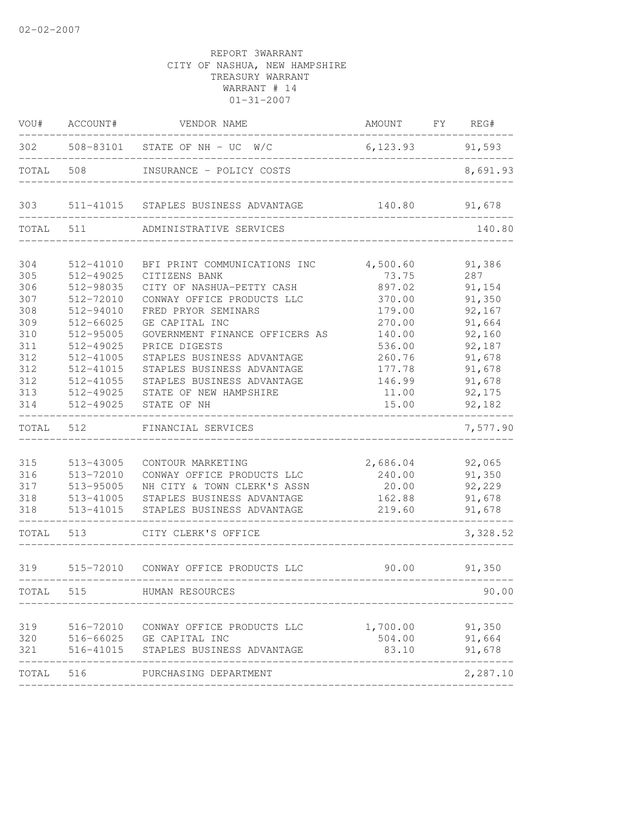| ACCOUNT#  | VENDOR NAME                                                                                                                                                     |                                                                                                                                                                                                                                                                                                                                                                                                                                                                                                                                                                                                                                                                 |                                                                                                                               |                                                                |
|-----------|-----------------------------------------------------------------------------------------------------------------------------------------------------------------|-----------------------------------------------------------------------------------------------------------------------------------------------------------------------------------------------------------------------------------------------------------------------------------------------------------------------------------------------------------------------------------------------------------------------------------------------------------------------------------------------------------------------------------------------------------------------------------------------------------------------------------------------------------------|-------------------------------------------------------------------------------------------------------------------------------|----------------------------------------------------------------|
|           |                                                                                                                                                                 |                                                                                                                                                                                                                                                                                                                                                                                                                                                                                                                                                                                                                                                                 |                                                                                                                               | 91,593                                                         |
| 508       |                                                                                                                                                                 |                                                                                                                                                                                                                                                                                                                                                                                                                                                                                                                                                                                                                                                                 |                                                                                                                               | 8,691.93                                                       |
|           |                                                                                                                                                                 | 140.80                                                                                                                                                                                                                                                                                                                                                                                                                                                                                                                                                                                                                                                          |                                                                                                                               | 91,678                                                         |
| 511       | ADMINISTRATIVE SERVICES                                                                                                                                         |                                                                                                                                                                                                                                                                                                                                                                                                                                                                                                                                                                                                                                                                 |                                                                                                                               | 140.80                                                         |
| 512-41010 | BFI PRINT COMMUNICATIONS INC                                                                                                                                    | 4,500.60                                                                                                                                                                                                                                                                                                                                                                                                                                                                                                                                                                                                                                                        |                                                                                                                               | 91,386                                                         |
| 512-49025 | CITIZENS BANK                                                                                                                                                   | 73.75                                                                                                                                                                                                                                                                                                                                                                                                                                                                                                                                                                                                                                                           |                                                                                                                               | 287                                                            |
| 512-98035 | CITY OF NASHUA-PETTY CASH                                                                                                                                       | 897.02                                                                                                                                                                                                                                                                                                                                                                                                                                                                                                                                                                                                                                                          |                                                                                                                               | 91,154                                                         |
| 512-72010 |                                                                                                                                                                 | 370.00                                                                                                                                                                                                                                                                                                                                                                                                                                                                                                                                                                                                                                                          |                                                                                                                               | 91,350                                                         |
| 512-94010 | FRED PRYOR SEMINARS                                                                                                                                             | 179.00                                                                                                                                                                                                                                                                                                                                                                                                                                                                                                                                                                                                                                                          |                                                                                                                               | 92,167                                                         |
|           |                                                                                                                                                                 |                                                                                                                                                                                                                                                                                                                                                                                                                                                                                                                                                                                                                                                                 |                                                                                                                               | 91,664                                                         |
|           |                                                                                                                                                                 |                                                                                                                                                                                                                                                                                                                                                                                                                                                                                                                                                                                                                                                                 |                                                                                                                               | 92,160                                                         |
|           |                                                                                                                                                                 |                                                                                                                                                                                                                                                                                                                                                                                                                                                                                                                                                                                                                                                                 |                                                                                                                               | 92,187                                                         |
|           |                                                                                                                                                                 |                                                                                                                                                                                                                                                                                                                                                                                                                                                                                                                                                                                                                                                                 |                                                                                                                               | 91,678                                                         |
|           |                                                                                                                                                                 |                                                                                                                                                                                                                                                                                                                                                                                                                                                                                                                                                                                                                                                                 |                                                                                                                               | 91,678<br>91,678                                               |
|           |                                                                                                                                                                 |                                                                                                                                                                                                                                                                                                                                                                                                                                                                                                                                                                                                                                                                 |                                                                                                                               | 92,175                                                         |
| 512-49025 | STATE OF NH                                                                                                                                                     | 15.00                                                                                                                                                                                                                                                                                                                                                                                                                                                                                                                                                                                                                                                           |                                                                                                                               | 92,182                                                         |
| 512       | FINANCIAL SERVICES                                                                                                                                              |                                                                                                                                                                                                                                                                                                                                                                                                                                                                                                                                                                                                                                                                 |                                                                                                                               | 7,577.90                                                       |
|           |                                                                                                                                                                 |                                                                                                                                                                                                                                                                                                                                                                                                                                                                                                                                                                                                                                                                 |                                                                                                                               |                                                                |
| 513-43005 | CONTOUR MARKETING                                                                                                                                               |                                                                                                                                                                                                                                                                                                                                                                                                                                                                                                                                                                                                                                                                 |                                                                                                                               | 92,065                                                         |
|           |                                                                                                                                                                 |                                                                                                                                                                                                                                                                                                                                                                                                                                                                                                                                                                                                                                                                 |                                                                                                                               | 91,350                                                         |
|           |                                                                                                                                                                 |                                                                                                                                                                                                                                                                                                                                                                                                                                                                                                                                                                                                                                                                 |                                                                                                                               | 92,229                                                         |
|           |                                                                                                                                                                 |                                                                                                                                                                                                                                                                                                                                                                                                                                                                                                                                                                                                                                                                 |                                                                                                                               | 91,678                                                         |
|           |                                                                                                                                                                 |                                                                                                                                                                                                                                                                                                                                                                                                                                                                                                                                                                                                                                                                 |                                                                                                                               | 91,678                                                         |
| 513       | CITY CLERK'S OFFICE                                                                                                                                             |                                                                                                                                                                                                                                                                                                                                                                                                                                                                                                                                                                                                                                                                 |                                                                                                                               | 3,328.52                                                       |
|           |                                                                                                                                                                 | 90.00                                                                                                                                                                                                                                                                                                                                                                                                                                                                                                                                                                                                                                                           |                                                                                                                               | 91,350                                                         |
| 515       |                                                                                                                                                                 |                                                                                                                                                                                                                                                                                                                                                                                                                                                                                                                                                                                                                                                                 |                                                                                                                               | 90.00                                                          |
|           |                                                                                                                                                                 |                                                                                                                                                                                                                                                                                                                                                                                                                                                                                                                                                                                                                                                                 |                                                                                                                               |                                                                |
|           |                                                                                                                                                                 |                                                                                                                                                                                                                                                                                                                                                                                                                                                                                                                                                                                                                                                                 |                                                                                                                               |                                                                |
|           |                                                                                                                                                                 |                                                                                                                                                                                                                                                                                                                                                                                                                                                                                                                                                                                                                                                                 |                                                                                                                               | 91,678                                                         |
|           |                                                                                                                                                                 |                                                                                                                                                                                                                                                                                                                                                                                                                                                                                                                                                                                                                                                                 |                                                                                                                               |                                                                |
|           |                                                                                                                                                                 |                                                                                                                                                                                                                                                                                                                                                                                                                                                                                                                                                                                                                                                                 |                                                                                                                               | 2,287.10                                                       |
|           | 302<br>TOTAL<br>$512 - 66025$<br>512-95005<br>512-49025<br>512-41005<br>512-41015<br>512-41055<br>512-49025<br>513-72010<br>513-95005<br>513-41015<br>TOTAL 516 | 508-83101 STATE OF NH - UC W/C<br>INSURANCE - POLICY COSTS<br>511-41015 STAPLES BUSINESS ADVANTAGE<br>CONWAY OFFICE PRODUCTS LLC<br>GE CAPITAL INC<br>GOVERNMENT FINANCE OFFICERS AS<br>PRICE DIGESTS<br>STAPLES BUSINESS ADVANTAGE<br>STAPLES BUSINESS ADVANTAGE<br>STAPLES BUSINESS ADVANTAGE<br>STATE OF NEW HAMPSHIRE<br>CONWAY OFFICE PRODUCTS LLC<br>NH CITY & TOWN CLERK'S ASSN<br>513-41005<br>STAPLES BUSINESS ADVANTAGE<br>STAPLES BUSINESS ADVANTAGE<br>515-72010 CONWAY OFFICE PRODUCTS LLC<br>HUMAN RESOURCES<br>516-72010 CONWAY OFFICE PRODUCTS LLC<br>516-66025 GE CAPITAL INC<br>516-41015 STAPLES BUSINESS ADVANTAGE<br>PURCHASING DEPARTMENT | 270.00<br>140.00<br>536.00<br>260.76<br>177.78<br>146.99<br>11.00<br>2,686.04<br>240.00<br>20.00<br>162.88<br>219.60<br>83.10 | AMOUNT FY REG#<br>6,123.93<br>1,700.00 91,350<br>504.00 91,664 |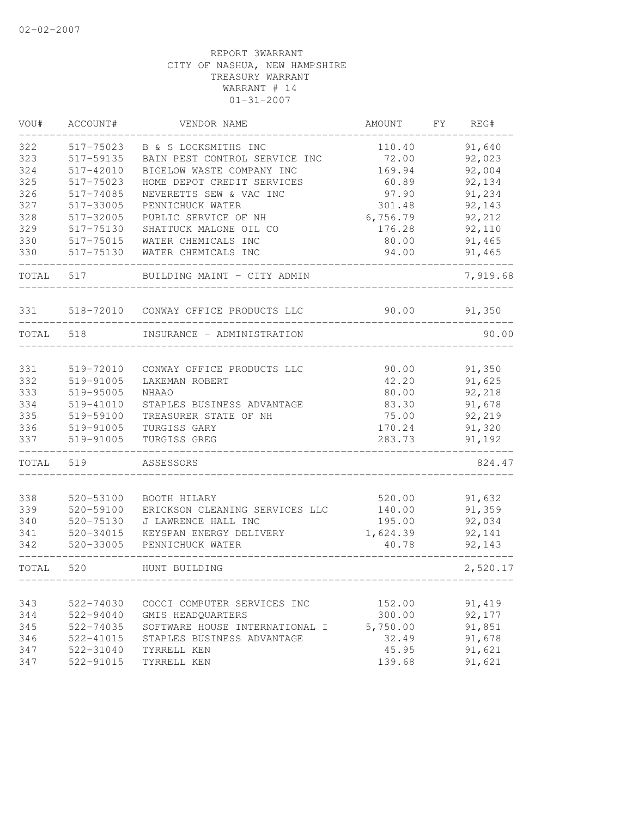| VOU#  | ACCOUNT#      | VENDOR NAME                    | AMOUNT   | FY | REG#     |
|-------|---------------|--------------------------------|----------|----|----------|
| 322   | 517-75023     | B & S LOCKSMITHS INC           | 110.40   |    | 91,640   |
| 323   | 517-59135     | BAIN PEST CONTROL SERVICE INC  | 72.00    |    | 92,023   |
| 324   | 517-42010     | BIGELOW WASTE COMPANY INC      | 169.94   |    | 92,004   |
| 325   | 517-75023     | HOME DEPOT CREDIT SERVICES     | 60.89    |    | 92,134   |
| 326   | 517-74085     | NEVERETTS SEW & VAC INC        | 97.90    |    | 91,234   |
| 327   | 517-33005     | PENNICHUCK WATER               | 301.48   |    | 92,143   |
| 328   | 517-32005     | PUBLIC SERVICE OF NH           | 6,756.79 |    | 92,212   |
| 329   | 517-75130     | SHATTUCK MALONE OIL CO         | 176.28   |    | 92,110   |
| 330   | 517-75015     | WATER CHEMICALS INC            | 80.00    |    | 91,465   |
| 330   | 517-75130     | WATER CHEMICALS INC            | 94.00    |    | 91,465   |
| TOTAL | 517           | BUILDING MAINT - CITY ADMIN    |          |    | 7,919.68 |
| 331   | 518-72010     | CONWAY OFFICE PRODUCTS LLC     | 90.00    |    | 91,350   |
| TOTAL | 518           | INSURANCE - ADMINISTRATION     |          |    | 90.00    |
|       |               |                                |          |    |          |
| 331   | 519-72010     | CONWAY OFFICE PRODUCTS LLC     | 90.00    |    | 91,350   |
| 332   | 519-91005     | LAKEMAN ROBERT                 | 42.20    |    | 91,625   |
| 333   | 519-95005     | <b>NHAAO</b>                   | 80.00    |    | 92,218   |
| 334   | 519-41010     | STAPLES BUSINESS ADVANTAGE     | 83.30    |    | 91,678   |
| 335   | 519-59100     | TREASURER STATE OF NH          | 75.00    |    | 92,219   |
| 336   | 519-91005     | TURGISS GARY                   | 170.24   |    | 91,320   |
| 337   | 519-91005     | TURGISS GREG                   | 283.73   |    | 91,192   |
| TOTAL | 519           | ASSESSORS                      |          |    | 824.47   |
| 338   | 520-53100     | BOOTH HILARY                   | 520.00   |    | 91,632   |
| 339   | 520-59100     | ERICKSON CLEANING SERVICES LLC | 140.00   |    | 91,359   |
| 340   | 520-75130     | J LAWRENCE HALL INC            | 195.00   |    | 92,034   |
| 341   | $520 - 34015$ | KEYSPAN ENERGY DELIVERY        | 1,624.39 |    | 92,141   |
| 342   | 520-33005     | PENNICHUCK WATER               | 40.78    |    | 92,143   |
| TOTAL | 520           | HUNT BUILDING                  |          |    | 2,520.17 |
|       |               |                                |          |    |          |
| 343   | 522-74030     | COCCI COMPUTER SERVICES INC    | 152.00   |    | 91,419   |
| 344   | 522-94040     | GMIS HEADQUARTERS              | 300.00   |    | 92,177   |
| 345   | 522-74035     | SOFTWARE HOUSE INTERNATIONAL I | 5,750.00 |    | 91,851   |
| 346   | 522-41015     | STAPLES BUSINESS ADVANTAGE     | 32.49    |    | 91,678   |
| 347   | 522-31040     | TYRRELL KEN                    | 45.95    |    | 91,621   |
| 347   | 522-91015     | TYRRELL KEN                    | 139.68   |    | 91,621   |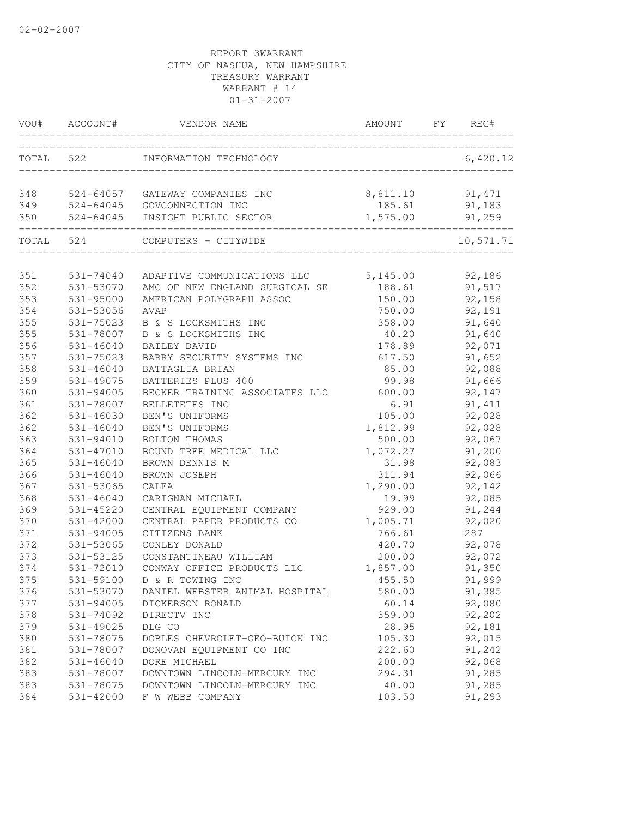| VOU#      | ACCOUNT#      | VENDOR NAME                     | AMOUNT   | FY | REG#      |
|-----------|---------------|---------------------------------|----------|----|-----------|
| TOTAL 522 |               | INFORMATION TECHNOLOGY          |          |    | 6,420.12  |
|           |               |                                 |          |    |           |
| 348       |               | 524-64057 GATEWAY COMPANIES INC | 8,811.10 |    | 91,471    |
| 349       |               | 524-64045 GOVCONNECTION INC     | 185.61   |    | 91,183    |
| 350       | 524-64045     | INSIGHT PUBLIC SECTOR           | 1,575.00 |    | 91,259    |
| TOTAL     | 524           | COMPUTERS - CITYWIDE            |          |    | 10,571.71 |
|           |               |                                 |          |    |           |
| 351       | 531-74040     | ADAPTIVE COMMUNICATIONS LLC     | 5,145.00 |    | 92,186    |
| 352       | 531-53070     | AMC OF NEW ENGLAND SURGICAL SE  | 188.61   |    | 91,517    |
| 353       | 531-95000     | AMERICAN POLYGRAPH ASSOC        | 150.00   |    | 92,158    |
| 354       | 531-53056     | AVAP                            | 750.00   |    | 92,191    |
| 355       | 531-75023     | B & S LOCKSMITHS INC            | 358.00   |    | 91,640    |
| 355       | 531-78007     | B & S LOCKSMITHS INC            | 40.20    |    | 91,640    |
| 356       | 531-46040     | <b>BAILEY DAVID</b>             | 178.89   |    | 92,071    |
| 357       | 531-75023     | BARRY SECURITY SYSTEMS INC      | 617.50   |    | 91,652    |
| 358       | 531-46040     | BATTAGLIA BRIAN                 | 85.00    |    | 92,088    |
| 359       | 531-49075     | BATTERIES PLUS 400              | 99.98    |    | 91,666    |
| 360       | 531-94005     | BECKER TRAINING ASSOCIATES LLC  | 600.00   |    | 92,147    |
| 361       | 531-78007     | BELLETETES INC                  | 6.91     |    | 91, 411   |
| 362       | 531-46030     | BEN'S UNIFORMS                  | 105.00   |    | 92,028    |
| 362       | 531-46040     | BEN'S UNIFORMS                  | 1,812.99 |    | 92,028    |
| 363       | 531-94010     | BOLTON THOMAS                   | 500.00   |    | 92,067    |
| 364       | 531-47010     | BOUND TREE MEDICAL LLC          | 1,072.27 |    | 91,200    |
| 365       | 531-46040     | BROWN DENNIS M                  | 31.98    |    | 92,083    |
| 366       | $531 - 46040$ | BROWN JOSEPH                    | 311.94   |    | 92,066    |
| 367       | 531-53065     | CALEA                           | 1,290.00 |    | 92,142    |
| 368       | 531-46040     | CARIGNAN MICHAEL                | 19.99    |    | 92,085    |
| 369       | 531-45220     | CENTRAL EQUIPMENT COMPANY       | 929.00   |    | 91,244    |
| 370       | 531-42000     | CENTRAL PAPER PRODUCTS CO       | 1,005.71 |    | 92,020    |
| 371       | 531-94005     | CITIZENS BANK                   | 766.61   |    | 287       |
| 372       | 531-53065     | CONLEY DONALD                   | 420.70   |    | 92,078    |
| 373       | 531-53125     | CONSTANTINEAU WILLIAM           | 200.00   |    | 92,072    |
| 374       | 531-72010     | CONWAY OFFICE PRODUCTS LLC      | 1,857.00 |    | 91,350    |
| 375       | 531-59100     | D & R TOWING INC                | 455.50   |    | 91,999    |
| 376       | 531-53070     | DANIEL WEBSTER ANIMAL HOSPITAL  | 580.00   |    | 91,385    |
| 377       | 531-94005     | DICKERSON RONALD                | 60.14    |    | 92,080    |
| 378       | 531-74092     | DIRECTV INC                     | 359.00   |    | 92,202    |
| 379       | 531-49025     | DLG CO                          | 28.95    |    | 92,181    |
| 380       | 531-78075     | DOBLES CHEVROLET-GEO-BUICK INC  | 105.30   |    | 92,015    |
| 381       | 531-78007     | DONOVAN EQUIPMENT CO INC        | 222.60   |    | 91,242    |
| 382       | $531 - 46040$ | DORE MICHAEL                    | 200.00   |    | 92,068    |
| 383       | 531-78007     | DOWNTOWN LINCOLN-MERCURY INC    | 294.31   |    | 91,285    |
| 383       | 531-78075     | DOWNTOWN LINCOLN-MERCURY INC    | 40.00    |    | 91,285    |
| 384       | $531 - 42000$ | F W WEBB COMPANY                | 103.50   |    | 91,293    |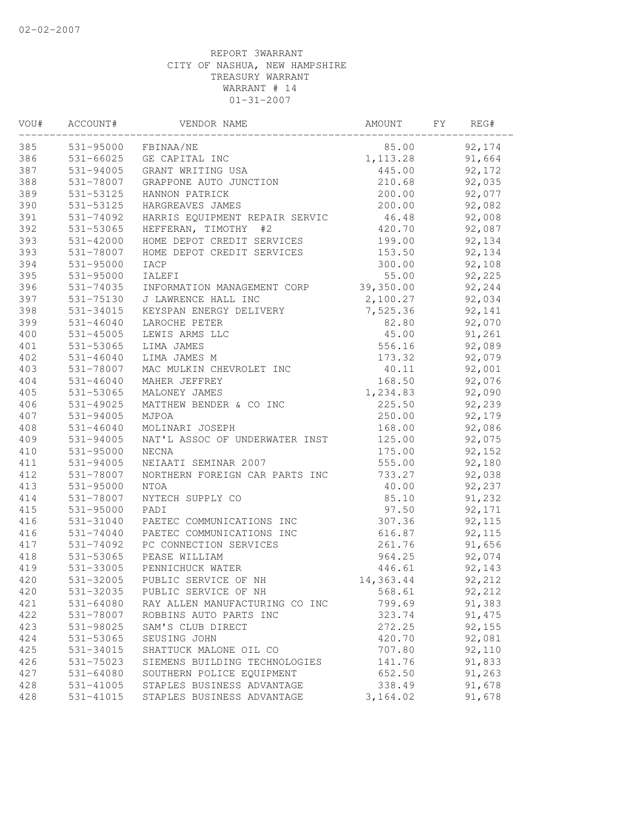| VOU# | ACCOUNT#      | VENDOR NAME                    | AMOUNT    | FY | REG#    |  |
|------|---------------|--------------------------------|-----------|----|---------|--|
| 385  | 531-95000     | FBINAA/NE                      | 85.00     |    | 92,174  |  |
| 386  | 531-66025     | GE CAPITAL INC                 | 1, 113.28 |    | 91,664  |  |
| 387  | 531-94005     | GRANT WRITING USA              | 445.00    |    | 92,172  |  |
| 388  | 531-78007     | GRAPPONE AUTO JUNCTION         | 210.68    |    | 92,035  |  |
| 389  | 531-53125     | HANNON PATRICK                 | 200.00    |    | 92,077  |  |
| 390  | 531-53125     | HARGREAVES JAMES               | 200.00    |    | 92,082  |  |
| 391  | 531-74092     | HARRIS EQUIPMENT REPAIR SERVIC | 46.48     |    | 92,008  |  |
| 392  | 531-53065     | HEFFERAN, TIMOTHY<br>#2        | 420.70    |    | 92,087  |  |
| 393  | $531 - 42000$ | HOME DEPOT CREDIT SERVICES     | 199.00    |    | 92,134  |  |
| 393  | 531-78007     | HOME DEPOT CREDIT SERVICES     | 153.50    |    | 92,134  |  |
| 394  | 531-95000     | IACP                           | 300.00    |    | 92,108  |  |
| 395  | 531-95000     | IALEFI                         | 55.00     |    | 92,225  |  |
| 396  | 531-74035     | INFORMATION MANAGEMENT CORP    | 39,350.00 |    | 92,244  |  |
| 397  | 531-75130     | J LAWRENCE HALL INC            | 2,100.27  |    | 92,034  |  |
| 398  | 531-34015     | KEYSPAN ENERGY DELIVERY        | 7,525.36  |    | 92,141  |  |
| 399  | $531 - 46040$ | LAROCHE PETER                  | 82.80     |    | 92,070  |  |
| 400  | $531 - 45005$ | LEWIS ARMS LLC                 | 45.00     |    | 91,261  |  |
| 401  | 531-53065     | LIMA JAMES                     | 556.16    |    | 92,089  |  |
| 402  | 531-46040     | LIMA JAMES M                   | 173.32    |    | 92,079  |  |
| 403  | 531-78007     | MAC MULKIN CHEVROLET INC       | 40.11     |    | 92,001  |  |
| 404  | $531 - 46040$ | MAHER JEFFREY                  | 168.50    |    | 92,076  |  |
| 405  | 531-53065     | MALONEY JAMES                  | 1,234.83  |    | 92,090  |  |
| 406  | 531-49025     | MATTHEW BENDER & CO INC        | 225.50    |    | 92,239  |  |
| 407  | 531-94005     | MJPOA                          | 250.00    |    | 92,179  |  |
| 408  | $531 - 46040$ | MOLINARI JOSEPH                | 168.00    |    | 92,086  |  |
| 409  | 531-94005     | NAT'L ASSOC OF UNDERWATER INST | 125.00    |    | 92,075  |  |
| 410  | 531-95000     | NECNA                          | 175.00    |    | 92,152  |  |
| 411  | 531-94005     | NEIAATI SEMINAR 2007           | 555.00    |    | 92,180  |  |
| 412  | 531-78007     | NORTHERN FOREIGN CAR PARTS INC | 733.27    |    | 92,038  |  |
| 413  | 531-95000     | <b>NTOA</b>                    | 40.00     |    | 92,237  |  |
| 414  | 531-78007     | NYTECH SUPPLY CO               | 85.10     |    | 91,232  |  |
| 415  | 531-95000     | PADI                           | 97.50     |    | 92,171  |  |
| 416  | 531-31040     | PAETEC COMMUNICATIONS INC      | 307.36    |    | 92,115  |  |
| 416  | 531-74040     | PAETEC COMMUNICATIONS INC      | 616.87    |    | 92,115  |  |
| 417  | 531-74092     | PC CONNECTION SERVICES         | 261.76    |    | 91,656  |  |
| 418  | 531-53065     | PEASE WILLIAM                  | 964.25    |    | 92,074  |  |
| 419  | 531-33005     | PENNICHUCK WATER               | 446.61    |    | 92,143  |  |
| 420  | 531-32005     | PUBLIC SERVICE OF NH           | 14,363.44 |    | 92,212  |  |
| 420  | 531-32035     | PUBLIC SERVICE OF NH           | 568.61    |    | 92,212  |  |
| 421  | $531 - 64080$ | RAY ALLEN MANUFACTURING CO INC | 799.69    |    | 91,383  |  |
| 422  | 531-78007     | ROBBINS AUTO PARTS INC         | 323.74    |    | 91, 475 |  |
| 423  | 531-98025     | SAM'S CLUB DIRECT              | 272.25    |    | 92,155  |  |
| 424  | 531-53065     | SEUSING JOHN                   | 420.70    |    | 92,081  |  |
| 425  | 531-34015     | SHATTUCK MALONE OIL CO         | 707.80    |    | 92,110  |  |
| 426  | 531-75023     | SIEMENS BUILDING TECHNOLOGIES  | 141.76    |    | 91,833  |  |
| 427  | 531-64080     | SOUTHERN POLICE EQUIPMENT      | 652.50    |    | 91,263  |  |
| 428  | 531-41005     | STAPLES BUSINESS ADVANTAGE     | 338.49    |    | 91,678  |  |
| 428  | 531-41015     | STAPLES BUSINESS ADVANTAGE     | 3,164.02  |    | 91,678  |  |
|      |               |                                |           |    |         |  |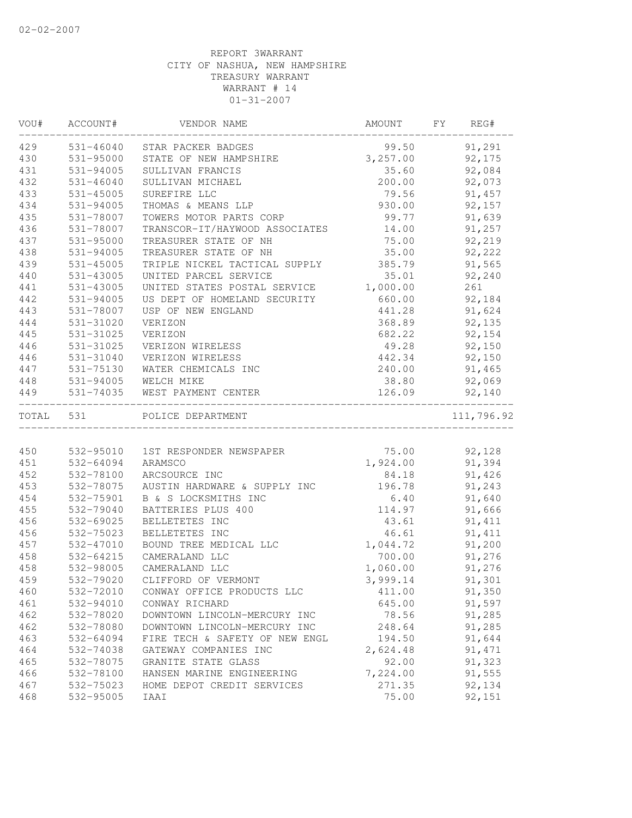| VOU#      | ACCOUNT#             | VENDOR NAME                            | AMOUNT          | FY | REG#          |
|-----------|----------------------|----------------------------------------|-----------------|----|---------------|
| 429       |                      | 531-46040 STAR PACKER BADGES           | 99.50           |    | 91,291        |
| 430       | 531-95000            | STATE OF NEW HAMPSHIRE 3,257.00 92,175 |                 |    |               |
| 431       | 531-94005            | SULLIVAN FRANCIS                       | 35.60           |    | 92,084        |
| 432       | 531-46040            | SULLIVAN MICHAEL                       | 200.00          |    | 92,073        |
| 433       | 531-45005            | SUREFIRE LLC                           | 79.56           |    | 91,457        |
| 434       | 531-94005            | THOMAS & MEANS LLP                     | 930.00          |    | 92,157        |
| 435       | 531-78007            | TOWERS MOTOR PARTS CORP                | 99.77           |    | 91,639        |
| 436       | 531-78007            | TRANSCOR-IT/HAYWOOD ASSOCIATES         | 14.00           |    | 91,257        |
| 437       | 531-95000            | TREASURER STATE OF NH                  | 75.00           |    | 92,219        |
| 438       | 531-94005            | TREASURER STATE OF NH                  | 35.00           |    | 92,222        |
| 439       | 531-45005            | TRIPLE NICKEL TACTICAL SUPPLY 385.79   |                 |    | 91,565        |
| 440       | 531-43005            | UNITED PARCEL SERVICE                  | 35.01           |    | 92,240        |
| 441       | 531-43005            | UNITED STATES POSTAL SERVICE           | 1,000.00        |    | 261           |
| 442       | 531-94005            | US DEPT OF HOMELAND SECURITY           | 660.00          |    | 92,184        |
| 443       | 531-78007            | USP OF NEW ENGLAND                     | 441.28          |    | 91,624        |
| 444       | 531-31020            | VERIZON                                | 368.89          |    | 92,135        |
| 445       | 531-31025            | VERIZON                                | 682.22          |    | 92,154        |
| 446       | 531-31025            | VERIZON WIRELESS                       | 49.28           |    | 92,150        |
| 446       | 531-31040            | VERIZON WIRELESS                       | 442.34          |    | 92,150        |
| 447       | 531-75130            | WATER CHEMICALS INC                    |                 |    | 240.00 91,465 |
| 448       | 531-94005 WELCH MIKE |                                        | 38.80           |    | 92,069        |
| 449       |                      | 531-74035 WEST PAYMENT CENTER          | 126.09          |    | 92,140        |
| TOTAL 531 |                      | POLICE DEPARTMENT                      |                 |    | 111,796.92    |
|           |                      |                                        |                 |    |               |
| 450       | 532-95010            | 1ST RESPONDER NEWSPAPER                |                 |    | 75.00 92,128  |
| 451       | 532-64094            | ARAMSCO                                | 1,924.00 91,394 |    |               |
| 452       | 532-78100            | ARCSOURCE INC                          |                 |    | 84.18 91,426  |
| 453       | 532-78075            | AUSTIN HARDWARE & SUPPLY INC           | 196.78          |    | 91,243        |
| 454       | 532-75901            | B & S LOCKSMITHS INC                   | 6.40            |    | 91,640        |
| 455       | 532-79040            | BATTERIES PLUS 400                     | 114.97          |    | 91,666        |
| 456       | 532-69025            | BELLETETES INC                         | 43.61           |    | 91, 411       |
| 456       | 532-75023            | BELLETETES INC                         | 46.61           |    | 91, 411       |
| 457       | 532-47010            | BOUND TREE MEDICAL LLC                 | 1,044.72        |    | 91,200        |
| 458       | 532-64215            | CAMERALAND LLC                         | 700.00          |    | 91,276        |
| 458       | 532-98005            | CAMERALAND LLC                         | 1,060.00        |    | 91,276        |
| 459       | 532-79020            | CLIFFORD OF VERMONT                    | 3,999.14        |    | 91,301        |
| 460       | 532-72010            | CONWAY OFFICE PRODUCTS LLC             | 411.00          |    | 91,350        |
| 461       | 532-94010            | CONWAY RICHARD                         | 645.00          |    | 91,597        |
| 462       | 532-78020            | DOWNTOWN LINCOLN-MERCURY INC           | 78.56           |    | 91,285        |
| 462       | 532-78080            | DOWNTOWN LINCOLN-MERCURY INC           | 248.64          |    | 91,285        |
| 463       | 532-64094            | FIRE TECH & SAFETY OF NEW ENGL         | 194.50          |    | 91,644        |
| 464       | 532-74038            | GATEWAY COMPANIES INC                  | 2,624.48        |    | 91, 471       |
| 465       | 532-78075            | GRANITE STATE GLASS                    | 92.00           |    | 91,323        |
| 466       | 532-78100            | HANSEN MARINE ENGINEERING              | 7,224.00        |    | 91,555        |
| 467       | 532-75023            | HOME DEPOT CREDIT SERVICES             | 271.35          |    | 92,134        |
| 468       | 532-95005            | IAAI                                   | 75.00           |    | 92,151        |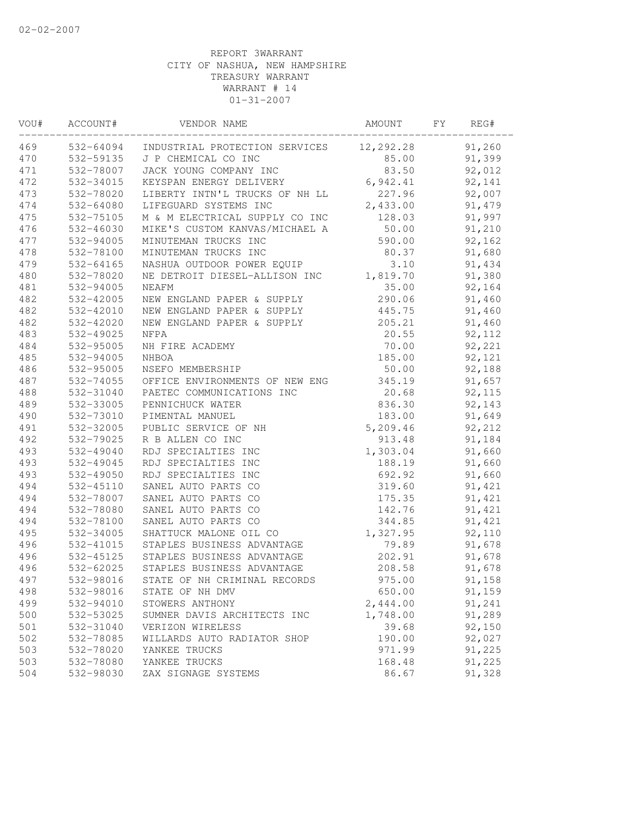| VOU# | ACCOUNT#  | VENDOR NAME                            | AMOUNT    | FY | REG#    |  |
|------|-----------|----------------------------------------|-----------|----|---------|--|
| 469  | 532-64094 | INDUSTRIAL PROTECTION SERVICES         | 12,292.28 |    | 91,260  |  |
| 470  | 532-59135 | J P CHEMICAL CO INC                    | 85.00     |    | 91,399  |  |
| 471  | 532-78007 | JACK YOUNG COMPANY INC                 | 83.50     |    | 92,012  |  |
| 472  | 532-34015 | KEYSPAN ENERGY DELIVERY                | 6,942.41  |    | 92,141  |  |
| 473  | 532-78020 | LIBERTY INTN'L TRUCKS OF NH LL         | 227.96    |    | 92,007  |  |
| 474  | 532-64080 | LIFEGUARD SYSTEMS INC                  | 2,433.00  |    | 91,479  |  |
| 475  | 532-75105 | M & M ELECTRICAL SUPPLY CO INC         | 128.03    |    | 91,997  |  |
| 476  | 532-46030 | MIKE'S CUSTOM KANVAS/MICHAEL A         | 50.00     |    | 91,210  |  |
| 477  | 532-94005 | MINUTEMAN TRUCKS INC                   | 590.00    |    | 92,162  |  |
| 478  | 532-78100 | MINUTEMAN TRUCKS INC                   | 80.37     |    | 91,680  |  |
| 479  | 532-64165 | NASHUA OUTDOOR POWER EQUIP             | 3.10      |    | 91,434  |  |
| 480  | 532-78020 | NE DETROIT DIESEL-ALLISON INC 1,819.70 |           |    | 91,380  |  |
| 481  | 532-94005 | NEAFM                                  | 35.00     |    | 92,164  |  |
| 482  | 532-42005 | NEW ENGLAND PAPER & SUPPLY             | 290.06    |    | 91,460  |  |
| 482  | 532-42010 | NEW ENGLAND PAPER & SUPPLY             | 445.75    |    | 91,460  |  |
| 482  | 532-42020 | NEW ENGLAND PAPER & SUPPLY             | 205.21    |    | 91,460  |  |
| 483  | 532-49025 | NFPA                                   | 20.55     |    | 92, 112 |  |
| 484  | 532-95005 | NH FIRE ACADEMY                        | 70.00     |    | 92,221  |  |
| 485  | 532-94005 | NHBOA                                  | 185.00    |    | 92,121  |  |
| 486  | 532-95005 | NSEFO MEMBERSHIP                       | 50.00     |    | 92,188  |  |
| 487  | 532-74055 | OFFICE ENVIRONMENTS OF NEW ENG         | 345.19    |    | 91,657  |  |
| 488  | 532-31040 | PAETEC COMMUNICATIONS INC              | 20.68     |    | 92,115  |  |
| 489  | 532-33005 | PENNICHUCK WATER                       | 836.30    |    | 92,143  |  |
| 490  | 532-73010 | PIMENTAL MANUEL                        | 183.00    |    | 91,649  |  |
| 491  | 532-32005 | PUBLIC SERVICE OF NH                   | 5,209.46  |    | 92,212  |  |
| 492  | 532-79025 | R B ALLEN CO INC                       | 913.48    |    | 91,184  |  |
| 493  | 532-49040 | RDJ SPECIALTIES INC                    | 1,303.04  |    | 91,660  |  |
| 493  | 532-49045 | RDJ SPECIALTIES INC                    | 188.19    |    | 91,660  |  |
| 493  | 532-49050 | RDJ SPECIALTIES INC                    | 692.92    |    | 91,660  |  |
| 494  | 532-45110 | SANEL AUTO PARTS CO                    | 319.60    |    | 91,421  |  |
| 494  | 532-78007 | SANEL AUTO PARTS CO                    | 175.35    |    | 91,421  |  |
| 494  | 532-78080 | SANEL AUTO PARTS CO                    | 142.76    |    | 91,421  |  |
| 494  | 532-78100 | SANEL AUTO PARTS CO                    | 344.85    |    | 91,421  |  |
| 495  | 532-34005 | SHATTUCK MALONE OIL CO                 | 1,327.95  |    | 92,110  |  |
| 496  | 532-41015 | STAPLES BUSINESS ADVANTAGE             | 79.89     |    | 91,678  |  |
| 496  | 532-45125 | STAPLES BUSINESS ADVANTAGE             | 202.91    |    | 91,678  |  |
| 496  | 532-62025 | STAPLES BUSINESS ADVANTAGE             | 208.58    |    | 91,678  |  |
| 497  |           | 532-98016 STATE OF NH CRIMINAL RECORDS | 975.00    |    | 91,158  |  |
| 498  | 532-98016 | STATE OF NH DMV                        | 650.00    |    | 91,159  |  |
| 499  | 532-94010 | STOWERS ANTHONY                        | 2,444.00  |    | 91,241  |  |
| 500  | 532-53025 | SUMNER DAVIS ARCHITECTS INC            | 1,748.00  |    | 91,289  |  |
| 501  | 532-31040 | VERIZON WIRELESS                       | 39.68     |    | 92,150  |  |
| 502  | 532-78085 | WILLARDS AUTO RADIATOR SHOP            | 190.00    |    | 92,027  |  |
| 503  | 532-78020 | YANKEE TRUCKS                          | 971.99    |    | 91,225  |  |
| 503  | 532-78080 | YANKEE TRUCKS                          | 168.48    |    | 91,225  |  |
| 504  | 532-98030 | ZAX SIGNAGE SYSTEMS                    | 86.67     |    | 91,328  |  |
|      |           |                                        |           |    |         |  |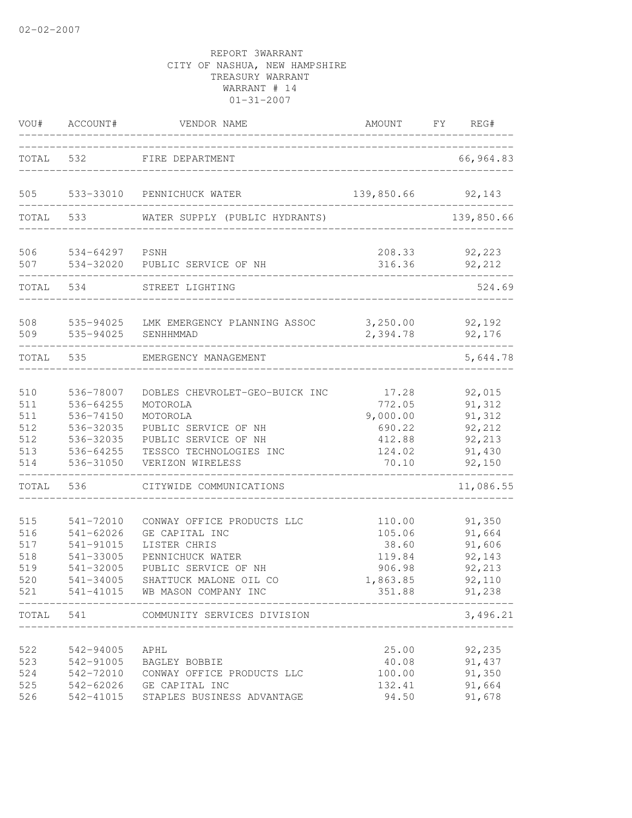| VOU#                                          | ACCOUNT#                                                                                | VENDOR NAME                                                                                                                                                          | AMOUNT                                                              | FY | REG#                                                               |
|-----------------------------------------------|-----------------------------------------------------------------------------------------|----------------------------------------------------------------------------------------------------------------------------------------------------------------------|---------------------------------------------------------------------|----|--------------------------------------------------------------------|
| TOTAL                                         | 532                                                                                     | FIRE DEPARTMENT                                                                                                                                                      |                                                                     |    | 66,964.83                                                          |
| 505                                           | 533-33010                                                                               | PENNICHUCK WATER                                                                                                                                                     | 139,850.66                                                          |    | 92,143                                                             |
| TOTAL                                         | 533                                                                                     | WATER SUPPLY (PUBLIC HYDRANTS)                                                                                                                                       |                                                                     |    | 139,850.66                                                         |
| 506<br>507                                    | 534-64297<br>534-32020                                                                  | PSNH<br>PUBLIC SERVICE OF NH                                                                                                                                         | 208.33<br>316.36                                                    |    | 92,223<br>92,212                                                   |
| TOTAL                                         | 534                                                                                     | STREET LIGHTING                                                                                                                                                      |                                                                     |    | 524.69                                                             |
| 508<br>509                                    | 535-94025<br>535-94025                                                                  | LMK EMERGENCY PLANNING ASSOC<br>SENHHMMAD                                                                                                                            | 3,250.00<br>2,394.78                                                |    | 92,192<br>92,176                                                   |
| TOTAL                                         | 535                                                                                     | EMERGENCY MANAGEMENT                                                                                                                                                 |                                                                     |    | 5,644.78                                                           |
| 510<br>511<br>511<br>512<br>512<br>513<br>514 | 536-78007<br>536-64255<br>536-74150<br>536-32035<br>536-32035<br>536-64255<br>536-31050 | DOBLES CHEVROLET-GEO-BUICK INC<br>MOTOROLA<br>MOTOROLA<br>PUBLIC SERVICE OF NH<br>PUBLIC SERVICE OF NH<br>TESSCO TECHNOLOGIES INC<br>VERIZON WIRELESS                | 17.28<br>772.05<br>9,000.00<br>690.22<br>412.88<br>124.02<br>70.10  |    | 92,015<br>91,312<br>91,312<br>92,212<br>92,213<br>91,430<br>92,150 |
| TOTAL                                         | 536                                                                                     | CITYWIDE COMMUNICATIONS                                                                                                                                              |                                                                     |    | 11,086.55                                                          |
| 515<br>516<br>517<br>518<br>519<br>520<br>521 | 541-72010<br>$541 - 62026$<br>541-91015<br>541-33005<br>541-32005<br>541-34005          | CONWAY OFFICE PRODUCTS LLC<br>GE CAPITAL INC<br>LISTER CHRIS<br>PENNICHUCK WATER<br>PUBLIC SERVICE OF NH<br>SHATTUCK MALONE OIL CO<br>541-41015 WB MASON COMPANY INC | 110.00<br>105.06<br>38.60<br>119.84<br>906.98<br>1,863.85<br>351.88 |    | 91,350<br>91,664<br>91,606<br>92,143<br>92,213<br>92,110<br>91,238 |
| TOTAL                                         | 541                                                                                     | COMMUNITY SERVICES DIVISION                                                                                                                                          |                                                                     |    | 3,496.21                                                           |
| 522<br>523<br>524<br>525<br>526               | 542-94005<br>542-91005<br>542-72010<br>542-41015                                        | APHL<br>BAGLEY BOBBIE<br>CONWAY OFFICE PRODUCTS LLC<br>542-62026 GE CAPITAL INC<br>STAPLES BUSINESS ADVANTAGE                                                        | 25.00<br>40.08<br>100.00<br>132.41<br>94.50                         |    | 92,235<br>91,437<br>91,350<br>91,664<br>91,678                     |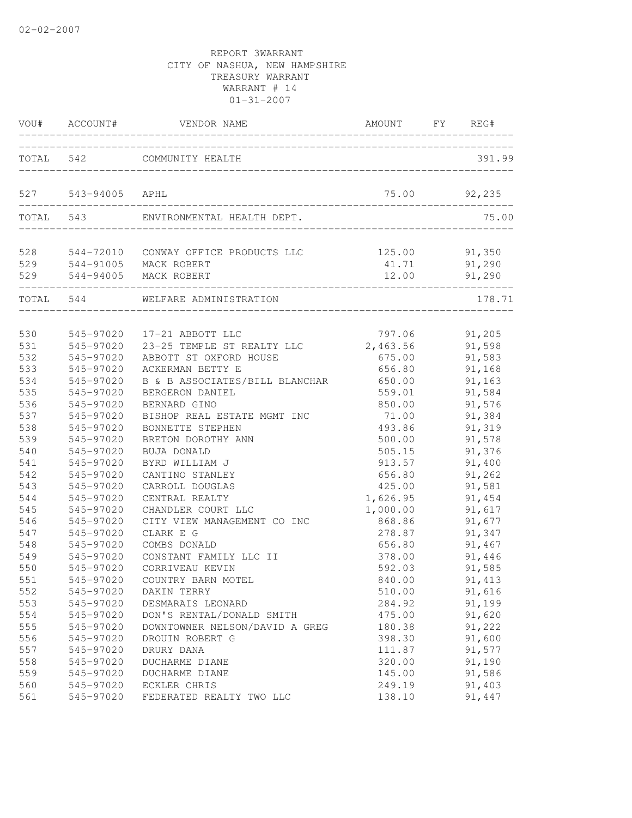| VOU#  | ACCOUNT#  | VENDOR NAME                    | AMOUNT   | FY | REG#    |
|-------|-----------|--------------------------------|----------|----|---------|
| TOTAL | 542       | COMMUNITY HEALTH               |          |    | 391.99  |
| 527   | 543-94005 | APHL                           | 75.00    |    | 92,235  |
| TOTAL | 543       | ENVIRONMENTAL HEALTH DEPT.     |          |    | 75.00   |
| 528   | 544-72010 | CONWAY OFFICE PRODUCTS LLC     | 125.00   |    | 91,350  |
| 529   |           | 544-91005 MACK ROBERT          | 41.71    |    | 91,290  |
| 529   |           | 544-94005 MACK ROBERT          | 12.00    |    | 91,290  |
| TOTAL | 544       | WELFARE ADMINISTRATION         |          |    | 178.71  |
| 530   | 545-97020 | 17-21 ABBOTT LLC               | 797.06   |    | 91,205  |
| 531   | 545-97020 | 23-25 TEMPLE ST REALTY LLC     | 2,463.56 |    | 91,598  |
| 532   | 545-97020 | ABBOTT ST OXFORD HOUSE         | 675.00   |    | 91,583  |
| 533   | 545-97020 | ACKERMAN BETTY E               | 656.80   |    | 91,168  |
| 534   | 545-97020 | B & B ASSOCIATES/BILL BLANCHAR | 650.00   |    | 91,163  |
| 535   | 545-97020 | BERGERON DANIEL                | 559.01   |    | 91,584  |
| 536   | 545-97020 | BERNARD GINO                   | 850.00   |    | 91,576  |
| 537   | 545-97020 | BISHOP REAL ESTATE MGMT INC    | 71.00    |    | 91,384  |
| 538   | 545-97020 | BONNETTE STEPHEN               | 493.86   |    | 91,319  |
| 539   | 545-97020 | BRETON DOROTHY ANN             | 500.00   |    | 91,578  |
| 540   | 545-97020 | BUJA DONALD                    | 505.15   |    | 91,376  |
| 541   | 545-97020 | BYRD WILLIAM J                 | 913.57   |    | 91,400  |
| 542   | 545-97020 | CANTINO STANLEY                | 656.80   |    | 91,262  |
| 543   | 545-97020 | CARROLL DOUGLAS                | 425.00   |    | 91,581  |
| 544   | 545-97020 | CENTRAL REALTY                 | 1,626.95 |    | 91,454  |
| 545   | 545-97020 | CHANDLER COURT LLC             | 1,000.00 |    | 91,617  |
| 546   | 545-97020 | CITY VIEW MANAGEMENT CO INC    | 868.86   |    | 91,677  |
| 547   | 545-97020 | CLARK E G                      | 278.87   |    | 91,347  |
| 548   | 545-97020 | COMBS DONALD                   | 656.80   |    | 91,467  |
| 549   | 545-97020 | CONSTANT FAMILY LLC II         | 378.00   |    | 91,446  |
| 550   | 545-97020 | CORRIVEAU KEVIN                | 592.03   |    | 91,585  |
| 551   | 545-97020 | COUNTRY BARN MOTEL             | 840.00   |    | 91, 413 |
| 552   | 545-97020 | DAKIN TERRY                    | 510.00   |    | 91,616  |
| 553   | 545-97020 | DESMARAIS LEONARD              | 284.92   |    | 91,199  |
| 554   | 545-97020 | DON'S RENTAL/DONALD SMITH      | 475.00   |    | 91,620  |
| 555   | 545-97020 | DOWNTOWNER NELSON/DAVID A GREG | 180.38   |    | 91,222  |
| 556   | 545-97020 | DROUIN ROBERT G                | 398.30   |    | 91,600  |
| 557   | 545-97020 | DRURY DANA                     | 111.87   |    | 91,577  |
| 558   | 545-97020 | DUCHARME DIANE                 | 320.00   |    | 91,190  |
| 559   | 545-97020 | DUCHARME DIANE                 | 145.00   |    | 91,586  |
| 560   | 545-97020 | ECKLER CHRIS                   | 249.19   |    | 91,403  |
| 561   | 545-97020 | FEDERATED REALTY TWO LLC       | 138.10   |    | 91,447  |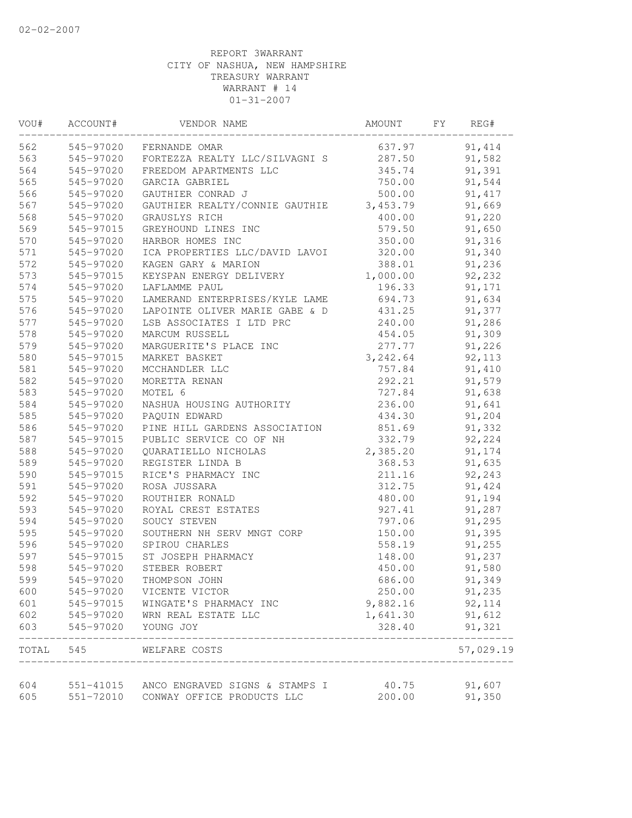| VOU#  | ACCOUNT#  | VENDOR NAME                                                            | AMOUNT          | FY | REG#      |
|-------|-----------|------------------------------------------------------------------------|-----------------|----|-----------|
| 562   | 545-97020 | FERNANDE OMAR                                                          | 637.97          |    | 91, 414   |
| 563   | 545-97020 | FORTEZZA REALTY LLC/SILVAGNI S                                         | 287.50          |    | 91,582    |
| 564   | 545-97020 | FREEDOM APARTMENTS LLC                                                 | 345.74          |    | 91,391    |
| 565   | 545-97020 | GARCIA GABRIEL                                                         | 750.00          |    | 91,544    |
| 566   | 545-97020 | GAUTHIER CONRAD J                                                      | 500.00          |    | 91, 417   |
| 567   | 545-97020 | GAUTHIER REALTY/CONNIE GAUTHIE                                         | 3,453.79        |    | 91,669    |
| 568   | 545-97020 | GRAUSLYS RICH                                                          | 400.00          |    | 91,220    |
| 569   | 545-97015 | GREYHOUND LINES INC                                                    | 579.50          |    | 91,650    |
| 570   | 545-97020 | HARBOR HOMES INC                                                       | 350.00          |    | 91,316    |
| 571   | 545-97020 | ICA PROPERTIES LLC/DAVID LAVOI                                         | 320.00          |    | 91,340    |
| 572   | 545-97020 | KAGEN GARY & MARION                                                    | 388.01          |    | 91,236    |
| 573   | 545-97015 | KEYSPAN ENERGY DELIVERY                                                | 1,000.00        |    | 92,232    |
| 574   | 545-97020 | LAFLAMME PAUL                                                          | 196.33          |    | 91,171    |
| 575   | 545-97020 | LAMERAND ENTERPRISES/KYLE LAME                                         | 694.73          |    | 91,634    |
| 576   | 545-97020 | LAPOINTE OLIVER MARIE GABE & D                                         | 431.25          |    | 91,377    |
| 577   | 545-97020 | LSB ASSOCIATES I LTD PRC                                               | 240.00          |    | 91,286    |
| 578   | 545-97020 | MARCUM RUSSELL                                                         | 454.05          |    | 91,309    |
| 579   | 545-97020 | MARGUERITE'S PLACE INC                                                 | 277.77          |    | 91,226    |
| 580   | 545-97015 | MARKET BASKET                                                          | 3,242.64        |    | 92,113    |
| 581   | 545-97020 | MCCHANDLER LLC                                                         | 757.84          |    | 91,410    |
| 582   | 545-97020 | MORETTA RENAN                                                          | 292.21          |    | 91,579    |
| 583   | 545-97020 | MOTEL 6                                                                | 727.84          |    | 91,638    |
| 584   | 545-97020 | NASHUA HOUSING AUTHORITY                                               | 236.00          |    | 91,641    |
| 585   | 545-97020 | PAQUIN EDWARD                                                          | 434.30          |    | 91,204    |
| 586   | 545-97020 | PINE HILL GARDENS ASSOCIATION                                          | 851.69          |    | 91,332    |
| 587   | 545-97015 | PUBLIC SERVICE CO OF NH                                                | 332.79          |    | 92,224    |
| 588   | 545-97020 | QUARATIELLO NICHOLAS                                                   | 2,385.20        |    | 91,174    |
| 589   | 545-97020 | REGISTER LINDA B                                                       | 368.53          |    | 91,635    |
| 590   | 545-97015 | RICE'S PHARMACY INC                                                    | 211.16          |    | 92,243    |
| 591   | 545-97020 | ROSA JUSSARA                                                           | 312.75          |    | 91,424    |
| 592   | 545-97020 | ROUTHIER RONALD                                                        | 480.00          |    | 91,194    |
| 593   | 545-97020 | ROYAL CREST ESTATES                                                    | 927.41          |    | 91,287    |
| 594   | 545-97020 | SOUCY STEVEN                                                           | 797.06          |    | 91,295    |
| 595   | 545-97020 | SOUTHERN NH SERV MNGT CORP                                             | 150.00          |    | 91,395    |
| 596   | 545-97020 | SPIROU CHARLES                                                         | 558.19          |    | 91,255    |
| 597   | 545-97015 | ST JOSEPH PHARMACY                                                     | 148.00          |    | 91,237    |
| 598   | 545-97020 | STEBER ROBERT                                                          | 450.00          |    | 91,580    |
| 599   | 545-97020 | THOMPSON JOHN                                                          | 686.00          |    | 91,349    |
| 600   | 545-97020 | VICENTE VICTOR                                                         | 250.00          |    | 91,235    |
| 601   | 545-97015 | WINGATE'S PHARMACY INC                                                 | 9,882.16        |    | 92, 114   |
| 602   | 545-97020 | WRN REAL ESTATE LLC                                                    | 1,641.30        |    | 91,612    |
| 603   | 545-97020 | YOUNG JOY                                                              | 328.40          |    | 91,321    |
| TOTAL | 545       | WELFARE COSTS                                                          |                 |    | 57,029.19 |
| 604   |           |                                                                        |                 |    | 91,607    |
| 605   | 551-72010 | 551-41015 ANCO ENGRAVED SIGNS & STAMPS I<br>CONWAY OFFICE PRODUCTS LLC | 40.75<br>200.00 |    | 91,350    |
|       |           |                                                                        |                 |    |           |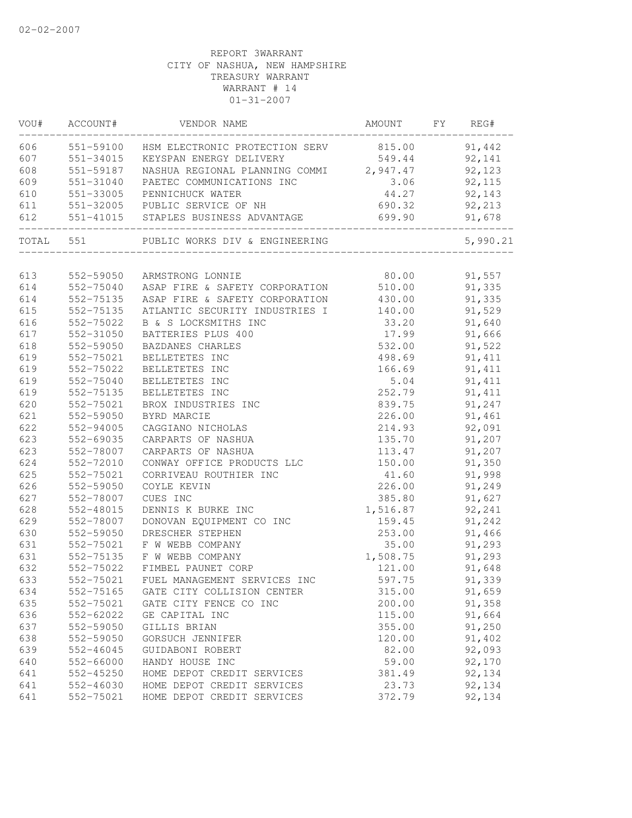| 606 551-59100 HSM ELECTRONIC PROTECTION SERV 815.00 91,442<br>551-34015 KEYSPAN ENERGY DELIVERY 549.44<br>551-59187 NASHUA REGIONAL PLANNING COMMI 2,947.47<br>551-34015<br>92,141<br>92,123<br>$3.06$ $92,115$<br>551-31040 PAETEC COMMUNICATIONS INC<br>44.27 92,143<br>551-33005 PENNICHUCK WATER<br>551-32005 PUBLIC SERVICE OF NH<br>690.32 92,213<br>551-41015 STAPLES BUSINESS ADVANTAGE<br>699.90<br>91,678<br>TOTAL 551<br>PUBLIC WORKS DIV & ENGINEERING<br>5,990.21<br>80.00 91,557<br>613<br>552-59050 ARMSTRONG LONNIE<br>552-75040 ASAP FIRE & SAFETY CORPORATION 510.00 91,335<br>614<br>614<br>552-75135<br>ASAP FIRE & SAFETY CORPORATION 430.00 91,335<br>615<br>ATLANTIC SECURITY INDUSTRIES I 140.00 91,529<br>552-75135<br>616<br>33.20<br>91,640<br>552-75022<br>B & S LOCKSMITHS INC<br>617<br>17.99<br>91,666<br>552-31050<br>BATTERIES PLUS 400<br>618<br>532.00<br>91,522<br>552-59050<br>BAZDANES CHARLES<br>619<br>552-75021<br>BELLETETES INC<br>498.69<br>91, 411<br>166.69<br>619<br>552-75022<br>91, 411<br>BELLETETES INC<br>5.04<br>619<br>91, 411<br>552-75040<br>BELLETETES INC<br>619<br>252.79<br>91, 411<br>552-75135<br>BELLETETES INC<br>620<br>552-75021<br>BROX INDUSTRIES INC<br>839.75<br>91,247<br>621<br>552-59050<br>226.00 91,461<br>BYRD MARCIE<br>622<br>552-94005<br>214.93<br>92,091<br>CAGGIANO NICHOLAS<br>623<br>135.70<br>91,207<br>552-69035<br>CARPARTS OF NASHUA<br>623<br>113.47<br>150.00<br>91,207<br>552-78007<br>CARPARTS OF NASHUA<br>624<br>CONWAY OFFICE PRODUCTS LLC<br>91,350<br>552-72010<br>41.60<br>625<br>91,998<br>552-75021<br>CORRIVEAU ROUTHIER INC<br>226.00<br>626<br>552-59050<br>91,249<br>COYLE KEVIN<br>552-78007<br>385.80<br>91,627<br>CUES INC<br>1,516.87 92,241<br>552-48015<br>DENNIS K BURKE INC<br>DONOVAN EQUIPMENT CO INC<br>552-78007<br>159.45 91,242<br>552-59050<br>253.00<br>91,466<br>DRESCHER STEPHEN<br>35.00<br>91,293<br>552-75021<br>F W WEBB COMPANY<br>1,508.75<br>91,293<br>552-75135 F W WEBB COMPANY<br>FIMBEL PAUNET CORP<br>121.00<br>552-75022<br>91,648<br>597.75<br>91,339<br>552-75021 FUEL MANAGEMENT SERVICES INC<br>91,659<br>552-75165<br>GATE CITY COLLISION CENTER<br>315.00<br>552-75021<br>91,358<br>GATE CITY FENCE CO INC<br>200.00<br>552-62022<br>GE CAPITAL INC<br>115.00<br>91,664<br>552-59050<br>355.00<br>GILLIS BRIAN<br>91,250<br>120.00<br>91,402<br>552-59050<br>GORSUCH JENNIFER<br>552-46045<br>GUIDABONI ROBERT<br>82.00<br>92,093<br>552-66000<br>HANDY HOUSE INC<br>59.00<br>92,170<br>552-45250<br>HOME DEPOT CREDIT SERVICES<br>381.49<br>92,134<br>92,134<br>552-46030<br>HOME DEPOT CREDIT SERVICES<br>23.73 |     | VOU# ACCOUNT# | VENDOR NAME | AMOUNT FY REG# |  |
|----------------------------------------------------------------------------------------------------------------------------------------------------------------------------------------------------------------------------------------------------------------------------------------------------------------------------------------------------------------------------------------------------------------------------------------------------------------------------------------------------------------------------------------------------------------------------------------------------------------------------------------------------------------------------------------------------------------------------------------------------------------------------------------------------------------------------------------------------------------------------------------------------------------------------------------------------------------------------------------------------------------------------------------------------------------------------------------------------------------------------------------------------------------------------------------------------------------------------------------------------------------------------------------------------------------------------------------------------------------------------------------------------------------------------------------------------------------------------------------------------------------------------------------------------------------------------------------------------------------------------------------------------------------------------------------------------------------------------------------------------------------------------------------------------------------------------------------------------------------------------------------------------------------------------------------------------------------------------------------------------------------------------------------------------------------------------------------------------------------------------------------------------------------------------------------------------------------------------------------------------------------------------------------------------------------------------------------------------------------------------------------------------------------------------------------------------------------------------------------------------------------------------------------------------------------------------------------------------------------------------------------------------------------|-----|---------------|-------------|----------------|--|
|                                                                                                                                                                                                                                                                                                                                                                                                                                                                                                                                                                                                                                                                                                                                                                                                                                                                                                                                                                                                                                                                                                                                                                                                                                                                                                                                                                                                                                                                                                                                                                                                                                                                                                                                                                                                                                                                                                                                                                                                                                                                                                                                                                                                                                                                                                                                                                                                                                                                                                                                                                                                                                                                |     |               |             |                |  |
|                                                                                                                                                                                                                                                                                                                                                                                                                                                                                                                                                                                                                                                                                                                                                                                                                                                                                                                                                                                                                                                                                                                                                                                                                                                                                                                                                                                                                                                                                                                                                                                                                                                                                                                                                                                                                                                                                                                                                                                                                                                                                                                                                                                                                                                                                                                                                                                                                                                                                                                                                                                                                                                                | 607 |               |             |                |  |
|                                                                                                                                                                                                                                                                                                                                                                                                                                                                                                                                                                                                                                                                                                                                                                                                                                                                                                                                                                                                                                                                                                                                                                                                                                                                                                                                                                                                                                                                                                                                                                                                                                                                                                                                                                                                                                                                                                                                                                                                                                                                                                                                                                                                                                                                                                                                                                                                                                                                                                                                                                                                                                                                | 608 |               |             |                |  |
|                                                                                                                                                                                                                                                                                                                                                                                                                                                                                                                                                                                                                                                                                                                                                                                                                                                                                                                                                                                                                                                                                                                                                                                                                                                                                                                                                                                                                                                                                                                                                                                                                                                                                                                                                                                                                                                                                                                                                                                                                                                                                                                                                                                                                                                                                                                                                                                                                                                                                                                                                                                                                                                                | 609 |               |             |                |  |
|                                                                                                                                                                                                                                                                                                                                                                                                                                                                                                                                                                                                                                                                                                                                                                                                                                                                                                                                                                                                                                                                                                                                                                                                                                                                                                                                                                                                                                                                                                                                                                                                                                                                                                                                                                                                                                                                                                                                                                                                                                                                                                                                                                                                                                                                                                                                                                                                                                                                                                                                                                                                                                                                | 610 |               |             |                |  |
|                                                                                                                                                                                                                                                                                                                                                                                                                                                                                                                                                                                                                                                                                                                                                                                                                                                                                                                                                                                                                                                                                                                                                                                                                                                                                                                                                                                                                                                                                                                                                                                                                                                                                                                                                                                                                                                                                                                                                                                                                                                                                                                                                                                                                                                                                                                                                                                                                                                                                                                                                                                                                                                                | 611 |               |             |                |  |
|                                                                                                                                                                                                                                                                                                                                                                                                                                                                                                                                                                                                                                                                                                                                                                                                                                                                                                                                                                                                                                                                                                                                                                                                                                                                                                                                                                                                                                                                                                                                                                                                                                                                                                                                                                                                                                                                                                                                                                                                                                                                                                                                                                                                                                                                                                                                                                                                                                                                                                                                                                                                                                                                | 612 |               |             |                |  |
|                                                                                                                                                                                                                                                                                                                                                                                                                                                                                                                                                                                                                                                                                                                                                                                                                                                                                                                                                                                                                                                                                                                                                                                                                                                                                                                                                                                                                                                                                                                                                                                                                                                                                                                                                                                                                                                                                                                                                                                                                                                                                                                                                                                                                                                                                                                                                                                                                                                                                                                                                                                                                                                                |     |               |             |                |  |
|                                                                                                                                                                                                                                                                                                                                                                                                                                                                                                                                                                                                                                                                                                                                                                                                                                                                                                                                                                                                                                                                                                                                                                                                                                                                                                                                                                                                                                                                                                                                                                                                                                                                                                                                                                                                                                                                                                                                                                                                                                                                                                                                                                                                                                                                                                                                                                                                                                                                                                                                                                                                                                                                |     |               |             |                |  |
|                                                                                                                                                                                                                                                                                                                                                                                                                                                                                                                                                                                                                                                                                                                                                                                                                                                                                                                                                                                                                                                                                                                                                                                                                                                                                                                                                                                                                                                                                                                                                                                                                                                                                                                                                                                                                                                                                                                                                                                                                                                                                                                                                                                                                                                                                                                                                                                                                                                                                                                                                                                                                                                                |     |               |             |                |  |
|                                                                                                                                                                                                                                                                                                                                                                                                                                                                                                                                                                                                                                                                                                                                                                                                                                                                                                                                                                                                                                                                                                                                                                                                                                                                                                                                                                                                                                                                                                                                                                                                                                                                                                                                                                                                                                                                                                                                                                                                                                                                                                                                                                                                                                                                                                                                                                                                                                                                                                                                                                                                                                                                |     |               |             |                |  |
|                                                                                                                                                                                                                                                                                                                                                                                                                                                                                                                                                                                                                                                                                                                                                                                                                                                                                                                                                                                                                                                                                                                                                                                                                                                                                                                                                                                                                                                                                                                                                                                                                                                                                                                                                                                                                                                                                                                                                                                                                                                                                                                                                                                                                                                                                                                                                                                                                                                                                                                                                                                                                                                                |     |               |             |                |  |
|                                                                                                                                                                                                                                                                                                                                                                                                                                                                                                                                                                                                                                                                                                                                                                                                                                                                                                                                                                                                                                                                                                                                                                                                                                                                                                                                                                                                                                                                                                                                                                                                                                                                                                                                                                                                                                                                                                                                                                                                                                                                                                                                                                                                                                                                                                                                                                                                                                                                                                                                                                                                                                                                |     |               |             |                |  |
|                                                                                                                                                                                                                                                                                                                                                                                                                                                                                                                                                                                                                                                                                                                                                                                                                                                                                                                                                                                                                                                                                                                                                                                                                                                                                                                                                                                                                                                                                                                                                                                                                                                                                                                                                                                                                                                                                                                                                                                                                                                                                                                                                                                                                                                                                                                                                                                                                                                                                                                                                                                                                                                                |     |               |             |                |  |
|                                                                                                                                                                                                                                                                                                                                                                                                                                                                                                                                                                                                                                                                                                                                                                                                                                                                                                                                                                                                                                                                                                                                                                                                                                                                                                                                                                                                                                                                                                                                                                                                                                                                                                                                                                                                                                                                                                                                                                                                                                                                                                                                                                                                                                                                                                                                                                                                                                                                                                                                                                                                                                                                |     |               |             |                |  |
|                                                                                                                                                                                                                                                                                                                                                                                                                                                                                                                                                                                                                                                                                                                                                                                                                                                                                                                                                                                                                                                                                                                                                                                                                                                                                                                                                                                                                                                                                                                                                                                                                                                                                                                                                                                                                                                                                                                                                                                                                                                                                                                                                                                                                                                                                                                                                                                                                                                                                                                                                                                                                                                                |     |               |             |                |  |
|                                                                                                                                                                                                                                                                                                                                                                                                                                                                                                                                                                                                                                                                                                                                                                                                                                                                                                                                                                                                                                                                                                                                                                                                                                                                                                                                                                                                                                                                                                                                                                                                                                                                                                                                                                                                                                                                                                                                                                                                                                                                                                                                                                                                                                                                                                                                                                                                                                                                                                                                                                                                                                                                |     |               |             |                |  |
|                                                                                                                                                                                                                                                                                                                                                                                                                                                                                                                                                                                                                                                                                                                                                                                                                                                                                                                                                                                                                                                                                                                                                                                                                                                                                                                                                                                                                                                                                                                                                                                                                                                                                                                                                                                                                                                                                                                                                                                                                                                                                                                                                                                                                                                                                                                                                                                                                                                                                                                                                                                                                                                                |     |               |             |                |  |
|                                                                                                                                                                                                                                                                                                                                                                                                                                                                                                                                                                                                                                                                                                                                                                                                                                                                                                                                                                                                                                                                                                                                                                                                                                                                                                                                                                                                                                                                                                                                                                                                                                                                                                                                                                                                                                                                                                                                                                                                                                                                                                                                                                                                                                                                                                                                                                                                                                                                                                                                                                                                                                                                |     |               |             |                |  |
|                                                                                                                                                                                                                                                                                                                                                                                                                                                                                                                                                                                                                                                                                                                                                                                                                                                                                                                                                                                                                                                                                                                                                                                                                                                                                                                                                                                                                                                                                                                                                                                                                                                                                                                                                                                                                                                                                                                                                                                                                                                                                                                                                                                                                                                                                                                                                                                                                                                                                                                                                                                                                                                                |     |               |             |                |  |
|                                                                                                                                                                                                                                                                                                                                                                                                                                                                                                                                                                                                                                                                                                                                                                                                                                                                                                                                                                                                                                                                                                                                                                                                                                                                                                                                                                                                                                                                                                                                                                                                                                                                                                                                                                                                                                                                                                                                                                                                                                                                                                                                                                                                                                                                                                                                                                                                                                                                                                                                                                                                                                                                |     |               |             |                |  |
|                                                                                                                                                                                                                                                                                                                                                                                                                                                                                                                                                                                                                                                                                                                                                                                                                                                                                                                                                                                                                                                                                                                                                                                                                                                                                                                                                                                                                                                                                                                                                                                                                                                                                                                                                                                                                                                                                                                                                                                                                                                                                                                                                                                                                                                                                                                                                                                                                                                                                                                                                                                                                                                                |     |               |             |                |  |
|                                                                                                                                                                                                                                                                                                                                                                                                                                                                                                                                                                                                                                                                                                                                                                                                                                                                                                                                                                                                                                                                                                                                                                                                                                                                                                                                                                                                                                                                                                                                                                                                                                                                                                                                                                                                                                                                                                                                                                                                                                                                                                                                                                                                                                                                                                                                                                                                                                                                                                                                                                                                                                                                |     |               |             |                |  |
|                                                                                                                                                                                                                                                                                                                                                                                                                                                                                                                                                                                                                                                                                                                                                                                                                                                                                                                                                                                                                                                                                                                                                                                                                                                                                                                                                                                                                                                                                                                                                                                                                                                                                                                                                                                                                                                                                                                                                                                                                                                                                                                                                                                                                                                                                                                                                                                                                                                                                                                                                                                                                                                                |     |               |             |                |  |
|                                                                                                                                                                                                                                                                                                                                                                                                                                                                                                                                                                                                                                                                                                                                                                                                                                                                                                                                                                                                                                                                                                                                                                                                                                                                                                                                                                                                                                                                                                                                                                                                                                                                                                                                                                                                                                                                                                                                                                                                                                                                                                                                                                                                                                                                                                                                                                                                                                                                                                                                                                                                                                                                |     |               |             |                |  |
|                                                                                                                                                                                                                                                                                                                                                                                                                                                                                                                                                                                                                                                                                                                                                                                                                                                                                                                                                                                                                                                                                                                                                                                                                                                                                                                                                                                                                                                                                                                                                                                                                                                                                                                                                                                                                                                                                                                                                                                                                                                                                                                                                                                                                                                                                                                                                                                                                                                                                                                                                                                                                                                                |     |               |             |                |  |
|                                                                                                                                                                                                                                                                                                                                                                                                                                                                                                                                                                                                                                                                                                                                                                                                                                                                                                                                                                                                                                                                                                                                                                                                                                                                                                                                                                                                                                                                                                                                                                                                                                                                                                                                                                                                                                                                                                                                                                                                                                                                                                                                                                                                                                                                                                                                                                                                                                                                                                                                                                                                                                                                |     |               |             |                |  |
|                                                                                                                                                                                                                                                                                                                                                                                                                                                                                                                                                                                                                                                                                                                                                                                                                                                                                                                                                                                                                                                                                                                                                                                                                                                                                                                                                                                                                                                                                                                                                                                                                                                                                                                                                                                                                                                                                                                                                                                                                                                                                                                                                                                                                                                                                                                                                                                                                                                                                                                                                                                                                                                                |     |               |             |                |  |
|                                                                                                                                                                                                                                                                                                                                                                                                                                                                                                                                                                                                                                                                                                                                                                                                                                                                                                                                                                                                                                                                                                                                                                                                                                                                                                                                                                                                                                                                                                                                                                                                                                                                                                                                                                                                                                                                                                                                                                                                                                                                                                                                                                                                                                                                                                                                                                                                                                                                                                                                                                                                                                                                | 627 |               |             |                |  |
|                                                                                                                                                                                                                                                                                                                                                                                                                                                                                                                                                                                                                                                                                                                                                                                                                                                                                                                                                                                                                                                                                                                                                                                                                                                                                                                                                                                                                                                                                                                                                                                                                                                                                                                                                                                                                                                                                                                                                                                                                                                                                                                                                                                                                                                                                                                                                                                                                                                                                                                                                                                                                                                                | 628 |               |             |                |  |
|                                                                                                                                                                                                                                                                                                                                                                                                                                                                                                                                                                                                                                                                                                                                                                                                                                                                                                                                                                                                                                                                                                                                                                                                                                                                                                                                                                                                                                                                                                                                                                                                                                                                                                                                                                                                                                                                                                                                                                                                                                                                                                                                                                                                                                                                                                                                                                                                                                                                                                                                                                                                                                                                | 629 |               |             |                |  |
|                                                                                                                                                                                                                                                                                                                                                                                                                                                                                                                                                                                                                                                                                                                                                                                                                                                                                                                                                                                                                                                                                                                                                                                                                                                                                                                                                                                                                                                                                                                                                                                                                                                                                                                                                                                                                                                                                                                                                                                                                                                                                                                                                                                                                                                                                                                                                                                                                                                                                                                                                                                                                                                                | 630 |               |             |                |  |
|                                                                                                                                                                                                                                                                                                                                                                                                                                                                                                                                                                                                                                                                                                                                                                                                                                                                                                                                                                                                                                                                                                                                                                                                                                                                                                                                                                                                                                                                                                                                                                                                                                                                                                                                                                                                                                                                                                                                                                                                                                                                                                                                                                                                                                                                                                                                                                                                                                                                                                                                                                                                                                                                | 631 |               |             |                |  |
|                                                                                                                                                                                                                                                                                                                                                                                                                                                                                                                                                                                                                                                                                                                                                                                                                                                                                                                                                                                                                                                                                                                                                                                                                                                                                                                                                                                                                                                                                                                                                                                                                                                                                                                                                                                                                                                                                                                                                                                                                                                                                                                                                                                                                                                                                                                                                                                                                                                                                                                                                                                                                                                                | 631 |               |             |                |  |
|                                                                                                                                                                                                                                                                                                                                                                                                                                                                                                                                                                                                                                                                                                                                                                                                                                                                                                                                                                                                                                                                                                                                                                                                                                                                                                                                                                                                                                                                                                                                                                                                                                                                                                                                                                                                                                                                                                                                                                                                                                                                                                                                                                                                                                                                                                                                                                                                                                                                                                                                                                                                                                                                | 632 |               |             |                |  |
|                                                                                                                                                                                                                                                                                                                                                                                                                                                                                                                                                                                                                                                                                                                                                                                                                                                                                                                                                                                                                                                                                                                                                                                                                                                                                                                                                                                                                                                                                                                                                                                                                                                                                                                                                                                                                                                                                                                                                                                                                                                                                                                                                                                                                                                                                                                                                                                                                                                                                                                                                                                                                                                                | 633 |               |             |                |  |
|                                                                                                                                                                                                                                                                                                                                                                                                                                                                                                                                                                                                                                                                                                                                                                                                                                                                                                                                                                                                                                                                                                                                                                                                                                                                                                                                                                                                                                                                                                                                                                                                                                                                                                                                                                                                                                                                                                                                                                                                                                                                                                                                                                                                                                                                                                                                                                                                                                                                                                                                                                                                                                                                | 634 |               |             |                |  |
|                                                                                                                                                                                                                                                                                                                                                                                                                                                                                                                                                                                                                                                                                                                                                                                                                                                                                                                                                                                                                                                                                                                                                                                                                                                                                                                                                                                                                                                                                                                                                                                                                                                                                                                                                                                                                                                                                                                                                                                                                                                                                                                                                                                                                                                                                                                                                                                                                                                                                                                                                                                                                                                                | 635 |               |             |                |  |
|                                                                                                                                                                                                                                                                                                                                                                                                                                                                                                                                                                                                                                                                                                                                                                                                                                                                                                                                                                                                                                                                                                                                                                                                                                                                                                                                                                                                                                                                                                                                                                                                                                                                                                                                                                                                                                                                                                                                                                                                                                                                                                                                                                                                                                                                                                                                                                                                                                                                                                                                                                                                                                                                | 636 |               |             |                |  |
|                                                                                                                                                                                                                                                                                                                                                                                                                                                                                                                                                                                                                                                                                                                                                                                                                                                                                                                                                                                                                                                                                                                                                                                                                                                                                                                                                                                                                                                                                                                                                                                                                                                                                                                                                                                                                                                                                                                                                                                                                                                                                                                                                                                                                                                                                                                                                                                                                                                                                                                                                                                                                                                                | 637 |               |             |                |  |
|                                                                                                                                                                                                                                                                                                                                                                                                                                                                                                                                                                                                                                                                                                                                                                                                                                                                                                                                                                                                                                                                                                                                                                                                                                                                                                                                                                                                                                                                                                                                                                                                                                                                                                                                                                                                                                                                                                                                                                                                                                                                                                                                                                                                                                                                                                                                                                                                                                                                                                                                                                                                                                                                | 638 |               |             |                |  |
|                                                                                                                                                                                                                                                                                                                                                                                                                                                                                                                                                                                                                                                                                                                                                                                                                                                                                                                                                                                                                                                                                                                                                                                                                                                                                                                                                                                                                                                                                                                                                                                                                                                                                                                                                                                                                                                                                                                                                                                                                                                                                                                                                                                                                                                                                                                                                                                                                                                                                                                                                                                                                                                                | 639 |               |             |                |  |
|                                                                                                                                                                                                                                                                                                                                                                                                                                                                                                                                                                                                                                                                                                                                                                                                                                                                                                                                                                                                                                                                                                                                                                                                                                                                                                                                                                                                                                                                                                                                                                                                                                                                                                                                                                                                                                                                                                                                                                                                                                                                                                                                                                                                                                                                                                                                                                                                                                                                                                                                                                                                                                                                | 640 |               |             |                |  |
|                                                                                                                                                                                                                                                                                                                                                                                                                                                                                                                                                                                                                                                                                                                                                                                                                                                                                                                                                                                                                                                                                                                                                                                                                                                                                                                                                                                                                                                                                                                                                                                                                                                                                                                                                                                                                                                                                                                                                                                                                                                                                                                                                                                                                                                                                                                                                                                                                                                                                                                                                                                                                                                                | 641 |               |             |                |  |
|                                                                                                                                                                                                                                                                                                                                                                                                                                                                                                                                                                                                                                                                                                                                                                                                                                                                                                                                                                                                                                                                                                                                                                                                                                                                                                                                                                                                                                                                                                                                                                                                                                                                                                                                                                                                                                                                                                                                                                                                                                                                                                                                                                                                                                                                                                                                                                                                                                                                                                                                                                                                                                                                | 641 |               |             |                |  |
| 372.79<br>552-75021<br>HOME DEPOT CREDIT SERVICES<br>92,134                                                                                                                                                                                                                                                                                                                                                                                                                                                                                                                                                                                                                                                                                                                                                                                                                                                                                                                                                                                                                                                                                                                                                                                                                                                                                                                                                                                                                                                                                                                                                                                                                                                                                                                                                                                                                                                                                                                                                                                                                                                                                                                                                                                                                                                                                                                                                                                                                                                                                                                                                                                                    | 641 |               |             |                |  |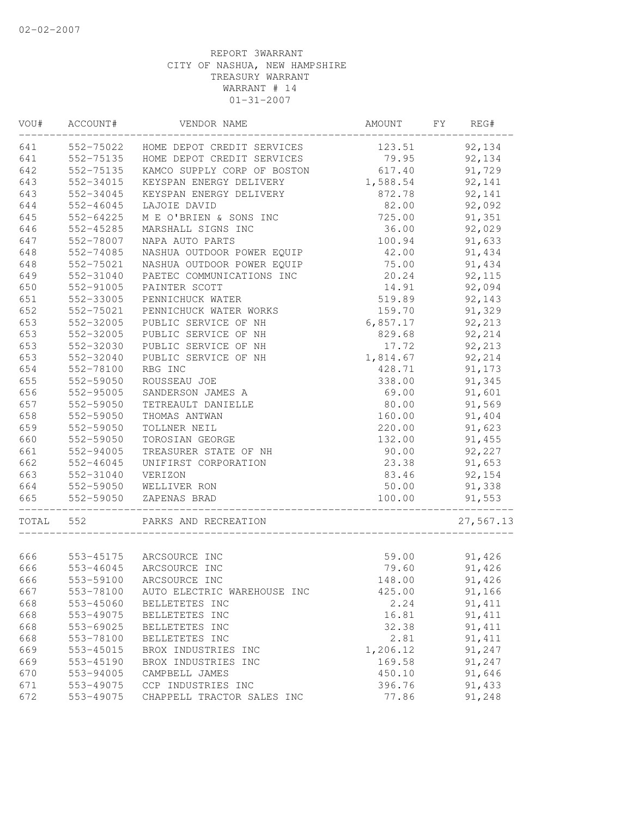| VOU#  | ACCOUNT#  | VENDOR NAME                 | AMOUNT   | FY<br>REG# |
|-------|-----------|-----------------------------|----------|------------|
| 641   | 552-75022 | HOME DEPOT CREDIT SERVICES  | 123.51   | 92,134     |
| 641   | 552-75135 | HOME DEPOT CREDIT SERVICES  | 79.95    | 92,134     |
| 642   | 552-75135 | KAMCO SUPPLY CORP OF BOSTON | 617.40   | 91,729     |
| 643   | 552-34015 | KEYSPAN ENERGY DELIVERY     | 1,588.54 | 92,141     |
| 643   | 552-34045 | KEYSPAN ENERGY DELIVERY     | 872.78   | 92,141     |
| 644   | 552-46045 | LAJOIE DAVID                | 82.00    | 92,092     |
| 645   | 552-64225 | M E O'BRIEN & SONS INC      | 725.00   | 91,351     |
| 646   | 552-45285 | MARSHALL SIGNS INC          | 36.00    | 92,029     |
| 647   | 552-78007 | NAPA AUTO PARTS             | 100.94   | 91,633     |
| 648   | 552-74085 | NASHUA OUTDOOR POWER EQUIP  | 42.00    | 91,434     |
| 648   | 552-75021 | NASHUA OUTDOOR POWER EQUIP  | 75.00    | 91,434     |
| 649   | 552-31040 | PAETEC COMMUNICATIONS INC   | 20.24    | 92,115     |
| 650   | 552-91005 | PAINTER SCOTT               | 14.91    | 92,094     |
| 651   | 552-33005 | PENNICHUCK WATER            | 519.89   | 92,143     |
| 652   | 552-75021 | PENNICHUCK WATER WORKS      | 159.70   | 91,329     |
| 653   | 552-32005 | PUBLIC SERVICE OF NH        | 6,857.17 | 92,213     |
| 653   | 552-32005 | PUBLIC SERVICE OF NH        | 829.68   | 92,214     |
| 653   | 552-32030 | PUBLIC SERVICE OF NH        | 17.72    | 92,213     |
| 653   | 552-32040 | PUBLIC SERVICE OF NH        | 1,814.67 | 92,214     |
| 654   | 552-78100 | RBG INC                     | 428.71   | 91,173     |
| 655   | 552-59050 | ROUSSEAU JOE                | 338.00   | 91,345     |
| 656   | 552-95005 | SANDERSON JAMES A           | 69.00    | 91,601     |
| 657   | 552-59050 | TETREAULT DANIELLE          | 80.00    | 91,569     |
| 658   | 552-59050 | THOMAS ANTWAN               | 160.00   | 91,404     |
| 659   | 552-59050 | TOLLNER NEIL                | 220.00   | 91,623     |
| 660   | 552-59050 | TOROSIAN GEORGE             | 132.00   | 91,455     |
| 661   | 552-94005 | TREASURER STATE OF NH       | 90.00    | 92,227     |
| 662   | 552-46045 | UNIFIRST CORPORATION        | 23.38    | 91,653     |
| 663   | 552-31040 | VERIZON                     | 83.46    | 92,154     |
| 664   | 552-59050 | WELLIVER RON                | 50.00    | 91,338     |
| 665   | 552-59050 | ZAPENAS BRAD                | 100.00   | 91,553     |
|       |           |                             |          |            |
| TOTAL | 552       | PARKS AND RECREATION        |          | 27,567.13  |
|       |           |                             |          |            |
| 666   |           | 553-45175 ARCSOURCE INC     | 59.00    | 91,426     |
| 666   |           | 553-46045 ARCSOURCE INC     | 79.60    | 91,426     |
| 666   | 553-59100 | ARCSOURCE INC               | 148.00   | 91,426     |
| 667   | 553-78100 | AUTO ELECTRIC WAREHOUSE INC | 425.00   | 91,166     |
| 668   | 553-45060 | BELLETETES INC              | 2.24     | 91, 411    |
| 668   | 553-49075 | BELLETETES INC              | 16.81    | 91, 411    |
| 668   | 553-69025 | BELLETETES INC              | 32.38    | 91, 411    |
| 668   | 553-78100 | BELLETETES INC              | 2.81     | 91, 411    |
| 669   | 553-45015 | BROX INDUSTRIES INC         | 1,206.12 | 91,247     |
| 669   | 553-45190 | BROX INDUSTRIES INC         | 169.58   | 91,247     |
| 670   | 553-94005 | CAMPBELL JAMES              | 450.10   | 91,646     |
| 671   | 553-49075 | CCP INDUSTRIES INC          | 396.76   | 91,433     |
| 672   | 553-49075 | CHAPPELL TRACTOR SALES INC  | 77.86    | 91,248     |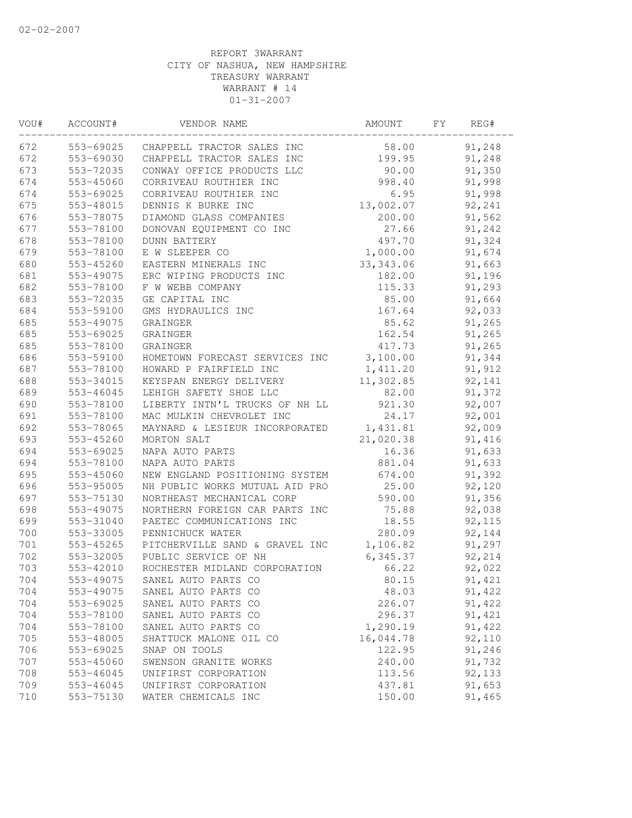| VOU# | ACCOUNT#  | VENDOR NAME                    | AMOUNT     | FY. | REG#   |  |
|------|-----------|--------------------------------|------------|-----|--------|--|
| 672  | 553-69025 | CHAPPELL TRACTOR SALES INC     | 58.00      |     | 91,248 |  |
| 672  | 553-69030 | CHAPPELL TRACTOR SALES INC     | 199.95     |     | 91,248 |  |
| 673  | 553-72035 | CONWAY OFFICE PRODUCTS LLC     | 90.00      |     | 91,350 |  |
| 674  | 553-45060 | CORRIVEAU ROUTHIER INC         | 998.40     |     | 91,998 |  |
| 674  | 553-69025 | CORRIVEAU ROUTHIER INC         | 6.95       |     | 91,998 |  |
| 675  | 553-48015 | DENNIS K BURKE INC             | 13,002.07  |     | 92,241 |  |
| 676  | 553-78075 | DIAMOND GLASS COMPANIES        | 200.00     |     | 91,562 |  |
| 677  | 553-78100 | DONOVAN EQUIPMENT CO INC       | 27.66      |     | 91,242 |  |
| 678  | 553-78100 | <b>DUNN BATTERY</b>            | 497.70     |     | 91,324 |  |
| 679  | 553-78100 | E W SLEEPER CO                 | 1,000.00   |     | 91,674 |  |
| 680  | 553-45260 | EASTERN MINERALS INC           | 33, 343.06 |     | 91,663 |  |
| 681  | 553-49075 | ERC WIPING PRODUCTS INC        | 182.00     |     | 91,196 |  |
| 682  | 553-78100 | F W WEBB COMPANY               | 115.33     |     | 91,293 |  |
| 683  | 553-72035 | GE CAPITAL INC                 | 85.00      |     | 91,664 |  |
| 684  | 553-59100 | GMS HYDRAULICS INC             | 167.64     |     | 92,033 |  |
| 685  | 553-49075 | GRAINGER                       | 85.62      |     | 91,265 |  |
| 685  | 553-69025 | GRAINGER                       | 162.54     |     | 91,265 |  |
| 685  | 553-78100 | GRAINGER                       | 417.73     |     | 91,265 |  |
| 686  | 553-59100 | HOMETOWN FORECAST SERVICES INC | 3,100.00   |     | 91,344 |  |
| 687  | 553-78100 | HOWARD P FAIRFIELD INC         | 1,411.20   |     | 91,912 |  |
| 688  | 553-34015 | KEYSPAN ENERGY DELIVERY        | 11,302.85  |     | 92,141 |  |
| 689  | 553-46045 | LEHIGH SAFETY SHOE LLC         | 82.00      |     | 91,372 |  |
| 690  | 553-78100 | LIBERTY INTN'L TRUCKS OF NH LL | 921.30     |     | 92,007 |  |
| 691  | 553-78100 | MAC MULKIN CHEVROLET INC       | 24.17      |     | 92,001 |  |
| 692  | 553-78065 | MAYNARD & LESIEUR INCORPORATED | 1,431.81   |     | 92,009 |  |
| 693  | 553-45260 | MORTON SALT                    | 21,020.38  |     | 91,416 |  |
| 694  | 553-69025 | NAPA AUTO PARTS                | 16.36      |     | 91,633 |  |
| 694  | 553-78100 | NAPA AUTO PARTS                | 881.04     |     | 91,633 |  |
| 695  | 553-45060 | NEW ENGLAND POSITIONING SYSTEM | 674.00     |     | 91,392 |  |
| 696  | 553-95005 | NH PUBLIC WORKS MUTUAL AID PRO | 25.00      |     | 92,120 |  |
| 697  | 553-75130 | NORTHEAST MECHANICAL CORP      | 590.00     |     | 91,356 |  |
| 698  | 553-49075 | NORTHERN FOREIGN CAR PARTS INC | 75.88      |     | 92,038 |  |
| 699  | 553-31040 | PAETEC COMMUNICATIONS INC      | 18.55      |     | 92,115 |  |
| 700  | 553-33005 | PENNICHUCK WATER               | 280.09     |     | 92,144 |  |
| 701  | 553-45265 | PITCHERVILLE SAND & GRAVEL INC | 1,106.82   |     | 91,297 |  |
| 702  | 553-32005 | PUBLIC SERVICE OF NH           | 6,345.37   |     | 92,214 |  |
| 703  | 553-42010 | ROCHESTER MIDLAND CORPORATION  | 66.22      |     | 92,022 |  |
| 704  | 553-49075 | SANEL AUTO PARTS CO            | 80.15      |     | 91,421 |  |
| 704  | 553-49075 | SANEL AUTO PARTS CO            | 48.03      |     | 91,422 |  |
| 704  | 553-69025 | SANEL AUTO PARTS CO            | 226.07     |     | 91,422 |  |
| 704  | 553-78100 | SANEL AUTO PARTS CO            | 296.37     |     | 91,421 |  |
| 704  | 553-78100 | SANEL AUTO PARTS CO            | 1,290.19   |     | 91,422 |  |
| 705  | 553-48005 | SHATTUCK MALONE OIL CO         | 16,044.78  |     | 92,110 |  |
| 706  | 553-69025 | SNAP ON TOOLS                  | 122.95     |     | 91,246 |  |
| 707  | 553-45060 | SWENSON GRANITE WORKS          | 240.00     |     | 91,732 |  |
| 708  | 553-46045 | UNIFIRST CORPORATION           | 113.56     |     | 92,133 |  |
| 709  | 553-46045 | UNIFIRST CORPORATION           | 437.81     |     | 91,653 |  |
| 710  | 553-75130 | WATER CHEMICALS INC            | 150.00     |     | 91,465 |  |
|      |           |                                |            |     |        |  |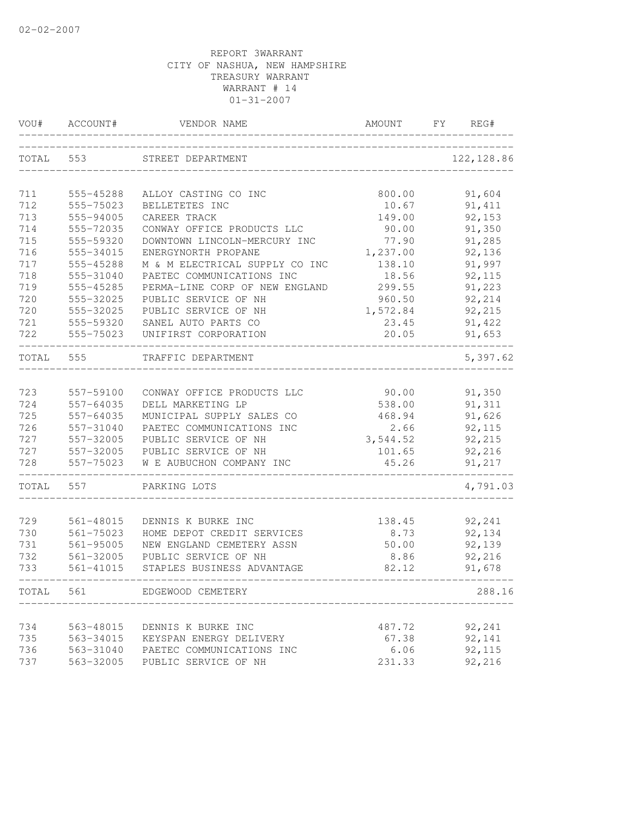|            | VOU# ACCOUNT#          | VENDOR NAME                                       | AMOUNT          | FY<br>REG#       |
|------------|------------------------|---------------------------------------------------|-----------------|------------------|
| TOTAL 553  |                        | STREET DEPARTMENT                                 |                 | 122, 128.86      |
| 711        | 555-45288              | ALLOY CASTING CO INC                              | 800.00          | 91,604           |
| 712        | 555-75023              | BELLETETES INC                                    | 10.67           | 91, 411          |
| 713        | 555-94005              | CAREER TRACK                                      | 149.00          | 92,153           |
| 714        | 555-72035              | CONWAY OFFICE PRODUCTS LLC                        | 90.00           | 91,350           |
| 715        | 555-59320              | DOWNTOWN LINCOLN-MERCURY INC                      | 77.90           | 91,285           |
| 716        | 555-34015              | ENERGYNORTH PROPANE                               | 1,237.00        | 92,136           |
| 717        | 555-45288              | M & M ELECTRICAL SUPPLY CO INC                    | 138.10          | 91,997           |
| 718        | 555-31040              | PAETEC COMMUNICATIONS INC                         | 18.56           | 92,115           |
| 719        | 555-45285              | PERMA-LINE CORP OF NEW ENGLAND                    | 299.55          | 91,223           |
| 720        | 555-32025              | PUBLIC SERVICE OF NH                              | 960.50          | 92,214           |
| 720        | 555-32025              | PUBLIC SERVICE OF NH                              | 1,572.84        | 92,215           |
| 721        | 555-59320              | SANEL AUTO PARTS CO                               | 23.45           | 91,422           |
| 722        | 555-75023              | UNIFIRST CORPORATION                              | 20.05           | 91,653           |
| TOTAL      | 555                    | TRAFFIC DEPARTMENT                                |                 | 5,397.62         |
|            |                        |                                                   |                 |                  |
| 723        | 557-59100              | CONWAY OFFICE PRODUCTS LLC                        | 90.00           | 91,350           |
| 724        | 557-64035              | DELL MARKETING LP                                 | 538.00          | 91,311           |
| 725        | 557-64035              | MUNICIPAL SUPPLY SALES CO                         | 468.94          | 91,626           |
| 726        | 557-31040              | PAETEC COMMUNICATIONS INC                         | 2.66            | 92,115           |
| 727        | 557-32005              | PUBLIC SERVICE OF NH                              | 3,544.52        | 92,215           |
| 727<br>728 | 557-32005<br>557-75023 | PUBLIC SERVICE OF NH<br>W E AUBUCHON COMPANY INC  | 101.65<br>45.26 | 92,216<br>91,217 |
|            |                        |                                                   |                 |                  |
| TOTAL      | 557                    | PARKING LOTS                                      |                 | 4,791.03         |
|            |                        |                                                   |                 |                  |
| 729        | 561-48015              | DENNIS K BURKE INC                                | 138.45          | 92,241           |
| 730<br>731 | 561-75023<br>561-95005 | HOME DEPOT CREDIT SERVICES                        | 8.73            | 92,134<br>92,139 |
| 732        | 561-32005              | NEW ENGLAND CEMETERY ASSN<br>PUBLIC SERVICE OF NH | 50.00<br>8.86   | 92,216           |
| 733        | 561-41015              | STAPLES BUSINESS ADVANTAGE                        | 82.12           | 91,678           |
| TOTAL      | 561                    | EDGEWOOD CEMETERY                                 |                 | 288.16           |
|            |                        |                                                   |                 |                  |
| 734        | 563-48015              | DENNIS K BURKE INC                                | 487.72          | 92,241           |
| 735        | 563-34015              | KEYSPAN ENERGY DELIVERY                           | 67.38           | 92,141           |
| 736        | 563-31040              | PAETEC COMMUNICATIONS INC                         | 6.06            | 92,115           |
| 737        | 563-32005              | PUBLIC SERVICE OF NH                              | 231.33          | 92,216           |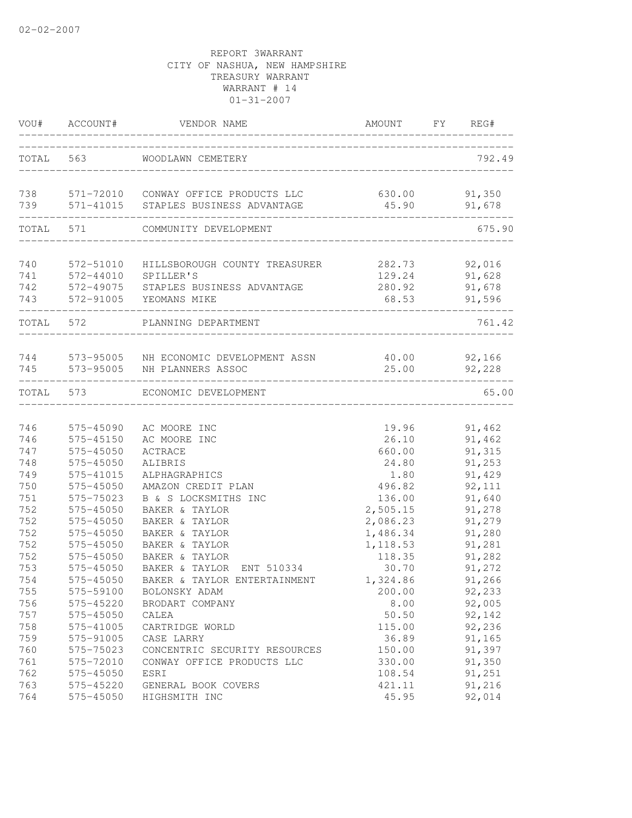|                          | VOU# ACCOUNT#                       | VENDOR NAME                                                                                        | AMOUNT                              | FY | REG#                                 |
|--------------------------|-------------------------------------|----------------------------------------------------------------------------------------------------|-------------------------------------|----|--------------------------------------|
| TOTAL                    | 563                                 | WOODLAWN CEMETERY                                                                                  |                                     |    | 792.49                               |
| 738<br>739               |                                     | 571-72010 CONWAY OFFICE PRODUCTS LLC<br>571-41015 STAPLES BUSINESS ADVANTAGE                       | 630.00<br>45.90                     |    | 91,350<br>91,678                     |
| TOTAL                    | 571                                 | COMMUNITY DEVELOPMENT                                                                              |                                     |    | 675.90                               |
|                          |                                     |                                                                                                    |                                     |    |                                      |
| 740<br>741<br>742<br>743 | 572-51010<br>572-44010<br>572-49075 | HILLSBOROUGH COUNTY TREASURER<br>SPILLER'S<br>STAPLES BUSINESS ADVANTAGE<br>572-91005 YEOMANS MIKE | 282.73<br>129.24<br>280.92<br>68.53 |    | 92,016<br>91,628<br>91,678<br>91,596 |
| TOTAL 572                |                                     | PLANNING DEPARTMENT                                                                                |                                     |    | 761.42                               |
|                          |                                     | 744 573-95005 NH ECONOMIC DEVELOPMENT ASSN                                                         | 40.00                               |    | 92,166                               |
|                          | 745 573-95005                       | NH PLANNERS ASSOC                                                                                  | 25.00                               |    | 92,228                               |
| TOTAL 573                |                                     | ECONOMIC DEVELOPMENT                                                                               |                                     |    | 65.00                                |
| 746                      | 575-45090                           | AC MOORE INC                                                                                       | 19.96                               |    | 91,462                               |
| 746                      | 575-45150                           | AC MOORE INC                                                                                       | 26.10                               |    | 91,462                               |
| 747                      | 575-45050                           | ACTRACE                                                                                            | 660.00                              |    | 91,315                               |
| 748                      | 575-45050                           | ALIBRIS                                                                                            | 24.80                               |    | 91,253                               |
| 749                      | 575-41015                           | ALPHAGRAPHICS                                                                                      | 1.80                                |    | 91,429                               |
| 750                      | 575-45050                           | AMAZON CREDIT PLAN                                                                                 | 496.82                              |    | 92,111                               |
| 751                      | 575-75023                           | B & S LOCKSMITHS INC                                                                               | 136.00                              |    | 91,640                               |
| 752<br>752               | 575-45050<br>575-45050              | BAKER & TAYLOR                                                                                     | 2,505.15                            |    | 91,278                               |
| 752                      | 575-45050                           | BAKER & TAYLOR                                                                                     | 2,086.23                            |    | 91,279                               |
| 752                      |                                     | BAKER & TAYLOR<br>BAKER & TAYLOR                                                                   | 1,486.34                            |    | 91,280<br>91,281                     |
| 752                      | 575-45050                           | BAKER & TAYLOR                                                                                     | 1,118.53                            |    | 91,282                               |
| 753                      | 575-45050<br>575-45050              | BAKER & TAYLOR<br>ENT 510334                                                                       | 118.35<br>30.70                     |    | 91,272                               |
|                          |                                     | BAKER & TAYLOR ENTERTAINMENT                                                                       |                                     |    |                                      |
| 754                      | 575-45050<br>575-59100              |                                                                                                    | 1,324.86                            |    | 91,266                               |
| 755<br>756               | 575-45220                           | BOLONSKY ADAM<br>BRODART COMPANY                                                                   | 200.00<br>8.00                      |    | 92,233<br>92,005                     |
| 757                      | 575-45050                           |                                                                                                    | 50.50                               |    |                                      |
| 758                      | 575-41005                           | CALEA<br>CARTRIDGE WORLD                                                                           | 115.00                              |    | 92,142                               |
| 759                      | 575-91005                           | CASE LARRY                                                                                         | 36.89                               |    | 92,236<br>91,165                     |
| 760                      | 575-75023                           | CONCENTRIC SECURITY RESOURCES                                                                      | 150.00                              |    | 91,397                               |
| 761                      | 575-72010                           | CONWAY OFFICE PRODUCTS LLC                                                                         | 330.00                              |    | 91,350                               |
| 762                      | 575-45050                           | ESRI                                                                                               | 108.54                              |    | 91,251                               |
| 763                      | 575-45220                           | GENERAL BOOK COVERS                                                                                | 421.11                              |    | 91,216                               |
| 764                      | 575-45050                           | HIGHSMITH INC                                                                                      | 45.95                               |    | 92,014                               |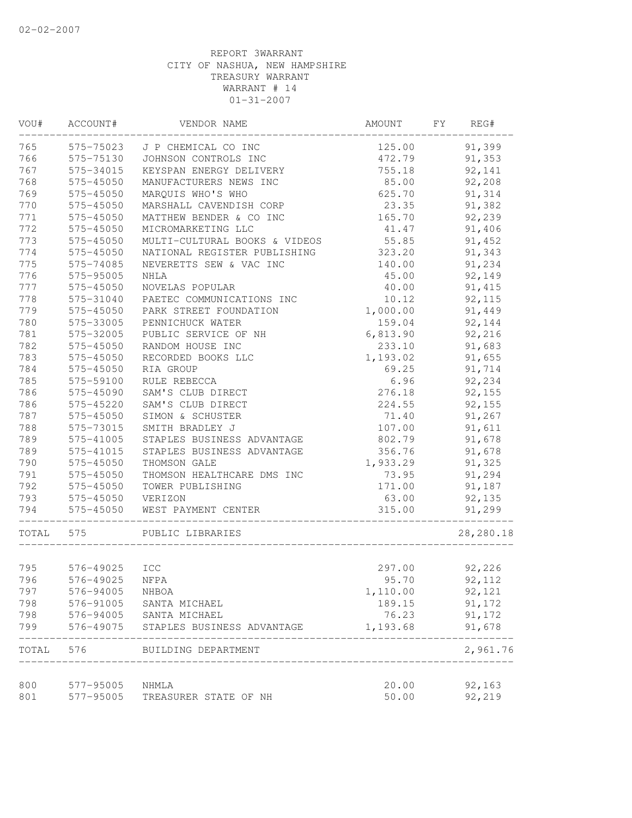| VOU#  | ACCOUNT#  | VENDOR NAME                   | AMOUNT   | REG#<br>FY |
|-------|-----------|-------------------------------|----------|------------|
| 765   | 575-75023 | J P CHEMICAL CO INC           | 125.00   | 91,399     |
| 766   | 575-75130 | JOHNSON CONTROLS INC          | 472.79   | 91,353     |
| 767   | 575-34015 | KEYSPAN ENERGY DELIVERY       | 755.18   | 92,141     |
| 768   | 575-45050 | MANUFACTURERS NEWS INC        | 85.00    | 92,208     |
| 769   | 575-45050 | MARQUIS WHO'S WHO             | 625.70   | 91,314     |
| 770   | 575-45050 | MARSHALL CAVENDISH CORP       | 23.35    | 91,382     |
| 771   | 575-45050 | MATTHEW BENDER & CO INC       | 165.70   | 92,239     |
| 772   | 575-45050 | MICROMARKETING LLC            | 41.47    | 91,406     |
| 773   | 575-45050 | MULTI-CULTURAL BOOKS & VIDEOS | 55.85    | 91,452     |
| 774   | 575-45050 | NATIONAL REGISTER PUBLISHING  | 323.20   | 91,343     |
| 775   | 575-74085 | NEVERETTS SEW & VAC INC       | 140.00   | 91,234     |
| 776   | 575-95005 | NHLA                          | 45.00    | 92,149     |
| 777   | 575-45050 | NOVELAS POPULAR               | 40.00    | 91, 415    |
| 778   | 575-31040 | PAETEC COMMUNICATIONS INC     | 10.12    | 92,115     |
| 779   | 575-45050 | PARK STREET FOUNDATION        | 1,000.00 | 91,449     |
| 780   | 575-33005 | PENNICHUCK WATER              | 159.04   | 92,144     |
| 781   | 575-32005 | PUBLIC SERVICE OF NH          | 6,813.90 | 92,216     |
| 782   | 575-45050 | RANDOM HOUSE INC              | 233.10   | 91,683     |
| 783   | 575-45050 | RECORDED BOOKS LLC            | 1,193.02 | 91,655     |
| 784   | 575-45050 | RIA GROUP                     | 69.25    | 91,714     |
| 785   | 575-59100 | RULE REBECCA                  | 6.96     | 92,234     |
| 786   | 575-45090 | SAM'S CLUB DIRECT             | 276.18   | 92,155     |
| 786   | 575-45220 | SAM'S CLUB DIRECT             | 224.55   | 92,155     |
| 787   | 575-45050 | SIMON & SCHUSTER              | 71.40    | 91,267     |
| 788   | 575-73015 | SMITH BRADLEY J               | 107.00   | 91,611     |
| 789   | 575-41005 | STAPLES BUSINESS ADVANTAGE    | 802.79   | 91,678     |
| 789   | 575-41015 | STAPLES BUSINESS ADVANTAGE    | 356.76   | 91,678     |
| 790   | 575-45050 | THOMSON GALE                  | 1,933.29 | 91,325     |
| 791   | 575-45050 | THOMSON HEALTHCARE DMS INC    | 73.95    | 91,294     |
| 792   | 575-45050 | TOWER PUBLISHING              | 171.00   | 91,187     |
| 793   | 575-45050 | VERIZON                       | 63.00    | 92,135     |
| 794   | 575-45050 | WEST PAYMENT CENTER           | 315.00   | 91,299     |
| TOTAL | 575       | PUBLIC LIBRARIES              |          | 28,280.18  |
|       |           |                               |          |            |
| 795   | 576-49025 | <b>ICC</b>                    | 297.00   | 92,226     |
| 796   | 576-49025 | NFPA                          | 95.70    | 92,112     |
| 797   | 576-94005 | NHBOA                         | 1,110.00 | 92,121     |
| 798   | 576-91005 | SANTA MICHAEL                 | 189.15   | 91,172     |
| 798   | 576-94005 | SANTA MICHAEL                 | 76.23    | 91,172     |
| 799   | 576-49075 | STAPLES BUSINESS ADVANTAGE    | 1,193.68 | 91,678     |
| TOTAL | 576       | BUILDING DEPARTMENT           |          | 2,961.76   |
| 800   | 577-95005 | NHMLA                         | 20.00    | 92,163     |
| 801   | 577-95005 | TREASURER STATE OF NH         | 50.00    | 92,219     |
|       |           |                               |          |            |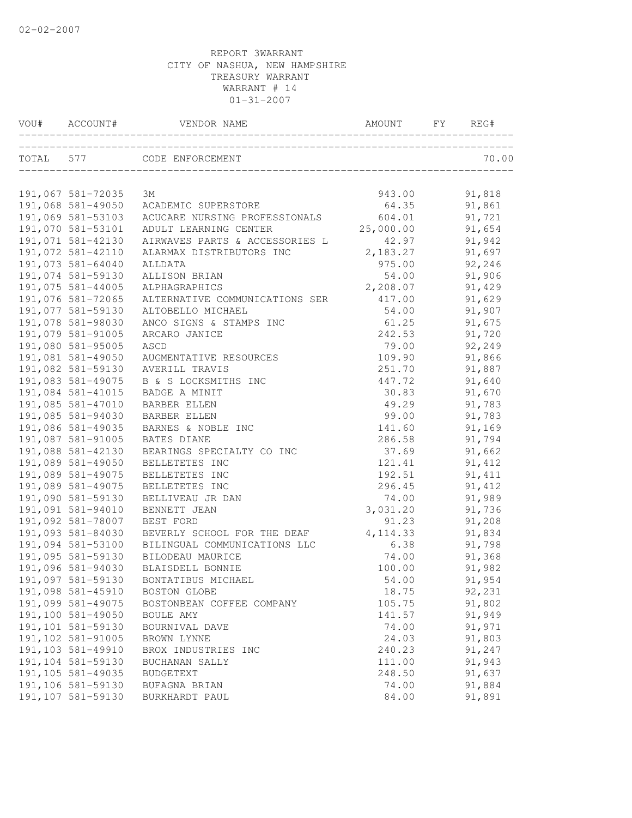| VOU# ACCOUNT#      | VENDOR NAME                    | AMOUNT    | FY | REG#    |
|--------------------|--------------------------------|-----------|----|---------|
|                    | TOTAL 577 CODE ENFORCEMENT     |           |    | 70.00   |
|                    |                                |           |    |         |
| 191,067 581-72035  | ЗМ                             | 943.00    |    | 91,818  |
| 191,068 581-49050  | ACADEMIC SUPERSTORE            | 64.35     |    | 91,861  |
| 191,069 581-53103  | ACUCARE NURSING PROFESSIONALS  | 604.01    |    | 91,721  |
| 191,070 581-53101  | ADULT LEARNING CENTER          | 25,000.00 |    | 91,654  |
| 191,071 581-42130  | AIRWAVES PARTS & ACCESSORIES L | 42.97     |    | 91,942  |
| 191,072 581-42110  | ALARMAX DISTRIBUTORS INC       | 2,183.27  |    | 91,697  |
| 191,073 581-64040  | ALLDATA                        | 975.00    |    | 92,246  |
| 191,074 581-59130  | ALLISON BRIAN                  | 54.00     |    | 91,906  |
| 191,075 581-44005  | ALPHAGRAPHICS                  | 2,208.07  |    | 91,429  |
| 191,076 581-72065  | ALTERNATIVE COMMUNICATIONS SER | 417.00    |    | 91,629  |
| 191,077 581-59130  | ALTOBELLO MICHAEL              | 54.00     |    | 91,907  |
| 191,078 581-98030  | ANCO SIGNS & STAMPS INC        | 61.25     |    | 91,675  |
| 191,079 581-91005  | ARCARO JANICE                  | 242.53    |    | 91,720  |
| 191,080 581-95005  | ASCD                           | 79.00     |    | 92,249  |
| 191,081 581-49050  | AUGMENTATIVE RESOURCES         | 109.90    |    | 91,866  |
| 191,082 581-59130  | AVERILL TRAVIS                 | 251.70    |    | 91,887  |
| 191,083 581-49075  | B & S LOCKSMITHS INC           | 447.72    |    | 91,640  |
| 191,084 581-41015  | BADGE A MINIT                  | 30.83     |    | 91,670  |
| 191,085 581-47010  | <b>BARBER ELLEN</b>            | 49.29     |    | 91,783  |
| 191,085 581-94030  | <b>BARBER ELLEN</b>            | 99.00     |    | 91,783  |
| 191,086 581-49035  | BARNES & NOBLE INC             | 141.60    |    | 91,169  |
| 191,087 581-91005  | BATES DIANE                    | 286.58    |    | 91,794  |
| 191,088 581-42130  | BEARINGS SPECIALTY CO INC      | 37.69     |    | 91,662  |
| 191,089 581-49050  | BELLETETES INC                 | 121.41    |    | 91,412  |
| 191,089 581-49075  | BELLETETES INC                 | 192.51    |    | 91, 411 |
| 191,089 581-49075  | BELLETETES INC                 | 296.45    |    | 91, 412 |
| 191,090 581-59130  | BELLIVEAU JR DAN               | 74.00     |    | 91,989  |
| 191,091 581-94010  | BENNETT JEAN                   | 3,031.20  |    | 91,736  |
| 191,092 581-78007  | BEST FORD                      | 91.23     |    | 91,208  |
| 191,093 581-84030  | BEVERLY SCHOOL FOR THE DEAF    | 4, 114.33 |    | 91,834  |
| 191,094 581-53100  | BILINGUAL COMMUNICATIONS LLC   | 6.38      |    | 91,798  |
| 191,095 581-59130  | BILODEAU MAURICE               | 74.00     |    | 91,368  |
| 191,096 581-94030  | BLAISDELL BONNIE               | 100.00    |    | 91,982  |
| 191,097 581-59130  | BONTATIBUS MICHAEL             | 54.00     |    | 91,954  |
| 191,098 581-45910  | BOSTON GLOBE                   | 18.75     |    | 92,231  |
| 191,099 581-49075  | BOSTONBEAN COFFEE COMPANY      | 105.75    |    | 91,802  |
| 191,100 581-49050  | BOULE AMY                      | 141.57    |    | 91,949  |
| 191,101 581-59130  | BOURNIVAL DAVE                 | 74.00     |    | 91,971  |
| 191,102 581-91005  | BROWN LYNNE                    | 24.03     |    | 91,803  |
| 191,103 581-49910  | BROX INDUSTRIES INC            | 240.23    |    | 91,247  |
| 191, 104 581-59130 | BUCHANAN SALLY                 | 111.00    |    | 91,943  |
| 191,105 581-49035  | <b>BUDGETEXT</b>               | 248.50    |    | 91,637  |
| 191,106 581-59130  | BUFAGNA BRIAN                  | 74.00     |    | 91,884  |
| 191,107 581-59130  | BURKHARDT PAUL                 | 84.00     |    | 91,891  |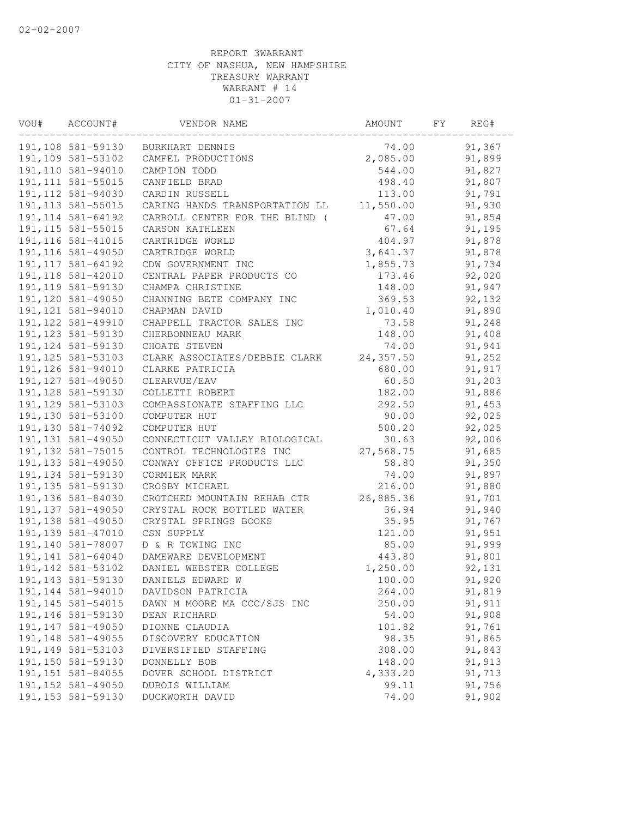| VOU# | ACCOUNT#           | VENDOR NAME                    | AMOUNT     | FY | REG#   |  |
|------|--------------------|--------------------------------|------------|----|--------|--|
|      | 191,108 581-59130  | BURKHART DENNIS                | 74.00      |    | 91,367 |  |
|      | 191,109 581-53102  | CAMFEL PRODUCTIONS             | 2,085.00   |    | 91,899 |  |
|      | 191,110 581-94010  | CAMPION TODD                   | 544.00     |    | 91,827 |  |
|      | 191, 111 581-55015 | CANFIELD BRAD                  | 498.40     |    | 91,807 |  |
|      | 191, 112 581-94030 | CARDIN RUSSELL                 | 113.00     |    | 91,791 |  |
|      | 191, 113 581-55015 | CARING HANDS TRANSPORTATION LL | 11,550.00  |    | 91,930 |  |
|      | 191, 114 581-64192 | CARROLL CENTER FOR THE BLIND ( | 47.00      |    | 91,854 |  |
|      | 191, 115 581-55015 | CARSON KATHLEEN                | 67.64      |    | 91,195 |  |
|      | 191, 116 581-41015 | CARTRIDGE WORLD                | 404.97     |    | 91,878 |  |
|      | 191, 116 581-49050 | CARTRIDGE WORLD                | 3,641.37   |    | 91,878 |  |
|      | 191, 117 581-64192 | CDW GOVERNMENT INC             | 1,855.73   |    | 91,734 |  |
|      | 191, 118 581-42010 | CENTRAL PAPER PRODUCTS CO      | 173.46     |    | 92,020 |  |
|      | 191, 119 581-59130 | CHAMPA CHRISTINE               | 148.00     |    | 91,947 |  |
|      | 191, 120 581-49050 | CHANNING BETE COMPANY INC      | 369.53     |    | 92,132 |  |
|      | 191, 121 581-94010 | CHAPMAN DAVID                  | 1,010.40   |    | 91,890 |  |
|      | 191, 122 581-49910 | CHAPPELL TRACTOR SALES INC     | 73.58      |    | 91,248 |  |
|      | 191, 123 581-59130 | CHERBONNEAU MARK               | 148.00     |    | 91,408 |  |
|      | 191, 124 581-59130 | CHOATE STEVEN                  | 74.00      |    | 91,941 |  |
|      | 191, 125 581-53103 | CLARK ASSOCIATES/DEBBIE CLARK  | 24, 357.50 |    | 91,252 |  |
|      | 191, 126 581-94010 | CLARKE PATRICIA                | 680.00     |    | 91,917 |  |
|      | 191, 127 581-49050 | CLEARVUE/EAV                   | 60.50      |    | 91,203 |  |
|      | 191, 128 581-59130 | COLLETTI ROBERT                | 182.00     |    | 91,886 |  |
|      | 191, 129 581-53103 | COMPASSIONATE STAFFING LLC     | 292.50     |    | 91,453 |  |
|      | 191,130 581-53100  | COMPUTER HUT                   | 90.00      |    | 92,025 |  |
|      | 191,130 581-74092  | COMPUTER HUT                   | 500.20     |    | 92,025 |  |
|      | 191, 131 581-49050 | CONNECTICUT VALLEY BIOLOGICAL  | 30.63      |    | 92,006 |  |
|      | 191, 132 581-75015 | CONTROL TECHNOLOGIES INC       | 27,568.75  |    | 91,685 |  |
|      | 191, 133 581-49050 | CONWAY OFFICE PRODUCTS LLC     | 58.80      |    | 91,350 |  |
|      | 191, 134 581-59130 | CORMIER MARK                   | 74.00      |    | 91,897 |  |
|      | 191, 135 581-59130 | CROSBY MICHAEL                 | 216.00     |    | 91,880 |  |
|      | 191, 136 581-84030 | CROTCHED MOUNTAIN REHAB CTR    | 26,885.36  |    | 91,701 |  |
|      | 191, 137 581-49050 | CRYSTAL ROCK BOTTLED WATER     | 36.94      |    | 91,940 |  |
|      | 191, 138 581-49050 | CRYSTAL SPRINGS BOOKS          | 35.95      |    | 91,767 |  |
|      | 191,139 581-47010  | CSN SUPPLY                     | 121.00     |    | 91,951 |  |
|      | 191,140 581-78007  | D & R TOWING INC               | 85.00      |    | 91,999 |  |
|      | 191,141 581-64040  | DAMEWARE DEVELOPMENT           | 443.80     |    | 91,801 |  |
|      | 191, 142 581-53102 | DANIEL WEBSTER COLLEGE         | 1,250.00   |    | 92,131 |  |
|      | 191, 143 581-59130 | DANIELS EDWARD W               | 100.00     |    | 91,920 |  |
|      | 191, 144 581-94010 | DAVIDSON PATRICIA              | 264.00     |    | 91,819 |  |
|      | 191, 145 581-54015 | DAWN M MOORE MA CCC/SJS INC    | 250.00     |    | 91,911 |  |
|      | 191, 146 581-59130 | DEAN RICHARD                   | 54.00      |    | 91,908 |  |
|      | 191, 147 581-49050 | DIONNE CLAUDIA                 | 101.82     |    | 91,761 |  |
|      | 191, 148 581-49055 | DISCOVERY EDUCATION            | 98.35      |    | 91,865 |  |
|      | 191, 149 581-53103 | DIVERSIFIED STAFFING           | 308.00     |    | 91,843 |  |
|      | 191,150 581-59130  | DONNELLY BOB                   | 148.00     |    | 91,913 |  |
|      | 191, 151 581-84055 | DOVER SCHOOL DISTRICT          | 4,333.20   |    | 91,713 |  |
|      | 191, 152 581-49050 | DUBOIS WILLIAM                 | 99.11      |    | 91,756 |  |
|      | 191, 153 581-59130 | DUCKWORTH DAVID                | 74.00      |    | 91,902 |  |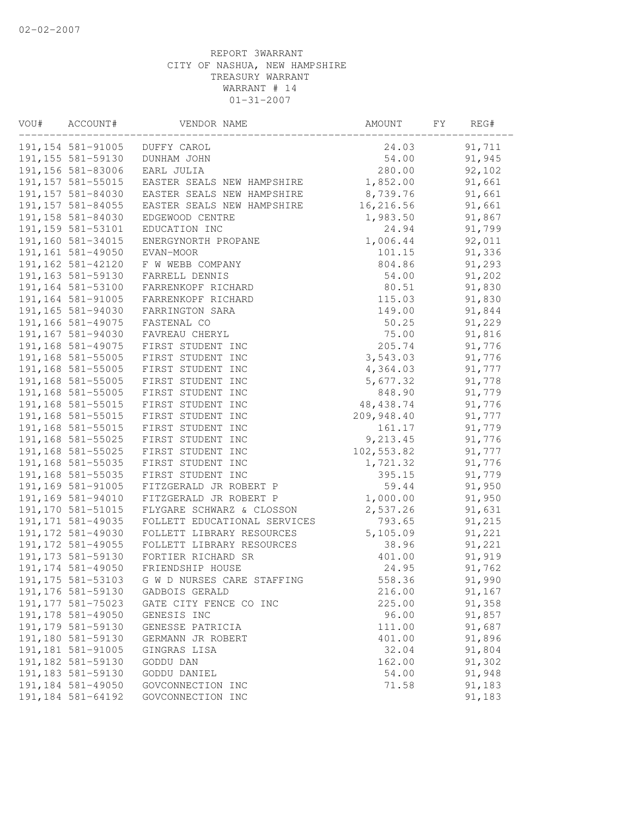| VOU# | ACCOUNT#           | VENDOR NAME                  | AMOUNT     | FY. | REG#   |  |
|------|--------------------|------------------------------|------------|-----|--------|--|
|      | 191, 154 581-91005 | DUFFY CAROL                  | 24.03      |     | 91,711 |  |
|      | 191, 155 581-59130 | DUNHAM JOHN                  | 54.00      |     | 91,945 |  |
|      | 191,156 581-83006  | EARL JULIA                   | 280.00     |     | 92,102 |  |
|      | 191, 157 581-55015 | EASTER SEALS NEW HAMPSHIRE   | 1,852.00   |     | 91,661 |  |
|      | 191,157 581-84030  | EASTER SEALS NEW HAMPSHIRE   | 8,739.76   |     | 91,661 |  |
|      | 191, 157 581-84055 | EASTER SEALS NEW HAMPSHIRE   | 16,216.56  |     | 91,661 |  |
|      | 191,158 581-84030  | EDGEWOOD CENTRE              | 1,983.50   |     | 91,867 |  |
|      | 191, 159 581-53101 | EDUCATION INC                | 24.94      |     | 91,799 |  |
|      | 191,160 581-34015  | ENERGYNORTH PROPANE          | 1,006.44   |     | 92,011 |  |
|      | 191,161 581-49050  | EVAN-MOOR                    | 101.15     |     | 91,336 |  |
|      | 191,162 581-42120  | F W WEBB COMPANY             | 804.86     |     | 91,293 |  |
|      | 191,163 581-59130  | FARRELL DENNIS               | 54.00      |     | 91,202 |  |
|      | 191,164 581-53100  | FARRENKOPF RICHARD           | 80.51      |     | 91,830 |  |
|      | 191, 164 581-91005 | FARRENKOPF RICHARD           | 115.03     |     | 91,830 |  |
|      | 191,165 581-94030  | FARRINGTON SARA              | 149.00     |     | 91,844 |  |
|      | 191,166 581-49075  | FASTENAL CO                  | 50.25      |     | 91,229 |  |
|      | 191,167 581-94030  | FAVREAU CHERYL               | 75.00      |     | 91,816 |  |
|      | 191,168 581-49075  | FIRST STUDENT INC            | 205.74     |     | 91,776 |  |
|      | 191,168 581-55005  | FIRST STUDENT INC            | 3,543.03   |     | 91,776 |  |
|      | 191,168 581-55005  | FIRST STUDENT INC            | 4,364.03   |     | 91,777 |  |
|      | 191,168 581-55005  | FIRST STUDENT INC            | 5,677.32   |     | 91,778 |  |
|      | 191,168 581-55005  | FIRST STUDENT INC            | 848.90     |     | 91,779 |  |
|      | 191,168 581-55015  | FIRST STUDENT INC            | 48, 438.74 |     | 91,776 |  |
|      | 191,168 581-55015  | FIRST STUDENT INC            | 209,948.40 |     | 91,777 |  |
|      | 191,168 581-55015  | FIRST STUDENT INC            | 161.17     |     | 91,779 |  |
|      | 191,168 581-55025  | FIRST STUDENT INC            | 9,213.45   |     | 91,776 |  |
|      | 191,168 581-55025  | FIRST STUDENT INC            | 102,553.82 |     | 91,777 |  |
|      | 191,168 581-55035  | FIRST STUDENT INC            | 1,721.32   |     | 91,776 |  |
|      | 191,168 581-55035  | FIRST STUDENT INC            | 395.15     |     | 91,779 |  |
|      | 191,169 581-91005  | FITZGERALD JR ROBERT P       | 59.44      |     | 91,950 |  |
|      | 191,169 581-94010  | FITZGERALD JR ROBERT P       | 1,000.00   |     | 91,950 |  |
|      | 191,170 581-51015  | FLYGARE SCHWARZ & CLOSSON    | 2,537.26   |     | 91,631 |  |
|      | 191, 171 581-49035 | FOLLETT EDUCATIONAL SERVICES | 793.65     |     | 91,215 |  |
|      | 191, 172 581-49030 | FOLLETT LIBRARY RESOURCES    | 5,105.09   |     | 91,221 |  |
|      | 191, 172 581-49055 | FOLLETT LIBRARY RESOURCES    | 38.96      |     | 91,221 |  |
|      | 191, 173 581-59130 | FORTIER RICHARD SR           | 401.00     |     | 91,919 |  |
|      | 191, 174 581-49050 | FRIENDSHIP HOUSE             | 24.95      |     | 91,762 |  |
|      | 191, 175 581-53103 | G W D NURSES CARE STAFFING   | 558.36     |     | 91,990 |  |
|      | 191,176 581-59130  | GADBOIS GERALD               | 216.00     |     | 91,167 |  |
|      | 191, 177 581-75023 | GATE CITY FENCE CO INC       | 225.00     |     | 91,358 |  |
|      | 191, 178 581-49050 | GENESIS INC                  | 96.00      |     | 91,857 |  |
|      | 191, 179 581-59130 | GENESSE PATRICIA             | 111.00     |     | 91,687 |  |
|      | 191,180 581-59130  | GERMANN JR ROBERT            | 401.00     |     | 91,896 |  |
|      | 191,181 581-91005  | GINGRAS LISA                 | 32.04      |     | 91,804 |  |
|      | 191,182 581-59130  | GODDU DAN                    | 162.00     |     | 91,302 |  |
|      | 191, 183 581-59130 | GODDU DANIEL                 | 54.00      |     | 91,948 |  |
|      | 191, 184 581-49050 | GOVCONNECTION INC            | 71.58      |     | 91,183 |  |
|      | 191, 184 581-64192 | GOVCONNECTION INC            |            |     | 91,183 |  |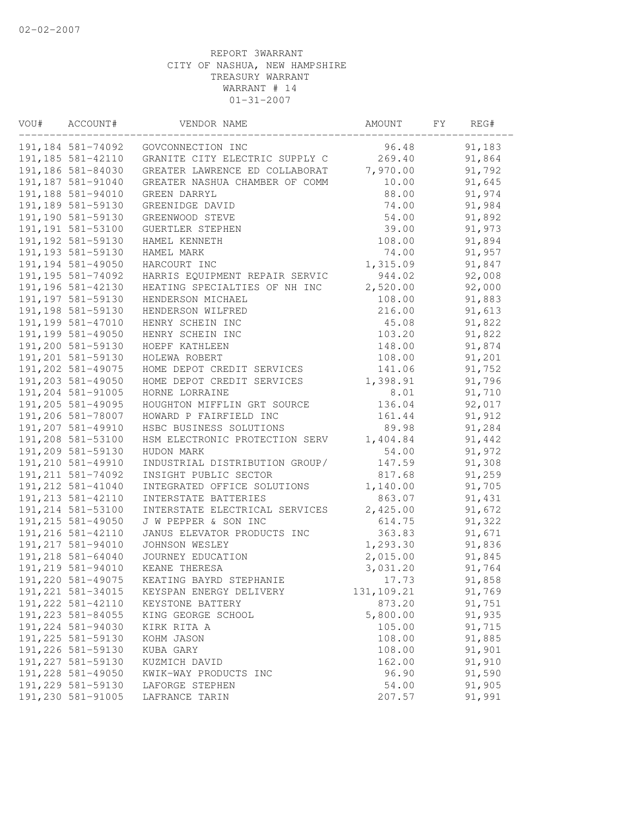| VOU# | ACCOUNT#           | VENDOR NAME                    | AMOUNT     | FΥ | REG#    |  |
|------|--------------------|--------------------------------|------------|----|---------|--|
|      | 191,184 581-74092  | GOVCONNECTION INC              | 96.48      |    | 91,183  |  |
|      | 191, 185 581-42110 | GRANITE CITY ELECTRIC SUPPLY C | 269.40     |    | 91,864  |  |
|      | 191,186 581-84030  | GREATER LAWRENCE ED COLLABORAT | 7,970.00   |    | 91,792  |  |
|      | 191, 187 581-91040 | GREATER NASHUA CHAMBER OF COMM | 10.00      |    | 91,645  |  |
|      | 191,188 581-94010  | GREEN DARRYL                   | 88.00      |    | 91,974  |  |
|      | 191,189 581-59130  | GREENIDGE DAVID                | 74.00      |    | 91,984  |  |
|      | 191,190 581-59130  | GREENWOOD STEVE                | 54.00      |    | 91,892  |  |
|      | 191,191 581-53100  | GUERTLER STEPHEN               | 39.00      |    | 91,973  |  |
|      | 191, 192 581-59130 | HAMEL KENNETH                  | 108.00     |    | 91,894  |  |
|      | 191, 193 581-59130 | HAMEL MARK                     | 74.00      |    | 91,957  |  |
|      | 191,194 581-49050  | HARCOURT INC                   | 1,315.09   |    | 91,847  |  |
|      | 191, 195 581-74092 | HARRIS EQUIPMENT REPAIR SERVIC | 944.02     |    | 92,008  |  |
|      | 191, 196 581-42130 | HEATING SPECIALTIES OF NH INC  | 2,520.00   |    | 92,000  |  |
|      | 191, 197 581-59130 | HENDERSON MICHAEL              | 108.00     |    | 91,883  |  |
|      | 191, 198 581-59130 | HENDERSON WILFRED              | 216.00     |    | 91,613  |  |
|      | 191, 199 581-47010 | HENRY SCHEIN INC               | 45.08      |    | 91,822  |  |
|      | 191,199 581-49050  | HENRY SCHEIN INC               | 103.20     |    | 91,822  |  |
|      | 191,200 581-59130  | HOEPF KATHLEEN                 | 148.00     |    | 91,874  |  |
|      | 191,201 581-59130  | HOLEWA ROBERT                  | 108.00     |    | 91,201  |  |
|      | 191,202 581-49075  | HOME DEPOT CREDIT SERVICES     | 141.06     |    | 91,752  |  |
|      | 191,203 581-49050  | HOME DEPOT CREDIT SERVICES     | 1,398.91   |    | 91,796  |  |
|      | 191,204 581-91005  | HORNE LORRAINE                 | 8.01       |    | 91,710  |  |
|      | 191,205 581-49095  | HOUGHTON MIFFLIN GRT SOURCE    | 136.04     |    | 92,017  |  |
|      | 191,206 581-78007  | HOWARD P FAIRFIELD INC         | 161.44     |    | 91, 912 |  |
|      | 191,207 581-49910  | HSBC BUSINESS SOLUTIONS        | 89.98      |    | 91,284  |  |
|      | 191,208 581-53100  | HSM ELECTRONIC PROTECTION SERV | 1,404.84   |    | 91,442  |  |
|      | 191,209 581-59130  | HUDON MARK                     | 54.00      |    | 91,972  |  |
|      | 191,210 581-49910  | INDUSTRIAL DISTRIBUTION GROUP/ | 147.59     |    | 91,308  |  |
|      | 191, 211 581-74092 | INSIGHT PUBLIC SECTOR          | 817.68     |    | 91,259  |  |
|      | 191, 212 581-41040 | INTEGRATED OFFICE SOLUTIONS    | 1,140.00   |    | 91,705  |  |
|      | 191, 213 581-42110 | INTERSTATE BATTERIES           | 863.07     |    | 91,431  |  |
|      | 191,214 581-53100  | INTERSTATE ELECTRICAL SERVICES | 2,425.00   |    | 91,672  |  |
|      | 191, 215 581-49050 | J W PEPPER & SON INC           | 614.75     |    | 91,322  |  |
|      | 191,216 581-42110  | JANUS ELEVATOR PRODUCTS INC    | 363.83     |    | 91,671  |  |
|      | 191, 217 581-94010 | JOHNSON WESLEY                 | 1,293.30   |    | 91,836  |  |
|      | 191,218 581-64040  | JOURNEY EDUCATION              | 2,015.00   |    | 91,845  |  |
|      | 191,219 581-94010  | KEANE THERESA                  | 3,031.20   |    | 91,764  |  |
|      | 191,220 581-49075  | KEATING BAYRD STEPHANIE        | 17.73      |    | 91,858  |  |
|      | 191, 221 581-34015 | KEYSPAN ENERGY DELIVERY        | 131,109.21 |    | 91,769  |  |
|      | 191, 222 581-42110 | KEYSTONE BATTERY               | 873.20     |    | 91,751  |  |
|      | 191, 223 581-84055 | KING GEORGE SCHOOL             | 5,800.00   |    | 91,935  |  |
|      | 191,224 581-94030  | KIRK RITA A                    | 105.00     |    | 91,715  |  |
|      | 191, 225 581-59130 | KOHM JASON                     | 108.00     |    | 91,885  |  |
|      | 191,226 581-59130  | KUBA GARY                      | 108.00     |    | 91,901  |  |
|      | 191, 227 581-59130 | KUZMICH DAVID                  | 162.00     |    | 91,910  |  |
|      | 191,228 581-49050  | KWIK-WAY PRODUCTS INC          | 96.90      |    | 91,590  |  |
|      | 191,229 581-59130  | LAFORGE STEPHEN                | 54.00      |    | 91,905  |  |
|      | 191,230 581-91005  | LAFRANCE TARIN                 | 207.57     |    | 91,991  |  |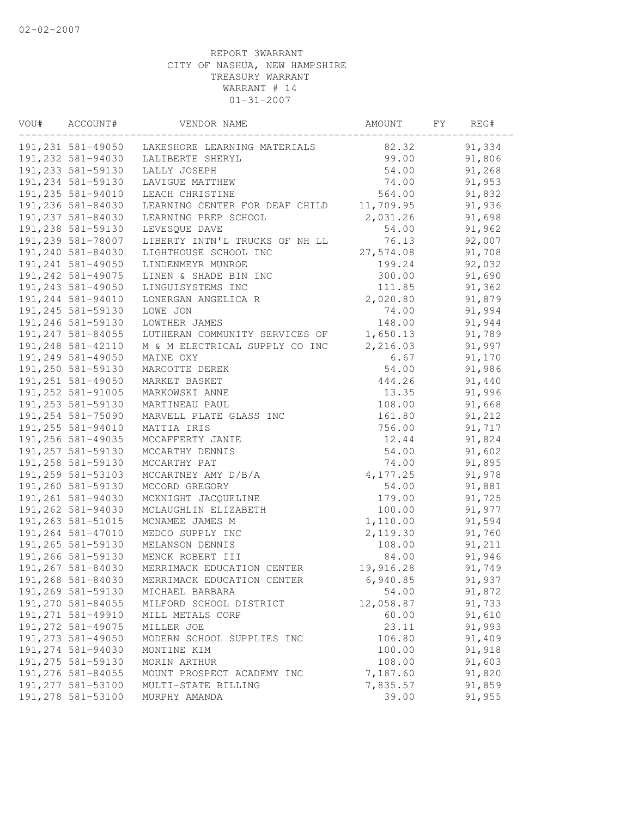| VOU# | ACCOUNT#           | VENDOR NAME                    | AMOUNT    | FY | REG#   |  |
|------|--------------------|--------------------------------|-----------|----|--------|--|
|      | 191,231 581-49050  | LAKESHORE LEARNING MATERIALS   | 82.32     |    | 91,334 |  |
|      | 191,232 581-94030  | LALIBERTE SHERYL               | 99.00     |    | 91,806 |  |
|      | 191, 233 581-59130 | LALLY JOSEPH                   | 54.00     |    | 91,268 |  |
|      | 191,234 581-59130  | LAVIGUE MATTHEW                | 74.00     |    | 91,953 |  |
|      | 191,235 581-94010  | LEACH CHRISTINE                | 564.00    |    | 91,832 |  |
|      | 191,236 581-84030  | LEARNING CENTER FOR DEAF CHILD | 11,709.95 |    | 91,936 |  |
|      | 191,237 581-84030  | LEARNING PREP SCHOOL           | 2,031.26  |    | 91,698 |  |
|      | 191,238 581-59130  | LEVESQUE DAVE                  | 54.00     |    | 91,962 |  |
|      | 191,239 581-78007  | LIBERTY INTN'L TRUCKS OF NH LL | 76.13     |    | 92,007 |  |
|      | 191,240 581-84030  | LIGHTHOUSE SCHOOL INC          | 27,574.08 |    | 91,708 |  |
|      | 191,241 581-49050  | LINDENMEYR MUNROE              | 199.24    |    | 92,032 |  |
|      | 191, 242 581-49075 | LINEN & SHADE BIN INC          | 300.00    |    | 91,690 |  |
|      | 191,243 581-49050  | LINGUISYSTEMS INC              | 111.85    |    | 91,362 |  |
|      | 191,244 581-94010  | LONERGAN ANGELICA R            | 2,020.80  |    | 91,879 |  |
|      | 191,245 581-59130  | LOWE JON                       | 74.00     |    | 91,994 |  |
|      | 191,246 581-59130  | LOWTHER JAMES                  | 148.00    |    | 91,944 |  |
|      | 191, 247 581-84055 | LUTHERAN COMMUNITY SERVICES OF | 1,650.13  |    | 91,789 |  |
|      | 191,248 581-42110  | M & M ELECTRICAL SUPPLY CO INC | 2,216.03  |    | 91,997 |  |
|      | 191,249 581-49050  | MAINE OXY                      | 6.67      |    | 91,170 |  |
|      | 191,250 581-59130  | MARCOTTE DEREK                 | 54.00     |    | 91,986 |  |
|      | 191, 251 581-49050 | MARKET BASKET                  | 444.26    |    | 91,440 |  |
|      | 191, 252 581-91005 | MARKOWSKI ANNE                 | 13.35     |    | 91,996 |  |
|      | 191, 253 581-59130 | MARTINEAU PAUL                 | 108.00    |    | 91,668 |  |
|      | 191,254 581-75090  | MARVELL PLATE GLASS INC        | 161.80    |    | 91,212 |  |
|      | 191,255 581-94010  | MATTIA IRIS                    | 756.00    |    | 91,717 |  |
|      | 191,256 581-49035  | MCCAFFERTY JANIE               | 12.44     |    | 91,824 |  |
|      | 191,257 581-59130  | MCCARTHY DENNIS                | 54.00     |    | 91,602 |  |
|      | 191,258 581-59130  | MCCARTHY PAT                   | 74.00     |    | 91,895 |  |
|      | 191,259 581-53103  | MCCARTNEY AMY D/B/A            | 4, 177.25 |    | 91,978 |  |
|      | 191,260 581-59130  | MCCORD GREGORY                 | 54.00     |    | 91,881 |  |
|      | 191,261 581-94030  | MCKNIGHT JACQUELINE            | 179.00    |    | 91,725 |  |
|      | 191,262 581-94030  | MCLAUGHLIN ELIZABETH           | 100.00    |    | 91,977 |  |
|      | 191,263 581-51015  | MCNAMEE JAMES M                | 1,110.00  |    | 91,594 |  |
|      | 191,264 581-47010  | MEDCO SUPPLY INC               | 2,119.30  |    | 91,760 |  |
|      | 191,265 581-59130  | MELANSON DENNIS                | 108.00    |    | 91,211 |  |
|      | 191,266 581-59130  | MENCK ROBERT III               | 84.00     |    | 91,946 |  |
|      | 191,267 581-84030  | MERRIMACK EDUCATION CENTER     | 19,916.28 |    | 91,749 |  |
|      | 191,268 581-84030  | MERRIMACK EDUCATION CENTER     | 6,940.85  |    | 91,937 |  |
|      | 191,269 581-59130  | MICHAEL BARBARA                | 54.00     |    | 91,872 |  |
|      | 191,270 581-84055  | MILFORD SCHOOL DISTRICT        | 12,058.87 |    | 91,733 |  |
|      | 191, 271 581-49910 | MILL METALS CORP               | 60.00     |    | 91,610 |  |
|      | 191, 272 581-49075 | MILLER JOE                     | 23.11     |    | 91,993 |  |
|      | 191,273 581-49050  | MODERN SCHOOL SUPPLIES INC     | 106.80    |    | 91,409 |  |
|      | 191,274 581-94030  | MONTINE KIM                    | 100.00    |    | 91,918 |  |
|      | 191,275 581-59130  | MORIN ARTHUR                   | 108.00    |    | 91,603 |  |
|      | 191,276 581-84055  | MOUNT PROSPECT ACADEMY INC     | 7,187.60  |    | 91,820 |  |
|      | 191,277 581-53100  | MULTI-STATE BILLING            | 7,835.57  |    | 91,859 |  |
|      | 191,278 581-53100  | MURPHY AMANDA                  | 39.00     |    | 91,955 |  |
|      |                    |                                |           |    |        |  |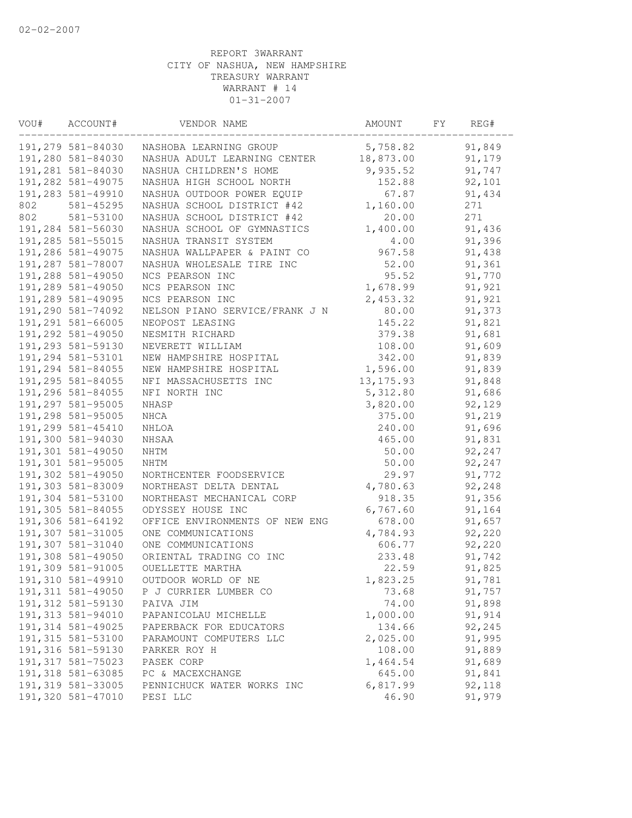| VOU# | ACCOUNT#           | VENDOR NAME                    | AMOUNT     | FY | REG#   |  |
|------|--------------------|--------------------------------|------------|----|--------|--|
|      | 191,279 581-84030  | NASHOBA LEARNING GROUP         | 5,758.82   |    | 91,849 |  |
|      | 191,280 581-84030  | NASHUA ADULT LEARNING CENTER   | 18,873.00  |    | 91,179 |  |
|      | 191,281 581-84030  | NASHUA CHILDREN'S HOME         | 9,935.52   |    | 91,747 |  |
|      | 191,282 581-49075  | NASHUA HIGH SCHOOL NORTH       | 152.88     |    | 92,101 |  |
|      | 191,283 581-49910  | NASHUA OUTDOOR POWER EQUIP     | 67.87      |    | 91,434 |  |
| 802  | 581-45295          | NASHUA SCHOOL DISTRICT #42     | 1,160.00   |    | 271    |  |
| 802  | 581-53100          | NASHUA SCHOOL DISTRICT #42     | 20.00      |    | 271    |  |
|      | 191,284 581-56030  | NASHUA SCHOOL OF GYMNASTICS    | 1,400.00   |    | 91,436 |  |
|      | 191,285 581-55015  | NASHUA TRANSIT SYSTEM          | 4.00       |    | 91,396 |  |
|      | 191,286 581-49075  | NASHUA WALLPAPER & PAINT CO    | 967.58     |    | 91,438 |  |
|      | 191,287 581-78007  | NASHUA WHOLESALE TIRE INC      | 52.00      |    | 91,361 |  |
|      | 191,288 581-49050  | NCS PEARSON INC                | 95.52      |    | 91,770 |  |
|      | 191,289 581-49050  | NCS PEARSON INC                | 1,678.99   |    | 91,921 |  |
|      | 191,289 581-49095  | NCS PEARSON INC                | 2,453.32   |    | 91,921 |  |
|      | 191,290 581-74092  | NELSON PIANO SERVICE/FRANK J N | 80.00      |    | 91,373 |  |
|      | 191,291 581-66005  | NEOPOST LEASING                | 145.22     |    | 91,821 |  |
|      | 191,292 581-49050  | NESMITH RICHARD                | 379.38     |    | 91,681 |  |
|      | 191,293 581-59130  | NEVERETT WILLIAM               | 108.00     |    | 91,609 |  |
|      | 191,294 581-53101  | NEW HAMPSHIRE HOSPITAL         | 342.00     |    | 91,839 |  |
|      | 191,294 581-84055  | NEW HAMPSHIRE HOSPITAL         | 1,596.00   |    | 91,839 |  |
|      | 191,295 581-84055  | NFI MASSACHUSETTS INC          | 13, 175.93 |    | 91,848 |  |
|      | 191,296 581-84055  | NFI NORTH INC                  | 5,312.80   |    | 91,686 |  |
|      | 191,297 581-95005  | NHASP                          | 3,820.00   |    | 92,129 |  |
|      | 191,298 581-95005  | NHCA                           | 375.00     |    | 91,219 |  |
|      | 191,299 581-45410  | NHLOA                          | 240.00     |    | 91,696 |  |
|      | 191,300 581-94030  | NHSAA                          | 465.00     |    | 91,831 |  |
|      | 191,301 581-49050  | NHTM                           | 50.00      |    | 92,247 |  |
|      | 191,301 581-95005  | <b>NHTM</b>                    | 50.00      |    | 92,247 |  |
|      | 191,302 581-49050  | NORTHCENTER FOODSERVICE        | 29.97      |    | 91,772 |  |
|      | 191,303 581-83009  | NORTHEAST DELTA DENTAL         | 4,780.63   |    | 92,248 |  |
|      | 191,304 581-53100  | NORTHEAST MECHANICAL CORP      | 918.35     |    | 91,356 |  |
|      | 191,305 581-84055  | ODYSSEY HOUSE INC              | 6,767.60   |    | 91,164 |  |
|      | 191,306 581-64192  | OFFICE ENVIRONMENTS OF NEW ENG | 678.00     |    | 91,657 |  |
|      | 191,307 581-31005  | ONE COMMUNICATIONS             | 4,784.93   |    | 92,220 |  |
|      | 191,307 581-31040  | ONE COMMUNICATIONS             | 606.77     |    | 92,220 |  |
|      | 191,308 581-49050  | ORIENTAL TRADING CO INC        | 233.48     |    | 91,742 |  |
|      | 191,309 581-91005  | OUELLETTE MARTHA               | 22.59      |    | 91,825 |  |
|      | 191,310 581-49910  | OUTDOOR WORLD OF NE            | 1,823.25   |    | 91,781 |  |
|      | 191, 311 581-49050 | P J CURRIER LUMBER CO          | 73.68      |    | 91,757 |  |
|      | 191, 312 581-59130 | PAIVA JIM                      | 74.00      |    | 91,898 |  |
|      | 191,313 581-94010  | PAPANICOLAU MICHELLE           | 1,000.00   |    | 91,914 |  |
|      | 191, 314 581-49025 | PAPERBACK FOR EDUCATORS        | 134.66     |    | 92,245 |  |
|      | 191, 315 581-53100 | PARAMOUNT COMPUTERS LLC        | 2,025.00   |    | 91,995 |  |
|      | 191, 316 581-59130 | PARKER ROY H                   | 108.00     |    | 91,889 |  |
|      | 191, 317 581-75023 | PASEK CORP                     | 1,464.54   |    | 91,689 |  |
|      | 191,318 581-63085  | PC & MACEXCHANGE               | 645.00     |    | 91,841 |  |
|      | 191,319 581-33005  | PENNICHUCK WATER WORKS INC     | 6,817.99   |    | 92,118 |  |
|      | 191,320 581-47010  | PESI LLC                       | 46.90      |    | 91,979 |  |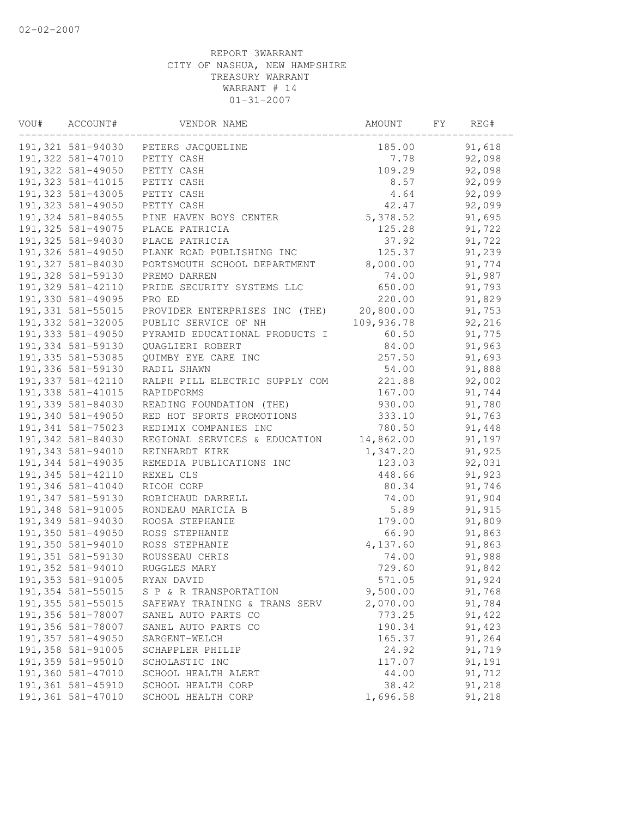| VOU# | ACCOUNT#           | VENDOR NAME                         | AMOUNT     | FY | REG#   |  |
|------|--------------------|-------------------------------------|------------|----|--------|--|
|      |                    | 191,321 581-94030 PETERS JACQUELINE | 185.00     |    | 91,618 |  |
|      | 191,322 581-47010  | PETTY CASH                          | 7.78       |    | 92,098 |  |
|      | 191,322 581-49050  | PETTY CASH                          | 109.29     |    | 92,098 |  |
|      | 191, 323 581-41015 | PETTY CASH                          | 8.57       |    | 92,099 |  |
|      | 191,323 581-43005  | PETTY CASH                          | 4.64       |    | 92,099 |  |
|      | 191,323 581-49050  | PETTY CASH                          | 42.47      |    | 92,099 |  |
|      | 191,324 581-84055  | PINE HAVEN BOYS CENTER              | 5,378.52   |    | 91,695 |  |
|      | 191, 325 581-49075 | PLACE PATRICIA                      | 125.28     |    | 91,722 |  |
|      | 191,325 581-94030  | PLACE PATRICIA                      | 37.92      |    | 91,722 |  |
|      | 191,326 581-49050  | PLANK ROAD PUBLISHING INC           | 125.37     |    | 91,239 |  |
|      | 191,327 581-84030  | PORTSMOUTH SCHOOL DEPARTMENT        | 8,000.00   |    | 91,774 |  |
|      | 191,328 581-59130  | PREMO DARREN                        | 74.00      |    | 91,987 |  |
|      | 191,329 581-42110  | PRIDE SECURITY SYSTEMS LLC          | 650.00     |    | 91,793 |  |
|      | 191,330 581-49095  | PRO ED                              | 220.00     |    | 91,829 |  |
|      | 191,331 581-55015  | PROVIDER ENTERPRISES INC (THE)      | 20,800.00  |    | 91,753 |  |
|      | 191,332 581-32005  | PUBLIC SERVICE OF NH                | 109,936.78 |    | 92,216 |  |
|      | 191,333 581-49050  | PYRAMID EDUCATIONAL PRODUCTS I      | 60.50      |    | 91,775 |  |
|      | 191,334 581-59130  | QUAGLIERI ROBERT                    | 84.00      |    | 91,963 |  |
|      | 191,335 581-53085  | QUIMBY EYE CARE INC                 | 257.50     |    | 91,693 |  |
|      | 191,336 581-59130  | RADIL SHAWN                         | 54.00      |    | 91,888 |  |
|      | 191,337 581-42110  | RALPH PILL ELECTRIC SUPPLY COM      | 221.88     |    | 92,002 |  |
|      | 191,338 581-41015  | RAPIDFORMS                          | 167.00     |    | 91,744 |  |
|      | 191,339 581-84030  | READING FOUNDATION (THE)            | 930.00     |    | 91,780 |  |
|      | 191,340 581-49050  | RED HOT SPORTS PROMOTIONS           | 333.10     |    | 91,763 |  |
|      | 191,341 581-75023  | REDIMIX COMPANIES INC               | 780.50     |    | 91,448 |  |
|      | 191,342 581-84030  | REGIONAL SERVICES & EDUCATION       | 14,862.00  |    | 91,197 |  |
|      | 191,343 581-94010  | REINHARDT KIRK                      | 1,347.20   |    | 91,925 |  |
|      | 191,344 581-49035  | REMEDIA PUBLICATIONS INC            | 123.03     |    | 92,031 |  |
|      | 191,345 581-42110  | REXEL CLS                           | 448.66     |    | 91,923 |  |
|      | 191,346 581-41040  | RICOH CORP                          | 80.34      |    | 91,746 |  |
|      | 191,347 581-59130  | ROBICHAUD DARRELL                   | 74.00      |    | 91,904 |  |
|      | 191,348 581-91005  | RONDEAU MARICIA B                   | 5.89       |    | 91,915 |  |
|      | 191,349 581-94030  | ROOSA STEPHANIE                     | 179.00     |    | 91,809 |  |
|      | 191,350 581-49050  | ROSS STEPHANIE                      | 66.90      |    | 91,863 |  |
|      | 191,350 581-94010  | ROSS STEPHANIE                      | 4,137.60   |    | 91,863 |  |
|      | 191,351 581-59130  | ROUSSEAU CHRIS                      | 74.00      |    | 91,988 |  |
|      | 191,352 581-94010  | RUGGLES MARY                        | 729.60     |    | 91,842 |  |
|      | 191, 353 581-91005 | RYAN DAVID                          | 571.05     |    | 91,924 |  |
|      | 191,354 581-55015  | S P & R TRANSPORTATION              | 9,500.00   |    | 91,768 |  |
|      | 191, 355 581-55015 | SAFEWAY TRAINING & TRANS SERV       | 2,070.00   |    | 91,784 |  |
|      | 191,356 581-78007  | SANEL AUTO PARTS CO                 | 773.25     |    | 91,422 |  |
|      | 191,356 581-78007  | SANEL AUTO PARTS CO                 | 190.34     |    | 91,423 |  |
|      | 191,357 581-49050  | SARGENT-WELCH                       | 165.37     |    | 91,264 |  |
|      | 191,358 581-91005  | SCHAPPLER PHILIP                    | 24.92      |    | 91,719 |  |
|      | 191,359 581-95010  | SCHOLASTIC INC                      | 117.07     |    | 91,191 |  |
|      | 191,360 581-47010  | SCHOOL HEALTH ALERT                 | 44.00      |    | 91,712 |  |
|      | 191,361 581-45910  | SCHOOL HEALTH CORP                  | 38.42      |    | 91,218 |  |
|      | 191,361 581-47010  | SCHOOL HEALTH CORP                  | 1,696.58   |    | 91,218 |  |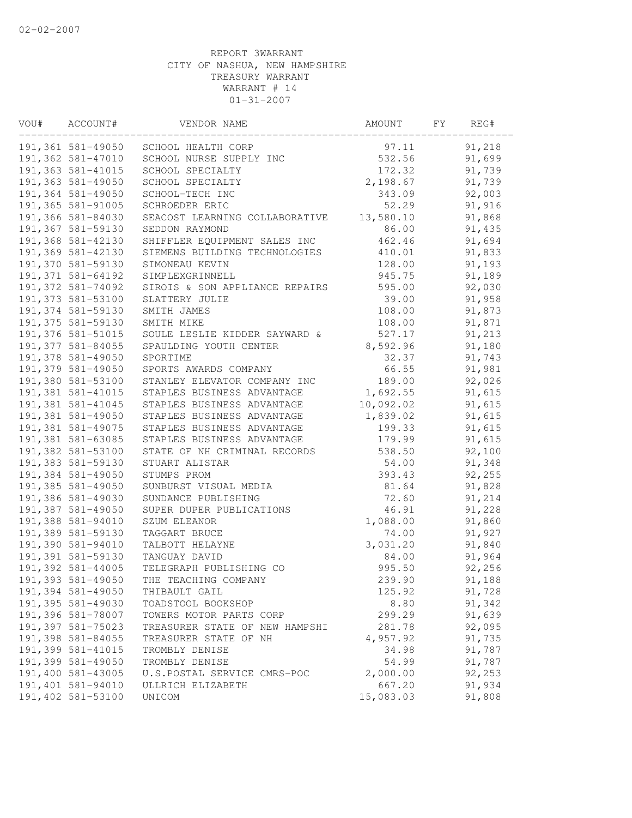| ACCOUNT#          | VENDOR NAME                                                                                                                                                                                                                                                                                                                                                                                                                                                                                                                                                                                                                                                                                                                                                                      | AMOUNT                                                                                                                                                                                                                                          | FY                                                                                                                                                                                                                       | REG#   |                                                                                                                                                                                                                                                                                                                              |
|-------------------|----------------------------------------------------------------------------------------------------------------------------------------------------------------------------------------------------------------------------------------------------------------------------------------------------------------------------------------------------------------------------------------------------------------------------------------------------------------------------------------------------------------------------------------------------------------------------------------------------------------------------------------------------------------------------------------------------------------------------------------------------------------------------------|-------------------------------------------------------------------------------------------------------------------------------------------------------------------------------------------------------------------------------------------------|--------------------------------------------------------------------------------------------------------------------------------------------------------------------------------------------------------------------------|--------|------------------------------------------------------------------------------------------------------------------------------------------------------------------------------------------------------------------------------------------------------------------------------------------------------------------------------|
|                   | SCHOOL HEALTH CORP                                                                                                                                                                                                                                                                                                                                                                                                                                                                                                                                                                                                                                                                                                                                                               | 97.11                                                                                                                                                                                                                                           |                                                                                                                                                                                                                          | 91,218 |                                                                                                                                                                                                                                                                                                                              |
| 191,362 581-47010 | SCHOOL NURSE SUPPLY INC                                                                                                                                                                                                                                                                                                                                                                                                                                                                                                                                                                                                                                                                                                                                                          | 532.56                                                                                                                                                                                                                                          |                                                                                                                                                                                                                          | 91,699 |                                                                                                                                                                                                                                                                                                                              |
|                   | SCHOOL SPECIALTY                                                                                                                                                                                                                                                                                                                                                                                                                                                                                                                                                                                                                                                                                                                                                                 | 172.32                                                                                                                                                                                                                                          |                                                                                                                                                                                                                          | 91,739 |                                                                                                                                                                                                                                                                                                                              |
| 191,363 581-49050 | SCHOOL SPECIALTY                                                                                                                                                                                                                                                                                                                                                                                                                                                                                                                                                                                                                                                                                                                                                                 |                                                                                                                                                                                                                                                 |                                                                                                                                                                                                                          |        |                                                                                                                                                                                                                                                                                                                              |
|                   | SCHOOL-TECH INC                                                                                                                                                                                                                                                                                                                                                                                                                                                                                                                                                                                                                                                                                                                                                                  |                                                                                                                                                                                                                                                 |                                                                                                                                                                                                                          |        |                                                                                                                                                                                                                                                                                                                              |
|                   | SCHROEDER ERIC                                                                                                                                                                                                                                                                                                                                                                                                                                                                                                                                                                                                                                                                                                                                                                   |                                                                                                                                                                                                                                                 |                                                                                                                                                                                                                          |        |                                                                                                                                                                                                                                                                                                                              |
|                   | SEACOST LEARNING COLLABORATIVE                                                                                                                                                                                                                                                                                                                                                                                                                                                                                                                                                                                                                                                                                                                                                   |                                                                                                                                                                                                                                                 |                                                                                                                                                                                                                          |        |                                                                                                                                                                                                                                                                                                                              |
|                   |                                                                                                                                                                                                                                                                                                                                                                                                                                                                                                                                                                                                                                                                                                                                                                                  | 86.00                                                                                                                                                                                                                                           |                                                                                                                                                                                                                          |        |                                                                                                                                                                                                                                                                                                                              |
|                   |                                                                                                                                                                                                                                                                                                                                                                                                                                                                                                                                                                                                                                                                                                                                                                                  |                                                                                                                                                                                                                                                 |                                                                                                                                                                                                                          |        |                                                                                                                                                                                                                                                                                                                              |
|                   | SIEMENS BUILDING TECHNOLOGIES                                                                                                                                                                                                                                                                                                                                                                                                                                                                                                                                                                                                                                                                                                                                                    | 410.01                                                                                                                                                                                                                                          |                                                                                                                                                                                                                          |        |                                                                                                                                                                                                                                                                                                                              |
|                   | SIMONEAU KEVIN                                                                                                                                                                                                                                                                                                                                                                                                                                                                                                                                                                                                                                                                                                                                                                   | 128.00                                                                                                                                                                                                                                          |                                                                                                                                                                                                                          |        |                                                                                                                                                                                                                                                                                                                              |
|                   | SIMPLEXGRINNELL                                                                                                                                                                                                                                                                                                                                                                                                                                                                                                                                                                                                                                                                                                                                                                  | 945.75                                                                                                                                                                                                                                          |                                                                                                                                                                                                                          |        |                                                                                                                                                                                                                                                                                                                              |
|                   | SIROIS & SON APPLIANCE REPAIRS                                                                                                                                                                                                                                                                                                                                                                                                                                                                                                                                                                                                                                                                                                                                                   | 595.00                                                                                                                                                                                                                                          |                                                                                                                                                                                                                          |        |                                                                                                                                                                                                                                                                                                                              |
| 191,373 581-53100 | SLATTERY JULIE                                                                                                                                                                                                                                                                                                                                                                                                                                                                                                                                                                                                                                                                                                                                                                   |                                                                                                                                                                                                                                                 |                                                                                                                                                                                                                          |        |                                                                                                                                                                                                                                                                                                                              |
|                   | SMITH JAMES                                                                                                                                                                                                                                                                                                                                                                                                                                                                                                                                                                                                                                                                                                                                                                      |                                                                                                                                                                                                                                                 |                                                                                                                                                                                                                          |        |                                                                                                                                                                                                                                                                                                                              |
|                   | SMITH MIKE                                                                                                                                                                                                                                                                                                                                                                                                                                                                                                                                                                                                                                                                                                                                                                       | 108.00                                                                                                                                                                                                                                          |                                                                                                                                                                                                                          |        |                                                                                                                                                                                                                                                                                                                              |
|                   | SOULE LESLIE KIDDER SAYWARD &                                                                                                                                                                                                                                                                                                                                                                                                                                                                                                                                                                                                                                                                                                                                                    | 527.17                                                                                                                                                                                                                                          |                                                                                                                                                                                                                          | 91,213 |                                                                                                                                                                                                                                                                                                                              |
|                   | SPAULDING YOUTH CENTER                                                                                                                                                                                                                                                                                                                                                                                                                                                                                                                                                                                                                                                                                                                                                           | 8,592.96                                                                                                                                                                                                                                        |                                                                                                                                                                                                                          | 91,180 |                                                                                                                                                                                                                                                                                                                              |
| 191,378 581-49050 | SPORTIME                                                                                                                                                                                                                                                                                                                                                                                                                                                                                                                                                                                                                                                                                                                                                                         | 32.37                                                                                                                                                                                                                                           |                                                                                                                                                                                                                          | 91,743 |                                                                                                                                                                                                                                                                                                                              |
| 191,379 581-49050 | SPORTS AWARDS COMPANY                                                                                                                                                                                                                                                                                                                                                                                                                                                                                                                                                                                                                                                                                                                                                            | 66.55                                                                                                                                                                                                                                           |                                                                                                                                                                                                                          | 91,981 |                                                                                                                                                                                                                                                                                                                              |
|                   | STANLEY ELEVATOR COMPANY INC                                                                                                                                                                                                                                                                                                                                                                                                                                                                                                                                                                                                                                                                                                                                                     | 189.00                                                                                                                                                                                                                                          |                                                                                                                                                                                                                          |        |                                                                                                                                                                                                                                                                                                                              |
| 191,381 581-41015 | STAPLES BUSINESS ADVANTAGE                                                                                                                                                                                                                                                                                                                                                                                                                                                                                                                                                                                                                                                                                                                                                       | 1,692.55                                                                                                                                                                                                                                        |                                                                                                                                                                                                                          |        |                                                                                                                                                                                                                                                                                                                              |
| 191,381 581-41045 | STAPLES BUSINESS ADVANTAGE                                                                                                                                                                                                                                                                                                                                                                                                                                                                                                                                                                                                                                                                                                                                                       |                                                                                                                                                                                                                                                 |                                                                                                                                                                                                                          |        |                                                                                                                                                                                                                                                                                                                              |
| 191,381 581-49050 | STAPLES BUSINESS ADVANTAGE                                                                                                                                                                                                                                                                                                                                                                                                                                                                                                                                                                                                                                                                                                                                                       | 1,839.02                                                                                                                                                                                                                                        |                                                                                                                                                                                                                          | 91,615 |                                                                                                                                                                                                                                                                                                                              |
| 191,381 581-49075 | STAPLES BUSINESS ADVANTAGE                                                                                                                                                                                                                                                                                                                                                                                                                                                                                                                                                                                                                                                                                                                                                       | 199.33                                                                                                                                                                                                                                          |                                                                                                                                                                                                                          | 91,615 |                                                                                                                                                                                                                                                                                                                              |
|                   | STAPLES BUSINESS ADVANTAGE                                                                                                                                                                                                                                                                                                                                                                                                                                                                                                                                                                                                                                                                                                                                                       | 179.99                                                                                                                                                                                                                                          |                                                                                                                                                                                                                          |        |                                                                                                                                                                                                                                                                                                                              |
|                   | STATE OF NH CRIMINAL RECORDS                                                                                                                                                                                                                                                                                                                                                                                                                                                                                                                                                                                                                                                                                                                                                     | 538.50                                                                                                                                                                                                                                          |                                                                                                                                                                                                                          | 92,100 |                                                                                                                                                                                                                                                                                                                              |
|                   | STUART ALISTAR                                                                                                                                                                                                                                                                                                                                                                                                                                                                                                                                                                                                                                                                                                                                                                   | 54.00                                                                                                                                                                                                                                           |                                                                                                                                                                                                                          |        |                                                                                                                                                                                                                                                                                                                              |
|                   | STUMPS PROM                                                                                                                                                                                                                                                                                                                                                                                                                                                                                                                                                                                                                                                                                                                                                                      |                                                                                                                                                                                                                                                 |                                                                                                                                                                                                                          | 92,255 |                                                                                                                                                                                                                                                                                                                              |
|                   | SUNBURST VISUAL MEDIA                                                                                                                                                                                                                                                                                                                                                                                                                                                                                                                                                                                                                                                                                                                                                            | 81.64                                                                                                                                                                                                                                           |                                                                                                                                                                                                                          |        |                                                                                                                                                                                                                                                                                                                              |
|                   | SUNDANCE PUBLISHING                                                                                                                                                                                                                                                                                                                                                                                                                                                                                                                                                                                                                                                                                                                                                              | 72.60                                                                                                                                                                                                                                           |                                                                                                                                                                                                                          |        |                                                                                                                                                                                                                                                                                                                              |
|                   | SUPER DUPER PUBLICATIONS                                                                                                                                                                                                                                                                                                                                                                                                                                                                                                                                                                                                                                                                                                                                                         | 46.91                                                                                                                                                                                                                                           |                                                                                                                                                                                                                          |        |                                                                                                                                                                                                                                                                                                                              |
|                   |                                                                                                                                                                                                                                                                                                                                                                                                                                                                                                                                                                                                                                                                                                                                                                                  |                                                                                                                                                                                                                                                 |                                                                                                                                                                                                                          |        |                                                                                                                                                                                                                                                                                                                              |
|                   | TAGGART BRUCE                                                                                                                                                                                                                                                                                                                                                                                                                                                                                                                                                                                                                                                                                                                                                                    |                                                                                                                                                                                                                                                 |                                                                                                                                                                                                                          |        |                                                                                                                                                                                                                                                                                                                              |
|                   |                                                                                                                                                                                                                                                                                                                                                                                                                                                                                                                                                                                                                                                                                                                                                                                  |                                                                                                                                                                                                                                                 |                                                                                                                                                                                                                          |        |                                                                                                                                                                                                                                                                                                                              |
|                   | TANGUAY DAVID                                                                                                                                                                                                                                                                                                                                                                                                                                                                                                                                                                                                                                                                                                                                                                    |                                                                                                                                                                                                                                                 |                                                                                                                                                                                                                          |        |                                                                                                                                                                                                                                                                                                                              |
|                   |                                                                                                                                                                                                                                                                                                                                                                                                                                                                                                                                                                                                                                                                                                                                                                                  |                                                                                                                                                                                                                                                 |                                                                                                                                                                                                                          |        |                                                                                                                                                                                                                                                                                                                              |
|                   |                                                                                                                                                                                                                                                                                                                                                                                                                                                                                                                                                                                                                                                                                                                                                                                  |                                                                                                                                                                                                                                                 |                                                                                                                                                                                                                          | 91,188 |                                                                                                                                                                                                                                                                                                                              |
|                   | THIBAULT GAIL                                                                                                                                                                                                                                                                                                                                                                                                                                                                                                                                                                                                                                                                                                                                                                    | 125.92                                                                                                                                                                                                                                          |                                                                                                                                                                                                                          | 91,728 |                                                                                                                                                                                                                                                                                                                              |
|                   | TOADSTOOL BOOKSHOP                                                                                                                                                                                                                                                                                                                                                                                                                                                                                                                                                                                                                                                                                                                                                               |                                                                                                                                                                                                                                                 |                                                                                                                                                                                                                          |        |                                                                                                                                                                                                                                                                                                                              |
|                   |                                                                                                                                                                                                                                                                                                                                                                                                                                                                                                                                                                                                                                                                                                                                                                                  |                                                                                                                                                                                                                                                 |                                                                                                                                                                                                                          |        |                                                                                                                                                                                                                                                                                                                              |
|                   |                                                                                                                                                                                                                                                                                                                                                                                                                                                                                                                                                                                                                                                                                                                                                                                  |                                                                                                                                                                                                                                                 |                                                                                                                                                                                                                          |        |                                                                                                                                                                                                                                                                                                                              |
|                   |                                                                                                                                                                                                                                                                                                                                                                                                                                                                                                                                                                                                                                                                                                                                                                                  |                                                                                                                                                                                                                                                 |                                                                                                                                                                                                                          |        |                                                                                                                                                                                                                                                                                                                              |
|                   | TROMBLY DENISE                                                                                                                                                                                                                                                                                                                                                                                                                                                                                                                                                                                                                                                                                                                                                                   |                                                                                                                                                                                                                                                 |                                                                                                                                                                                                                          |        |                                                                                                                                                                                                                                                                                                                              |
| 191,399 581-49050 | TROMBLY DENISE                                                                                                                                                                                                                                                                                                                                                                                                                                                                                                                                                                                                                                                                                                                                                                   | 54.99                                                                                                                                                                                                                                           |                                                                                                                                                                                                                          | 91,787 |                                                                                                                                                                                                                                                                                                                              |
|                   | U.S.POSTAL SERVICE CMRS-POC                                                                                                                                                                                                                                                                                                                                                                                                                                                                                                                                                                                                                                                                                                                                                      | 2,000.00                                                                                                                                                                                                                                        |                                                                                                                                                                                                                          | 92,253 |                                                                                                                                                                                                                                                                                                                              |
| 191,401 581-94010 | ULLRICH ELIZABETH                                                                                                                                                                                                                                                                                                                                                                                                                                                                                                                                                                                                                                                                                                                                                                | 667.20                                                                                                                                                                                                                                          |                                                                                                                                                                                                                          | 91,934 |                                                                                                                                                                                                                                                                                                                              |
|                   | UNICOM                                                                                                                                                                                                                                                                                                                                                                                                                                                                                                                                                                                                                                                                                                                                                                           |                                                                                                                                                                                                                                                 |                                                                                                                                                                                                                          |        |                                                                                                                                                                                                                                                                                                                              |
|                   | 191,363 581-41015<br>191,364 581-49050<br>191,365 581-91005<br>191,366 581-84030<br>191,367 581-59130<br>191,368 581-42130<br>191,369 581-42130<br>191,370 581-59130<br>191,371 581-64192<br>191,372 581-74092<br>191,374 581-59130<br>191,375 581-59130<br>191,376 581-51015<br>191,377 581-84055<br>191,380 581-53100<br>191,381 581-63085<br>191,382 581-53100<br>191,383 581-59130<br>191,384 581-49050<br>191,385 581-49050<br>191,386 581-49030<br>191,387 581-49050<br>191,388 581-94010<br>191,389 581-59130<br>191,390 581-94010<br>191,391 581-59130<br>191,392 581-44005<br>191,393 581-49050<br>191,394 581-49050<br>191,395 581-49030<br>191,396 581-78007<br>191,397 581-75023<br>191,398 581-84055<br>191,399 581-41015<br>191,400 581-43005<br>191,402 581-53100 | 191,361 581-49050<br>SEDDON RAYMOND<br>SHIFFLER EQUIPMENT SALES INC<br>SZUM ELEANOR<br>TALBOTT HELAYNE<br>TELEGRAPH PUBLISHING CO<br>THE TEACHING COMPANY<br>TOWERS MOTOR PARTS CORP<br>TREASURER STATE OF NEW HAMPSHI<br>TREASURER STATE OF NH | 2,198.67<br>343.09<br>52.29<br>13,580.10<br>462.46<br>39.00<br>108.00<br>10,092.02<br>393.43<br>1,088.00<br>74.00<br>3,031.20<br>84.00<br>995.50<br>239.90<br>8.80<br>299.29<br>281.78<br>4,957.92<br>34.98<br>15,083.03 |        | 91,739<br>92,003<br>91,916<br>91,868<br>91,435<br>91,694<br>91,833<br>91,193<br>91,189<br>92,030<br>91,958<br>91,873<br>91,871<br>92,026<br>91,615<br>91,615<br>91,615<br>91,348<br>91,828<br>91,214<br>91,228<br>91,860<br>91,927<br>91,840<br>91,964<br>92,256<br>91,342<br>91,639<br>92,095<br>91,735<br>91,787<br>91,808 |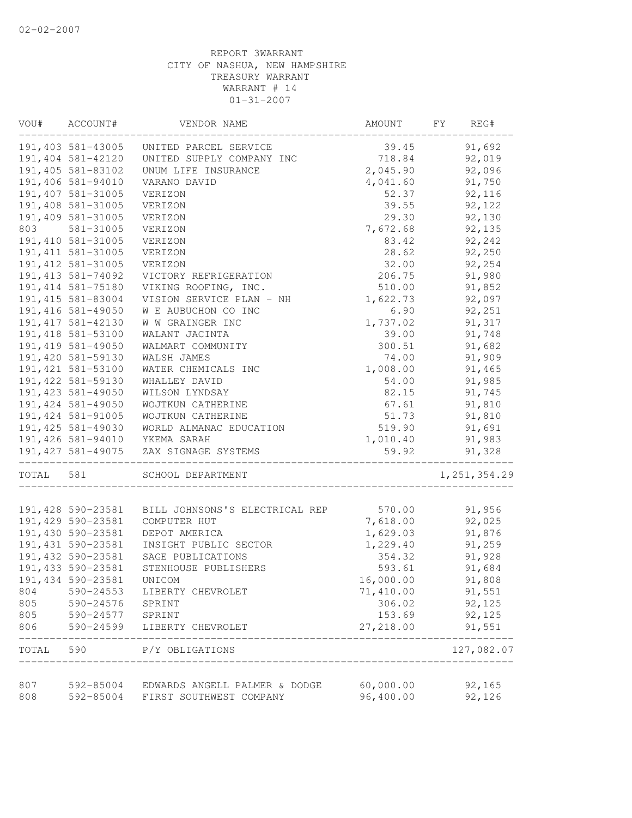| VOU#       | ACCOUNT#               | VENDOR NAME                                              | AMOUNT                 | FY<br>REG#     |
|------------|------------------------|----------------------------------------------------------|------------------------|----------------|
|            | 191,403 581-43005      | UNITED PARCEL SERVICE                                    | 39.45                  | 91,692         |
|            | 191,404 581-42120      | UNITED SUPPLY COMPANY INC                                | 718.84                 | 92,019         |
|            | 191,405 581-83102      | UNUM LIFE INSURANCE                                      | 2,045.90               | 92,096         |
|            | 191,406 581-94010      | VARANO DAVID                                             | 4,041.60               | 91,750         |
|            | 191,407 581-31005      | VERIZON                                                  | 52.37                  | 92,116         |
|            | 191,408 581-31005      | VERIZON                                                  | 39.55                  | 92,122         |
|            | 191,409 581-31005      | VERIZON                                                  | 29.30                  | 92,130         |
| 803        | 581-31005              | VERIZON                                                  | 7,672.68               | 92,135         |
|            | 191, 410 581-31005     | VERIZON                                                  | 83.42                  | 92,242         |
|            | 191, 411 581-31005     | VERIZON                                                  | 28.62                  | 92,250         |
|            | 191, 412 581-31005     | VERIZON                                                  | 32.00                  | 92,254         |
|            | 191, 413 581-74092     | VICTORY REFRIGERATION                                    | 206.75                 | 91,980         |
|            | 191, 414 581-75180     | VIKING ROOFING, INC.                                     | 510.00                 | 91,852         |
|            | 191, 415 581-83004     | VISION SERVICE PLAN - NH                                 | 1,622.73               | 92,097         |
|            | 191, 416 581-49050     | W E AUBUCHON CO INC                                      | 6.90                   | 92,251         |
|            | 191, 417 581-42130     | W W GRAINGER INC                                         | 1,737.02               | 91,317         |
|            | 191, 418 581-53100     | WALANT JACINTA                                           | 39.00                  | 91,748         |
|            | 191, 419 581-49050     | WALMART COMMUNITY                                        | 300.51                 | 91,682         |
|            | 191,420 581-59130      | WALSH JAMES                                              | 74.00                  | 91,909         |
|            | 191, 421 581-53100     | WATER CHEMICALS INC                                      | 1,008.00               | 91,465         |
|            | 191, 422 581-59130     | WHALLEY DAVID                                            | 54.00                  | 91,985         |
|            | 191, 423 581-49050     | WILSON LYNDSAY                                           | 82.15                  | 91,745         |
|            | 191, 424 581-49050     | WOJTKUN CATHERINE                                        | 67.61                  | 91,810         |
|            | 191, 424 581-91005     | WOJTKUN CATHERINE                                        | 51.73                  | 91,810         |
|            | 191, 425 581-49030     | WORLD ALMANAC EDUCATION                                  | 519.90                 | 91,691         |
|            | 191,426 581-94010      | YKEMA SARAH                                              | 1,010.40               | 91,983         |
|            | 191, 427 581-49075     | ZAX SIGNAGE SYSTEMS                                      | 59.92                  | 91,328         |
| TOTAL      | 581                    | SCHOOL DEPARTMENT                                        |                        | 1, 251, 354.29 |
|            | 191,428 590-23581      | BILL JOHNSONS'S ELECTRICAL REP                           | 570.00                 | 91,956         |
|            | 191,429 590-23581      | COMPUTER HUT                                             | 7,618.00               | 92,025         |
|            | 191,430 590-23581      | DEPOT AMERICA                                            | 1,629.03               | 91,876         |
|            | 191,431 590-23581      | INSIGHT PUBLIC SECTOR                                    | 1,229.40               | 91,259         |
|            | 191,432 590-23581      | SAGE PUBLICATIONS                                        | 354.32                 | 91,928         |
|            | 191, 433 590-23581     | STENHOUSE PUBLISHERS                                     | 593.61                 | 91,684         |
|            | 191, 434 590-23581     | UNICOM                                                   | 16,000.00              | 91,808         |
| 804        | $590 - 24553$          | LIBERTY CHEVROLET                                        | 71,410.00              | 91,551         |
| 805        | 590-24576              | SPRINT                                                   | 306.02                 | 92,125         |
| 805        | 590-24577              | SPRINT                                                   | 153.69                 | 92,125         |
| 806        | 590-24599              | LIBERTY CHEVROLET                                        | 27,218.00              | 91,551         |
| TOTAL      | 590                    | P/Y OBLIGATIONS                                          |                        | 127,082.07     |
|            |                        |                                                          |                        |                |
| 807<br>808 | 592-85004<br>592-85004 | EDWARDS ANGELL PALMER & DODGE<br>FIRST SOUTHWEST COMPANY | 60,000.00<br>96,400.00 | 92,165         |
|            |                        |                                                          |                        | 92,126         |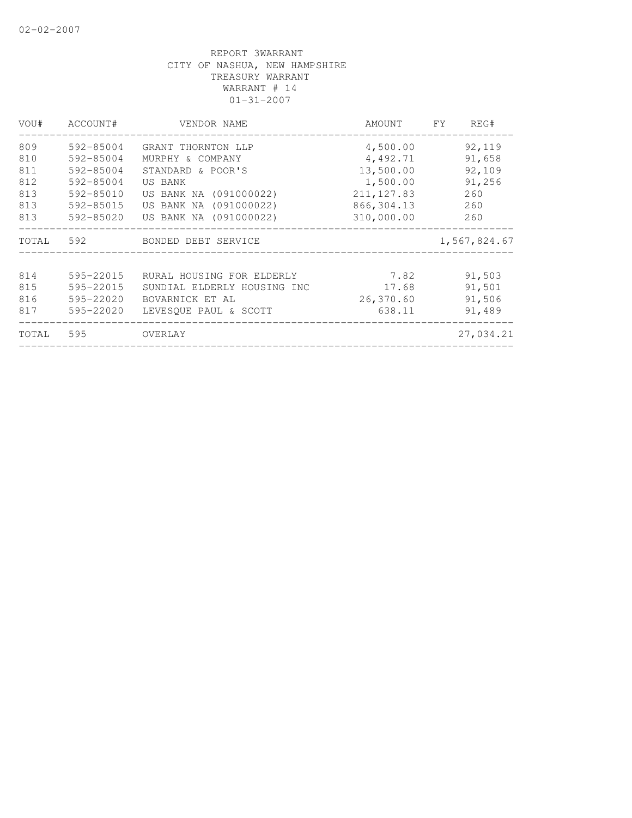| VOU#  | ACCOUNT#  | VENDOR NAME                 | AMOUNT      | FY | REG#         |
|-------|-----------|-----------------------------|-------------|----|--------------|
| 809   | 592-85004 | GRANT THORNTON LLP          | 4,500.00    |    | 92,119       |
| 810   | 592-85004 | MURPHY & COMPANY            | 4,492.71    |    | 91,658       |
| 811   | 592-85004 | STANDARD & POOR'S           | 13,500.00   |    | 92,109       |
| 812   | 592-85004 | US BANK                     | 1,500.00    |    | 91,256       |
| 813   | 592-85010 | US BANK NA (091000022)      | 211, 127.83 |    | 260          |
| 813   | 592-85015 | US BANK NA (091000022)      | 866, 304.13 |    | 260          |
| 813   | 592-85020 | US BANK NA (091000022)      | 310,000.00  |    | 260          |
| TOTAL | 592       | BONDED DEBT SERVICE         |             |    | 1,567,824.67 |
|       |           |                             |             |    |              |
| 814   | 595-22015 | RURAL HOUSING FOR ELDERLY   | 7.82        |    | 91,503       |
| 815   | 595-22015 | SUNDIAL ELDERLY HOUSING INC | 17.68       |    | 91,501       |
| 816   | 595-22020 | BOVARNICK ET AL             | 26,370.60   |    | 91,506       |
| 817   | 595-22020 | LEVESQUE PAUL & SCOTT       | 638.11      |    | 91,489       |
| TOTAL | 595       | OVERLAY                     |             |    | 27,034.21    |
|       |           |                             |             |    |              |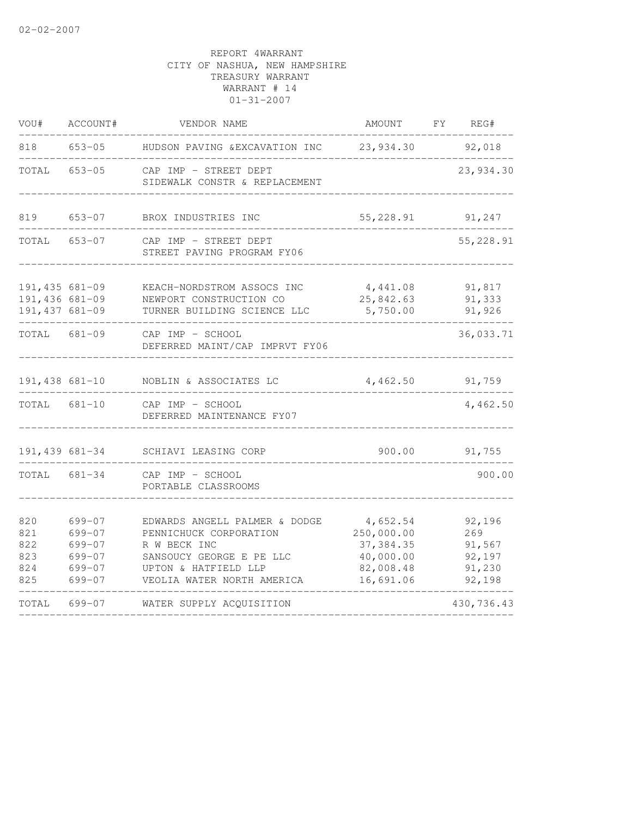| VOU#                                               | ACCOUNT#                                                             | VENDOR NAME                                                                                                                                               | AMOUNT                                                                      | FY | REG#                                                  |
|----------------------------------------------------|----------------------------------------------------------------------|-----------------------------------------------------------------------------------------------------------------------------------------------------------|-----------------------------------------------------------------------------|----|-------------------------------------------------------|
| 818                                                | $653 - 05$                                                           | HUDSON PAVING &EXCAVATION INC                                                                                                                             | 23,934.30                                                                   |    | 92,018                                                |
| TOTAL                                              | $653 - 05$                                                           | CAP IMP - STREET DEPT<br>SIDEWALK CONSTR & REPLACEMENT                                                                                                    |                                                                             |    | 23,934.30                                             |
| 819                                                | $653 - 07$                                                           | BROX INDUSTRIES INC                                                                                                                                       | 55,228.91                                                                   |    | 91,247                                                |
| TOTAL                                              | $653 - 07$                                                           | CAP IMP - STREET DEPT<br>STREET PAVING PROGRAM FY06                                                                                                       |                                                                             |    | 55,228.91                                             |
| 191,435 681-09<br>191,436 681-09<br>191,437 681-09 |                                                                      | KEACH-NORDSTROM ASSOCS INC<br>NEWPORT CONSTRUCTION CO<br>TURNER BUILDING SCIENCE LLC                                                                      | 4,441.08<br>25,842.63<br>5,750.00                                           |    | 91,817<br>91,333<br>91,926                            |
| TOTAL                                              | $681 - 09$                                                           | CAP IMP - SCHOOL<br>DEFERRED MAINT/CAP IMPRVT FY06                                                                                                        |                                                                             |    | 36,033.71                                             |
| 191,438 681-10                                     |                                                                      | NOBLIN & ASSOCIATES LC                                                                                                                                    | 4,462.50                                                                    |    | 91,759                                                |
| TOTAL 681-10                                       |                                                                      | CAP IMP - SCHOOL<br>DEFERRED MAINTENANCE FY07                                                                                                             |                                                                             |    | 4,462.50                                              |
|                                                    | 191,439 681-34                                                       | SCHIAVI LEASING CORP                                                                                                                                      | 900.00                                                                      |    | 91,755                                                |
| TOTAL                                              | $681 - 34$                                                           | CAP IMP - SCHOOL<br>PORTABLE CLASSROOMS                                                                                                                   |                                                                             |    | 900.00                                                |
| 820<br>821<br>822<br>823<br>824<br>825             | 699-07<br>699-07<br>$699 - 07$<br>$699 - 07$<br>$699 - 07$<br>699-07 | EDWARDS ANGELL PALMER & DODGE<br>PENNICHUCK CORPORATION<br>R W BECK INC<br>SANSOUCY GEORGE E PE LLC<br>UPTON & HATFIELD LLP<br>VEOLIA WATER NORTH AMERICA | 4,652.54<br>250,000.00<br>37, 384.35<br>40,000.00<br>82,008.48<br>16,691.06 |    | 92,196<br>269<br>91,567<br>92,197<br>91,230<br>92,198 |
| TOTAL                                              | $699 - 07$                                                           | WATER SUPPLY ACQUISITION                                                                                                                                  |                                                                             |    | 430,736.43                                            |
|                                                    |                                                                      |                                                                                                                                                           |                                                                             |    |                                                       |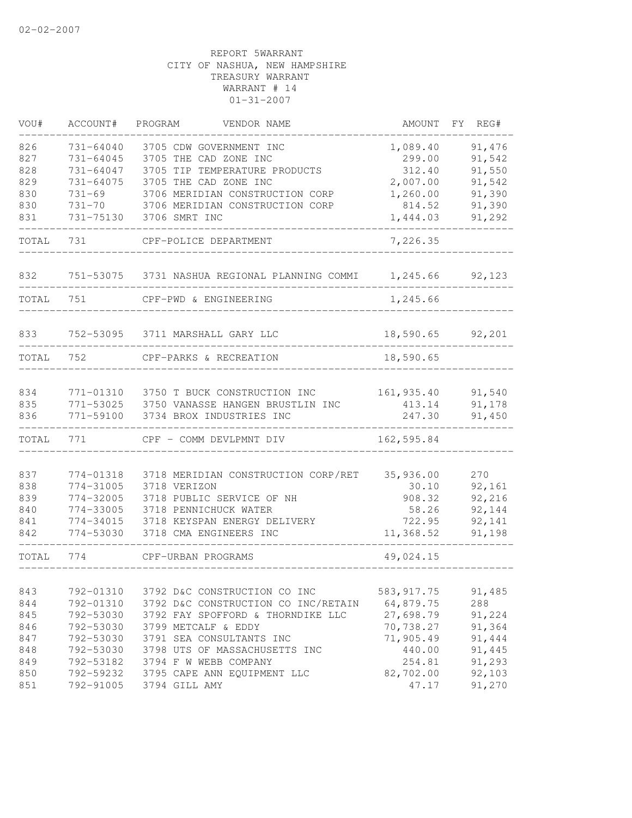| VOU#  | ACCOUNT#      | PROGRAM<br>VENDOR NAME              | AMOUNT      | FY. | REG#   |
|-------|---------------|-------------------------------------|-------------|-----|--------|
| 826   | $731 - 64040$ | 3705 CDW GOVERNMENT INC             | 1,089.40    |     | 91,476 |
| 827   | 731-64045     | 3705 THE CAD ZONE INC               | 299.00      |     | 91,542 |
| 828   | 731-64047     | 3705 TIP TEMPERATURE PRODUCTS       | 312.40      |     | 91,550 |
| 829   | 731-64075     | 3705 THE CAD ZONE INC               | 2,007.00    |     | 91,542 |
| 830   | $731 - 69$    | 3706 MERIDIAN CONSTRUCTION CORP     | 1,260.00    |     | 91,390 |
| 830   | $731 - 70$    | 3706 MERIDIAN CONSTRUCTION CORP     | 814.52      |     | 91,390 |
| 831   | 731-75130     | 3706 SMRT INC                       | 1,444.03    |     | 91,292 |
| TOTAL | 731           | CPF-POLICE DEPARTMENT               | 7,226.35    |     |        |
| 832   | 751-53075     | 3731 NASHUA REGIONAL PLANNING COMMI | 1,245.66    |     | 92,123 |
| TOTAL | 751           | CPF-PWD & ENGINEERING               | 1,245.66    |     |        |
|       |               |                                     |             |     |        |
| 833   |               | 752-53095 3711 MARSHALL GARY LLC    | 18,590.65   |     | 92,201 |
| TOTAL | 752           | CPF-PARKS & RECREATION              | 18,590.65   |     |        |
|       |               |                                     |             |     |        |
| 834   | 771-01310     | 3750 T BUCK CONSTRUCTION INC        | 161,935.40  |     | 91,540 |
| 835   | 771-53025     | 3750 VANASSE HANGEN BRUSTLIN INC    | 413.14      |     | 91,178 |
| 836   | 771-59100     | 3734 BROX INDUSTRIES INC            | 247.30      |     | 91,450 |
| TOTAL | 771           | CPF - COMM DEVLPMNT DIV             | 162,595.84  |     |        |
| 837   | 774-01318     | 3718 MERIDIAN CONSTRUCTION CORP/RET | 35,936.00   |     | 270    |
| 838   | 774-31005     | 3718 VERIZON                        | 30.10       |     | 92,161 |
| 839   | 774-32005     | 3718 PUBLIC SERVICE OF NH           | 908.32      |     | 92,216 |
| 840   | 774-33005     | 3718 PENNICHUCK WATER               | 58.26       |     | 92,144 |
| 841   | 774-34015     | 3718 KEYSPAN ENERGY DELIVERY        | 722.95      |     | 92,141 |
| 842   | 774-53030     | 3718 CMA ENGINEERS INC              | 11,368.52   |     | 91,198 |
| TOTAL | 774           | CPF-URBAN PROGRAMS                  | 49,024.15   |     |        |
|       |               |                                     |             |     |        |
| 843   | 792-01310     | 3792 D&C CONSTRUCTION CO INC        | 583, 917.75 |     | 91,485 |
| 844   | 792-01310     | 3792 D&C CONSTRUCTION CO INC/RETAIN | 64,879.75   |     | 288    |
| 845   | 792-53030     | 3792 FAY SPOFFORD & THORNDIKE LLC   | 27,698.79   |     | 91,224 |
| 846   | 792-53030     | 3799 METCALF & EDDY                 | 70,738.27   |     | 91,364 |
| 847   | 792-53030     | 3791 SEA CONSULTANTS INC            | 71,905.49   |     | 91,444 |
| 848   | 792-53030     | 3798 UTS OF MASSACHUSETTS INC       | 440.00      |     | 91,445 |
| 849   | 792-53182     | 3794 F W WEBB COMPANY               | 254.81      |     | 91,293 |
| 850   | 792-59232     | 3795 CAPE ANN EQUIPMENT LLC         | 82,702.00   |     | 92,103 |
| 851   | 792-91005     | 3794 GILL AMY                       | 47.17       |     | 91,270 |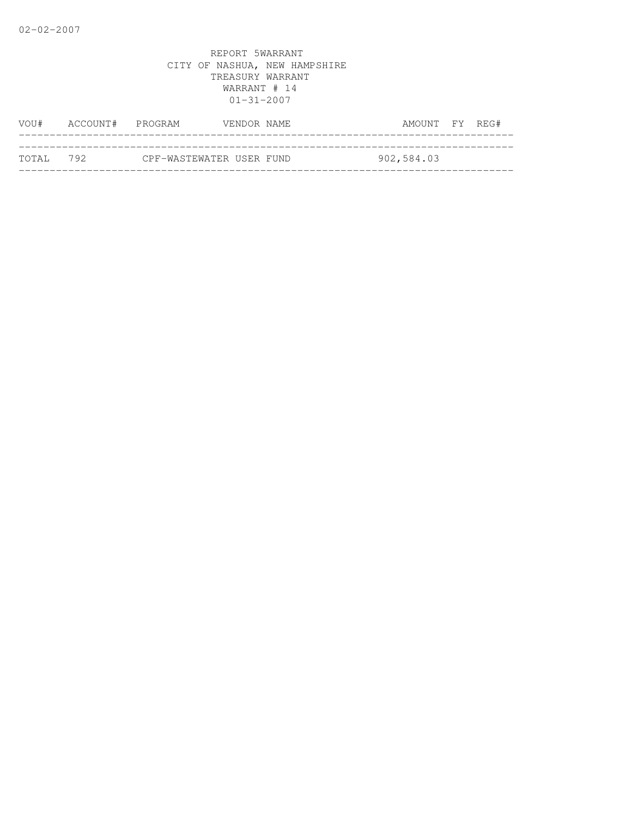| WOU#       | ACCOUNT# PROGRAM |                          | VENDOR NAME | AMOUNT FY REG# |  |
|------------|------------------|--------------------------|-------------|----------------|--|
|            |                  |                          |             |                |  |
| тотат. 792 |                  | CPF-WASTEWATER USER FUND |             | 902,584.03     |  |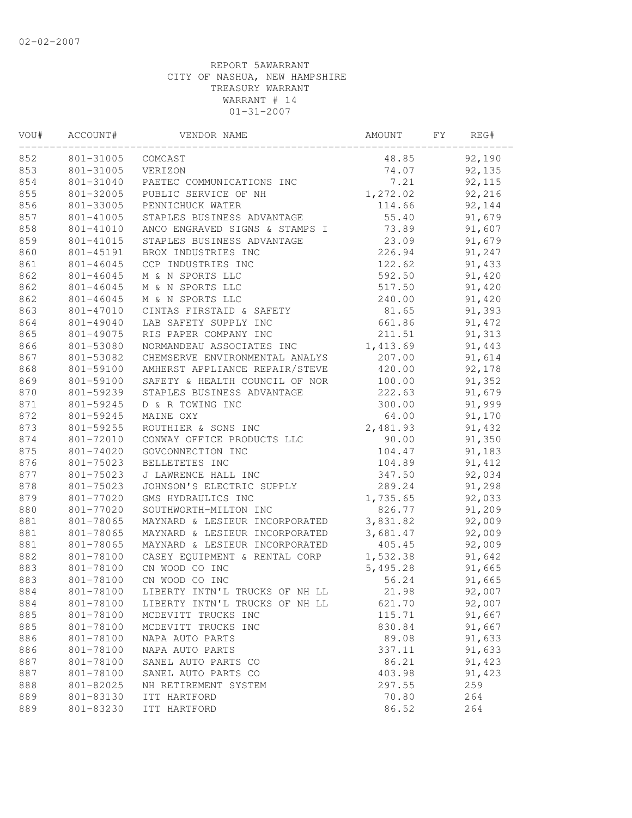| VOU# | ACCOUNT#  | VENDOR NAME                    | AMOUNT   | FY | REG#   |  |
|------|-----------|--------------------------------|----------|----|--------|--|
| 852  | 801-31005 | COMCAST                        | 48.85    |    | 92,190 |  |
| 853  | 801-31005 | VERIZON                        | 74.07    |    | 92,135 |  |
| 854  | 801-31040 | PAETEC COMMUNICATIONS INC      | 7.21     |    | 92,115 |  |
| 855  | 801-32005 | PUBLIC SERVICE OF NH           | 1,272.02 |    | 92,216 |  |
| 856  | 801-33005 | PENNICHUCK WATER               | 114.66   |    | 92,144 |  |
| 857  | 801-41005 | STAPLES BUSINESS ADVANTAGE     | 55.40    |    | 91,679 |  |
| 858  | 801-41010 | ANCO ENGRAVED SIGNS & STAMPS I | 73.89    |    | 91,607 |  |
| 859  | 801-41015 | STAPLES BUSINESS ADVANTAGE     | 23.09    |    | 91,679 |  |
| 860  | 801-45191 | BROX INDUSTRIES INC            | 226.94   |    | 91,247 |  |
| 861  | 801-46045 | CCP INDUSTRIES INC             | 122.62   |    | 91,433 |  |
| 862  | 801-46045 | M & N SPORTS LLC               | 592.50   |    | 91,420 |  |
| 862  | 801-46045 | M & N SPORTS LLC               | 517.50   |    | 91,420 |  |
| 862  | 801-46045 | M & N SPORTS LLC               | 240.00   |    | 91,420 |  |
| 863  | 801-47010 | CINTAS FIRSTAID & SAFETY       | 81.65    |    | 91,393 |  |
| 864  | 801-49040 | LAB SAFETY SUPPLY INC          | 661.86   |    | 91,472 |  |
| 865  | 801-49075 | RIS PAPER COMPANY INC          | 211.51   |    | 91,313 |  |
| 866  | 801-53080 | NORMANDEAU ASSOCIATES INC      | 1,413.69 |    | 91,443 |  |
| 867  | 801-53082 | CHEMSERVE ENVIRONMENTAL ANALYS | 207.00   |    | 91,614 |  |
| 868  | 801-59100 | AMHERST APPLIANCE REPAIR/STEVE | 420.00   |    | 92,178 |  |
| 869  | 801-59100 | SAFETY & HEALTH COUNCIL OF NOR | 100.00   |    | 91,352 |  |
| 870  | 801-59239 | STAPLES BUSINESS ADVANTAGE     | 222.63   |    | 91,679 |  |
| 871  | 801-59245 | D & R TOWING INC               | 300.00   |    | 91,999 |  |
| 872  | 801-59245 | MAINE OXY                      | 64.00    |    | 91,170 |  |
| 873  | 801-59255 | ROUTHIER & SONS INC            | 2,481.93 |    | 91,432 |  |
| 874  | 801-72010 | CONWAY OFFICE PRODUCTS LLC     | 90.00    |    | 91,350 |  |
| 875  | 801-74020 | GOVCONNECTION INC              | 104.47   |    | 91,183 |  |
| 876  | 801-75023 | BELLETETES INC                 | 104.89   |    | 91,412 |  |
| 877  | 801-75023 | J LAWRENCE HALL INC            | 347.50   |    | 92,034 |  |
| 878  | 801-75023 | JOHNSON'S ELECTRIC SUPPLY      | 289.24   |    | 91,298 |  |
| 879  | 801-77020 | GMS HYDRAULICS INC             | 1,735.65 |    | 92,033 |  |
| 880  | 801-77020 | SOUTHWORTH-MILTON INC          | 826.77   |    | 91,209 |  |
| 881  | 801-78065 | MAYNARD & LESIEUR INCORPORATED | 3,831.82 |    | 92,009 |  |
| 881  | 801-78065 | MAYNARD & LESIEUR INCORPORATED | 3,681.47 |    | 92,009 |  |
| 881  | 801-78065 | MAYNARD & LESIEUR INCORPORATED | 405.45   |    | 92,009 |  |
| 882  | 801-78100 | CASEY EQUIPMENT & RENTAL CORP  | 1,532.38 |    | 91,642 |  |
| 883  | 801-78100 | CN WOOD CO INC                 | 5,495.28 |    | 91,665 |  |
| 883  | 801-78100 | CN WOOD CO INC                 | 56.24    |    | 91,665 |  |
| 884  | 801-78100 | LIBERTY INTN'L TRUCKS OF NH LL | 21.98    |    | 92,007 |  |
| 884  | 801-78100 | LIBERTY INTN'L TRUCKS OF NH LL | 621.70   |    | 92,007 |  |
| 885  | 801-78100 | MCDEVITT TRUCKS INC            | 115.71   |    | 91,667 |  |
| 885  | 801-78100 | MCDEVITT TRUCKS INC            | 830.84   |    | 91,667 |  |
| 886  | 801-78100 | NAPA AUTO PARTS                | 89.08    |    | 91,633 |  |
| 886  | 801-78100 | NAPA AUTO PARTS                | 337.11   |    | 91,633 |  |
| 887  | 801-78100 | SANEL AUTO PARTS CO            | 86.21    |    | 91,423 |  |
| 887  | 801-78100 | SANEL AUTO PARTS CO            | 403.98   |    | 91,423 |  |
| 888  | 801-82025 | NH RETIREMENT SYSTEM           | 297.55   |    | 259    |  |
| 889  | 801-83130 | ITT HARTFORD                   | 70.80    |    | 264    |  |
| 889  | 801-83230 | ITT HARTFORD                   | 86.52    |    | 264    |  |
|      |           |                                |          |    |        |  |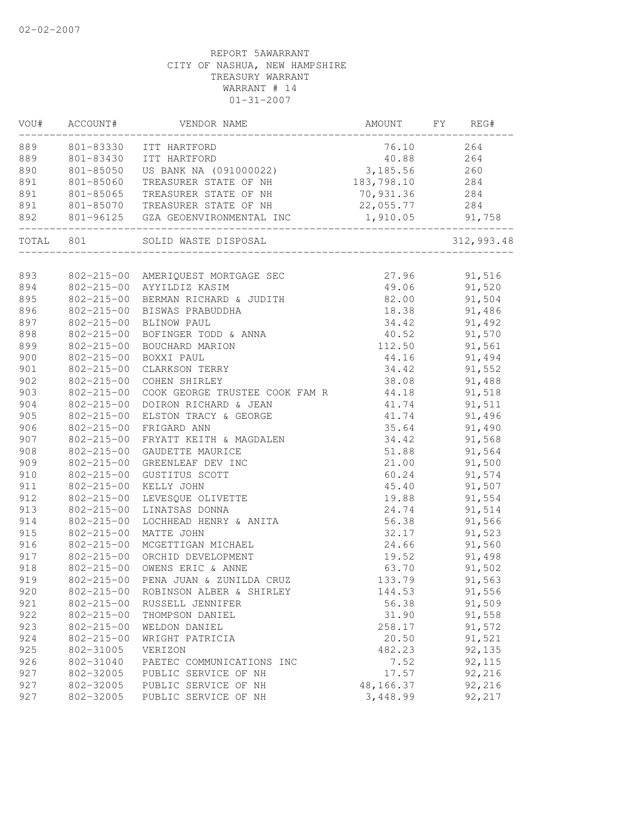|     |                  | VOU# ACCOUNT# VENDOR NAME                                      | AMOUNT FY REG#                 |              |
|-----|------------------|----------------------------------------------------------------|--------------------------------|--------------|
|     |                  | 889 801-83330 ITT HARTFORD                                     | 76.10 264                      |              |
| 889 |                  | 801-83430 ITT HARTFORD                                         | 40.88                          | 264          |
| 890 | 801-85050        | US BANK NA (091000022)                                         | 3, 185.56 260                  |              |
| 891 | 801-85060        | TREASURER STATE OF NH                                          | 183,798.10 284                 |              |
| 891 |                  | 801-85065 TREASURER STATE OF NH                                | 70,931.36 284                  |              |
| 891 |                  | 801-85070 TREASURER STATE OF NH                                | 22,055.77                      | 284          |
| 892 |                  | 801-96125 GZA GEOENVIRONMENTAL INC                             |                                | 91,758       |
|     |                  | TOTAL 801 SOLID WASTE DISPOSAL                                 | ________________________       | 312,993.48   |
|     |                  |                                                                |                                |              |
| 893 |                  | 802-215-00 AMERIQUEST MORTGAGE SEC                             | 27.96 91,516                   |              |
| 894 |                  | 802-215-00 AYYILDIZ KASIM                                      | 49.06 91,520                   |              |
| 895 |                  | 802-215-00 BERMAN RICHARD & JUDITH                             | 82.00 91,504                   |              |
| 896 |                  | 802-215-00 BISWAS PRABUDDHA                                    | 18.38                          | 91,486       |
| 897 |                  | 802-215-00 BLINOW PAUL                                         | $34.42$<br>$40.52$<br>$112.50$ | 91,492       |
| 898 | $802 - 215 - 00$ | BOFINGER TODD & ANNA<br>BOUCHARD MARION<br>BOXXI PANI          |                                | 91,570       |
| 899 | 802-215-00       |                                                                |                                | 91,561       |
| 900 | $802 - 215 - 00$ | BOXXI PAUL                                                     | 44.16                          | 91,494       |
| 901 | 802-215-00       | CLARKSON TERRY                                                 | 34.42                          | 91,552       |
| 902 |                  | 802-215-00 COHEN SHIRLEY                                       | 38.08 91,488                   |              |
| 903 | 802-215-00       | COOK GEORGE TRUSTEE COOK FAM R 44.18 91,518                    |                                |              |
| 904 | 802-215-00       | DOIRON RICHARD & JEAN                                          | 41.74                          | 91,511       |
| 905 | $802 - 215 - 00$ | ELSTON TRACY & GEORGE                                          | 41.74                          | 91,496       |
| 906 | 802-215-00       | FRIGARD ANN                                                    |                                | 91,490       |
| 907 |                  | $802-215-00$ FRYATT KEITH & MAGDALEN<br>802-215-00 CAUPERT :-- | 35.64<br>34.42<br>51.88        | 91,568       |
| 908 |                  | 802-215-00 GAUDETTE MAURICE                                    |                                | 91,564       |
| 909 |                  | 802-215-00 GREENLEAF DEV INC                                   |                                | 21.00 91,500 |
| 910 |                  | 802-215-00 GUSTITUS SCOTT                                      |                                | 60.24 91,574 |
| 911 |                  | 802-215-00 KELLY JOHN                                          |                                | 45.40 91,507 |
| 912 | 802-215-00       | LEVESQUE OLIVETTE                                              |                                | 19.88 91,554 |
| 913 | 802-215-00       | LINATSAS DONNA                                                 | 24.74                          | 91,514       |
| 914 | 802-215-00       | LOCHHEAD HENRY & ANITA                                         | 56.38                          | 91,566       |
| 915 | $802 - 215 - 00$ | MATTE JOHN                                                     | 32.17<br>24.66<br>19.52        | 91,523       |
| 916 | $802 - 215 - 00$ | MCGETTIGAN MICHAEL                                             |                                | 91,560       |
| 917 |                  | 802-215-00 ORCHID DEVELOPMENT                                  |                                | 91,498       |
| 918 | $802 - 215 - 00$ | OWENS ERIC & ANNE                                              | 63.70                          | 91,502       |
| 919 |                  | 802-215-00 PENA JUAN & ZUNILDA CRUZ                            | 133.79                         | 91,563       |
| 920 | $802 - 215 - 00$ | ROBINSON ALBER & SHIRLEY                                       | 144.53                         | 91,556       |
| 921 | $802 - 215 - 00$ | RUSSELL JENNIFER                                               | 56.38                          | 91,509       |
| 922 | $802 - 215 - 00$ | THOMPSON DANIEL                                                | 31.90                          | 91,558       |
| 923 | $802 - 215 - 00$ | WELDON DANIEL                                                  | 258.17                         | 91,572       |
| 924 | $802 - 215 - 00$ | WRIGHT PATRICIA                                                | 20.50                          | 91,521       |
| 925 | 802-31005        | VERIZON                                                        | 482.23                         | 92,135       |
| 926 | 802-31040        | PAETEC COMMUNICATIONS INC                                      | 7.52                           | 92,115       |
| 927 | 802-32005        | PUBLIC SERVICE OF NH                                           | 17.57                          | 92,216       |
| 927 | 802-32005        | PUBLIC SERVICE OF NH                                           | 48,166.37                      | 92,216       |
| 927 | 802-32005        | PUBLIC SERVICE OF NH                                           | 3,448.99                       | 92,217       |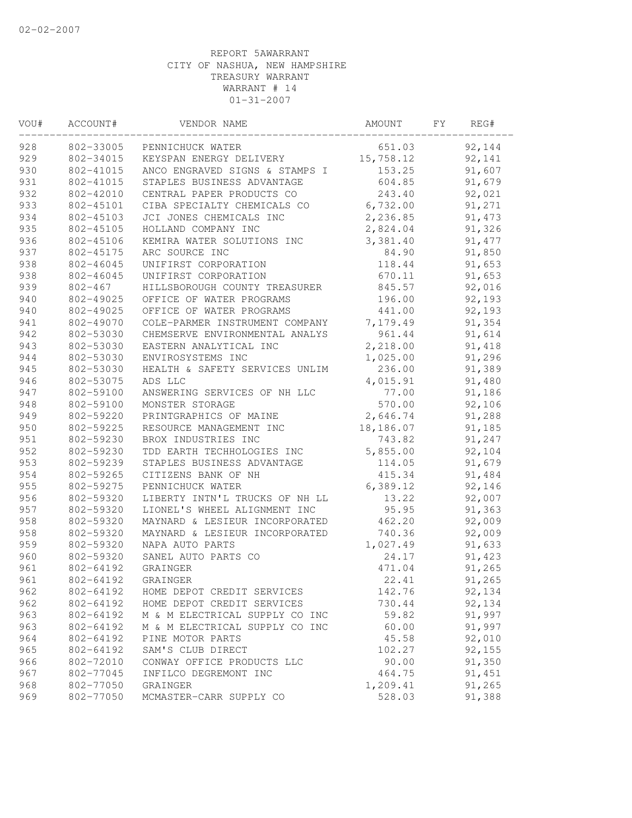| VOU# | ACCOUNT#    | VENDOR NAME                    | AMOUNT    | FΥ | REG#    |  |
|------|-------------|--------------------------------|-----------|----|---------|--|
| 928  | 802-33005   | PENNICHUCK WATER               | 651.03    |    | 92,144  |  |
| 929  | 802-34015   | KEYSPAN ENERGY DELIVERY        | 15,758.12 |    | 92,141  |  |
| 930  | 802-41015   | ANCO ENGRAVED SIGNS & STAMPS I | 153.25    |    | 91,607  |  |
| 931  | 802-41015   | STAPLES BUSINESS ADVANTAGE     | 604.85    |    | 91,679  |  |
| 932  | 802-42010   | CENTRAL PAPER PRODUCTS CO      | 243.40    |    | 92,021  |  |
| 933  | 802-45101   | CIBA SPECIALTY CHEMICALS CO    | 6,732.00  |    | 91,271  |  |
| 934  | 802-45103   | JCI JONES CHEMICALS INC        | 2,236.85  |    | 91, 473 |  |
| 935  | 802-45105   | HOLLAND COMPANY INC            | 2,824.04  |    | 91,326  |  |
| 936  | 802-45106   | KEMIRA WATER SOLUTIONS INC     | 3,381.40  |    | 91, 477 |  |
| 937  | 802-45175   | ARC SOURCE INC                 | 84.90     |    | 91,850  |  |
| 938  | 802-46045   | UNIFIRST CORPORATION           | 118.44    |    | 91,653  |  |
| 938  | 802-46045   | UNIFIRST CORPORATION           | 670.11    |    | 91,653  |  |
| 939  | $802 - 467$ | HILLSBOROUGH COUNTY TREASURER  | 845.57    |    | 92,016  |  |
| 940  | 802-49025   | OFFICE OF WATER PROGRAMS       | 196.00    |    | 92,193  |  |
| 940  | 802-49025   | OFFICE OF WATER PROGRAMS       | 441.00    |    | 92,193  |  |
| 941  | 802-49070   | COLE-PARMER INSTRUMENT COMPANY | 7,179.49  |    | 91,354  |  |
| 942  | 802-53030   | CHEMSERVE ENVIRONMENTAL ANALYS | 961.44    |    | 91,614  |  |
| 943  | 802-53030   | EASTERN ANALYTICAL INC         | 2,218.00  |    | 91,418  |  |
| 944  | 802-53030   | ENVIROSYSTEMS INC              | 1,025.00  |    | 91,296  |  |
| 945  | 802-53030   | HEALTH & SAFETY SERVICES UNLIM | 236.00    |    | 91,389  |  |
| 946  | 802-53075   | ADS LLC                        | 4,015.91  |    | 91,480  |  |
| 947  | 802-59100   | ANSWERING SERVICES OF NH LLC   | 77.00     |    | 91,186  |  |
| 948  | 802-59100   | MONSTER STORAGE                | 570.00    |    | 92,106  |  |
| 949  | 802-59220   | PRINTGRAPHICS OF MAINE         | 2,646.74  |    | 91,288  |  |
| 950  | 802-59225   | RESOURCE MANAGEMENT INC        | 18,186.07 |    | 91,185  |  |
| 951  | 802-59230   | BROX INDUSTRIES INC            | 743.82    |    | 91,247  |  |
| 952  | 802-59230   | TDD EARTH TECHHOLOGIES INC     | 5,855.00  |    | 92,104  |  |
| 953  | 802-59239   | STAPLES BUSINESS ADVANTAGE     | 114.05    |    | 91,679  |  |
| 954  | 802-59265   | CITIZENS BANK OF NH            | 415.34    |    | 91,484  |  |
| 955  | 802-59275   | PENNICHUCK WATER               | 6,389.12  |    | 92,146  |  |
| 956  | 802-59320   | LIBERTY INTN'L TRUCKS OF NH LL | 13.22     |    | 92,007  |  |
| 957  | 802-59320   | LIONEL'S WHEEL ALIGNMENT INC   | 95.95     |    | 91,363  |  |
| 958  | 802-59320   | MAYNARD & LESIEUR INCORPORATED | 462.20    |    | 92,009  |  |
| 958  | 802-59320   | MAYNARD & LESIEUR INCORPORATED | 740.36    |    | 92,009  |  |
| 959  | 802-59320   | NAPA AUTO PARTS                | 1,027.49  |    | 91,633  |  |
| 960  | 802-59320   | SANEL AUTO PARTS CO            | 24.17     |    | 91,423  |  |
| 961  | 802-64192   | GRAINGER                       | 471.04    |    | 91,265  |  |
| 961  | 802-64192   | GRAINGER                       | 22.41     |    | 91,265  |  |
| 962  | 802-64192   | HOME DEPOT CREDIT SERVICES     | 142.76    |    | 92,134  |  |
| 962  | 802-64192   | HOME DEPOT CREDIT SERVICES     | 730.44    |    | 92,134  |  |
| 963  | 802-64192   | M & M ELECTRICAL SUPPLY CO INC | 59.82     |    | 91,997  |  |
| 963  | 802-64192   | M & M ELECTRICAL SUPPLY CO INC | 60.00     |    | 91,997  |  |
| 964  | 802-64192   | PINE MOTOR PARTS               | 45.58     |    | 92,010  |  |
| 965  | 802-64192   | SAM'S CLUB DIRECT              | 102.27    |    | 92,155  |  |
| 966  | 802-72010   | CONWAY OFFICE PRODUCTS LLC     | 90.00     |    | 91,350  |  |
| 967  | 802-77045   | INFILCO DEGREMONT INC          | 464.75    |    | 91,451  |  |
| 968  | 802-77050   | GRAINGER                       | 1,209.41  |    | 91,265  |  |
| 969  | 802-77050   | MCMASTER-CARR SUPPLY CO        | 528.03    |    | 91,388  |  |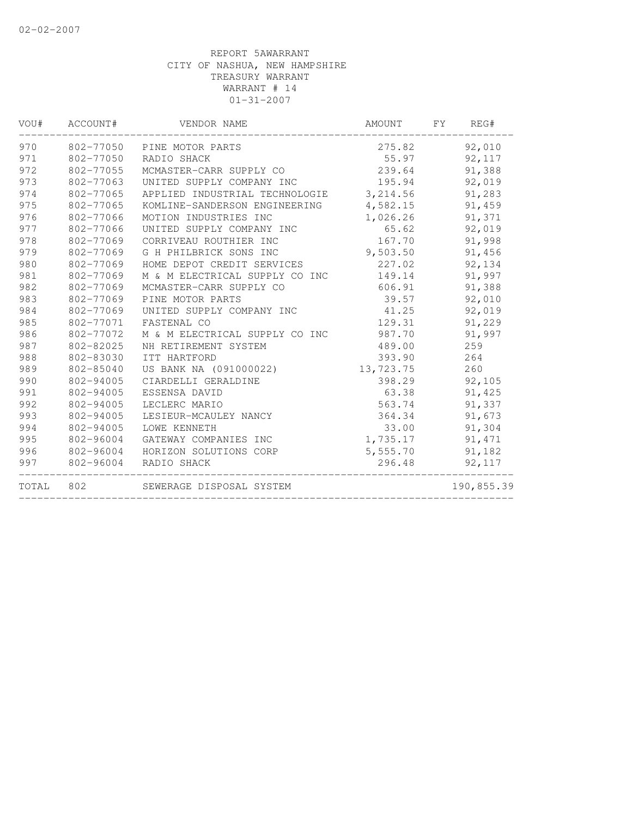| VOU#  | ACCOUNT#  | VENDOR NAME                    | AMOUNT    | FY. | REG#       |
|-------|-----------|--------------------------------|-----------|-----|------------|
| 970   | 802-77050 | PINE MOTOR PARTS               | 275.82    |     | 92,010     |
| 971   | 802-77050 | RADIO SHACK                    | 55.97     |     | 92,117     |
| 972   | 802-77055 | MCMASTER-CARR SUPPLY CO        | 239.64    |     | 91,388     |
| 973   | 802-77063 | UNITED SUPPLY COMPANY INC      | 195.94    |     | 92,019     |
| 974   | 802-77065 | APPLIED INDUSTRIAL TECHNOLOGIE | 3, 214.56 |     | 91,283     |
| 975   | 802-77065 | KOMLINE-SANDERSON ENGINEERING  | 4,582.15  |     | 91,459     |
| 976   | 802-77066 | MOTION INDUSTRIES INC          | 1,026.26  |     | 91,371     |
| 977   | 802-77066 | UNITED SUPPLY COMPANY INC      | 65.62     |     | 92,019     |
| 978   | 802-77069 | CORRIVEAU ROUTHIER INC         | 167.70    |     | 91,998     |
| 979   | 802-77069 | G H PHILBRICK SONS INC         | 9,503.50  |     | 91,456     |
| 980   | 802-77069 | HOME DEPOT CREDIT SERVICES     | 227.02    |     | 92,134     |
| 981   | 802-77069 | M & M ELECTRICAL SUPPLY CO INC | 149.14    |     | 91,997     |
| 982   | 802-77069 | MCMASTER-CARR SUPPLY CO        | 606.91    |     | 91,388     |
| 983   | 802-77069 | PINE MOTOR PARTS               | 39.57     |     | 92,010     |
| 984   | 802-77069 | UNITED SUPPLY COMPANY INC      | 41.25     |     | 92,019     |
| 985   | 802-77071 | FASTENAL CO                    | 129.31    |     | 91,229     |
| 986   | 802-77072 | M & M ELECTRICAL SUPPLY CO INC | 987.70    |     | 91,997     |
| 987   | 802-82025 | NH RETIREMENT SYSTEM           | 489.00    |     | 259        |
| 988   | 802-83030 | ITT HARTFORD                   | 393.90    |     | 264        |
| 989   | 802-85040 | US BANK NA (091000022)         | 13,723.75 |     | 260        |
| 990   | 802-94005 | CIARDELLI GERALDINE            | 398.29    |     | 92,105     |
| 991   | 802-94005 | ESSENSA DAVID                  | 63.38     |     | 91,425     |
| 992   | 802-94005 | LECLERC MARIO                  | 563.74    |     | 91,337     |
| 993   | 802-94005 | LESIEUR-MCAULEY NANCY          | 364.34    |     | 91,673     |
| 994   | 802-94005 | LOWE KENNETH                   | 33.00     |     | 91,304     |
| 995   | 802-96004 | GATEWAY COMPANIES INC          | 1,735.17  |     | 91, 471    |
| 996   | 802-96004 | HORIZON SOLUTIONS CORP         | 5,555.70  |     | 91,182     |
| 997   | 802-96004 | RADIO SHACK                    | 296.48    |     | 92,117     |
| TOTAL | 802       | SEWERAGE DISPOSAL SYSTEM       |           |     | 190,855.39 |
|       |           |                                |           |     |            |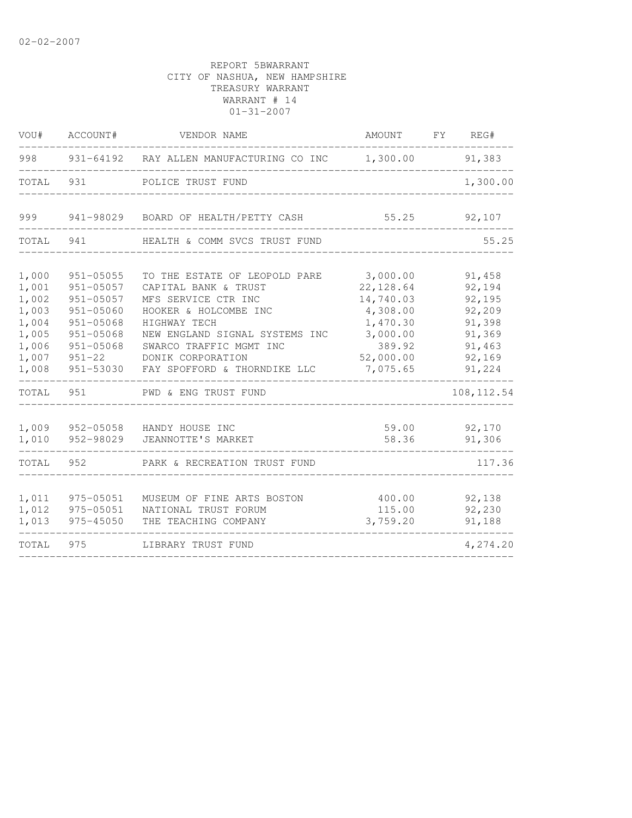| VOU#                                      | ACCOUNT#                                                                      | VENDOR NAME                                                                                                           | AMOUNT                                                      | FY | REG#                                           |
|-------------------------------------------|-------------------------------------------------------------------------------|-----------------------------------------------------------------------------------------------------------------------|-------------------------------------------------------------|----|------------------------------------------------|
| 998                                       |                                                                               | 931-64192 RAY ALLEN MANUFACTURING CO INC                                                                              | 1,300.00                                                    |    | 91,383                                         |
| TOTAL                                     | 931                                                                           | POLICE TRUST FUND                                                                                                     |                                                             |    | 1,300.00                                       |
| 999                                       | 941-98029                                                                     | BOARD OF HEALTH/PETTY CASH                                                                                            | 55.25                                                       |    | 92,107                                         |
| TOTAL                                     | 941                                                                           | HEALTH & COMM SVCS TRUST FUND                                                                                         |                                                             |    | 55.25                                          |
| 1,000<br>1,001<br>1,002<br>1,003<br>1,004 | $951 - 05055$<br>$951 - 05057$<br>$951 - 05057$<br>951-05060<br>$951 - 05068$ | TO THE ESTATE OF LEOPOLD PARE<br>CAPITAL BANK & TRUST<br>MFS SERVICE CTR INC<br>HOOKER & HOLCOMBE INC<br>HIGHWAY TECH | 3,000.00<br>22, 128.64<br>14,740.03<br>4,308.00<br>1,470.30 |    | 91,458<br>92,194<br>92,195<br>92,209<br>91,398 |
| 1,005<br>1,006<br>1,007<br>1,008          | $951 - 05068$<br>951-05068<br>$951 - 22$<br>951-53030                         | NEW ENGLAND SIGNAL SYSTEMS INC<br>SWARCO TRAFFIC MGMT INC<br>DONIK CORPORATION<br>FAY SPOFFORD & THORNDIKE LLC        | 3,000.00<br>389.92<br>52,000.00<br>7,075.65                 |    | 91,369<br>91,463<br>92,169<br>91,224           |
| TOTAL                                     | 951                                                                           | PWD & ENG TRUST FUND                                                                                                  |                                                             |    | 108, 112.54                                    |
| 1,009<br>1,010                            | 952-05058<br>952-98029                                                        | HANDY HOUSE INC<br>JEANNOTTE'S MARKET                                                                                 | 59.00<br>58.36                                              |    | 92,170<br>91,306                               |
| TOTAL                                     | 952                                                                           | PARK & RECREATION TRUST FUND                                                                                          |                                                             |    | 117.36                                         |
| 1,011<br>1,012<br>1,013                   | 975-05051<br>975-05051<br>975-45050                                           | MUSEUM OF FINE ARTS BOSTON<br>NATIONAL TRUST FORUM<br>THE TEACHING COMPANY                                            | 400.00<br>115.00<br>3,759.20                                |    | 92,138<br>92,230<br>91,188                     |
| TOTAL                                     | 975                                                                           | LIBRARY TRUST FUND                                                                                                    |                                                             |    | 4,274.20                                       |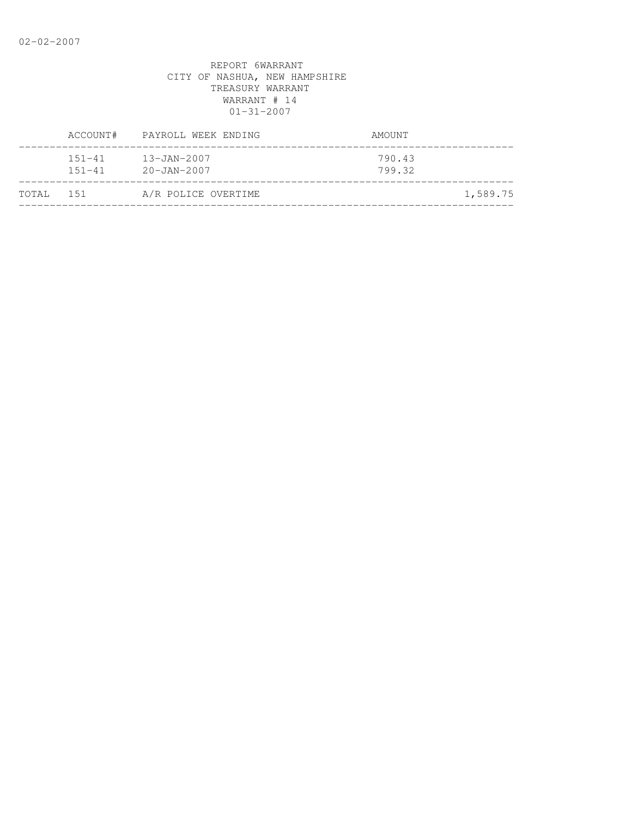|           | ACCOUNT#                 | PAYROLL WEEK ENDING                    | AMOUNT           |          |
|-----------|--------------------------|----------------------------------------|------------------|----------|
|           | $151 - 41$<br>$151 - 41$ | $13 - JAN - 2007$<br>$20 - JAN - 2007$ | 790.43<br>799.32 |          |
| TOTAL 151 |                          | A/R POLICE OVERTIME                    |                  | 1,589.75 |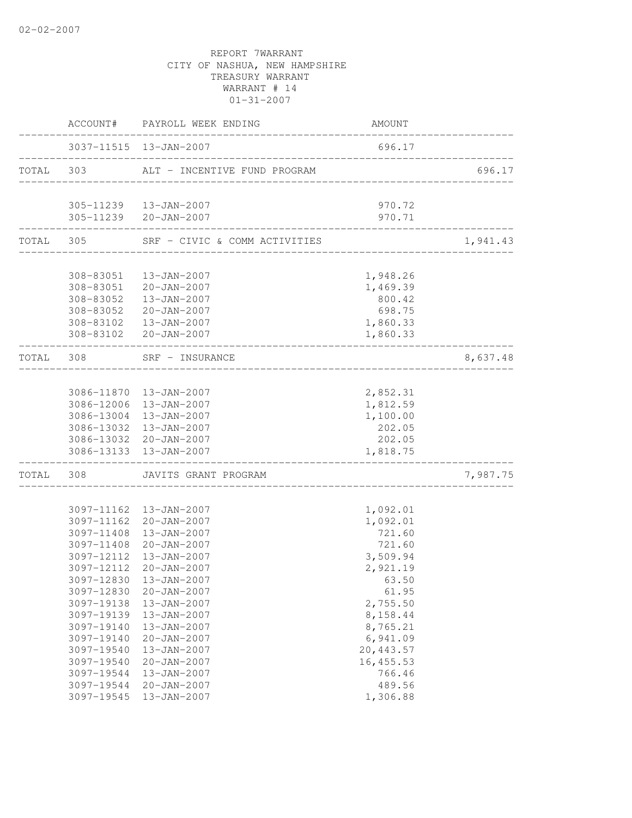|            | ACCOUNT# PAYROLL WEEK ENDING                                            | AMOUNT                            |          |
|------------|-------------------------------------------------------------------------|-----------------------------------|----------|
|            | 3037-11515 13-JAN-2007                                                  | 696.17                            |          |
|            | TOTAL 303 ALT - INCENTIVE FUND PROGRAM                                  | _________________________________ | 696.17   |
|            | 305-11239  13-JAN-2007                                                  | 970.72                            |          |
|            | 305-11239 20-JAN-2007                                                   | 970.71                            |          |
|            | TOTAL 305 SRF - CIVIC & COMM ACTIVITIES<br>____________________________ |                                   | 1,941.43 |
|            |                                                                         |                                   |          |
|            | 308-83051  13-JAN-2007                                                  | 1,948.26                          |          |
|            | 308-83051 20-JAN-2007                                                   | 1,469.39                          |          |
| 308-83052  | $13 - JAN - 2007$                                                       | 800.42                            |          |
| 308-83052  | 20-JAN-2007                                                             | 698.75                            |          |
|            | 308-83102  13-JAN-2007                                                  | 1,860.33                          |          |
|            | 308-83102 20-JAN-2007<br>___________________________                    | 1,860.33                          |          |
| TOTAL 308  | SRF - INSURANCE<br>. _ _ _ _ _ _ _ _ _ _ _ _ _ _ _ _ _ _                |                                   | 8,637.48 |
|            | 3086-11870  13-JAN-2007                                                 |                                   |          |
| 3086-12006 | 13-JAN-2007                                                             | 2,852.31<br>1,812.59              |          |
| 3086-13004 | 13-JAN-2007                                                             | 1,100.00                          |          |
| 3086-13032 | 13-JAN-2007                                                             | 202.05                            |          |
|            | 3086-13032 20-JAN-2007                                                  | 202.05                            |          |
|            | 3086-13133 13-JAN-2007                                                  | 1,818.75                          |          |
|            | TOTAL 308 JAVITS GRANT PROGRAM                                          |                                   | 7,987.75 |
|            |                                                                         |                                   |          |
| 3097-11162 | 13-JAN-2007                                                             | 1,092.01                          |          |
| 3097-11162 | 20-JAN-2007                                                             | 1,092.01                          |          |
| 3097-11408 | 13-JAN-2007                                                             | 721.60                            |          |
| 3097-11408 | 20-JAN-2007                                                             | 721.60                            |          |
|            | 3097-12112  13-JAN-2007                                                 | 3,509.94                          |          |
| 3097-12112 | $20 - JAN - 2007$                                                       | 2,921.19                          |          |
|            | 3097-12830 13-JAN-2007                                                  | 63.50                             |          |
| 3097-12830 | $20 - JAN - 2007$                                                       | 61.95                             |          |
| 3097-19138 | 13-JAN-2007                                                             | 2,755.50                          |          |
| 3097-19139 | 13-JAN-2007                                                             | 8,158.44                          |          |
| 3097-19140 | 13-JAN-2007                                                             | 8,765.21                          |          |
| 3097-19140 | $20 - JAN - 2007$                                                       | 6,941.09                          |          |
| 3097-19540 | 13-JAN-2007                                                             | 20, 443.57                        |          |
| 3097-19540 | $20 - JAN - 2007$                                                       | 16, 455.53                        |          |
| 3097-19544 | 13-JAN-2007<br>20-JAN-2007                                              | 766.46<br>489.56                  |          |
| 3097-19544 |                                                                         |                                   |          |
| 3097-19545 | 13-JAN-2007                                                             | 1,306.88                          |          |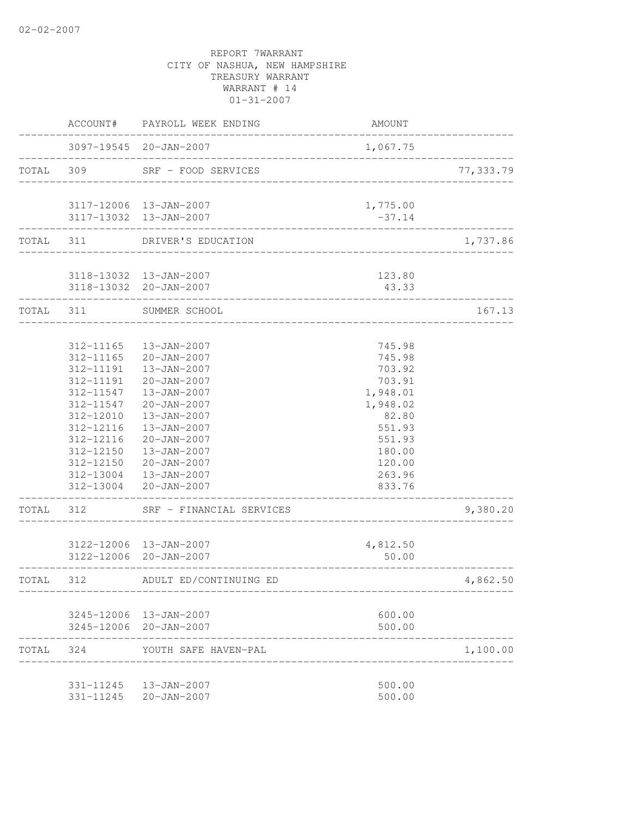|           | ACCOUNT#               | PAYROLL WEEK ENDING                              | <b>AMOUNT</b>           |            |
|-----------|------------------------|--------------------------------------------------|-------------------------|------------|
|           |                        | 3097-19545 20-JAN-2007                           | 1,067.75                |            |
| TOTAL 309 |                        | SRF - FOOD SERVICES                              | ----------------------- | 77, 333.79 |
|           |                        | 3117-12006 13-JAN-2007                           | 1,775.00                |            |
|           |                        | 3117-13032  13-JAN-2007                          | $-37.14$                |            |
|           | TOTAL 311              | DRIVER'S EDUCATION                               |                         | 1,737.86   |
|           |                        |                                                  |                         |            |
|           |                        | 3118-13032 13-JAN-2007<br>3118-13032 20-JAN-2007 | 123.80<br>43.33         |            |
| TOTAL 311 |                        | SUMMER SCHOOL                                    |                         | 167.13     |
|           |                        |                                                  |                         |            |
|           | 312-11165              | 13-JAN-2007                                      | 745.98                  |            |
|           | 312-11165              | 20-JAN-2007                                      | 745.98                  |            |
|           | 312-11191              | 13-JAN-2007                                      | 703.92                  |            |
|           | 312-11191              | 20-JAN-2007                                      | 703.91                  |            |
|           | 312-11547              | 13-JAN-2007                                      | 1,948.01                |            |
|           | 312-11547              | 20-JAN-2007                                      | 1,948.02                |            |
|           | 312-12010              | 13-JAN-2007                                      | 82.80                   |            |
|           | 312-12116              | 13-JAN-2007                                      | 551.93                  |            |
|           | 312-12116<br>312-12150 | $20 - JAN - 2007$<br>13-JAN-2007                 | 551.93                  |            |
|           |                        | 312-12150 20-JAN-2007                            | 180.00<br>120.00        |            |
|           |                        | 312-13004  13-JAN-2007                           | 263.96                  |            |
|           |                        | 312-13004 20-JAN-2007                            | 833.76                  |            |
| TOTAL     | 312                    | SRF - FINANCIAL SERVICES                         |                         | 9,380.20   |
|           |                        | 3122-12006 13-JAN-2007                           | 4,812.50                |            |
|           |                        | 3122-12006 20-JAN-2007                           | 50.00                   |            |
| TOTAL 312 |                        | ADULT ED/CONTINUING ED                           |                         | 4,862.50   |
|           |                        | 3245-12006 13-JAN-2007                           | 600.00                  |            |
|           |                        | 3245-12006 20-JAN-2007                           | 500.00                  |            |
| TOTAL 324 |                        | YOUTH SAFE HAVEN-PAL                             |                         | 1,100.00   |
|           |                        | 331-11245  13-JAN-2007                           | 500.00                  |            |
|           |                        | 331-11245 20-JAN-2007                            | 500.00                  |            |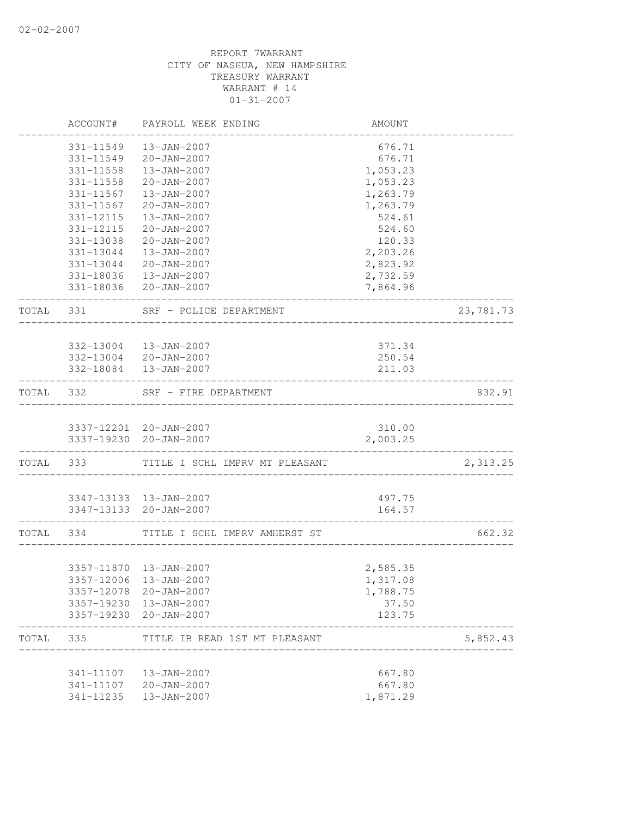|           | ACCOUNT#   | PAYROLL WEEK ENDING                             | AMOUNT   |           |
|-----------|------------|-------------------------------------------------|----------|-----------|
|           | 331-11549  | $13 - JAN - 2007$                               | 676.71   |           |
|           | 331-11549  | 20-JAN-2007                                     | 676.71   |           |
|           | 331-11558  | 13-JAN-2007                                     | 1,053.23 |           |
|           | 331-11558  | $20 - JAN - 2007$                               | 1,053.23 |           |
|           | 331-11567  | 13-JAN-2007                                     | 1,263.79 |           |
|           | 331-11567  | $20 - JAN - 2007$                               | 1,263.79 |           |
|           | 331-12115  | 13-JAN-2007                                     | 524.61   |           |
|           | 331-12115  | 20-JAN-2007                                     | 524.60   |           |
|           | 331-13038  | 20-JAN-2007                                     | 120.33   |           |
|           |            | 331-13044  13-JAN-2007                          | 2,203.26 |           |
|           |            | 331-13044 20-JAN-2007                           | 2,823.92 |           |
|           |            | 331-18036  13-JAN-2007                          | 2,732.59 |           |
|           |            | 331-18036 20-JAN-2007                           | 7,864.96 |           |
| TOTAL 331 |            | SRF - POLICE DEPARTMENT                         |          | 23,781.73 |
|           |            |                                                 |          |           |
|           |            | 332-13004  13-JAN-2007<br>332-13004 20-JAN-2007 | 371.34   |           |
|           |            |                                                 | 250.54   |           |
|           |            | 332-18084  13-JAN-2007                          | 211.03   |           |
| TOTAL 332 |            | SRF - FIRE DEPARTMENT                           |          | 832.91    |
|           |            | 3337-12201 20-JAN-2007                          | 310.00   |           |
|           |            | 3337-19230 20-JAN-2007                          | 2,003.25 |           |
|           | TOTAL 333  | TITLE I SCHL IMPRV MT PLEASANT                  |          | 2,313.25  |
|           |            |                                                 |          |           |
|           |            | 3347-13133 13-JAN-2007                          | 497.75   |           |
|           |            | 3347-13133 20-JAN-2007                          | 164.57   |           |
| TOTAL 334 |            | TITLE I SCHL IMPRV AMHERST ST                   |          | 662.32    |
|           |            |                                                 |          |           |
|           |            | 3357-11870  13-JAN-2007                         | 2,585.35 |           |
|           |            | 3357-12006 13-JAN-2007                          | 1,317.08 |           |
|           | 3357-12078 | 20-JAN-2007                                     | 1,788.75 |           |
|           | 3357-19230 | 13-JAN-2007                                     | 37.50    |           |
|           | 3357-19230 | 20-JAN-2007                                     | 123.75   |           |
| TOTAL     | 335        | TITLE IB READ 1ST MT PLEASANT                   |          | 5,852.43  |
|           | 341-11107  | 13-JAN-2007                                     | 667.80   |           |
|           | 341-11107  | $20 - JAN - 2007$                               | 667.80   |           |
|           | 341-11235  | 13-JAN-2007                                     | 1,871.29 |           |
|           |            |                                                 |          |           |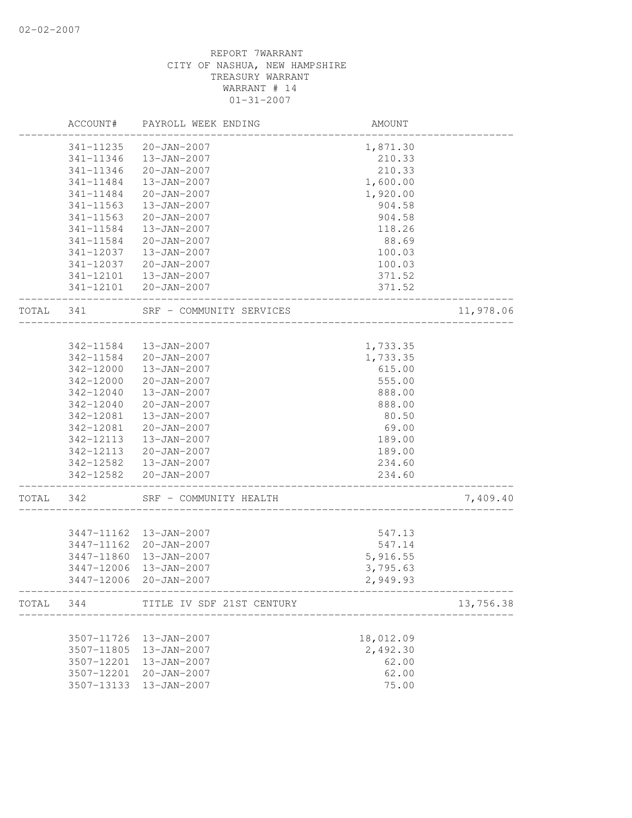|           | ACCOUNT#   | PAYROLL WEEK ENDING       | AMOUNT                               |           |
|-----------|------------|---------------------------|--------------------------------------|-----------|
|           | 341-11235  | $20 - JAN - 2007$         | 1,871.30                             |           |
|           | 341-11346  | 13-JAN-2007               | 210.33                               |           |
|           | 341-11346  | $20 - JAN - 2007$         | 210.33                               |           |
|           | 341-11484  | 13-JAN-2007               | 1,600.00                             |           |
|           | 341-11484  | $20 - JAN - 2007$         | 1,920.00                             |           |
|           | 341-11563  | 13-JAN-2007               | 904.58                               |           |
|           | 341-11563  | $20 - JAN - 2007$         | 904.58                               |           |
|           | 341-11584  | $13 - JAN - 2007$         | 118.26                               |           |
|           | 341-11584  | 20-JAN-2007               | 88.69                                |           |
|           | 341-12037  | 13-JAN-2007               | 100.03                               |           |
|           | 341-12037  | 20-JAN-2007               | 100.03                               |           |
|           | 341-12101  | 13-JAN-2007               | 371.52                               |           |
|           |            | 341-12101 20-JAN-2007     | 371.52                               |           |
| TOTAL     | 341        | SRF - COMMUNITY SERVICES  |                                      | 11,978.06 |
|           |            |                           |                                      |           |
|           | 342-11584  | 13-JAN-2007               | 1,733.35                             |           |
|           | 342-11584  | 20-JAN-2007               | 1,733.35                             |           |
|           | 342-12000  | 13-JAN-2007               | 615.00                               |           |
|           | 342-12000  | $20 - JAN - 2007$         | 555.00                               |           |
|           | 342-12040  | $13 - JAN - 2007$         | 888.00                               |           |
|           | 342-12040  | $20 - JAN - 2007$         | 888.00                               |           |
|           | 342-12081  | $13 - JAN - 2007$         | 80.50                                |           |
|           | 342-12081  | $20 - JAN - 2007$         | 69.00                                |           |
|           | 342-12113  | 13-JAN-2007               | 189.00                               |           |
|           | 342-12113  | 20-JAN-2007               | 189.00                               |           |
|           |            | 342-12582  13-JAN-2007    | 234.60                               |           |
|           |            | 342-12582 20-JAN-2007     | 234.60                               |           |
| TOTAL     | 342        | SRF - COMMUNITY HEALTH    |                                      | 7,409.40  |
|           | 3447-11162 | 13-JAN-2007               | 547.13                               |           |
|           | 3447-11162 | 20-JAN-2007               | 547.14                               |           |
|           | 3447-11860 | 13-JAN-2007               | 5,916.55                             |           |
|           | 3447-12006 | 13-JAN-2007               | 3,795.63                             |           |
|           | 3447-12006 | $20 - JAN - 2007$         | 2,949.93                             |           |
| TOTAL 344 |            | TITLE IV SDF 21ST CENTURY | --------------                       | 13,756.38 |
|           |            |                           | ------------------------------------ |           |
|           | 3507-11726 | 13-JAN-2007               | 18,012.09                            |           |
|           | 3507-11805 | 13-JAN-2007               | 2,492.30                             |           |
|           | 3507-12201 | 13-JAN-2007               | 62.00                                |           |
|           | 3507-12201 | 20-JAN-2007               | 62.00                                |           |
|           | 3507-13133 | 13-JAN-2007               | 75.00                                |           |
|           |            |                           |                                      |           |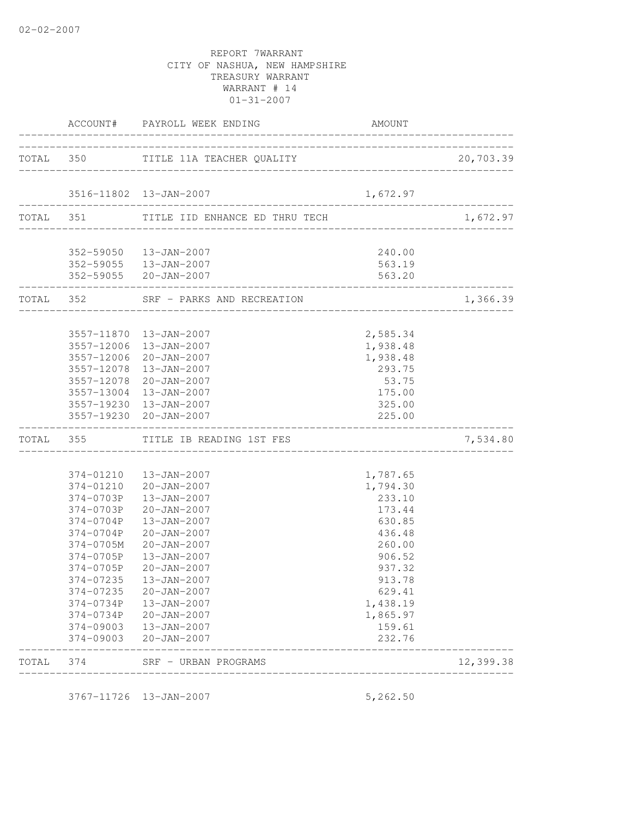|       |                            | ACCOUNT# PAYROLL WEEK ENDING                                            | AMOUNT                            |                                          |
|-------|----------------------------|-------------------------------------------------------------------------|-----------------------------------|------------------------------------------|
|       |                            | TOTAL 350 TITLE 11A TEACHER QUALITY                                     | _________________________________ | 20,703.39                                |
|       |                            |                                                                         |                                   |                                          |
|       |                            | 3516-11802 13-JAN-2007                                                  | 1,672.97                          | . <u>_ _ _ _ _ _ _ _ _ _ _ _ _ _ _</u> _ |
|       |                            | TOTAL 351 TITLE IID ENHANCE ED THRU TECH                                |                                   | 1,672.97                                 |
|       |                            |                                                                         | 240.00                            |                                          |
|       |                            | 352-59050 13-JAN-2007<br>352-59055 13-JAN-2007<br>352-59055 20-JAN-2007 | 563.19<br>563.20                  |                                          |
|       | -------------------------- | TOTAL 352 SRF - PARKS AND RECREATION                                    |                                   | 1,366.39                                 |
|       |                            |                                                                         |                                   |                                          |
|       |                            | 3557-11870  13-JAN-2007<br>3557-12006 13-JAN-2007                       | 2,585.34<br>1,938.48              |                                          |
|       |                            | 3557-12006 20-JAN-2007                                                  | 1,938.48                          |                                          |
|       |                            | 3557-12078  13-JAN-2007                                                 | 293.75                            |                                          |
|       |                            | 3557-12078 20-JAN-2007                                                  | 53.75                             |                                          |
|       |                            | 3557-13004 13-JAN-2007                                                  | 175.00                            |                                          |
|       |                            | 3557-19230 13-JAN-2007                                                  | 325.00                            |                                          |
|       |                            | 3557-19230 20-JAN-2007                                                  | 225.00                            |                                          |
|       |                            | TOTAL 355 TITLE IB READING 1ST FES                                      |                                   | 7,534.80                                 |
|       |                            | 374-01210  13-JAN-2007                                                  | 1,787.65                          |                                          |
|       |                            | 374-01210 20-JAN-2007                                                   | 1,794.30                          |                                          |
|       |                            | 374-0703P   13-JAN-2007                                                 | 233.10                            |                                          |
|       |                            | 374-0703P 20-JAN-2007                                                   | 173.44                            |                                          |
|       |                            | 374-0704P 13-JAN-2007                                                   | 630.85                            |                                          |
|       |                            | 374-0704P 20-JAN-2007                                                   | 436.48                            |                                          |
|       | 374-0705M                  | $20 - JAN - 2007$                                                       | 260.00                            |                                          |
|       |                            | 374-0705P   13-JAN-2007                                                 | 906.52                            |                                          |
|       | 374-0705P                  | $20 - JAN - 2007$                                                       | 937.32                            |                                          |
|       | 374-07235                  | 374-07235   13-JAN-2007<br>$20 - JAN - 2007$                            | 913.78                            |                                          |
|       | 374-0734P                  | 13-JAN-2007                                                             | 629.41<br>1,438.19                |                                          |
|       | 374-0734P                  | 20-JAN-2007                                                             | 1,865.97                          |                                          |
|       | 374-09003                  | 13-JAN-2007                                                             | 159.61                            |                                          |
|       | 374-09003                  | 20-JAN-2007                                                             | 232.76                            |                                          |
| TOTAL | 374                        | SRF - URBAN PROGRAMS<br>__________________                              |                                   | 12,399.38                                |

3767-11726 13-JAN-2007 5,262.50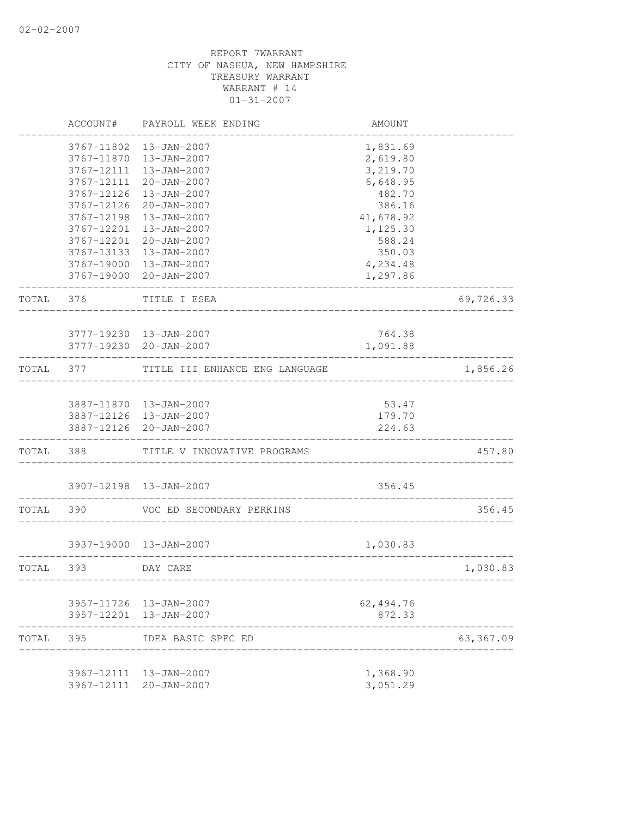|           | ACCOUNT#                          | PAYROLL WEEK ENDING            | AMOUNT          |           |
|-----------|-----------------------------------|--------------------------------|-----------------|-----------|
|           | 3767-11802                        | 13-JAN-2007                    | 1,831.69        |           |
|           | 3767-11870                        | 13-JAN-2007                    | 2,619.80        |           |
|           | 3767-12111                        | 13-JAN-2007                    | 3,219.70        |           |
|           | 3767-12111                        | 20-JAN-2007                    | 6,648.95        |           |
|           | 3767-12126                        | 13-JAN-2007                    | 482.70          |           |
|           | 3767-12126                        | 20-JAN-2007                    | 386.16          |           |
|           | 3767-12198                        | 13-JAN-2007                    | 41,678.92       |           |
|           | 3767-12201                        | 13-JAN-2007                    | 1,125.30        |           |
|           | 3767-12201                        | $20 - JAN - 2007$              | 588.24          |           |
|           | 3767-13133                        | $13 - JAN - 2007$              | 350.03          |           |
|           | 3767-19000                        | 13-JAN-2007                    | 4,234.48        |           |
|           |                                   | 3767-19000 20-JAN-2007         | 1,297.86        |           |
| TOTAL 376 |                                   | TITLE I ESEA                   |                 | 69,726.33 |
|           |                                   |                                |                 |           |
|           |                                   | 3777-19230 13-JAN-2007         | 764.38          |           |
|           |                                   | 3777-19230 20-JAN-2007         | 1,091.88        |           |
| TOTAL     | 377                               | TITLE III ENHANCE ENG LANGUAGE |                 | 1,856.26  |
|           |                                   | 3887-11870  13-JAN-2007        |                 |           |
|           |                                   | 3887-12126 13-JAN-2007         | 53.47<br>179.70 |           |
|           |                                   | 3887-12126 20-JAN-2007         | 224.63          |           |
|           | . _ _ _ _ _ _ _ _ _ _ _ _ _ _ _ _ |                                |                 |           |
| TOTAL 388 |                                   | TITLE V INNOVATIVE PROGRAMS    |                 | 457.80    |
|           |                                   | 3907-12198 13-JAN-2007         | 356.45          |           |
| TOTAL     | 390                               | VOC ED SECONDARY PERKINS       |                 | 356.45    |
|           |                                   | 3937-19000 13-JAN-2007         | 1,030.83        |           |
| TOTAL     | 393                               | DAY CARE                       |                 | 1,030.83  |
|           |                                   | 3957-11726 13-JAN-2007         | 62, 494.76      |           |
|           |                                   | 3957-12201 13-JAN-2007         | 872.33          |           |
| TOTAL     | 395                               | IDEA BASIC SPEC ED             |                 | 63,367.09 |
|           |                                   | 3967-12111 13-JAN-2007         | 1,368.90        |           |
|           | 3967-12111                        | 20-JAN-2007                    | 3,051.29        |           |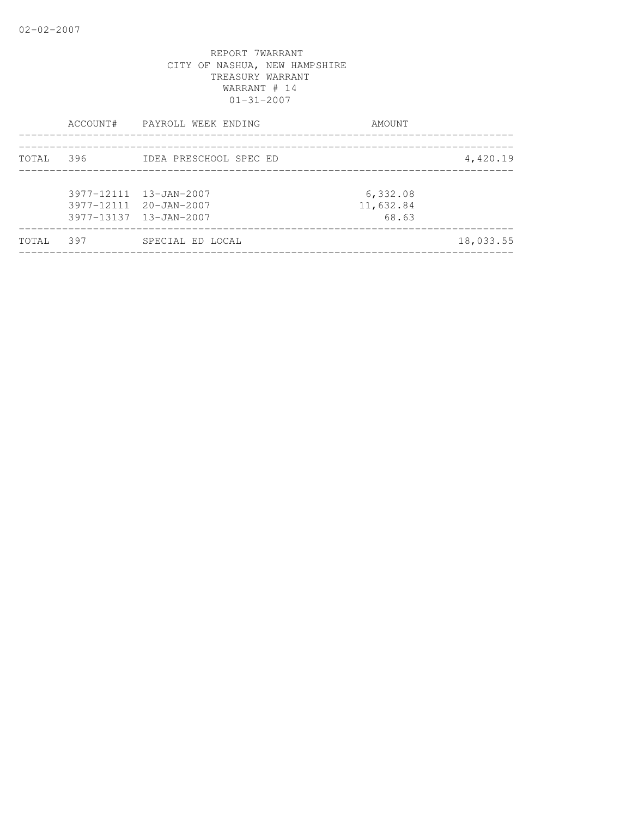|       |       | ACCOUNT# PAYROLL WEEK ENDING                                               | AMOUNT                         |           |
|-------|-------|----------------------------------------------------------------------------|--------------------------------|-----------|
| TOTAL | 396 — | IDEA PRESCHOOL SPEC ED                                                     |                                | 4,420.19  |
|       |       | 3977-12111 13-JAN-2007<br>3977-12111 20-JAN-2007<br>3977-13137 13-JAN-2007 | 6,332.08<br>11,632.84<br>68.63 |           |
| TOTAL | 397   | SPECIAL ED LOCAL                                                           |                                | 18,033.55 |
|       |       |                                                                            |                                |           |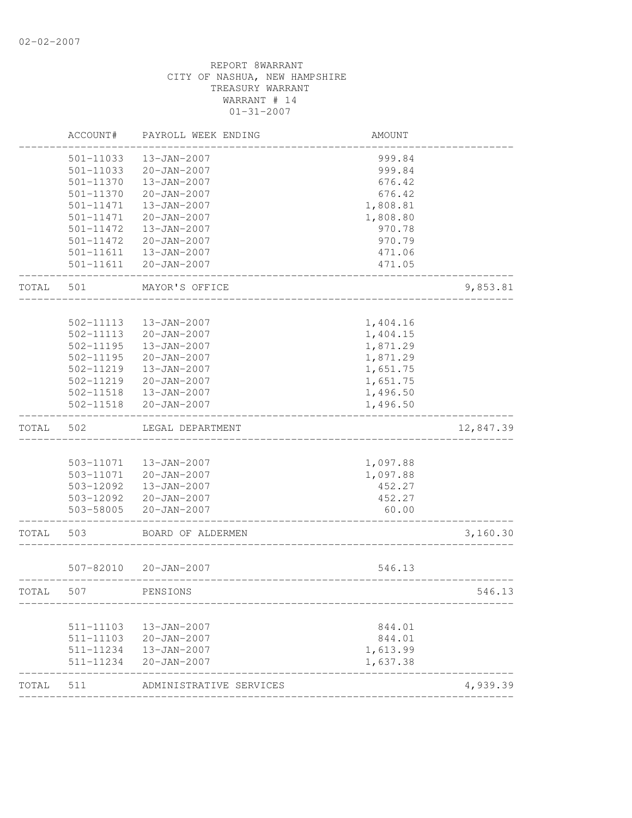|       | ACCOUNT#  | PAYROLL WEEK ENDING     | AMOUNT   |           |
|-------|-----------|-------------------------|----------|-----------|
|       | 501-11033 | 13-JAN-2007             | 999.84   |           |
|       | 501-11033 | $20 - JAN - 2007$       | 999.84   |           |
|       | 501-11370 | 13-JAN-2007             | 676.42   |           |
|       | 501-11370 | $20 - JAN - 2007$       | 676.42   |           |
|       | 501-11471 | 13-JAN-2007             | 1,808.81 |           |
|       | 501-11471 | $20 - JAN - 2007$       | 1,808.80 |           |
|       | 501-11472 | 13-JAN-2007             | 970.78   |           |
|       | 501-11472 | 20-JAN-2007             | 970.79   |           |
|       | 501-11611 | 13-JAN-2007             | 471.06   |           |
|       | 501-11611 | $20 - JAN - 2007$       | 471.05   |           |
| TOTAL | 501       | MAYOR'S OFFICE          |          | 9,853.81  |
|       |           |                         |          |           |
|       | 502-11113 | 13-JAN-2007             | 1,404.16 |           |
|       | 502-11113 | $20 - JAN - 2007$       | 1,404.15 |           |
|       | 502-11195 | 13-JAN-2007             | 1,871.29 |           |
|       | 502-11195 | $20 - JAN - 2007$       | 1,871.29 |           |
|       | 502-11219 | 13-JAN-2007             | 1,651.75 |           |
|       | 502-11219 | 20-JAN-2007             | 1,651.75 |           |
|       |           | 502-11518  13-JAN-2007  | 1,496.50 |           |
|       | 502-11518 | $20 - JAN - 2007$       | 1,496.50 |           |
| TOTAL | 502       | LEGAL DEPARTMENT        |          | 12,847.39 |
|       |           |                         |          |           |
|       |           | 503-11071  13-JAN-2007  | 1,097.88 |           |
|       | 503-11071 | 20-JAN-2007             | 1,097.88 |           |
|       | 503-12092 | 13-JAN-2007             | 452.27   |           |
|       |           | 503-12092 20-JAN-2007   | 452.27   |           |
|       | 503-58005 | 20-JAN-2007             | 60.00    |           |
| TOTAL | 503       | BOARD OF ALDERMEN       |          | 3,160.30  |
|       | 507-82010 | 20-JAN-2007             | 546.13   |           |
| TOTAL | 507       | PENSIONS                |          | 546.13    |
|       |           |                         |          |           |
|       | 511-11103 | 13-JAN-2007             | 844.01   |           |
|       | 511-11103 | 20-JAN-2007             | 844.01   |           |
|       | 511-11234 | 13-JAN-2007             | 1,613.99 |           |
|       | 511-11234 | $20 - JAN - 2007$       | 1,637.38 |           |
| TOTAL | 511       | ADMINISTRATIVE SERVICES |          | 4,939.39  |
|       |           |                         |          |           |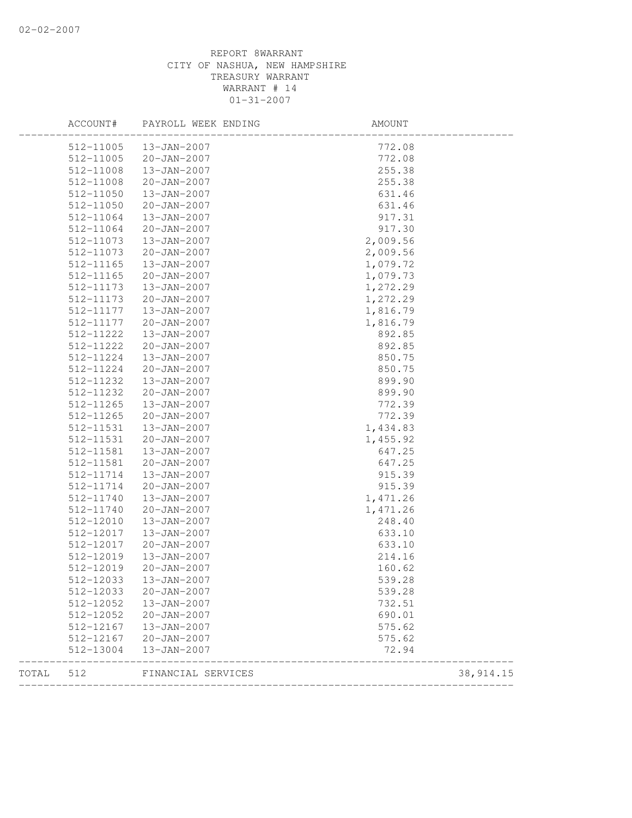|       | ACCOUNT#  | PAYROLL WEEK ENDING | AMOUNT   |            |
|-------|-----------|---------------------|----------|------------|
|       | 512-11005 | 13-JAN-2007         | 772.08   |            |
|       | 512-11005 | $20 - JAN - 2007$   | 772.08   |            |
|       | 512-11008 | 13-JAN-2007         | 255.38   |            |
|       | 512-11008 | $20 - JAN - 2007$   | 255.38   |            |
|       | 512-11050 | 13-JAN-2007         | 631.46   |            |
|       | 512-11050 | $20 - JAN - 2007$   | 631.46   |            |
|       | 512-11064 | 13-JAN-2007         | 917.31   |            |
|       | 512-11064 | 20-JAN-2007         | 917.30   |            |
|       | 512-11073 | 13-JAN-2007         | 2,009.56 |            |
|       | 512-11073 | $20 - JAN - 2007$   | 2,009.56 |            |
|       | 512-11165 | 13-JAN-2007         | 1,079.72 |            |
|       | 512-11165 | $20 - JAN - 2007$   | 1,079.73 |            |
|       | 512-11173 | 13-JAN-2007         | 1,272.29 |            |
|       | 512-11173 | 20-JAN-2007         | 1,272.29 |            |
|       | 512-11177 | 13-JAN-2007         | 1,816.79 |            |
|       | 512-11177 | $20 - JAN - 2007$   | 1,816.79 |            |
|       | 512-11222 | 13-JAN-2007         | 892.85   |            |
|       | 512-11222 | $20 - JAN - 2007$   | 892.85   |            |
|       | 512-11224 | 13-JAN-2007         | 850.75   |            |
|       | 512-11224 | $20 - JAN - 2007$   | 850.75   |            |
|       | 512-11232 | $13 - JAN - 2007$   | 899.90   |            |
|       | 512-11232 | $20 - JAN - 2007$   | 899.90   |            |
|       | 512-11265 | 13-JAN-2007         | 772.39   |            |
|       | 512-11265 | $20 - JAN - 2007$   | 772.39   |            |
|       | 512-11531 | 13-JAN-2007         | 1,434.83 |            |
|       | 512-11531 | 20-JAN-2007         | 1,455.92 |            |
|       | 512-11581 | 13-JAN-2007         | 647.25   |            |
|       | 512-11581 | 20-JAN-2007         | 647.25   |            |
|       | 512-11714 | 13-JAN-2007         | 915.39   |            |
|       | 512-11714 | $20 - JAN - 2007$   | 915.39   |            |
|       | 512-11740 | 13-JAN-2007         | 1,471.26 |            |
|       | 512-11740 | 20-JAN-2007         | 1,471.26 |            |
|       | 512-12010 | 13-JAN-2007         | 248.40   |            |
|       | 512-12017 | 13-JAN-2007         | 633.10   |            |
|       | 512-12017 | $20 - JAN - 2007$   | 633.10   |            |
|       | 512-12019 | $13 - JAN - 2007$   | 214.16   |            |
|       | 512-12019 | $20 - JAN - 2007$   | 160.62   |            |
|       | 512-12033 | 13-JAN-2007         | 539.28   |            |
|       | 512-12033 | $20 - JAN - 2007$   | 539.28   |            |
|       | 512-12052 | 13-JAN-2007         | 732.51   |            |
|       | 512-12052 | $20 - JAN - 2007$   | 690.01   |            |
|       | 512-12167 | 13-JAN-2007         | 575.62   |            |
|       | 512-12167 | $20 - JAN - 2007$   | 575.62   |            |
|       | 512-13004 | 13-JAN-2007         | 72.94    |            |
| TOTAL | 512       | FINANCIAL SERVICES  |          | 38, 914.15 |
|       |           |                     |          |            |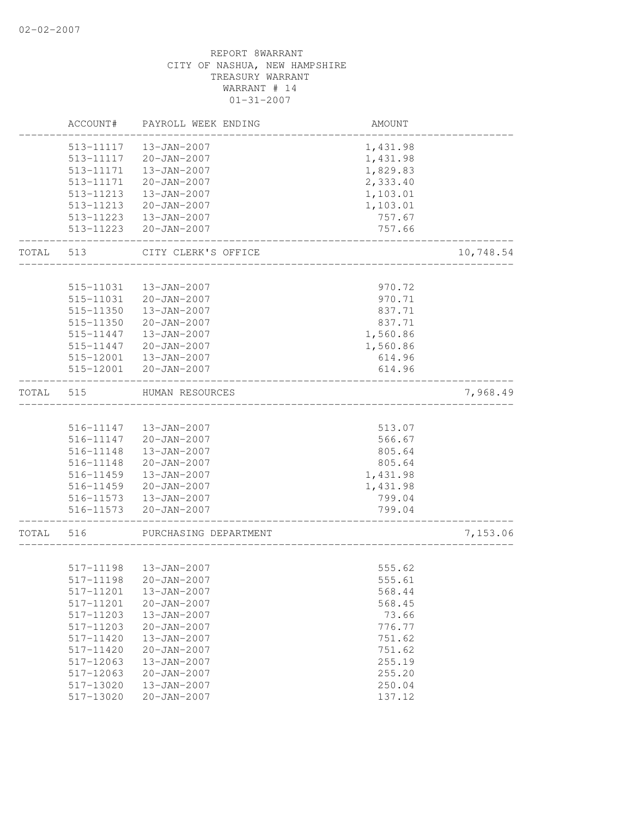|       | ACCOUNT#  | PAYROLL WEEK ENDING    | AMOUNT   |           |
|-------|-----------|------------------------|----------|-----------|
|       | 513-11117 | 13-JAN-2007            | 1,431.98 |           |
|       | 513-11117 | $20 - JAN - 2007$      | 1,431.98 |           |
|       | 513-11171 | 13-JAN-2007            | 1,829.83 |           |
|       | 513-11171 | $20 - JAN - 2007$      | 2,333.40 |           |
|       | 513-11213 | 13-JAN-2007            | 1,103.01 |           |
|       | 513-11213 | $20 - JAN - 2007$      | 1,103.01 |           |
|       | 513-11223 | 13-JAN-2007            | 757.67   |           |
|       | 513-11223 | $20 - JAN - 2007$      | 757.66   |           |
| TOTAL | 513       | CITY CLERK'S OFFICE    |          | 10,748.54 |
|       |           |                        |          |           |
|       | 515-11031 | 13-JAN-2007            | 970.72   |           |
|       | 515-11031 | $20 - JAN - 2007$      | 970.71   |           |
|       | 515-11350 | 13-JAN-2007            | 837.71   |           |
|       | 515-11350 | $20 - JAN - 2007$      | 837.71   |           |
|       | 515-11447 | 13-JAN-2007            | 1,560.86 |           |
|       | 515-11447 | $20 - JAN - 2007$      | 1,560.86 |           |
|       | 515-12001 | 13-JAN-2007            | 614.96   |           |
|       | 515-12001 | $20 - JAN - 2007$      | 614.96   |           |
| TOTAL | 515       | HUMAN RESOURCES        |          | 7,968.49  |
|       |           |                        |          |           |
|       | 516-11147 | 13-JAN-2007            | 513.07   |           |
|       | 516-11147 | 20-JAN-2007            | 566.67   |           |
|       | 516-11148 | 13-JAN-2007            | 805.64   |           |
|       | 516-11148 | $20 - JAN - 2007$      | 805.64   |           |
|       | 516-11459 | 13-JAN-2007            | 1,431.98 |           |
|       | 516-11459 | 20-JAN-2007            | 1,431.98 |           |
|       |           | 516-11573  13-JAN-2007 | 799.04   |           |
|       | 516-11573 | 20-JAN-2007            | 799.04   |           |
| TOTAL | 516       | PURCHASING DEPARTMENT  |          | 7,153.06  |
|       |           |                        |          |           |
|       | 517-11198 | 13-JAN-2007            | 555.62   |           |
|       |           | 517-11198 20-JAN-2007  | 555.61   |           |
|       | 517-11201 | 13-JAN-2007            | 568.44   |           |
|       | 517-11201 | $20 - JAN - 2007$      | 568.45   |           |
|       | 517-11203 | 13-JAN-2007            | 73.66    |           |
|       | 517-11203 | $20 - JAN - 2007$      | 776.77   |           |
|       | 517-11420 | 13-JAN-2007            | 751.62   |           |
|       | 517-11420 | $20 - JAN - 2007$      | 751.62   |           |
|       | 517-12063 | $13 - JAN - 2007$      | 255.19   |           |
|       | 517-12063 | $20 - JAN - 2007$      | 255.20   |           |
|       | 517-13020 | 13-JAN-2007            | 250.04   |           |
|       | 517-13020 | $20 - JAN - 2007$      | 137.12   |           |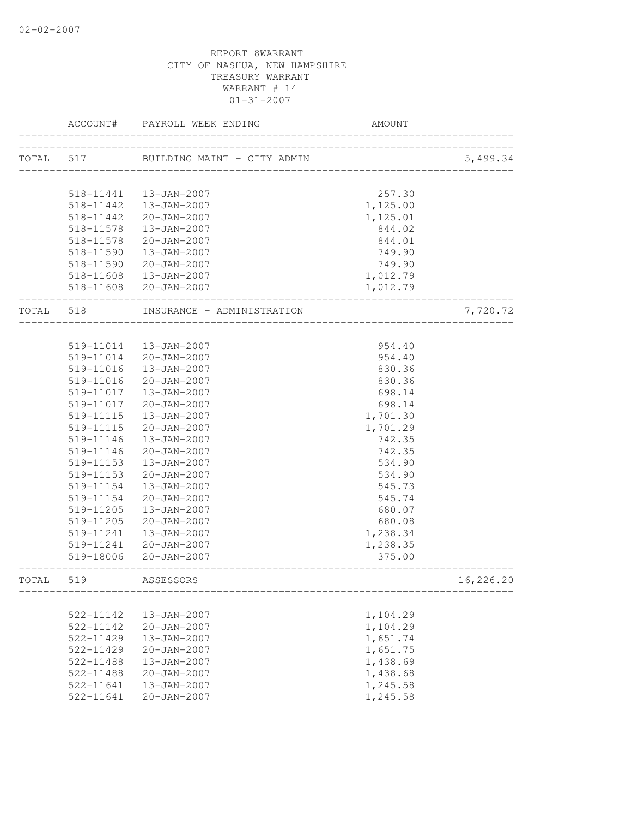| ----------------------------------<br>5,499.34<br>257.30<br>518-11441  13-JAN-2007<br>518-11442  13-JAN-2007<br>1,125.00<br>518-11442<br>20-JAN-2007<br>1,125.01<br>844.02<br>518-11578<br>13-JAN-2007<br>518-11578<br>20-JAN-2007<br>844.01<br>518-11590<br>13-JAN-2007<br>749.90<br>518-11590 20-JAN-2007<br>749.90<br>518-11608  13-JAN-2007<br>1,012.79<br>518-11608 20-JAN-2007<br>1,012.79<br>_______________<br>7,720.72<br>TOTAL 518<br>INSURANCE - ADMINISTRATION<br>954.40<br>519-11014  13-JAN-2007<br>519-11014 20-JAN-2007<br>954.40<br>830.36<br>519-11016<br>13-JAN-2007<br>519-11016<br>20-JAN-2007<br>830.36<br>519-11017<br>13-JAN-2007<br>698.14<br>20-JAN-2007<br>698.14<br>519-11017<br>1,701.30<br>519-11115<br>13-JAN-2007<br>519-11115<br>20-JAN-2007<br>1,701.29<br>742.35<br>519-11146<br>13-JAN-2007<br>742.35<br>519-11146<br>20-JAN-2007<br>534.90<br>519-11153<br>13-JAN-2007<br>$20 - JAN - 2007$<br>519-11153<br>534.90<br>519-11154<br>13-JAN-2007<br>545.73<br>519-11154<br>20-JAN-2007<br>545.74<br>519-11205<br>13-JAN-2007<br>680.07<br>519-11205<br>20-JAN-2007<br>680.08<br>519-11241<br>13-JAN-2007<br>1,238.34<br>1,238.35<br>519-11241<br>20-JAN-2007<br>375.00<br>519-18006 20-JAN-2007<br>___________<br>519<br>ASSESSORS<br>16,226.20<br>TOTAL<br>522-11142<br>1,104.29<br>13-JAN-2007<br>522-11142<br>$20 - JAN - 2007$<br>1,104.29<br>1,651.74<br>522-11429<br>13-JAN-2007<br>1,651.75<br>522-11429<br>$20 - JAN - 2007$<br>1,438.69<br>522-11488<br>13-JAN-2007<br>1,438.68<br>522-11488<br>$20 - JAN - 2007$<br>1,245.58<br>522-11641<br>$13 - JAN - 2007$ | ACCOUNT#  | PAYROLL WEEK ENDING | AMOUNT   |  |
|-------------------------------------------------------------------------------------------------------------------------------------------------------------------------------------------------------------------------------------------------------------------------------------------------------------------------------------------------------------------------------------------------------------------------------------------------------------------------------------------------------------------------------------------------------------------------------------------------------------------------------------------------------------------------------------------------------------------------------------------------------------------------------------------------------------------------------------------------------------------------------------------------------------------------------------------------------------------------------------------------------------------------------------------------------------------------------------------------------------------------------------------------------------------------------------------------------------------------------------------------------------------------------------------------------------------------------------------------------------------------------------------------------------------------------------------------------------------------------------------------------------------------------------------------------------------------------------------------------------|-----------|---------------------|----------|--|
|                                                                                                                                                                                                                                                                                                                                                                                                                                                                                                                                                                                                                                                                                                                                                                                                                                                                                                                                                                                                                                                                                                                                                                                                                                                                                                                                                                                                                                                                                                                                                                                                             |           |                     |          |  |
|                                                                                                                                                                                                                                                                                                                                                                                                                                                                                                                                                                                                                                                                                                                                                                                                                                                                                                                                                                                                                                                                                                                                                                                                                                                                                                                                                                                                                                                                                                                                                                                                             |           |                     |          |  |
|                                                                                                                                                                                                                                                                                                                                                                                                                                                                                                                                                                                                                                                                                                                                                                                                                                                                                                                                                                                                                                                                                                                                                                                                                                                                                                                                                                                                                                                                                                                                                                                                             |           |                     |          |  |
|                                                                                                                                                                                                                                                                                                                                                                                                                                                                                                                                                                                                                                                                                                                                                                                                                                                                                                                                                                                                                                                                                                                                                                                                                                                                                                                                                                                                                                                                                                                                                                                                             |           |                     |          |  |
|                                                                                                                                                                                                                                                                                                                                                                                                                                                                                                                                                                                                                                                                                                                                                                                                                                                                                                                                                                                                                                                                                                                                                                                                                                                                                                                                                                                                                                                                                                                                                                                                             |           |                     |          |  |
|                                                                                                                                                                                                                                                                                                                                                                                                                                                                                                                                                                                                                                                                                                                                                                                                                                                                                                                                                                                                                                                                                                                                                                                                                                                                                                                                                                                                                                                                                                                                                                                                             |           |                     |          |  |
|                                                                                                                                                                                                                                                                                                                                                                                                                                                                                                                                                                                                                                                                                                                                                                                                                                                                                                                                                                                                                                                                                                                                                                                                                                                                                                                                                                                                                                                                                                                                                                                                             |           |                     |          |  |
|                                                                                                                                                                                                                                                                                                                                                                                                                                                                                                                                                                                                                                                                                                                                                                                                                                                                                                                                                                                                                                                                                                                                                                                                                                                                                                                                                                                                                                                                                                                                                                                                             |           |                     |          |  |
|                                                                                                                                                                                                                                                                                                                                                                                                                                                                                                                                                                                                                                                                                                                                                                                                                                                                                                                                                                                                                                                                                                                                                                                                                                                                                                                                                                                                                                                                                                                                                                                                             |           |                     |          |  |
|                                                                                                                                                                                                                                                                                                                                                                                                                                                                                                                                                                                                                                                                                                                                                                                                                                                                                                                                                                                                                                                                                                                                                                                                                                                                                                                                                                                                                                                                                                                                                                                                             |           |                     |          |  |
|                                                                                                                                                                                                                                                                                                                                                                                                                                                                                                                                                                                                                                                                                                                                                                                                                                                                                                                                                                                                                                                                                                                                                                                                                                                                                                                                                                                                                                                                                                                                                                                                             |           |                     |          |  |
|                                                                                                                                                                                                                                                                                                                                                                                                                                                                                                                                                                                                                                                                                                                                                                                                                                                                                                                                                                                                                                                                                                                                                                                                                                                                                                                                                                                                                                                                                                                                                                                                             |           |                     |          |  |
|                                                                                                                                                                                                                                                                                                                                                                                                                                                                                                                                                                                                                                                                                                                                                                                                                                                                                                                                                                                                                                                                                                                                                                                                                                                                                                                                                                                                                                                                                                                                                                                                             |           |                     |          |  |
|                                                                                                                                                                                                                                                                                                                                                                                                                                                                                                                                                                                                                                                                                                                                                                                                                                                                                                                                                                                                                                                                                                                                                                                                                                                                                                                                                                                                                                                                                                                                                                                                             |           |                     |          |  |
|                                                                                                                                                                                                                                                                                                                                                                                                                                                                                                                                                                                                                                                                                                                                                                                                                                                                                                                                                                                                                                                                                                                                                                                                                                                                                                                                                                                                                                                                                                                                                                                                             |           |                     |          |  |
|                                                                                                                                                                                                                                                                                                                                                                                                                                                                                                                                                                                                                                                                                                                                                                                                                                                                                                                                                                                                                                                                                                                                                                                                                                                                                                                                                                                                                                                                                                                                                                                                             |           |                     |          |  |
|                                                                                                                                                                                                                                                                                                                                                                                                                                                                                                                                                                                                                                                                                                                                                                                                                                                                                                                                                                                                                                                                                                                                                                                                                                                                                                                                                                                                                                                                                                                                                                                                             |           |                     |          |  |
|                                                                                                                                                                                                                                                                                                                                                                                                                                                                                                                                                                                                                                                                                                                                                                                                                                                                                                                                                                                                                                                                                                                                                                                                                                                                                                                                                                                                                                                                                                                                                                                                             |           |                     |          |  |
|                                                                                                                                                                                                                                                                                                                                                                                                                                                                                                                                                                                                                                                                                                                                                                                                                                                                                                                                                                                                                                                                                                                                                                                                                                                                                                                                                                                                                                                                                                                                                                                                             |           |                     |          |  |
|                                                                                                                                                                                                                                                                                                                                                                                                                                                                                                                                                                                                                                                                                                                                                                                                                                                                                                                                                                                                                                                                                                                                                                                                                                                                                                                                                                                                                                                                                                                                                                                                             |           |                     |          |  |
|                                                                                                                                                                                                                                                                                                                                                                                                                                                                                                                                                                                                                                                                                                                                                                                                                                                                                                                                                                                                                                                                                                                                                                                                                                                                                                                                                                                                                                                                                                                                                                                                             |           |                     |          |  |
|                                                                                                                                                                                                                                                                                                                                                                                                                                                                                                                                                                                                                                                                                                                                                                                                                                                                                                                                                                                                                                                                                                                                                                                                                                                                                                                                                                                                                                                                                                                                                                                                             |           |                     |          |  |
|                                                                                                                                                                                                                                                                                                                                                                                                                                                                                                                                                                                                                                                                                                                                                                                                                                                                                                                                                                                                                                                                                                                                                                                                                                                                                                                                                                                                                                                                                                                                                                                                             |           |                     |          |  |
|                                                                                                                                                                                                                                                                                                                                                                                                                                                                                                                                                                                                                                                                                                                                                                                                                                                                                                                                                                                                                                                                                                                                                                                                                                                                                                                                                                                                                                                                                                                                                                                                             |           |                     |          |  |
|                                                                                                                                                                                                                                                                                                                                                                                                                                                                                                                                                                                                                                                                                                                                                                                                                                                                                                                                                                                                                                                                                                                                                                                                                                                                                                                                                                                                                                                                                                                                                                                                             |           |                     |          |  |
|                                                                                                                                                                                                                                                                                                                                                                                                                                                                                                                                                                                                                                                                                                                                                                                                                                                                                                                                                                                                                                                                                                                                                                                                                                                                                                                                                                                                                                                                                                                                                                                                             |           |                     |          |  |
|                                                                                                                                                                                                                                                                                                                                                                                                                                                                                                                                                                                                                                                                                                                                                                                                                                                                                                                                                                                                                                                                                                                                                                                                                                                                                                                                                                                                                                                                                                                                                                                                             |           |                     |          |  |
|                                                                                                                                                                                                                                                                                                                                                                                                                                                                                                                                                                                                                                                                                                                                                                                                                                                                                                                                                                                                                                                                                                                                                                                                                                                                                                                                                                                                                                                                                                                                                                                                             |           |                     |          |  |
|                                                                                                                                                                                                                                                                                                                                                                                                                                                                                                                                                                                                                                                                                                                                                                                                                                                                                                                                                                                                                                                                                                                                                                                                                                                                                                                                                                                                                                                                                                                                                                                                             |           |                     |          |  |
|                                                                                                                                                                                                                                                                                                                                                                                                                                                                                                                                                                                                                                                                                                                                                                                                                                                                                                                                                                                                                                                                                                                                                                                                                                                                                                                                                                                                                                                                                                                                                                                                             |           |                     |          |  |
|                                                                                                                                                                                                                                                                                                                                                                                                                                                                                                                                                                                                                                                                                                                                                                                                                                                                                                                                                                                                                                                                                                                                                                                                                                                                                                                                                                                                                                                                                                                                                                                                             |           |                     |          |  |
|                                                                                                                                                                                                                                                                                                                                                                                                                                                                                                                                                                                                                                                                                                                                                                                                                                                                                                                                                                                                                                                                                                                                                                                                                                                                                                                                                                                                                                                                                                                                                                                                             |           |                     |          |  |
|                                                                                                                                                                                                                                                                                                                                                                                                                                                                                                                                                                                                                                                                                                                                                                                                                                                                                                                                                                                                                                                                                                                                                                                                                                                                                                                                                                                                                                                                                                                                                                                                             |           |                     |          |  |
|                                                                                                                                                                                                                                                                                                                                                                                                                                                                                                                                                                                                                                                                                                                                                                                                                                                                                                                                                                                                                                                                                                                                                                                                                                                                                                                                                                                                                                                                                                                                                                                                             |           |                     |          |  |
|                                                                                                                                                                                                                                                                                                                                                                                                                                                                                                                                                                                                                                                                                                                                                                                                                                                                                                                                                                                                                                                                                                                                                                                                                                                                                                                                                                                                                                                                                                                                                                                                             |           |                     |          |  |
|                                                                                                                                                                                                                                                                                                                                                                                                                                                                                                                                                                                                                                                                                                                                                                                                                                                                                                                                                                                                                                                                                                                                                                                                                                                                                                                                                                                                                                                                                                                                                                                                             |           |                     |          |  |
|                                                                                                                                                                                                                                                                                                                                                                                                                                                                                                                                                                                                                                                                                                                                                                                                                                                                                                                                                                                                                                                                                                                                                                                                                                                                                                                                                                                                                                                                                                                                                                                                             |           |                     |          |  |
|                                                                                                                                                                                                                                                                                                                                                                                                                                                                                                                                                                                                                                                                                                                                                                                                                                                                                                                                                                                                                                                                                                                                                                                                                                                                                                                                                                                                                                                                                                                                                                                                             |           |                     |          |  |
|                                                                                                                                                                                                                                                                                                                                                                                                                                                                                                                                                                                                                                                                                                                                                                                                                                                                                                                                                                                                                                                                                                                                                                                                                                                                                                                                                                                                                                                                                                                                                                                                             |           |                     |          |  |
|                                                                                                                                                                                                                                                                                                                                                                                                                                                                                                                                                                                                                                                                                                                                                                                                                                                                                                                                                                                                                                                                                                                                                                                                                                                                                                                                                                                                                                                                                                                                                                                                             |           |                     |          |  |
|                                                                                                                                                                                                                                                                                                                                                                                                                                                                                                                                                                                                                                                                                                                                                                                                                                                                                                                                                                                                                                                                                                                                                                                                                                                                                                                                                                                                                                                                                                                                                                                                             | 522-11641 | $20 - JAN - 2007$   | 1,245.58 |  |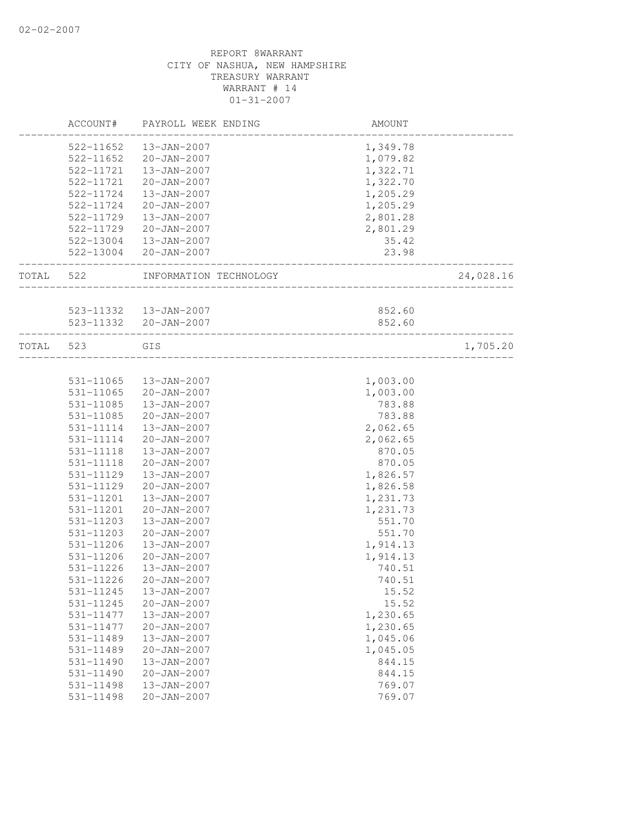|       | ACCOUNT#  | PAYROLL WEEK ENDING                             | AMOUNT                                     |           |
|-------|-----------|-------------------------------------------------|--------------------------------------------|-----------|
|       | 522-11652 | 13-JAN-2007                                     | 1,349.78                                   |           |
|       | 522-11652 | $20 - JAN - 2007$                               | 1,079.82                                   |           |
|       | 522-11721 | 13-JAN-2007                                     | 1,322.71                                   |           |
|       | 522-11721 | $20 - JAN - 2007$                               | 1,322.70                                   |           |
|       | 522-11724 | 13-JAN-2007                                     | 1,205.29                                   |           |
|       | 522-11724 | 20-JAN-2007                                     | 1,205.29                                   |           |
|       | 522-11729 | 13-JAN-2007                                     | 2,801.28                                   |           |
|       | 522-11729 | 20-JAN-2007                                     | 2,801.29                                   |           |
|       |           | 522-13004  13-JAN-2007                          | 35.42                                      |           |
|       |           | 522-13004 20-JAN-2007                           | 23.98                                      |           |
| TOTAL | 522       | INFORMATION TECHNOLOGY                          | ____________________<br>__________________ | 24,028.16 |
|       |           |                                                 |                                            |           |
|       |           | 523-11332  13-JAN-2007<br>523-11332 20-JAN-2007 | 852.60                                     |           |
|       |           |                                                 | 852.60                                     |           |
| TOTAL | 523       | GIS                                             |                                            | 1,705.20  |
|       |           |                                                 |                                            |           |
|       | 531-11065 | 13-JAN-2007                                     | 1,003.00                                   |           |
|       | 531-11065 | 20-JAN-2007                                     | 1,003.00                                   |           |
|       | 531-11085 | 13-JAN-2007                                     | 783.88                                     |           |
|       | 531-11085 | 20-JAN-2007                                     | 783.88                                     |           |
|       | 531-11114 | 13-JAN-2007                                     | 2,062.65                                   |           |
|       | 531-11114 | 20-JAN-2007                                     | 2,062.65                                   |           |
|       | 531-11118 | 13-JAN-2007                                     | 870.05                                     |           |
|       | 531-11118 | $20 - JAN - 2007$                               | 870.05                                     |           |
|       | 531-11129 | 13-JAN-2007                                     | 1,826.57                                   |           |
|       | 531-11129 | $20 - JAN - 2007$                               | 1,826.58                                   |           |
|       | 531-11201 | 13-JAN-2007                                     | 1,231.73                                   |           |
|       | 531-11201 | $20 - JAN - 2007$                               | 1,231.73                                   |           |
|       | 531-11203 | 13-JAN-2007                                     | 551.70                                     |           |
|       | 531-11203 | $20 - JAN - 2007$                               | 551.70                                     |           |
|       | 531-11206 | $13 - JAN - 2007$                               | 1,914.13                                   |           |
|       | 531-11206 | $20 - JAN - 2007$                               | 1,914.13                                   |           |
|       | 531-11226 | 13-JAN-2007                                     | 740.51                                     |           |
|       | 531-11226 | $20 - JAN - 2007$                               | 740.51                                     |           |
|       | 531-11245 | 13-JAN-2007                                     | 15.52                                      |           |
|       | 531-11245 | $20 - JAN - 2007$                               | 15.52                                      |           |
|       | 531-11477 | 13-JAN-2007                                     | 1,230.65                                   |           |
|       | 531-11477 | $20 - JAN - 2007$                               | 1,230.65                                   |           |
|       | 531-11489 | $13 - JAN - 2007$                               | 1,045.06                                   |           |
|       | 531-11489 | $20 - JAN - 2007$                               | 1,045.05                                   |           |
|       | 531-11490 | $13 - JAN - 2007$                               | 844.15                                     |           |
|       | 531-11490 | $20 - JAN - 2007$                               | 844.15                                     |           |
|       | 531-11498 | 13-JAN-2007                                     | 769.07                                     |           |
|       | 531-11498 | $20 - JAN - 2007$                               | 769.07                                     |           |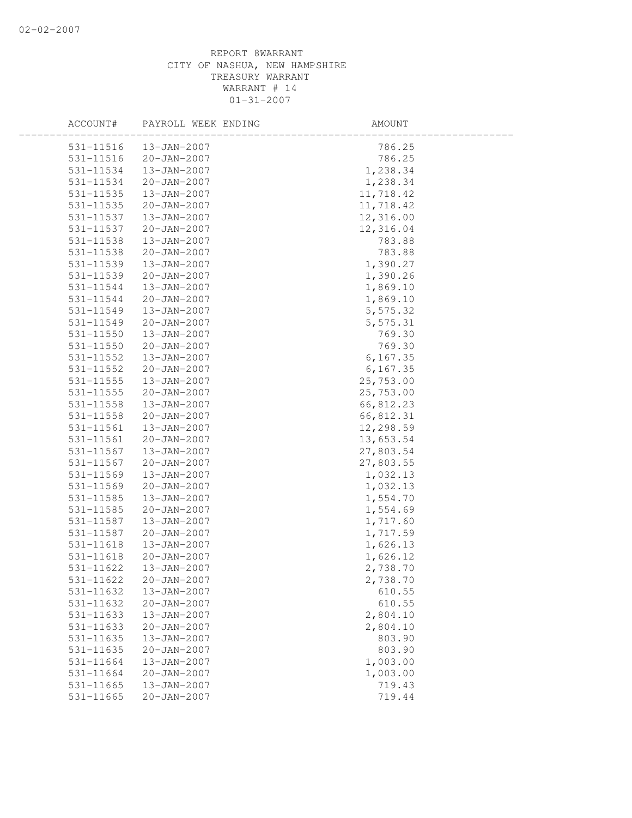| ACCOUNT#      | PAYROLL WEEK ENDING | AMOUNT    |  |
|---------------|---------------------|-----------|--|
| 531-11516     | $13 - JAN - 2007$   | 786.25    |  |
| $531 - 11516$ | 20-JAN-2007         | 786.25    |  |
| 531-11534     | 13-JAN-2007         | 1,238.34  |  |
| 531-11534     | 20-JAN-2007         | 1,238.34  |  |
| 531-11535     | 13-JAN-2007         | 11,718.42 |  |
| 531-11535     | $20 - JAN - 2007$   | 11,718.42 |  |
| 531-11537     | 13-JAN-2007         | 12,316.00 |  |
| 531-11537     | 20-JAN-2007         | 12,316.04 |  |
| 531-11538     | 13-JAN-2007         | 783.88    |  |
| 531-11538     | 20-JAN-2007         | 783.88    |  |
| 531-11539     | 13-JAN-2007         | 1,390.27  |  |
| 531-11539     | $20 - JAN - 2007$   | 1,390.26  |  |
| 531-11544     | 13-JAN-2007         | 1,869.10  |  |
| 531-11544     | $20 - JAN - 2007$   | 1,869.10  |  |
| 531-11549     | 13-JAN-2007         | 5,575.32  |  |
| 531-11549     | $20 - JAN - 2007$   | 5,575.31  |  |
| 531-11550     | 13-JAN-2007         | 769.30    |  |
| 531-11550     | 20-JAN-2007         | 769.30    |  |
| 531-11552     | 13-JAN-2007         | 6, 167.35 |  |
| 531-11552     | $20 - JAN - 2007$   | 6, 167.35 |  |
| 531-11555     | 13-JAN-2007         | 25,753.00 |  |
| 531-11555     | 20-JAN-2007         | 25,753.00 |  |
| 531-11558     | 13-JAN-2007         | 66,812.23 |  |
| 531-11558     | $20 - JAN - 2007$   | 66,812.31 |  |
| 531-11561     | 13-JAN-2007         | 12,298.59 |  |
| 531-11561     | 20-JAN-2007         | 13,653.54 |  |
| 531-11567     | 13-JAN-2007         | 27,803.54 |  |
| 531-11567     | $20 - JAN - 2007$   | 27,803.55 |  |
| 531-11569     | 13-JAN-2007         | 1,032.13  |  |
| 531-11569     | $20 - JAN - 2007$   | 1,032.13  |  |
| 531-11585     | 13-JAN-2007         | 1,554.70  |  |
| 531-11585     | $20 - JAN - 2007$   | 1,554.69  |  |
| 531-11587     | 13-JAN-2007         | 1,717.60  |  |
| 531-11587     | $20 - JAN - 2007$   | 1,717.59  |  |
| 531-11618     | 13-JAN-2007         | 1,626.13  |  |
| 531-11618     | 20-JAN-2007         | 1,626.12  |  |
| 531-11622     | 13-JAN-2007         | 2,738.70  |  |
| 531-11622     | $20 - JAN - 2007$   | 2,738.70  |  |
| 531-11632     | 13-JAN-2007         | 610.55    |  |
| 531-11632     | $20 - JAN - 2007$   | 610.55    |  |
| 531-11633     | $13 - JAN - 2007$   | 2,804.10  |  |
| 531-11633     | $20 - JAN - 2007$   | 2,804.10  |  |
| 531-11635     | 13-JAN-2007         | 803.90    |  |
| $531 - 11635$ | $20 - JAN - 2007$   | 803.90    |  |
| 531-11664     | 13-JAN-2007         | 1,003.00  |  |
| 531-11664     | $20 - JAN - 2007$   | 1,003.00  |  |
| 531-11665     | 13-JAN-2007         | 719.43    |  |
| 531-11665     | $20 - JAN - 2007$   | 719.44    |  |
|               |                     |           |  |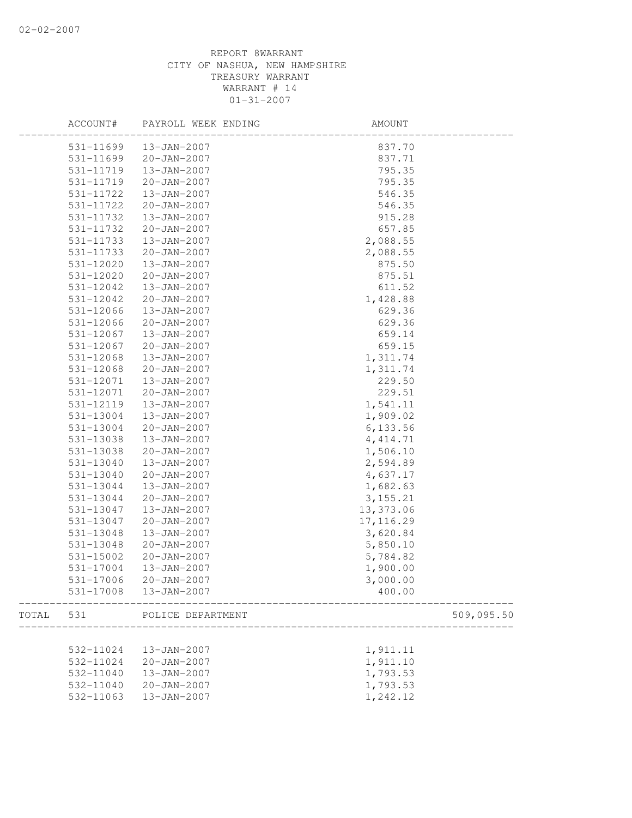|       | ACCOUNT#  | PAYROLL WEEK ENDING | AMOUNT     |
|-------|-----------|---------------------|------------|
|       | 531-11699 | 13-JAN-2007         | 837.70     |
|       | 531-11699 | $20 - JAN - 2007$   | 837.71     |
|       | 531-11719 | 13-JAN-2007         | 795.35     |
|       | 531-11719 | 20-JAN-2007         | 795.35     |
|       | 531-11722 | 13-JAN-2007         | 546.35     |
|       | 531-11722 | $20 - JAN - 2007$   | 546.35     |
|       | 531-11732 | 13-JAN-2007         | 915.28     |
|       | 531-11732 | 20-JAN-2007         | 657.85     |
|       | 531-11733 | 13-JAN-2007         | 2,088.55   |
|       | 531-11733 | $20 - JAN - 2007$   | 2,088.55   |
|       | 531-12020 | $13 - JAN - 2007$   | 875.50     |
|       | 531-12020 | 20-JAN-2007         | 875.51     |
|       | 531-12042 | 13-JAN-2007         | 611.52     |
|       | 531-12042 | $20 - JAN - 2007$   | 1,428.88   |
|       | 531-12066 | 13-JAN-2007         | 629.36     |
|       | 531-12066 | $20 - JAN - 2007$   | 629.36     |
|       | 531-12067 | 13-JAN-2007         | 659.14     |
|       | 531-12067 | $20 - JAN - 2007$   | 659.15     |
|       | 531-12068 | 13-JAN-2007         | 1,311.74   |
|       | 531-12068 | $20 - JAN - 2007$   | 1,311.74   |
|       | 531-12071 | 13-JAN-2007         | 229.50     |
|       | 531-12071 | 20-JAN-2007         | 229.51     |
|       | 531-12119 | 13-JAN-2007         | 1,541.11   |
|       | 531-13004 | 13-JAN-2007         | 1,909.02   |
|       | 531-13004 | $20 - JAN - 2007$   | 6, 133.56  |
|       | 531-13038 | 13-JAN-2007         | 4, 414.71  |
|       | 531-13038 | 20-JAN-2007         | 1,506.10   |
|       | 531-13040 | 13-JAN-2007         | 2,594.89   |
|       | 531-13040 | $20 - JAN - 2007$   | 4,637.17   |
|       | 531-13044 | 13-JAN-2007         | 1,682.63   |
|       | 531-13044 | 20-JAN-2007         | 3, 155. 21 |
|       | 531-13047 | 13-JAN-2007         | 13,373.06  |
|       | 531-13047 | $20 - JAN - 2007$   | 17, 116.29 |
|       | 531-13048 | $13 - JAN - 2007$   | 3,620.84   |
|       | 531-13048 | $20 - JAN - 2007$   | 5,850.10   |
|       | 531-15002 | $20 - JAN - 2007$   | 5,784.82   |
|       | 531-17004 | 13-JAN-2007         | 1,900.00   |
|       | 531-17006 | $20 - JAN - 2007$   | 3,000.00   |
|       | 531-17008 | 13-JAN-2007         | 400.00     |
| TOTAL | 531       | POLICE DEPARTMENT   | 509,095.50 |
|       |           |                     |            |
|       | 532-11024 | 13-JAN-2007         | 1,911.11   |
|       | 532-11024 | $20 - JAN - 2007$   | 1,911.10   |
|       | 532-11040 | 13-JAN-2007         | 1,793.53   |
|       | 532-11040 | $20 - JAN - 2007$   | 1,793.53   |
|       | 532-11063 | 13-JAN-2007         | 1,242.12   |
|       |           |                     |            |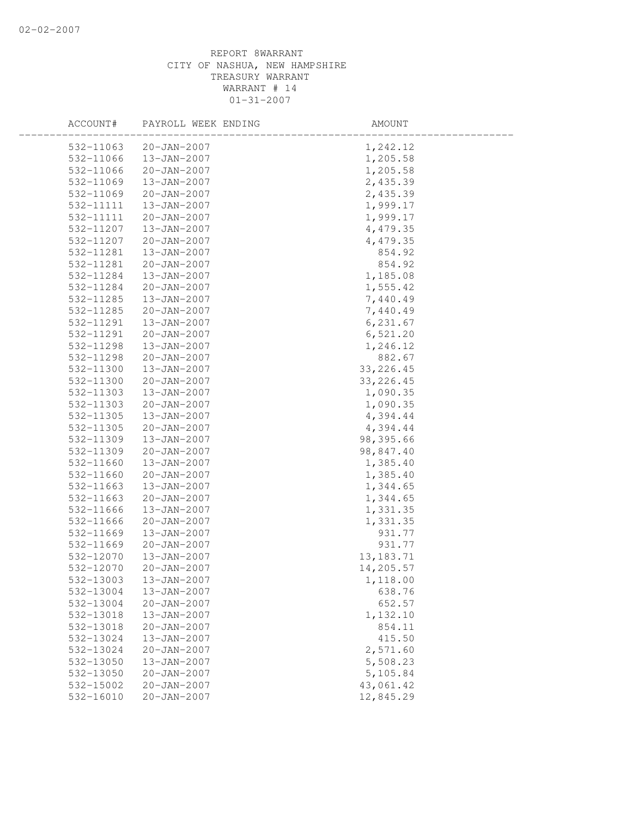| ACCOUNT#  | PAYROLL WEEK ENDING | AMOUNT      |
|-----------|---------------------|-------------|
| 532-11063 | $20 - JAN - 2007$   | 1,242.12    |
| 532-11066 | 13-JAN-2007         | 1,205.58    |
| 532-11066 | 20-JAN-2007         | 1,205.58    |
| 532-11069 | 13-JAN-2007         | 2,435.39    |
| 532-11069 | $20 - JAN - 2007$   | 2,435.39    |
| 532-11111 | 13-JAN-2007         | 1,999.17    |
| 532-11111 | 20-JAN-2007         | 1,999.17    |
| 532-11207 | 13-JAN-2007         | 4,479.35    |
| 532-11207 | 20-JAN-2007         | 4,479.35    |
| 532-11281 | 13-JAN-2007         | 854.92      |
| 532-11281 | $20 - JAN - 2007$   | 854.92      |
| 532-11284 | 13-JAN-2007         | 1,185.08    |
| 532-11284 | 20-JAN-2007         | 1,555.42    |
| 532-11285 | 13-JAN-2007         | 7,440.49    |
| 532-11285 | $20 - JAN - 2007$   | 7,440.49    |
| 532-11291 | 13-JAN-2007         | 6, 231.67   |
| 532-11291 | 20-JAN-2007         | 6,521.20    |
| 532-11298 | 13-JAN-2007         | 1,246.12    |
| 532-11298 | 20-JAN-2007         | 882.67      |
| 532-11300 | 13-JAN-2007         | 33, 226.45  |
| 532-11300 | 20-JAN-2007         | 33, 226.45  |
| 532-11303 | 13-JAN-2007         | 1,090.35    |
| 532-11303 | $20 - JAN - 2007$   | 1,090.35    |
| 532-11305 | 13-JAN-2007         | 4,394.44    |
| 532-11305 | $20 - JAN - 2007$   | 4,394.44    |
| 532-11309 | 13-JAN-2007         | 98,395.66   |
| 532-11309 | 20-JAN-2007         | 98,847.40   |
| 532-11660 | 13-JAN-2007         | 1,385.40    |
| 532-11660 | $20 - JAN - 2007$   | 1,385.40    |
| 532-11663 | 13-JAN-2007         | 1,344.65    |
| 532-11663 | $20 - JAN - 2007$   | 1,344.65    |
| 532-11666 | 13-JAN-2007         | 1,331.35    |
| 532-11666 | $20 - JAN - 2007$   | 1,331.35    |
| 532-11669 | 13-JAN-2007         | 931.77      |
| 532-11669 | $20 - JAN - 2007$   | 931.77      |
| 532-12070 | 13-JAN-2007         | 13, 183. 71 |
| 532-12070 | $20 - JAN - 2007$   | 14,205.57   |
| 532-13003 | 13-JAN-2007         | 1,118.00    |
| 532-13004 | 13-JAN-2007         | 638.76      |
| 532-13004 | $20 - JAN - 2007$   | 652.57      |
| 532-13018 | 13-JAN-2007         | 1,132.10    |
| 532-13018 | $20 - JAN - 2007$   | 854.11      |
| 532-13024 | 13-JAN-2007         | 415.50      |
| 532-13024 | $20 - JAN - 2007$   | 2,571.60    |
| 532-13050 | 13-JAN-2007         | 5,508.23    |
| 532-13050 | $20 - JAN - 2007$   | 5,105.84    |
| 532-15002 | $20 - JAN - 2007$   | 43,061.42   |
| 532-16010 | $20 - JAN - 2007$   | 12,845.29   |
|           |                     |             |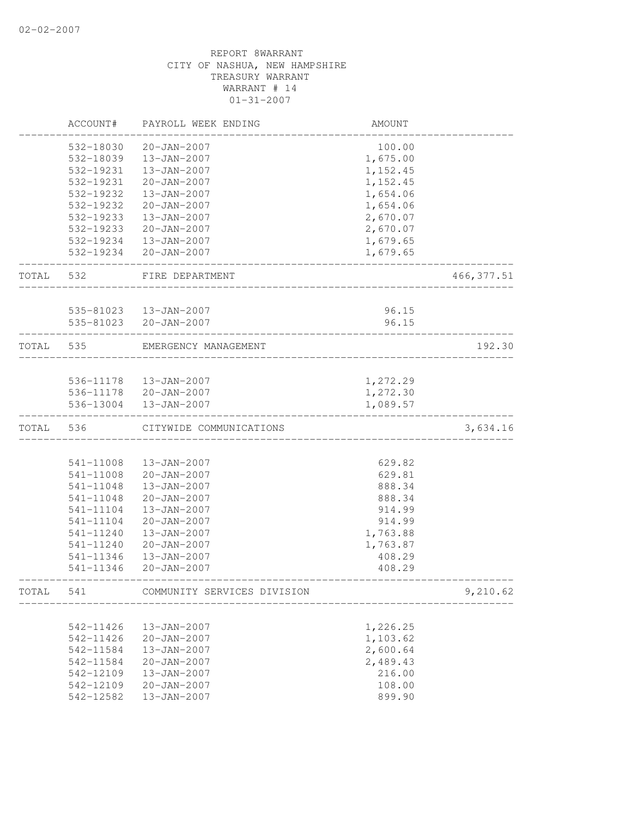|       | ACCOUNT#  | PAYROLL WEEK ENDING         | AMOUNT   |             |
|-------|-----------|-----------------------------|----------|-------------|
|       | 532-18030 | $20 - JAN - 2007$           | 100.00   |             |
|       | 532-18039 | 13-JAN-2007                 | 1,675.00 |             |
|       | 532-19231 | 13-JAN-2007                 | 1,152.45 |             |
|       | 532-19231 | $20 - JAN - 2007$           | 1,152.45 |             |
|       | 532-19232 | 13-JAN-2007                 | 1,654.06 |             |
|       | 532-19232 | $20 - JAN - 2007$           | 1,654.06 |             |
|       | 532-19233 | 13-JAN-2007                 | 2,670.07 |             |
|       | 532-19233 | $20 - JAN - 2007$           | 2,670.07 |             |
|       | 532-19234 | 13-JAN-2007                 | 1,679.65 |             |
|       | 532-19234 | 20-JAN-2007                 | 1,679.65 |             |
| TOTAL | 532       | FIRE DEPARTMENT             |          | 466, 377.51 |
|       |           | 535-81023  13-JAN-2007      | 96.15    |             |
|       |           | 535-81023 20-JAN-2007       | 96.15    |             |
| TOTAL | 535       | EMERGENCY MANAGEMENT        |          | 192.30      |
|       |           |                             |          |             |
|       |           | 536-11178  13-JAN-2007      | 1,272.29 |             |
|       |           | 536-11178 20-JAN-2007       | 1,272.30 |             |
|       | 536-13004 | 13-JAN-2007                 | 1,089.57 |             |
| TOTAL | 536       | CITYWIDE COMMUNICATIONS     |          | 3,634.16    |
|       |           |                             |          |             |
|       | 541-11008 | 13-JAN-2007                 | 629.82   |             |
|       | 541-11008 | 20-JAN-2007                 | 629.81   |             |
|       | 541-11048 | 13-JAN-2007                 | 888.34   |             |
|       | 541-11048 | $20 - JAN - 2007$           | 888.34   |             |
|       | 541-11104 | 13-JAN-2007                 | 914.99   |             |
|       | 541-11104 | $20 - JAN - 2007$           | 914.99   |             |
|       | 541-11240 | $13 - JAN - 2007$           | 1,763.88 |             |
|       | 541-11240 | $20 - JAN - 2007$           | 1,763.87 |             |
|       | 541-11346 | 13-JAN-2007                 | 408.29   |             |
|       | 541-11346 | $20 - JAN - 2007$           | 408.29   |             |
| TOTAL | 541       | COMMUNITY SERVICES DIVISION |          | 9,210.62    |
|       |           |                             |          |             |
|       | 542-11426 | 13-JAN-2007                 | 1,226.25 |             |
|       | 542-11426 | 20-JAN-2007                 | 1,103.62 |             |
|       | 542-11584 | 13-JAN-2007                 | 2,600.64 |             |
|       | 542-11584 | $20 - JAN - 2007$           | 2,489.43 |             |
|       | 542-12109 | 13-JAN-2007                 | 216.00   |             |
|       | 542-12109 | 20-JAN-2007                 | 108.00   |             |
|       | 542-12582 | 13-JAN-2007                 | 899.90   |             |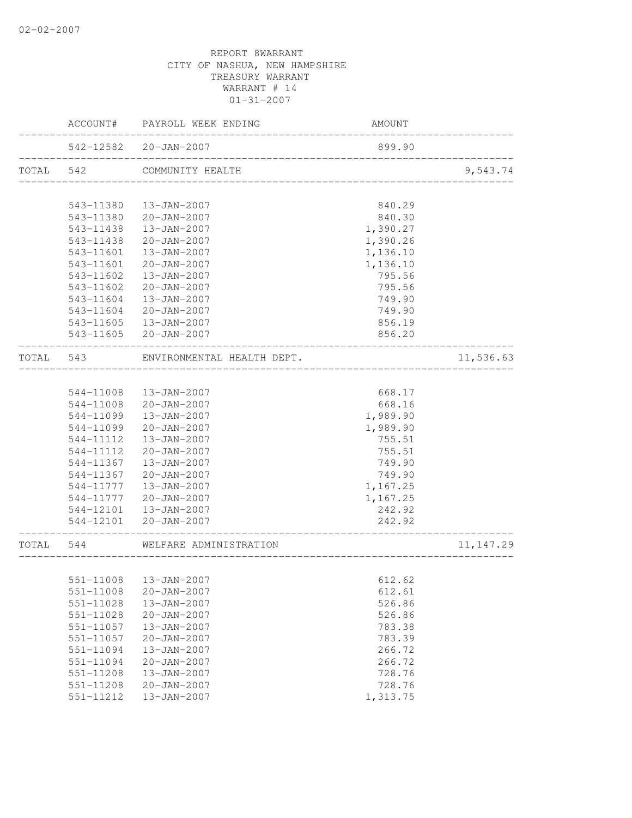|           |               | ACCOUNT# PAYROLL WEEK ENDING | AMOUNT                             |                    |
|-----------|---------------|------------------------------|------------------------------------|--------------------|
|           |               | 542-12582 20-JAN-2007        | 899.90                             | ------------------ |
| TOTAL 542 |               | COMMUNITY HEALTH             |                                    | 9,543.74           |
|           | 543-11380     | 13-JAN-2007                  | 840.29                             |                    |
|           | 543-11380     | 20-JAN-2007                  | 840.30                             |                    |
|           | 543-11438     | 13-JAN-2007                  | 1,390.27                           |                    |
|           | 543-11438     | 20-JAN-2007                  | 1,390.26                           |                    |
|           | $543 - 11601$ | 13-JAN-2007                  | 1,136.10                           |                    |
|           | $543 - 11601$ | 20-JAN-2007                  | 1,136.10                           |                    |
|           | 543-11602     | 13-JAN-2007                  | 795.56                             |                    |
|           | 543-11602     | 20-JAN-2007                  | 795.56                             |                    |
|           | 543-11604     | 13-JAN-2007                  |                                    |                    |
|           |               |                              | 749.90                             |                    |
|           | 543-11604     | 20-JAN-2007                  | 749.90                             |                    |
|           | 543-11605     | $13 - JAN - 2007$            | 856.19                             |                    |
|           | 543-11605     | 20-JAN-2007                  | 856.20                             |                    |
| TOTAL 543 |               | ENVIRONMENTAL HEALTH DEPT.   |                                    | 11,536.63          |
|           |               |                              |                                    |                    |
|           | 544-11008     | 13-JAN-2007                  | 668.17                             |                    |
|           | 544-11008     | 20-JAN-2007                  | 668.16                             |                    |
|           | 544-11099     | 13-JAN-2007                  | 1,989.90                           |                    |
|           | 544-11099     | $20 - JAN - 2007$            | 1,989.90                           |                    |
|           | 544-11112     | 13-JAN-2007                  | 755.51                             |                    |
|           | 544-11112     | 20-JAN-2007                  | 755.51                             |                    |
|           | 544-11367     | 13-JAN-2007                  | 749.90                             |                    |
|           | 544-11367     | $20 - JAN - 2007$            | 749.90                             |                    |
|           | 544-11777     | 13-JAN-2007                  | 1,167.25                           |                    |
|           | 544-11777     | 20-JAN-2007                  | 1,167.25                           |                    |
|           | 544-12101     | $13 - JAN - 2007$            | 242.92                             |                    |
|           |               | 544-12101 20-JAN-2007        | 242.92<br>_____________________    |                    |
| TOTAL 544 |               | WELFARE ADMINISTRATION       | __________________________________ | 11, 147.29         |
|           |               |                              |                                    |                    |
|           |               | 551-11008  13-JAN-2007       | 612.62                             |                    |
|           | 551-11008     | $20 - JAN - 2007$            | 612.61                             |                    |
|           | 551-11028     | 13-JAN-2007                  | 526.86                             |                    |
|           | 551-11028     | $20 - JAN - 2007$            | 526.86                             |                    |
|           | 551-11057     | 13-JAN-2007                  | 783.38                             |                    |
|           | 551-11057     | $20 - JAN - 2007$            | 783.39                             |                    |
|           | 551-11094     | 13-JAN-2007                  | 266.72                             |                    |
|           | 551-11094     | $20 - JAN - 2007$            | 266.72                             |                    |
|           | 551-11208     | 13-JAN-2007                  | 728.76                             |                    |
|           | 551-11208     | $20 - JAN - 2007$            | 728.76                             |                    |
|           | 551-11212     | 13-JAN-2007                  | 1,313.75                           |                    |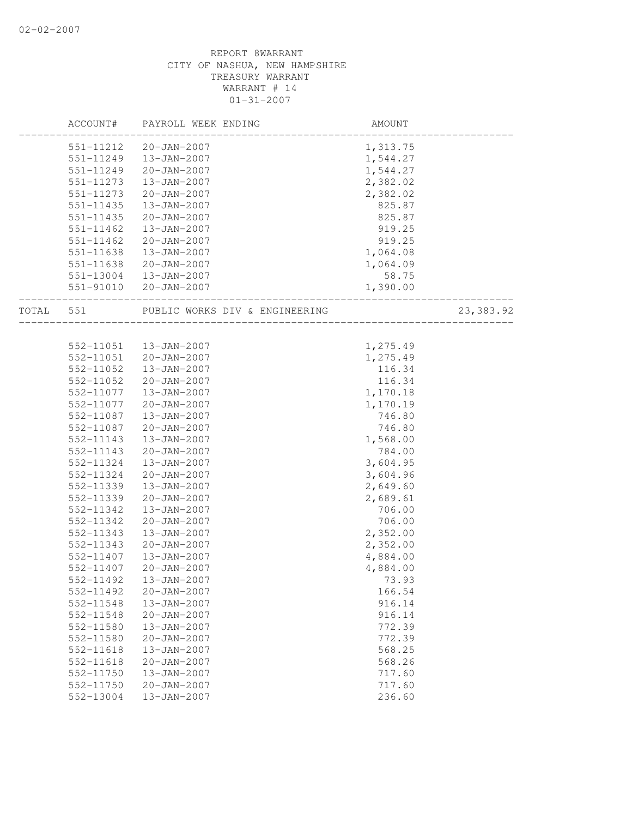|  | ACCOUNT#      | PAYROLL WEEK ENDING                      | AMOUNT             |           |
|--|---------------|------------------------------------------|--------------------|-----------|
|  | 551-11212     | 20-JAN-2007                              | 1,313.75           |           |
|  | 551-11249     | 13-JAN-2007                              | 1,544.27           |           |
|  | 551-11249     | 20-JAN-2007                              | 1,544.27           |           |
|  | 551-11273     | 13-JAN-2007                              | 2,382.02           |           |
|  | 551-11273     | $20 - JAN - 2007$                        | 2,382.02           |           |
|  | 551-11435     | 13-JAN-2007                              | 825.87             |           |
|  | 551-11435     | 20-JAN-2007                              | 825.87             |           |
|  | $551 - 11462$ | 13-JAN-2007                              | 919.25             |           |
|  | 551-11462     | $20 - JAN - 2007$                        | 919.25             |           |
|  | 551-11638     | 13-JAN-2007                              | 1,064.08           |           |
|  | 551-11638     | 20-JAN-2007                              | 1,064.09           |           |
|  |               | 551-13004  13-JAN-2007                   | 58.75              |           |
|  |               | 551-91010 20-JAN-2007                    | $0.75$<br>1,390.00 |           |
|  |               | TOTAL 551 PUBLIC WORKS DIV & ENGINEERING |                    | 23,383.92 |
|  |               |                                          |                    |           |
|  |               | 552-11051  13-JAN-2007                   | 1,275.49           |           |
|  |               | 552-11051 20-JAN-2007                    | 1,275.49           |           |
|  | 552-11052     | 13-JAN-2007                              | 116.34             |           |
|  | 552-11052     | 20-JAN-2007                              | 116.34             |           |
|  | 552-11077     | 13-JAN-2007                              | 1,170.18           |           |
|  | 552-11077     | 20-JAN-2007                              | 1,170.19           |           |
|  | 552-11087     | 13-JAN-2007                              | 746.80             |           |
|  | 552-11087     | 20-JAN-2007                              | 746.80             |           |
|  | 552-11143     | 13-JAN-2007                              | 1,568.00           |           |
|  | 552-11143     | 20-JAN-2007                              | 784.00             |           |
|  | 552-11324     | 13-JAN-2007                              | 3,604.95           |           |
|  | 552-11324     | 20-JAN-2007                              | 3,604.96           |           |
|  | 552-11339     | 13-JAN-2007                              | 2,649.60           |           |
|  | 552-11339     | 20-JAN-2007                              | 2,689.61           |           |
|  | 552-11342     | 13-JAN-2007                              | 706.00             |           |
|  | 552-11342     | 20-JAN-2007                              | 706.00             |           |
|  | 552-11343     | $13 - JAN - 2007$                        | 2,352.00           |           |
|  | 552-11343     | $20 - JAN - 2007$                        | 2,352.00           |           |
|  | 552-11407     | 13-JAN-2007                              | 4,884.00           |           |
|  | 552-11407     | 20-JAN-2007                              | 4,884.00           |           |
|  | 552-11492     | 13-JAN-2007                              | 73.93              |           |
|  | 552-11492     | $20 - JAN - 2007$                        | 166.54             |           |
|  | 552-11548     | 13-JAN-2007                              | 916.14             |           |
|  | 552-11548     | $20 - JAN - 2007$                        | 916.14             |           |
|  | 552-11580     | 13-JAN-2007                              | 772.39             |           |
|  | 552-11580     | $20 - JAN - 2007$                        | 772.39             |           |
|  | $552 - 11618$ | 13-JAN-2007                              | 568.25             |           |
|  | 552-11618     | $20 - JAN - 2007$                        | 568.26             |           |
|  | 552-11750     | 13-JAN-2007                              | 717.60             |           |
|  | 552-11750     | $20 - JAN - 2007$                        | 717.60             |           |
|  | 552-13004     | 13-JAN-2007                              | 236.60             |           |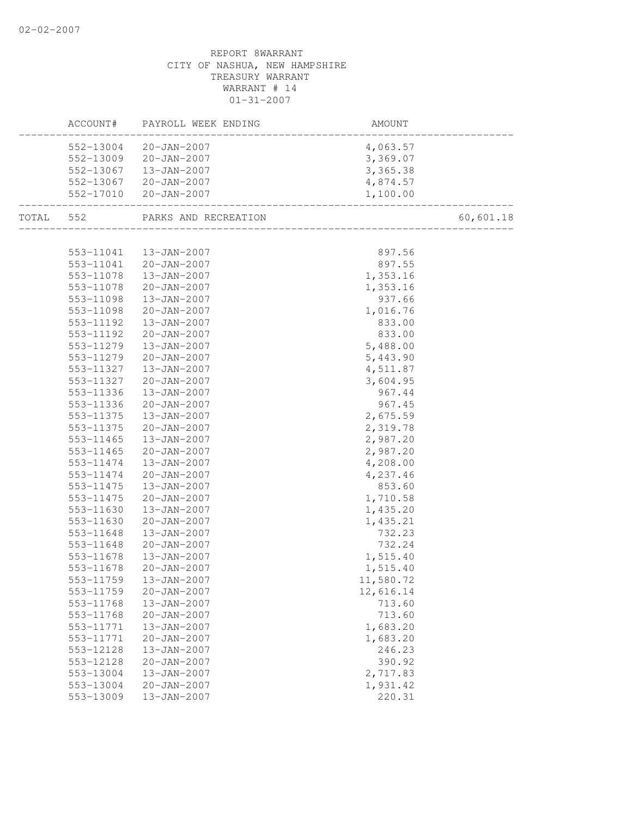|           |           | ACCOUNT# PAYROLL WEEK ENDING | AMOUNT                              |           |
|-----------|-----------|------------------------------|-------------------------------------|-----------|
|           |           | 552-13004 20-JAN-2007        | 4,063.57                            |           |
|           |           | 552-13009 20-JAN-2007        | 3,369.07                            |           |
|           |           | 552-13067  13-JAN-2007       | 3, 365.38                           |           |
|           | 552-13067 | $20 - JAN - 2007$            | 4,874.57                            |           |
|           | 552-17010 | $20 - JAN - 2007$            | 1,100.00<br>_______________________ |           |
| TOTAL 552 |           | PARKS AND RECREATION         |                                     | 60,601.18 |
|           |           |                              |                                     |           |
|           |           | 553-11041  13-JAN-2007       | 897.56                              |           |
|           |           | 553-11041 20-JAN-2007        | 897.55                              |           |
|           | 553-11078 | 13-JAN-2007                  | 1,353.16                            |           |
|           | 553-11078 | 20-JAN-2007                  | 1,353.16                            |           |
|           | 553-11098 | 13-JAN-2007                  | 937.66                              |           |
|           | 553-11098 | $20 - JAN - 2007$            | 1,016.76                            |           |
|           | 553-11192 | 13-JAN-2007                  | 833.00                              |           |
|           | 553-11192 | 20-JAN-2007                  | 833.00                              |           |
|           | 553-11279 | 13-JAN-2007                  | 5,488.00                            |           |
|           | 553-11279 | $20 - JAN - 2007$            | 5,443.90                            |           |
|           | 553-11327 | 13-JAN-2007                  | 4,511.87                            |           |
|           | 553-11327 | 20-JAN-2007                  | 3,604.95                            |           |
|           | 553-11336 | 13-JAN-2007                  | 967.44                              |           |
|           | 553-11336 | $20 - JAN - 2007$            | 967.45                              |           |
|           | 553-11375 | 13-JAN-2007                  | 2,675.59                            |           |
|           | 553-11375 | $20 - JAN - 2007$            | 2,319.78                            |           |
|           | 553-11465 | 13-JAN-2007                  | 2,987.20                            |           |
|           | 553-11465 | $20 - JAN - 2007$            | 2,987.20                            |           |
|           | 553-11474 | 13-JAN-2007                  | 4,208.00                            |           |
|           | 553-11474 | $20 - JAN - 2007$            | 4,237.46                            |           |
|           | 553-11475 | $13 - JAN - 2007$            | 853.60                              |           |
|           | 553-11475 | $20 - JAN - 2007$            | 1,710.58                            |           |
|           | 553-11630 | 13-JAN-2007                  | 1,435.20                            |           |
|           | 553-11630 | $20 - JAN - 2007$            | 1,435.21                            |           |
|           | 553-11648 | 13-JAN-2007                  | 732.23                              |           |
|           | 553-11648 | 20-JAN-2007                  | 732.24                              |           |
|           | 553-11678 | 13-JAN-2007                  | 1,515.40                            |           |
|           | 553-11678 | $20 - JAN - 2007$            | 1,515.40                            |           |
|           | 553-11759 | 13-JAN-2007                  | 11,580.72                           |           |
|           | 553-11759 | $20 - JAN - 2007$            | 12,616.14                           |           |
|           | 553-11768 | 13-JAN-2007                  | 713.60                              |           |
|           | 553-11768 | $20 - JAN - 2007$            | 713.60                              |           |
|           | 553-11771 | 13-JAN-2007                  | 1,683.20                            |           |
|           | 553-11771 | $20 - JAN - 2007$            | 1,683.20                            |           |
|           | 553-12128 | 13-JAN-2007                  | 246.23                              |           |
|           | 553-12128 | $20 - JAN - 2007$            | 390.92                              |           |
|           | 553-13004 | 13-JAN-2007                  | 2,717.83                            |           |
|           | 553-13004 | $20 - JAN - 2007$            | 1,931.42                            |           |
|           | 553-13009 | 13-JAN-2007                  | 220.31                              |           |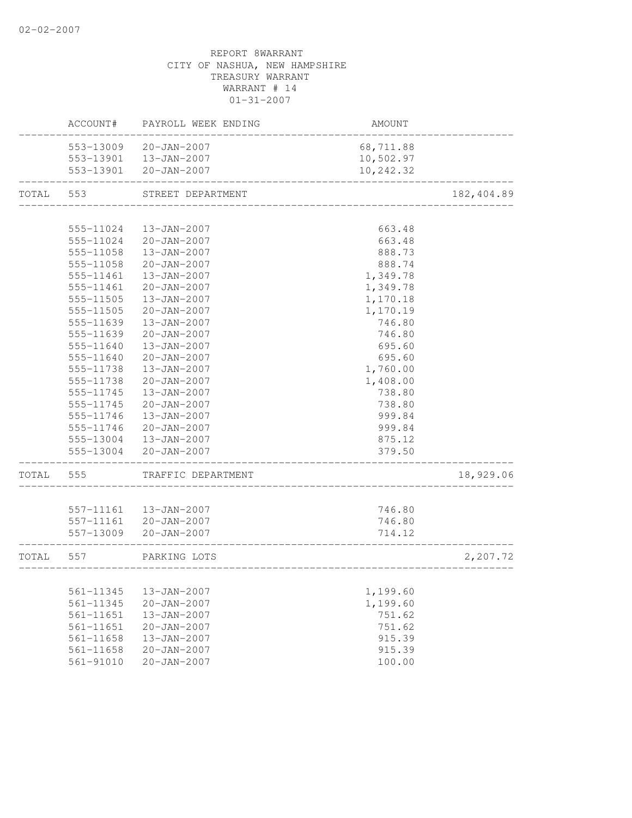|       | ACCOUNT#      | PAYROLL WEEK ENDING    | AMOUNT    |             |
|-------|---------------|------------------------|-----------|-------------|
|       | 553-13009     | 20-JAN-2007            | 68,711.88 |             |
|       |               | 553-13901  13-JAN-2007 | 10,502.97 |             |
|       |               | 553-13901 20-JAN-2007  | 10,242.32 |             |
| TOTAL | 553           | STREET DEPARTMENT      |           | 182, 404.89 |
|       |               |                        |           |             |
|       | 555-11024     | 13-JAN-2007            | 663.48    |             |
|       | 555-11024     | 20-JAN-2007            | 663.48    |             |
|       | 555-11058     | 13-JAN-2007            | 888.73    |             |
|       | 555-11058     | 20-JAN-2007            | 888.74    |             |
|       | 555-11461     | 13-JAN-2007            | 1,349.78  |             |
|       | 555-11461     | 20-JAN-2007            | 1,349.78  |             |
|       | 555-11505     | 13-JAN-2007            | 1,170.18  |             |
|       | 555-11505     | $20 - JAN - 2007$      | 1,170.19  |             |
|       | 555-11639     | 13-JAN-2007            | 746.80    |             |
|       | 555-11639     | $20 - JAN - 2007$      | 746.80    |             |
|       | 555-11640     | 13-JAN-2007            | 695.60    |             |
|       | 555-11640     | $20 - JAN - 2007$      | 695.60    |             |
|       | 555-11738     | $13 - JAN - 2007$      | 1,760.00  |             |
|       | 555-11738     | $20 - JAN - 2007$      | 1,408.00  |             |
|       | 555-11745     | 13-JAN-2007            | 738.80    |             |
|       | 555-11745     | $20 - JAN - 2007$      | 738.80    |             |
|       | 555-11746     | 13-JAN-2007            | 999.84    |             |
|       | 555-11746     | $20 - JAN - 2007$      | 999.84    |             |
|       | 555-13004     | 13-JAN-2007            | 875.12    |             |
|       | 555-13004     | 20-JAN-2007            | 379.50    |             |
| TOTAL | 555           | TRAFFIC DEPARTMENT     |           | 18,929.06   |
|       |               |                        |           |             |
|       |               | 557-11161  13-JAN-2007 | 746.80    |             |
|       |               | 557-11161 20-JAN-2007  | 746.80    |             |
|       | 557-13009     | 20-JAN-2007            | 714.12    |             |
| TOTAL | 557           | PARKING LOTS           |           | 2,207.72    |
|       |               |                        |           |             |
|       | 561-11345     | 13-JAN-2007            | 1,199.60  |             |
|       | 561-11345     | $20 - JAN - 2007$      | 1,199.60  |             |
|       | 561-11651     | 13-JAN-2007            | 751.62    |             |
|       | 561-11651     | $20 - JAN - 2007$      | 751.62    |             |
|       | 561-11658     | 13-JAN-2007            | 915.39    |             |
|       | 561-11658     | $20 - JAN - 2007$      | 915.39    |             |
|       | $561 - 91010$ | $20 - JAN - 2007$      | 100.00    |             |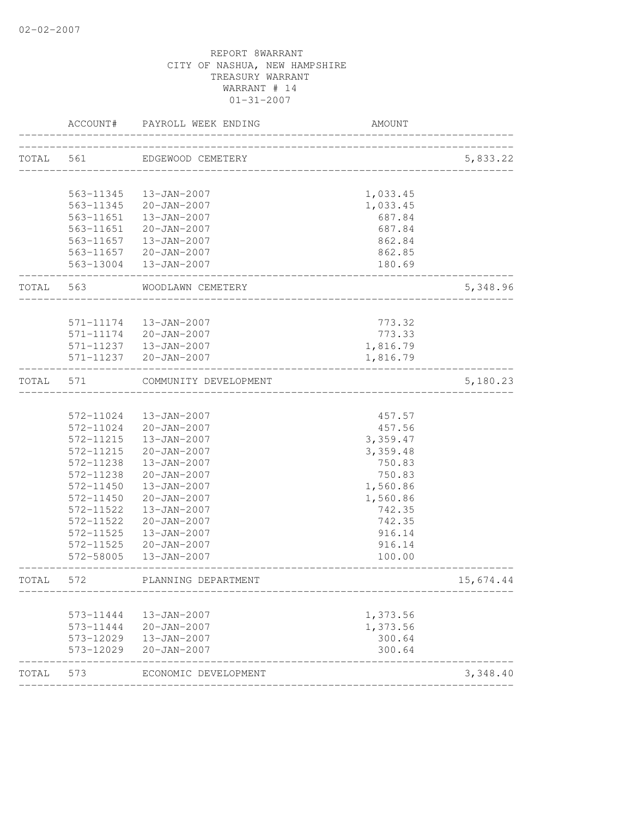| 561<br>563-11345<br>563-11651<br>563-11651<br>563-11657 | EDGEWOOD CEMETERY<br>13-JAN-2007<br>563-11345 20-JAN-2007<br>13-JAN-2007<br>$20 - JAN - 2007$<br>13-JAN-2007<br>563-11657 20-JAN-2007<br>563-13004  13-JAN-2007 | _____________________________<br>1,033.45<br>1,033.45<br>687.84<br>687.84<br>862.84                                                                              | 5,833.22                                                                                         |
|---------------------------------------------------------|-----------------------------------------------------------------------------------------------------------------------------------------------------------------|------------------------------------------------------------------------------------------------------------------------------------------------------------------|--------------------------------------------------------------------------------------------------|
|                                                         |                                                                                                                                                                 |                                                                                                                                                                  |                                                                                                  |
|                                                         |                                                                                                                                                                 |                                                                                                                                                                  |                                                                                                  |
|                                                         |                                                                                                                                                                 |                                                                                                                                                                  |                                                                                                  |
|                                                         |                                                                                                                                                                 |                                                                                                                                                                  |                                                                                                  |
|                                                         |                                                                                                                                                                 |                                                                                                                                                                  |                                                                                                  |
|                                                         |                                                                                                                                                                 |                                                                                                                                                                  |                                                                                                  |
|                                                         |                                                                                                                                                                 |                                                                                                                                                                  |                                                                                                  |
|                                                         |                                                                                                                                                                 | 862.85                                                                                                                                                           |                                                                                                  |
|                                                         |                                                                                                                                                                 | 180.69                                                                                                                                                           |                                                                                                  |
| 563                                                     | WOODLAWN CEMETERY                                                                                                                                               |                                                                                                                                                                  | 5,348.96                                                                                         |
|                                                         |                                                                                                                                                                 |                                                                                                                                                                  |                                                                                                  |
|                                                         |                                                                                                                                                                 |                                                                                                                                                                  |                                                                                                  |
|                                                         |                                                                                                                                                                 |                                                                                                                                                                  |                                                                                                  |
|                                                         |                                                                                                                                                                 |                                                                                                                                                                  |                                                                                                  |
|                                                         |                                                                                                                                                                 |                                                                                                                                                                  |                                                                                                  |
| 571                                                     | COMMUNITY DEVELOPMENT                                                                                                                                           |                                                                                                                                                                  | 5,180.23                                                                                         |
|                                                         |                                                                                                                                                                 |                                                                                                                                                                  |                                                                                                  |
| 572-11024                                               | 13-JAN-2007                                                                                                                                                     | 457.57                                                                                                                                                           |                                                                                                  |
| 572-11024                                               | 20-JAN-2007                                                                                                                                                     | 457.56                                                                                                                                                           |                                                                                                  |
| 572-11215                                               | 13-JAN-2007                                                                                                                                                     |                                                                                                                                                                  |                                                                                                  |
| 572-11215                                               | $20 - JAN - 2007$                                                                                                                                               | 3,359.48                                                                                                                                                         |                                                                                                  |
| 572-11238                                               | 13-JAN-2007                                                                                                                                                     | 750.83                                                                                                                                                           |                                                                                                  |
| 572-11238                                               | $20 - JAN - 2007$                                                                                                                                               | 750.83                                                                                                                                                           |                                                                                                  |
| 572-11450                                               | 13-JAN-2007                                                                                                                                                     | 1,560.86                                                                                                                                                         |                                                                                                  |
| 572-11450                                               | $20 - JAN - 2007$                                                                                                                                               | 1,560.86                                                                                                                                                         |                                                                                                  |
| 572-11522                                               | 13-JAN-2007                                                                                                                                                     | 742.35                                                                                                                                                           |                                                                                                  |
| 572-11522                                               | $20 - JAN - 2007$                                                                                                                                               | 742.35                                                                                                                                                           |                                                                                                  |
| 572-11525                                               | $13 - JAN - 2007$                                                                                                                                               | 916.14                                                                                                                                                           |                                                                                                  |
| 572-11525                                               | $20 - JAN - 2007$                                                                                                                                               | 916.14                                                                                                                                                           |                                                                                                  |
| 572-58005                                               | 13-JAN-2007                                                                                                                                                     | 100.00                                                                                                                                                           |                                                                                                  |
| 572                                                     | PLANNING DEPARTMENT                                                                                                                                             |                                                                                                                                                                  | 15,674.44                                                                                        |
|                                                         |                                                                                                                                                                 |                                                                                                                                                                  |                                                                                                  |
|                                                         |                                                                                                                                                                 |                                                                                                                                                                  |                                                                                                  |
|                                                         |                                                                                                                                                                 |                                                                                                                                                                  |                                                                                                  |
|                                                         |                                                                                                                                                                 |                                                                                                                                                                  |                                                                                                  |
| 573-12029                                               |                                                                                                                                                                 |                                                                                                                                                                  |                                                                                                  |
| 573                                                     | ECONOMIC DEVELOPMENT                                                                                                                                            |                                                                                                                                                                  | 3,348.40                                                                                         |
|                                                         | 571-11174<br>571-11174<br>573-11444<br>573-11444<br>573-12029                                                                                                   | 13-JAN-2007<br>$20 - JAN - 2007$<br>571-11237<br>13-JAN-2007<br>571-11237<br>20-JAN-2007<br>13-JAN-2007<br>$20 - JAN - 2007$<br>13-JAN-2007<br>$20 - JAN - 2007$ | 773.32<br>773.33<br>1,816.79<br>1,816.79<br>3,359.47<br>1,373.56<br>1,373.56<br>300.64<br>300.64 |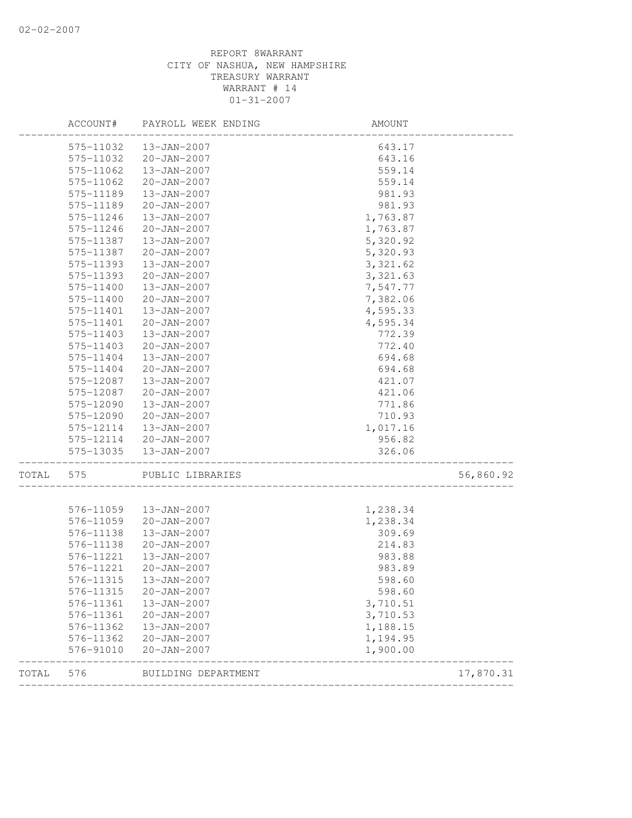|       | ACCOUNT#               | PAYROLL WEEK ENDING              | AMOUNT               |           |
|-------|------------------------|----------------------------------|----------------------|-----------|
|       | 575-11032              | 13-JAN-2007                      | 643.17               |           |
|       | 575-11032              | 20-JAN-2007                      | 643.16               |           |
|       | 575-11062              | 13-JAN-2007                      | 559.14               |           |
|       | 575-11062              | $20 - JAN - 2007$                | 559.14               |           |
|       | 575-11189              | 13-JAN-2007                      | 981.93               |           |
|       | 575-11189              | $20 - JAN - 2007$                | 981.93               |           |
|       | 575-11246              | 13-JAN-2007                      | 1,763.87             |           |
|       | 575-11246              | $20 - JAN - 2007$                | 1,763.87             |           |
|       | 575-11387              | 13-JAN-2007                      | 5,320.92             |           |
|       | 575-11387              | 20-JAN-2007                      | 5,320.93             |           |
|       | 575-11393              | 13-JAN-2007                      | 3, 321.62            |           |
|       | 575-11393              | $20 - JAN - 2007$                | 3, 321.63            |           |
|       | 575-11400              | 13-JAN-2007                      | 7,547.77             |           |
|       | 575-11400              | 20-JAN-2007                      | 7,382.06             |           |
|       | 575-11401              | 13-JAN-2007                      | 4,595.33             |           |
|       | 575-11401              | $20 - JAN - 2007$                | 4,595.34             |           |
|       | 575-11403              | 13-JAN-2007                      | 772.39               |           |
|       | 575-11403              | $20 - JAN - 2007$                | 772.40               |           |
|       | 575-11404              | 13-JAN-2007                      | 694.68               |           |
|       | 575-11404              | $20 - JAN - 2007$                | 694.68               |           |
|       | 575-12087              | 13-JAN-2007                      | 421.07               |           |
|       | 575-12087              | 20-JAN-2007                      | 421.06               |           |
|       | 575-12090              | 13-JAN-2007                      | 771.86               |           |
|       | 575-12090              | $20 - JAN - 2007$                | 710.93               |           |
|       | 575-12114              | 13-JAN-2007                      | 1,017.16             |           |
|       | 575-12114              | 20-JAN-2007                      | 956.82               |           |
|       | 575-13035              | 13-JAN-2007                      | 326.06               |           |
| TOTAL | 575                    | PUBLIC LIBRARIES                 | ____________________ | 56,860.92 |
|       |                        |                                  |                      |           |
|       | 576-11059<br>576-11059 | 13-JAN-2007<br>$20 - JAN - 2007$ | 1,238.34<br>1,238.34 |           |
|       |                        |                                  |                      |           |
|       | 576-11138<br>576-11138 | 13-JAN-2007<br>$20 - JAN - 2007$ | 309.69<br>214.83     |           |
|       | 576-11221              | 13-JAN-2007                      | 983.88               |           |
|       | 576-11221              | 20-JAN-2007                      | 983.89               |           |
|       |                        |                                  | 598.60               |           |
|       | 576-11315              | 13-JAN-2007                      |                      |           |
|       | 576-11315              | $20 - JAN - 2007$                | 598.60               |           |
|       | 576-11361              | 13-JAN-2007<br>$20 - JAN - 2007$ | 3,710.51<br>3,710.53 |           |
|       | 576-11361<br>576-11362 | 13-JAN-2007                      | 1,188.15             |           |
|       | 576-11362              | $20 - JAN - 2007$                | 1,194.95             |           |
|       |                        | $20 - JAN - 2007$                | 1,900.00             |           |
|       | 576-91010              |                                  |                      |           |
| TOTAL | 576                    | BUILDING DEPARTMENT              |                      | 17,870.31 |
|       |                        |                                  |                      |           |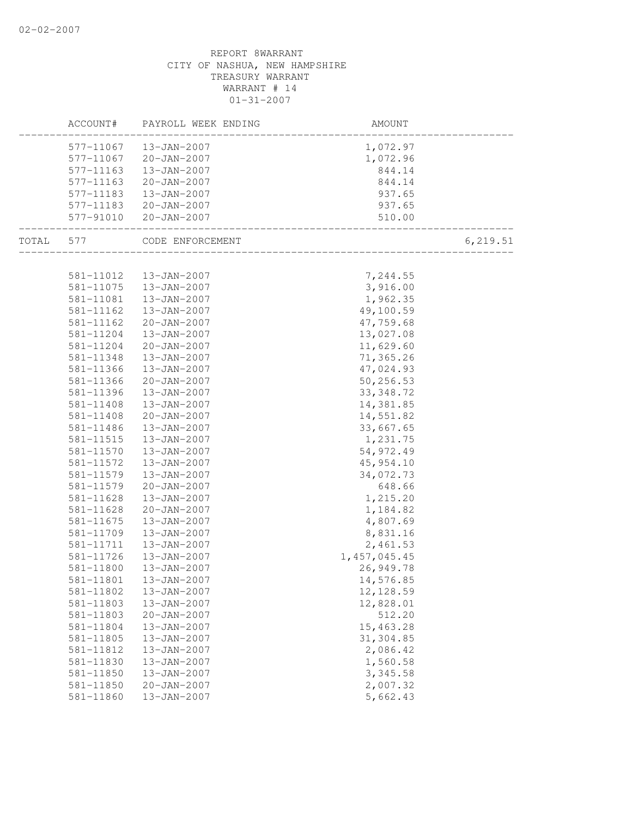|       | ACCOUNT#  | PAYROLL WEEK ENDING   | AMOUNT                             |           |
|-------|-----------|-----------------------|------------------------------------|-----------|
|       | 577-11067 | 13-JAN-2007           | 1,072.97                           |           |
|       | 577-11067 | $20 - JAN - 2007$     | 1,072.96                           |           |
|       | 577-11163 | 13-JAN-2007           | 844.14                             |           |
|       | 577-11163 | 20-JAN-2007           | 844.14                             |           |
|       | 577-11183 | 13-JAN-2007           | 937.65                             |           |
|       |           | 577-11183 20-JAN-2007 | 937.65                             |           |
|       | 577-91010 | 20-JAN-2007           | 510.00<br>________________________ |           |
| TOTAL | 577       | CODE ENFORCEMENT      | ______________________             | 6, 219.51 |
|       |           |                       |                                    |           |
|       | 581-11012 | 13-JAN-2007           | 7,244.55                           |           |
|       | 581-11075 | 13-JAN-2007           | 3,916.00                           |           |
|       | 581-11081 | 13-JAN-2007           | 1,962.35                           |           |
|       | 581-11162 | 13-JAN-2007           | 49,100.59                          |           |
|       | 581-11162 | 20-JAN-2007           | 47,759.68                          |           |
|       | 581-11204 | 13-JAN-2007           | 13,027.08                          |           |
|       | 581-11204 | 20-JAN-2007           | 11,629.60                          |           |
|       | 581-11348 | $13 - JAN - 2007$     | 71,365.26                          |           |
|       | 581-11366 | 13-JAN-2007           | 47,024.93                          |           |
|       | 581-11366 | 20-JAN-2007           | 50,256.53                          |           |
|       | 581-11396 | 13-JAN-2007           | 33, 348.72                         |           |
|       | 581-11408 | 13-JAN-2007           | 14,381.85                          |           |
|       | 581-11408 | $20 - JAN - 2007$     | 14,551.82                          |           |
|       | 581-11486 | 13-JAN-2007           | 33,667.65                          |           |
|       | 581-11515 | 13-JAN-2007           | 1,231.75                           |           |
|       | 581-11570 | 13-JAN-2007           | 54,972.49                          |           |
|       | 581-11572 | 13-JAN-2007           | 45,954.10                          |           |
|       | 581-11579 | 13-JAN-2007           | 34,072.73                          |           |
|       | 581-11579 | $20 - JAN - 2007$     | 648.66                             |           |
|       | 581-11628 | 13-JAN-2007           | 1,215.20                           |           |
|       | 581-11628 | $20 - JAN - 2007$     | 1,184.82                           |           |
|       | 581-11675 | 13-JAN-2007           | 4,807.69                           |           |
|       | 581-11709 | 13-JAN-2007           | 8,831.16                           |           |
|       | 581-11711 | 13-JAN-2007           | 2,461.53                           |           |
|       | 581-11726 | 13-JAN-2007           | 1, 457, 045.45                     |           |
|       | 581-11800 | 13-JAN-2007           | 26,949.78                          |           |
|       | 581-11801 | 13-JAN-2007           | 14,576.85                          |           |
|       | 581-11802 | 13-JAN-2007           | 12, 128.59                         |           |
|       | 581-11803 | 13-JAN-2007           | 12,828.01                          |           |
|       | 581-11803 | $20 - JAN - 2007$     | 512.20                             |           |
|       | 581-11804 | 13-JAN-2007           | 15,463.28                          |           |
|       | 581-11805 | 13-JAN-2007           | 31,304.85                          |           |
|       | 581-11812 | 13-JAN-2007           | 2,086.42                           |           |
|       | 581-11830 | 13-JAN-2007           | 1,560.58                           |           |
|       | 581-11850 | 13-JAN-2007           | 3,345.58                           |           |
|       | 581-11850 | $20 - JAN - 2007$     | 2,007.32                           |           |
|       | 581-11860 | 13-JAN-2007           | 5,662.43                           |           |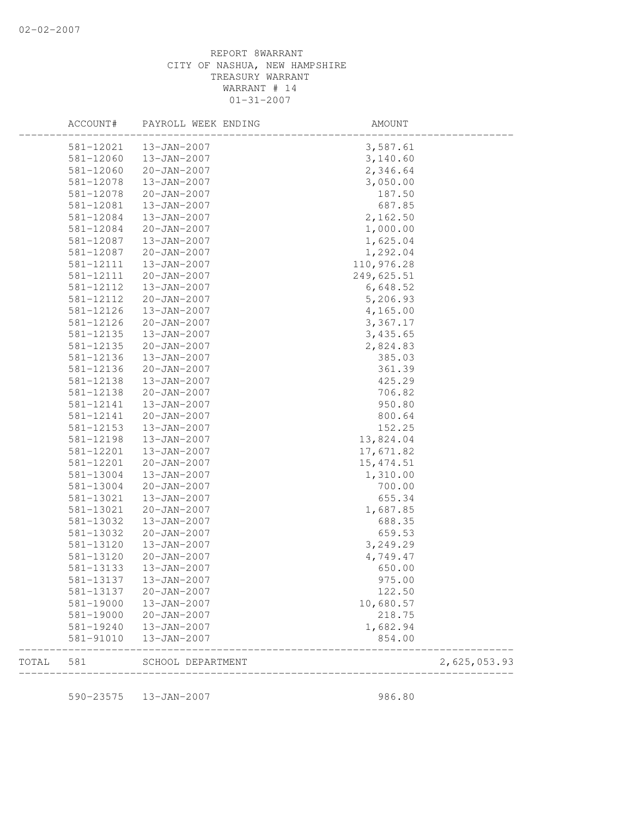| 581-19000              | 13-JAN-2007                      | 10,680.57<br>218.75 |  |
|------------------------|----------------------------------|---------------------|--|
| 581-13137<br>581-13137 | 13-JAN-2007<br>$20 - JAN - 2007$ | 975.00<br>122.50    |  |
| 581-13133              | 13-JAN-2007                      | 650.00              |  |
| 581-13120              | $20 - JAN - 2007$                | 4,749.47            |  |
| 581-13120              | 13-JAN-2007                      | 3,249.29            |  |
| 581-13032              | $20 - JAN - 2007$                | 659.53              |  |
| 581-13032              | 13-JAN-2007                      | 688.35              |  |
| 581-13021              | $20 - JAN - 2007$                | 1,687.85            |  |
| 581-13021              | 13-JAN-2007                      | 655.34              |  |
| 581-13004              | $20 - JAN - 2007$                | 700.00              |  |
| 581-13004              | 13-JAN-2007                      | 1,310.00            |  |
| 581-12201              | $20 - JAN - 2007$                | 15, 474.51          |  |
| 581-12201              | 13-JAN-2007                      | 17,671.82           |  |
| 581-12198              | 13-JAN-2007                      | 13,824.04           |  |
| 581-12153              | 13-JAN-2007                      | 152.25              |  |
| 581-12141              | $20 - JAN - 2007$                | 800.64              |  |
| 581-12141              | 13-JAN-2007                      | 950.80              |  |
| 581-12138              | $20 - JAN - 2007$                | 706.82              |  |
| 581-12138              | 13-JAN-2007                      | 425.29              |  |
| 581-12136              | $20 - JAN - 2007$                | 361.39              |  |
| 581-12136              | $13 - JAN - 2007$                | 385.03              |  |
| 581-12135              | $20 - JAN - 2007$                | 2,824.83            |  |
| 581-12135              | 13-JAN-2007                      | 3,435.65            |  |
| 581-12126              | $20 - JAN - 2007$                | 3,367.17            |  |
| 581-12126              | 13-JAN-2007                      | 4,165.00            |  |
| 581-12112              | $20 - JAN - 2007$                | 5,206.93            |  |
| 581-12112              | 13-JAN-2007                      | 6,648.52            |  |
| 581-12111              | $20 - JAN - 2007$                | 249,625.51          |  |
| 581-12111              | 13-JAN-2007                      | 110,976.28          |  |
| 581-12087              | $20 - JAN - 2007$                | 1,292.04            |  |
| 581-12087              | 13-JAN-2007                      | 1,625.04            |  |
| 581-12084              | $20 - JAN - 2007$                | 1,000.00            |  |
| 581-12084              | 13-JAN-2007                      | 2,162.50            |  |
| 581-12081              | 13-JAN-2007                      | 687.85              |  |
| 581-12078              | $20 - JAN - 2007$                | 187.50              |  |
| 581-12078              | 13-JAN-2007                      | 3,050.00            |  |
| 581-12060              | $20 - JAN - 2007$                | 2,346.64            |  |
| 581-12060              | 13-JAN-2007                      | 3,140.60            |  |
| 581-12021              | 13-JAN-2007                      | 3,587.61            |  |

590-23575 13-JAN-2007 986.80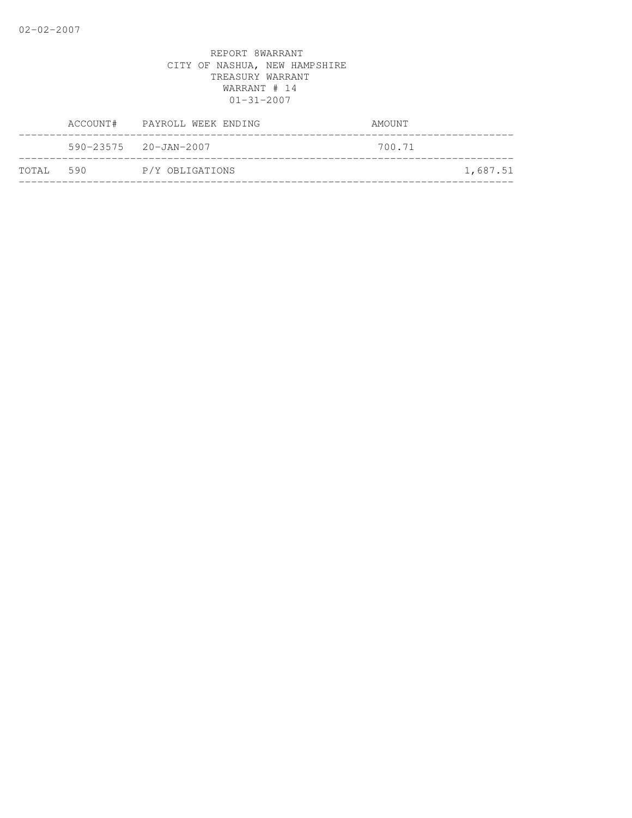|           |                                 | ACCOUNT# PAYROLL WEEK ENDING | AMOUNT |          |
|-----------|---------------------------------|------------------------------|--------|----------|
|           | $590 - 23575$ $20 - JAN - 2007$ |                              | 700.71 |          |
| TOTAL 590 |                                 | P/Y OBLIGATIONS              |        | 1,687.51 |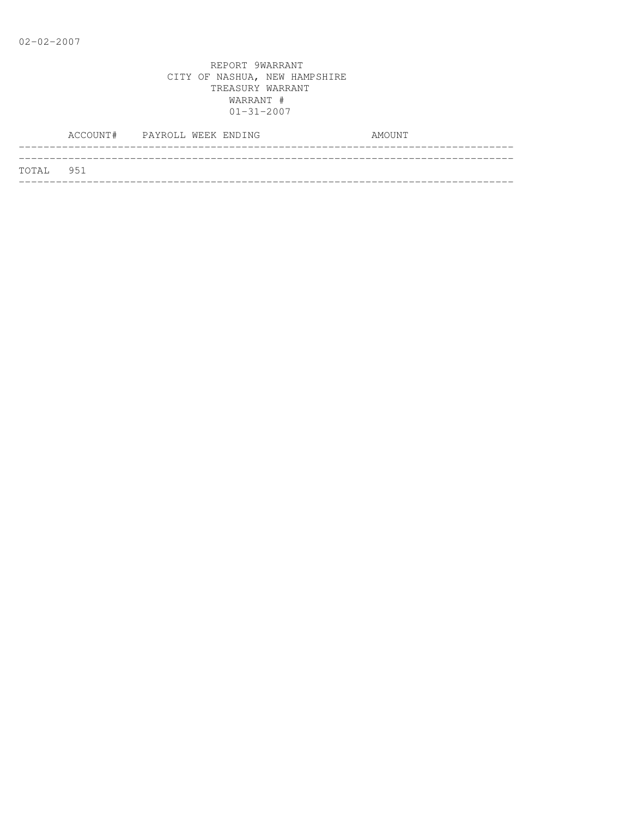|           | ACCOUNT# PAYROLL WEEK ENDING |  |  | AMOUNT |  |
|-----------|------------------------------|--|--|--------|--|
|           |                              |  |  |        |  |
| TOTAL 951 |                              |  |  |        |  |
|           |                              |  |  |        |  |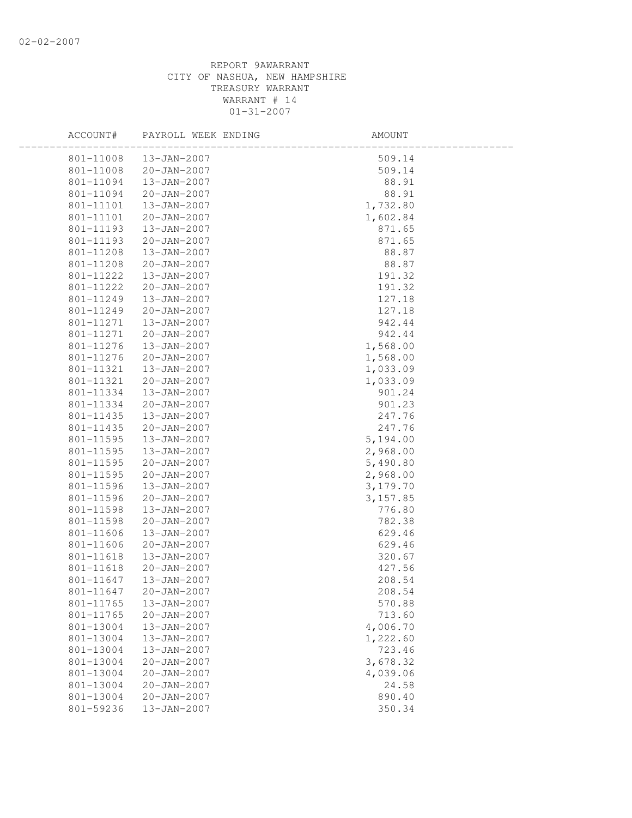| 801-11008<br>13-JAN-2007<br>509.14<br>801-11008<br>$20 - JAN - 2007$<br>509.14<br>801-11094<br>13-JAN-2007<br>88.91<br>801-11094<br>20-JAN-2007<br>88.91<br>801-11101<br>13-JAN-2007<br>1,732.80 |  |
|--------------------------------------------------------------------------------------------------------------------------------------------------------------------------------------------------|--|
|                                                                                                                                                                                                  |  |
|                                                                                                                                                                                                  |  |
|                                                                                                                                                                                                  |  |
|                                                                                                                                                                                                  |  |
|                                                                                                                                                                                                  |  |
| 1,602.84<br>801-11101<br>20-JAN-2007                                                                                                                                                             |  |
| 801-11193<br>13-JAN-2007<br>871.65                                                                                                                                                               |  |
| 801-11193<br>20-JAN-2007<br>871.65                                                                                                                                                               |  |
| 801-11208<br>13-JAN-2007<br>88.87                                                                                                                                                                |  |
| 801-11208<br>20-JAN-2007<br>88.87                                                                                                                                                                |  |
| 801-11222<br>13-JAN-2007<br>191.32                                                                                                                                                               |  |
| 20-JAN-2007<br>191.32<br>801-11222                                                                                                                                                               |  |
| 801-11249<br>13-JAN-2007<br>127.18                                                                                                                                                               |  |
| 127.18<br>801-11249<br>20-JAN-2007                                                                                                                                                               |  |
| 942.44<br>801-11271<br>13-JAN-2007                                                                                                                                                               |  |
| 942.44<br>801-11271<br>$20 - JAN - 2007$                                                                                                                                                         |  |
| 801-11276<br>1,568.00<br>13-JAN-2007                                                                                                                                                             |  |
| 801-11276<br>20-JAN-2007<br>1,568.00                                                                                                                                                             |  |
| 801-11321<br>13-JAN-2007<br>1,033.09                                                                                                                                                             |  |
| 801-11321<br>20-JAN-2007<br>1,033.09                                                                                                                                                             |  |
| 801-11334<br>13-JAN-2007<br>901.24                                                                                                                                                               |  |
| 801-11334<br>20-JAN-2007<br>901.23                                                                                                                                                               |  |
| 801-11435<br>13-JAN-2007<br>247.76                                                                                                                                                               |  |
| 247.76<br>801-11435<br>20-JAN-2007                                                                                                                                                               |  |
| 801-11595<br>13-JAN-2007<br>5,194.00                                                                                                                                                             |  |
| 2,968.00<br>801-11595<br>13-JAN-2007                                                                                                                                                             |  |
| 801-11595<br>$20 - JAN - 2007$<br>5,490.80                                                                                                                                                       |  |
| 801-11595<br>20-JAN-2007<br>2,968.00                                                                                                                                                             |  |
| 801-11596<br>13-JAN-2007<br>3,179.70                                                                                                                                                             |  |
| 801-11596<br>$20 - JAN - 2007$<br>3,157.85                                                                                                                                                       |  |
| 801-11598<br>13-JAN-2007<br>776.80                                                                                                                                                               |  |
| 801-11598<br>20-JAN-2007<br>782.38                                                                                                                                                               |  |
| 801-11606<br>13-JAN-2007<br>629.46                                                                                                                                                               |  |
| 629.46<br>801-11606<br>20-JAN-2007                                                                                                                                                               |  |
| 801-11618<br>320.67<br>13-JAN-2007                                                                                                                                                               |  |
| 801-11618<br>20-JAN-2007<br>427.56                                                                                                                                                               |  |
| 801-11647<br>13-JAN-2007<br>208.54                                                                                                                                                               |  |
| 801-11647<br>20-JAN-2007<br>208.54                                                                                                                                                               |  |
| 801-11765<br>13-JAN-2007<br>570.88                                                                                                                                                               |  |
| 801-11765<br>$20 - JAN - 2007$<br>713.60                                                                                                                                                         |  |
| 801-13004<br>13-JAN-2007<br>4,006.70                                                                                                                                                             |  |
| 801-13004<br>13-JAN-2007<br>1,222.60                                                                                                                                                             |  |
| 723.46<br>801-13004<br>$13 - JAN - 2007$                                                                                                                                                         |  |
| 3,678.32<br>801-13004<br>$20 - JAN - 2007$                                                                                                                                                       |  |
| 4,039.06<br>801-13004<br>$20 - JAN - 2007$                                                                                                                                                       |  |
| 801-13004<br>$20 - JAN - 2007$<br>24.58                                                                                                                                                          |  |
| 801-13004<br>$20 - JAN - 2007$<br>890.40                                                                                                                                                         |  |
| 801-59236<br>$13 - JAN - 2007$<br>350.34                                                                                                                                                         |  |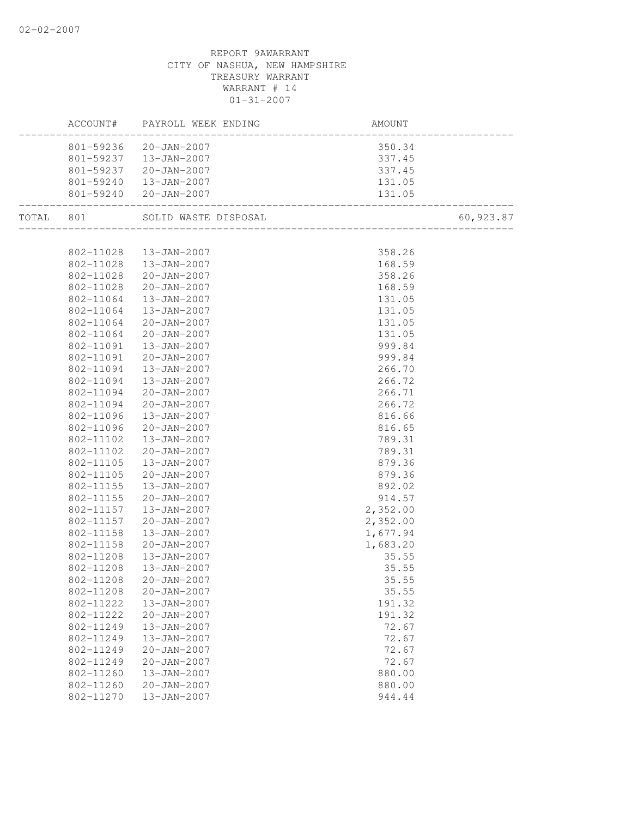|           |           | ACCOUNT# PAYROLL WEEK ENDING | AMOUNT   |           |
|-----------|-----------|------------------------------|----------|-----------|
|           |           | 801-59236 20-JAN-2007        | 350.34   |           |
|           |           | 801-59237  13-JAN-2007       | 337.45   |           |
|           |           | 801-59237 20-JAN-2007        | 337.45   |           |
|           | 801-59240 | $13 - JAN - 2007$            | 131.05   |           |
|           |           | 801-59240 20-JAN-2007        | 131.05   |           |
| TOTAL 801 |           |                              |          | 60,923.87 |
|           |           |                              |          |           |
|           |           | 802-11028  13-JAN-2007       | 358.26   |           |
|           |           | 802-11028  13-JAN-2007       | 168.59   |           |
|           | 802-11028 | 20-JAN-2007                  | 358.26   |           |
|           | 802-11028 | 20-JAN-2007                  | 168.59   |           |
|           | 802-11064 | 13-JAN-2007                  | 131.05   |           |
|           | 802-11064 | 13-JAN-2007                  | 131.05   |           |
|           | 802-11064 | 20-JAN-2007                  | 131.05   |           |
|           | 802-11064 | 20-JAN-2007                  | 131.05   |           |
|           | 802-11091 | 13-JAN-2007                  | 999.84   |           |
|           | 802-11091 | 20-JAN-2007                  | 999.84   |           |
|           | 802-11094 | 13-JAN-2007                  | 266.70   |           |
|           | 802-11094 | 13-JAN-2007                  | 266.72   |           |
|           | 802-11094 | 20-JAN-2007                  | 266.71   |           |
|           | 802-11094 | 20-JAN-2007                  | 266.72   |           |
|           | 802-11096 | 13-JAN-2007                  | 816.66   |           |
|           | 802-11096 | 20-JAN-2007                  | 816.65   |           |
|           | 802-11102 | 13-JAN-2007                  | 789.31   |           |
|           | 802-11102 | 20-JAN-2007                  | 789.31   |           |
|           | 802-11105 | 13-JAN-2007                  | 879.36   |           |
|           | 802-11105 | 20-JAN-2007                  | 879.36   |           |
|           | 802-11155 | 13-JAN-2007                  | 892.02   |           |
|           | 802-11155 | 20-JAN-2007                  | 914.57   |           |
|           | 802-11157 | 13-JAN-2007                  | 2,352.00 |           |
|           | 802-11157 | 20-JAN-2007                  | 2,352.00 |           |
|           | 802-11158 | 13-JAN-2007                  | 1,677.94 |           |
|           | 802-11158 | 20-JAN-2007                  | 1,683.20 |           |
|           | 802-11208 | 13-JAN-2007                  | 35.55    |           |
|           | 802-11208 | 13-JAN-2007                  | 35.55    |           |
|           | 802-11208 | $20 - JAN - 2007$            | 35.55    |           |
|           | 802-11208 | $20 - JAN - 2007$            | 35.55    |           |
|           | 802-11222 | 13-JAN-2007                  | 191.32   |           |
|           | 802-11222 | $20 - JAN - 2007$            | 191.32   |           |
|           | 802-11249 | 13-JAN-2007                  | 72.67    |           |
|           | 802-11249 | 13-JAN-2007                  | 72.67    |           |
|           | 802-11249 | $20 - JAN - 2007$            | 72.67    |           |
|           | 802-11249 | $20 - JAN - 2007$            | 72.67    |           |
|           | 802-11260 | 13-JAN-2007                  | 880.00   |           |
|           | 802-11260 | 20-JAN-2007                  | 880.00   |           |
|           | 802-11270 | 13-JAN-2007                  | 944.44   |           |